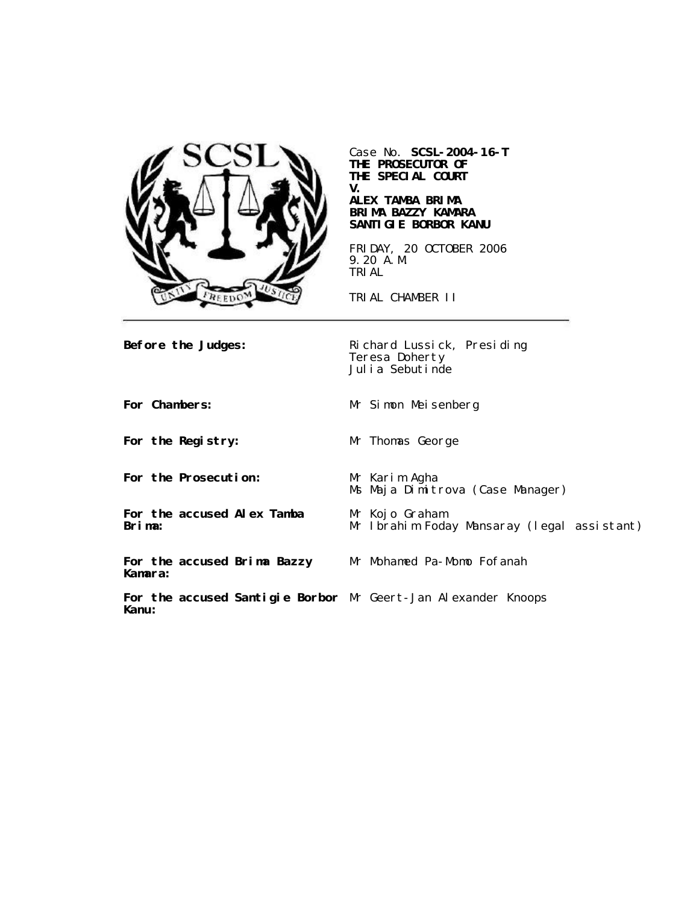

Case No. **SCSL-2004-16-T THE PROSECUTOR OF THE SPECIAL COURT V. ALEX TAMBA BRIMA**

# **BRIMA BAZZY KAMARA SANTIGIE BORBOR KANU**

FRIDAY, 20 OCTOBER 2006 9.20 A.M. TRIAL

TRIAL CHAMBER II

**Before the Judges:** Richard Lussick, Presiding Teresa Doherty Julia Sebutinde

**For Chambers:** Mr Simon Meisenberg

**For the Registry:** Mr Thomas George

**For the Prosecution:** Mr Karim Agha

**For the accused Alex Tamba Brima:**

**For the accused Brima Bazzy Kamara:**

Ms Maja Dimitrova (Case Manager)

Mr Kojo Graham Mr Ibrahim Foday Mansaray (legal assistant)

Mr Mohamed Pa-Momo Fofanah

**For the accused Santigie Borbor** Mr Geert-Jan Alexander Knoops**Kanu:**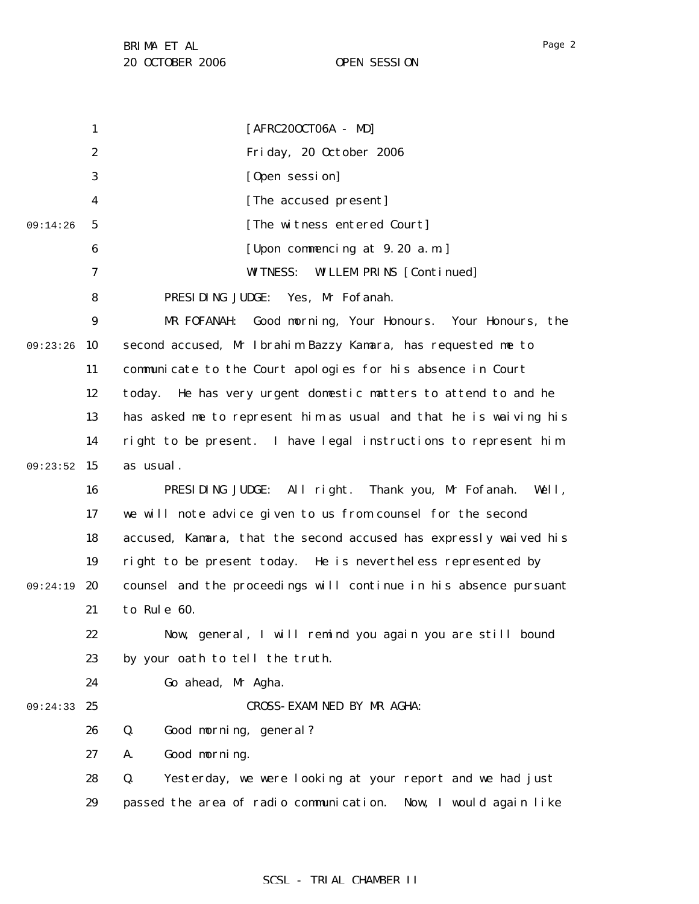1 2 3 4 5 6 7 8 9 09:23:26 10 11 12 13 14 09:23:52 15 16 17 18 19 09:24:19 20 21 22 23 24 09:24:33 25 26 27 28 29 09:14:26 [AFRC20OCT06A - MD] Friday, 20 October 2006 [Open session] [The accused present] [The witness entered Court] [Upon commencing at 9.20 a.m.] WITNESS: WILLEM PRINS [Continued] PRESIDING JUDGE: Yes, Mr Fofanah. MR FOFANAH: Good morning, Your Honours. Your Honours, the second accused, Mr Ibrahim Bazzy Kamara, has requested me to communicate to the Court apologies for his absence in Court today. He has very urgent domestic matters to attend to and he has asked me to represent him as usual and that he is waiving his right to be present. I have legal instructions to represent him as usual. PRESIDING JUDGE: All right. Thank you, Mr Fofanah. Well, we will note advice given to us from counsel for the second accused, Kamara, that the second accused has expressly waived his right to be present today. He is nevertheless represented by counsel and the proceedings will continue in his absence pursuant to Rule 60. Now, general, I will remind you again you are still bound by your oath to tell the truth. Go ahead, Mr Agha. CROSS-EXAMINED BY MR AGHA: Q. Good morning, general? A. Good morning. Q. Yesterday, we were looking at your report and we had just passed the area of radio communication. Now, I would again like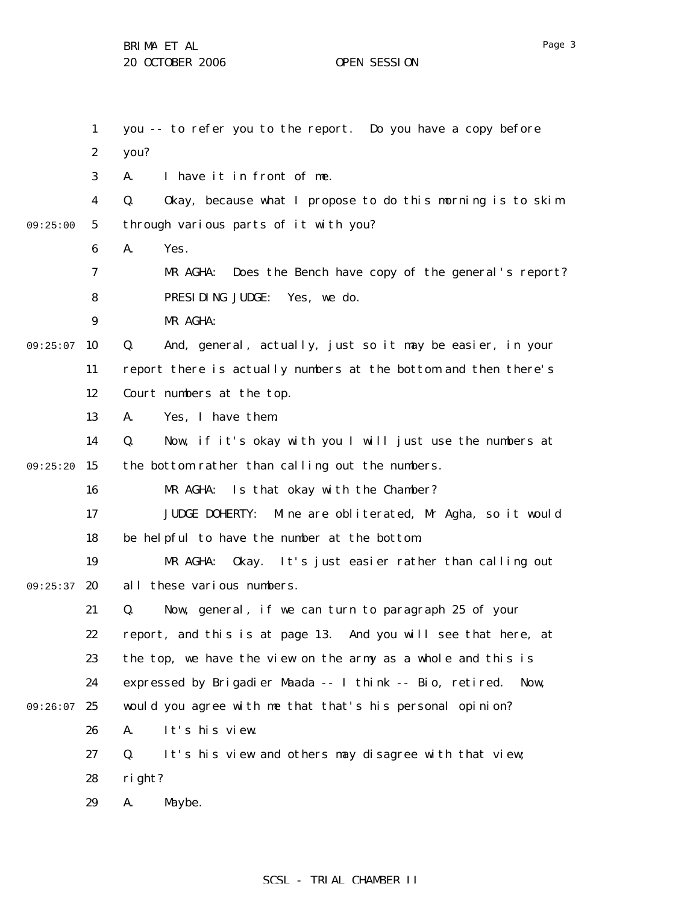|          | $\mathbf{1}$     | you -- to refer you to the report. Do you have a copy before        |
|----------|------------------|---------------------------------------------------------------------|
|          | $\boldsymbol{2}$ | you?                                                                |
|          | 3                | I have it in front of me.<br>A.                                     |
|          | 4                | Okay, because what I propose to do this morning is to skim<br>Q.    |
| 09:25:00 | $\sqrt{5}$       | through various parts of it with you?                               |
|          | 6                | A.<br>Yes.                                                          |
|          | 7                | Does the Bench have copy of the general's report?<br>MR AGHA:       |
|          | 8                | PRESIDING JUDGE:<br>Yes, we do.                                     |
|          | 9                | MR AGHA:                                                            |
| 09:25:07 | 10               | And, general, actually, just so it may be easier, in your<br>Q.     |
|          | 11               | report there is actually numbers at the bottom and then there's     |
|          | 12               | Court numbers at the top.                                           |
|          | 13               | Yes, I have them.<br>A.                                             |
|          | 14               | Q.<br>Now, if it's okay with you I will just use the numbers at     |
| 09:25:20 | 15               | the bottom rather than calling out the numbers.                     |
|          | 16               | MR AGHA:<br>Is that okay with the Chamber?                          |
|          | 17               | <b>JUDGE DOHERTY:</b><br>Mine are obliterated, Mr Agha, so it would |
|          | 18               | be helpful to have the number at the bottom.                        |
|          | 19               | MR AGHA:<br>Okay. It's just easier rather than calling out          |
| 09:25:37 | 20               | all these various numbers.                                          |
|          | 21               | Now, general, if we can turn to paragraph 25 of your<br>Q.          |
|          | 22               | report, and this is at page 13. And you will see that here, at      |
|          | 23               | the top, we have the view on the army as a whole and this is        |
|          | 24               | expressed by Brigadier Maada -- I think -- Bio, retired. Now,       |
| 09:26:07 | 25               | would you agree with me that that's his personal opinion?           |
|          | 26               | It's his view.<br>A.                                                |
|          | 27               | It's his view and others may disagree with that view;<br>Q.         |
|          | 28               | right?                                                              |
|          | 29               | A.<br>Maybe.                                                        |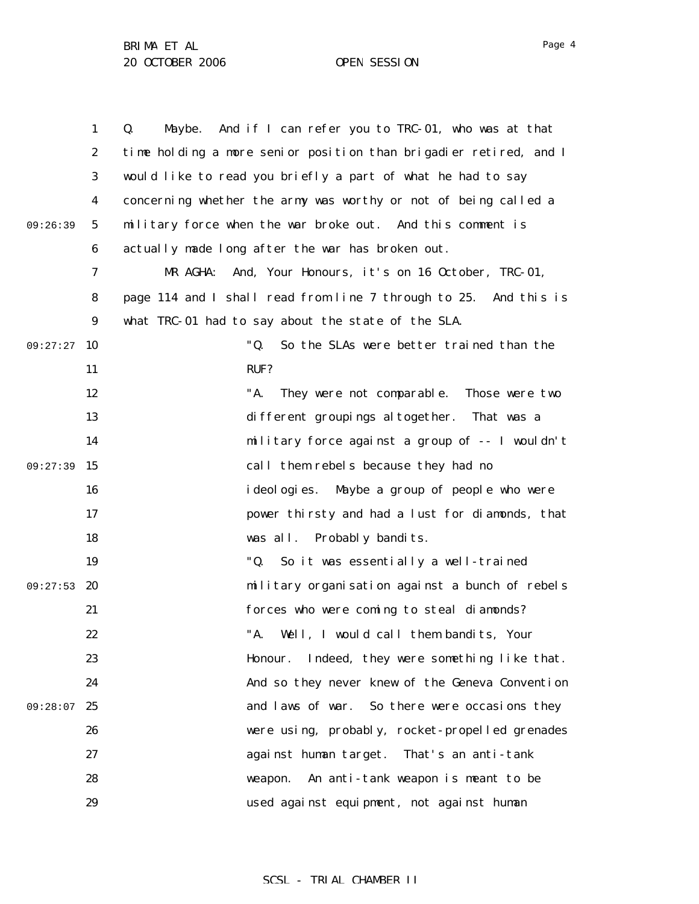1 2 3 4 5 6 7 8 9 09:27:27 10 11 12 13 14 09:27:39 15 16 17 18 19 09:27:53 20 21 22 23 24 09:28:07 25 26 27 28 29 09:26:39 Q. Maybe. And if I can refer you to TRC-01, who was at that time holding a more senior position than brigadier retired, and I would like to read you briefly a part of what he had to say concerning whether the army was worthy or not of being called a military force when the war broke out. And this comment is actually made long after the war has broken out. MR AGHA: And, Your Honours, it's on 16 October, TRC-01, page 114 and I shall read from line 7 through to 25. And this is what TRC-01 had to say about the state of the SLA. "Q. So the SLAs were better trained than the RUF? "A. They were not comparable. Those were two different groupings altogether. That was a military force against a group of -- I wouldn't call them rebels because they had no ideologies. Maybe a group of people who were power thirsty and had a lust for diamonds, that was all. Probably bandits. "Q. So it was essentially a well-trained military organisation against a bunch of rebels forces who were coming to steal diamonds? "A. Well, I would call them bandits, Your Honour. Indeed, they were something like that. And so they never knew of the Geneva Convention and laws of war. So there were occasions they were using, probably, rocket-propelled grenades against human target. That's an anti-tank weapon. An anti-tank weapon is meant to be used against equipment, not against human

# SCSL - TRIAL CHAMBER II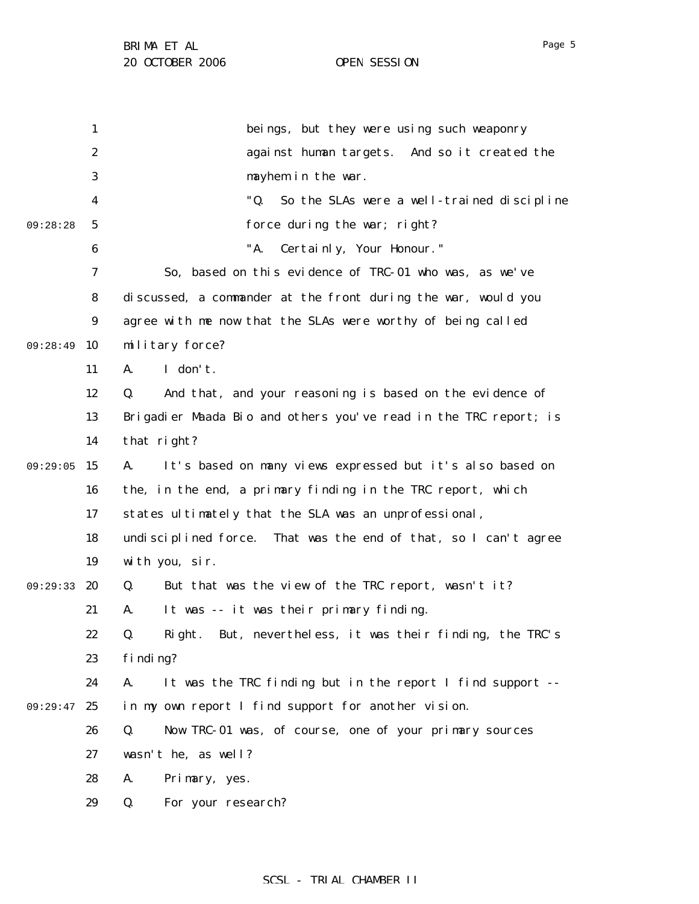|          | 1                | beings, but they were using such weaponry                        |
|----------|------------------|------------------------------------------------------------------|
|          | $\boldsymbol{2}$ | against human targets. And so it created the                     |
|          | 3                | mayhem in the war.                                               |
|          | 4                | "Q.<br>So the SLAs were a well-trained discipline                |
| 09:28:28 | $\mathbf{5}$     | force during the war; right?                                     |
|          | $\boldsymbol{6}$ | "A.<br>Certainly, Your Honour."                                  |
|          | 7                | So, based on this evidence of TRC-01 who was, as we've           |
|          | 8                | discussed, a commander at the front during the war, would you    |
|          | 9                | agree with me now that the SLAs were worthy of being called      |
| 09:28:49 | 10               | military force?                                                  |
|          | 11               | I don't.<br>A.                                                   |
|          | 12               | And that, and your reasoning is based on the evidence of<br>Q.   |
|          | 13               | Brigadier Maada Bio and others you've read in the TRC report; is |
|          | 14               | that right?                                                      |
| 09:29:05 | 15               | It's based on many views expressed but it's also based on<br>A.  |
|          | 16               | the, in the end, a primary finding in the TRC report, which      |
|          | 17               | states ultimately that the SLA was an unprofessional,            |
|          | 18               | undisciplined force. That was the end of that, so I can't agree  |
|          | 19               | with you, sir.                                                   |
| 09:29:33 | 20               | But that was the view of the TRC report, wasn't it?<br>Q.        |
|          | 21               | It was -- it was their primary finding.<br>A.                    |
|          | 22               | Right. But, nevertheless, it was their finding, the TRC's<br>Q.  |
|          | 23               | finding?                                                         |
|          | 24               | It was the TRC finding but in the report I find support --<br>A. |
| 09:29:47 | 25               | in my own report I find support for another vision.              |
|          | 26               | Now TRC-01 was, of course, one of your primary sources<br>Q.     |
|          | 27               | wasn't he, as well?                                              |
|          | 28               | A.<br>Primary, yes.                                              |
|          | 29               | For your research?<br>Q.                                         |
|          |                  |                                                                  |

# SCSL - TRIAL CHAMBER II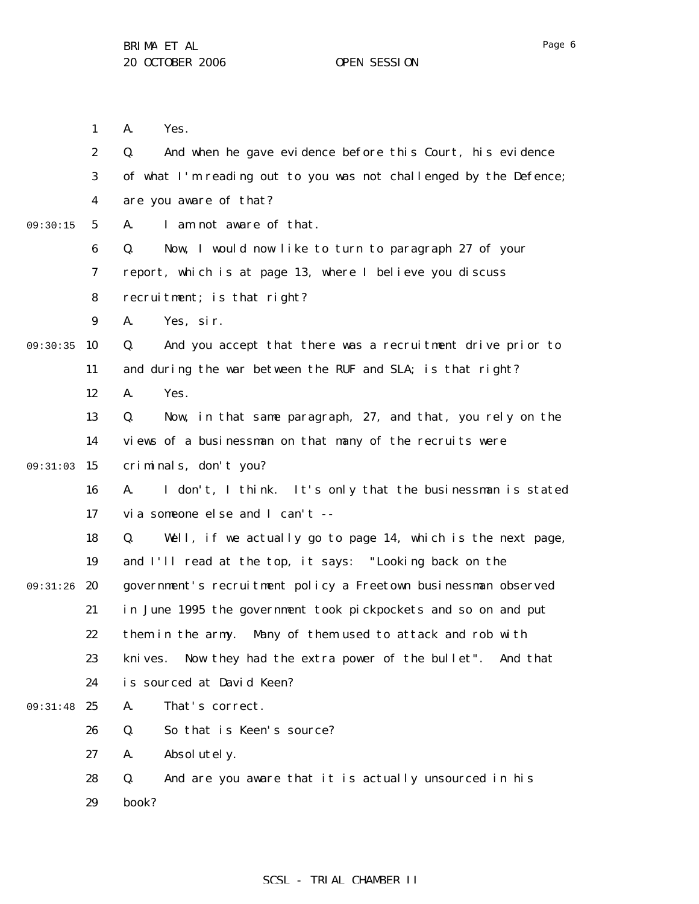1 2 3 4 5 6 7 8 9 09:30:35 10 11 12 13 14 09:31:03 15 16 17 18 19 09:31:26 20 21 22 23 24 09:31:48 25 26 27 28 29 09:30:15 A. Yes. Q. And when he gave evidence before this Court, his evidence of what I'm reading out to you was not challenged by the Defence; are you aware of that? A. I am not aware of that. Q. Now, I would now like to turn to paragraph 27 of your report, which is at page 13, where I believe you discuss recruitment; is that right? A. Yes, sir. Q. And you accept that there was a recruitment drive prior to and during the war between the RUF and SLA; is that right? A. Yes. Q. Now, in that same paragraph, 27, and that, you rely on the views of a businessman on that many of the recruits were criminals, don't you? A. I don't, I think. It's only that the businessman is stated via someone else and I can't -- Q. Well, if we actually go to page 14, which is the next page, and I'll read at the top, it says: "Looking back on the government's recruitment policy a Freetown businessman observed in June 1995 the government took pickpockets and so on and put them in the army. Many of them used to attack and rob with knives. Now they had the extra power of the bullet". And that is sourced at David Keen? A. That's correct. Q. So that is Keen's source? A. Absolutely. Q. And are you aware that it is actually unsourced in his book?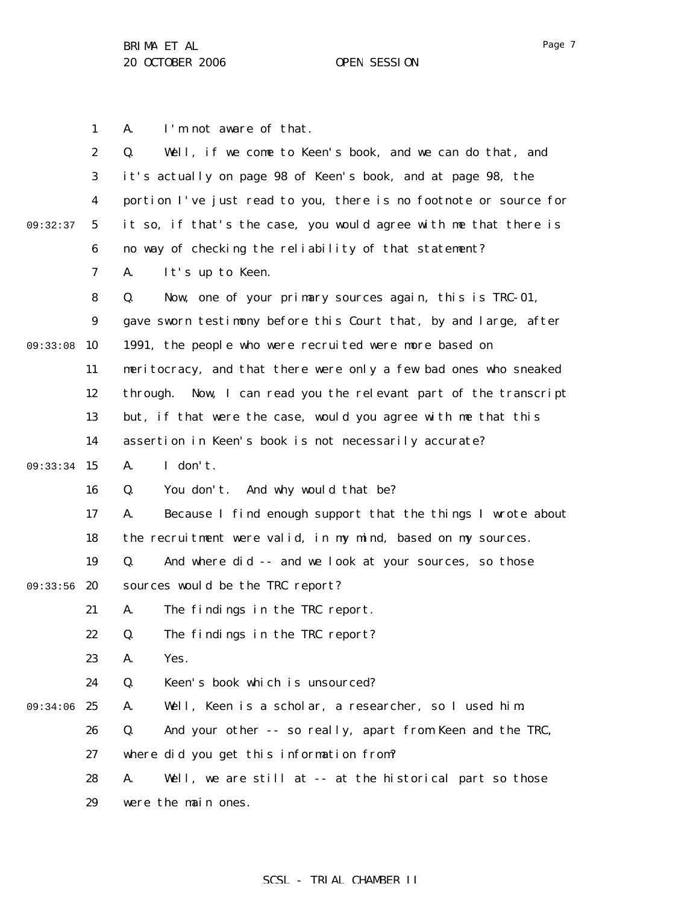A. I'm not aware of that.

1

2

Q. Well, if we come to Keen's book, and we can do that, and

Page 7

3 4 5 6 7 8 9 09:33:08 10 11 12 13 14 09:33:34 15 16 17 18 19 09:33:56 20 21 22 23 24 09:34:06 25 26 27 28 29 09:32:37 it's actually on page 98 of Keen's book, and at page 98, the portion I've just read to you, there is no footnote or source for it so, if that's the case, you would agree with me that there is no way of checking the reliability of that statement? A. It's up to Keen. Q. Now, one of your primary sources again, this is TRC-01, gave sworn testimony before this Court that, by and large, after 1991, the people who were recruited were more based on meritocracy, and that there were only a few bad ones who sneaked through. Now, I can read you the relevant part of the transcript but, if that were the case, would you agree with me that this assertion in Keen's book is not necessarily accurate? A. I don't. Q. You don't. And why would that be? A. Because I find enough support that the things I wrote about the recruitment were valid, in my mind, based on my sources. Q. And where did -- and we look at your sources, so those sources would be the TRC report? A. The findings in the TRC report. Q. The findings in the TRC report? A. Yes. Q. Keen's book which is unsourced? A. Well, Keen is a scholar, a researcher, so I used him. Q. And your other -- so really, apart from Keen and the TRC, where did you get this information from? A. Well, we are still at -- at the historical part so those were the main ones.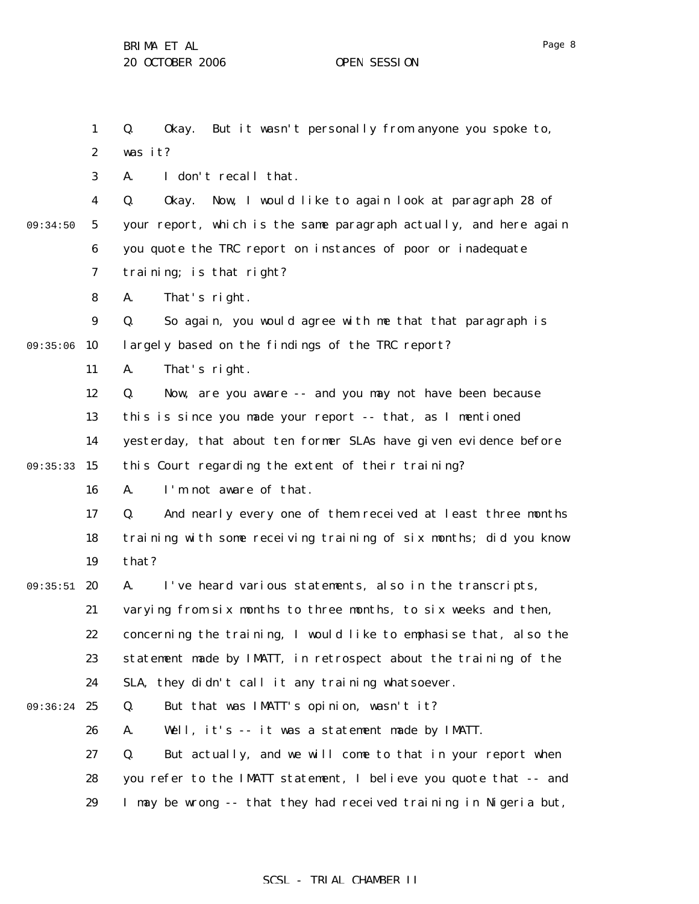1 2 3 4 5 6 7 8 9 09:35:06 10 11 12 13 14 09:35:33 15 16 17 18 19 09:35:51 20 21 22 23 24 09:36:24 25 26 27 28 29 09:34:50 Q. Okay. But it wasn't personally from anyone you spoke to, was it? A. I don't recall that. Q. Okay. Now, I would like to again look at paragraph 28 of your report, which is the same paragraph actually, and here again you quote the TRC report on instances of poor or inadequate training; is that right? A. That's right. Q. So again, you would agree with me that that paragraph is largely based on the findings of the TRC report? A. That's right. Q. Now, are you aware -- and you may not have been because this is since you made your report -- that, as I mentioned yesterday, that about ten former SLAs have given evidence before this Court regarding the extent of their training? A. I'm not aware of that. Q. And nearly every one of them received at least three months training with some receiving training of six months; did you know that? A. I've heard various statements, also in the transcripts, varying from six months to three months, to six weeks and then, concerning the training, I would like to emphasise that, also the statement made by IMATT, in retrospect about the training of the SLA, they didn't call it any training whatsoever. Q. But that was IMATT's opinion, wasn't it? A. Well, it's -- it was a statement made by IMATT. Q. But actually, and we will come to that in your report when you refer to the IMATT statement, I believe you quote that -- and I may be wrong -- that they had received training in Nigeria but,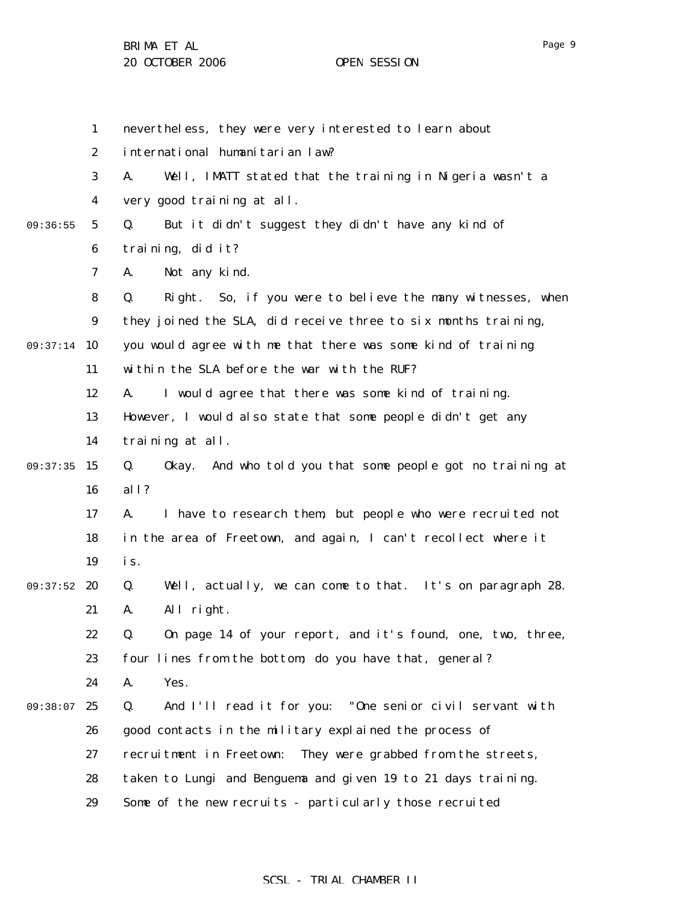1

2

3

4

5

6

7

8

9

11

12

13

14

16

17

18

19

21

22

23

09:37:14 10

09:36:55

09:37:35 15

09:37:52 20

| nevertheless, they were very interested to learn about            |
|-------------------------------------------------------------------|
| international humanitarian law?                                   |
| Well, IMATT stated that the training in Nigeria wasn't a<br>А.    |
| very good training at all.                                        |
| But it didn't suggest they didn't have any kind of<br>Q.          |
| training, did it?                                                 |
| Not any kind.<br>А.                                               |
| Right. So, if you were to believe the many witnesses, when<br>Q.  |
| they joined the SLA, did receive three to six months training,    |
| you would agree with me that there was some kind of training      |
| within the SLA before the war with the RUF?                       |
| I would agree that there was some kind of training.<br>А.         |
| However, I would also state that some people didn't get any       |
| training at all.                                                  |
| Okay. And who told you that some people got no training at<br>Q.  |
| all?                                                              |
| I have to research them, but people who were recruited not<br>А.  |
| in the area of Freetown, and again, I can't recollect where it    |
| is.                                                               |
| Well, actually, we can come to that. It's on paragraph 28.<br>Q.  |
| All right.<br>A.                                                  |
| On page 14 of your report, and it's found, one, two, three,<br>Q. |
| four lines from the bottom; do you have that, general?            |

24 A. Yes.

09:38:07 25 26 27 28 29 Q. And I'll read it for you: "One senior civil servant with good contacts in the military explained the process of recruitment in Freetown: They were grabbed from the streets, taken to Lungi and Benguema and given 19 to 21 days training. Some of the new recruits - particularly those recruited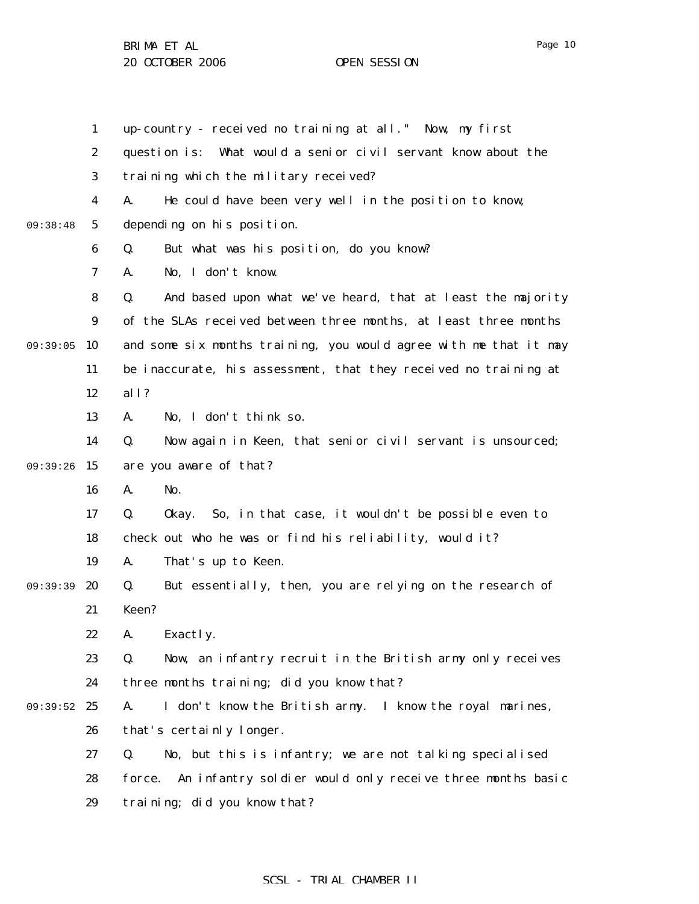1 2 3 4 5 6 7 8 9 09:39:05 10 11 12 13 14 09:39:26 15 16 17 18 19 09:39:39 20 21 22 23 24 09:39:52 25 26 27 28 29 09:38:48 up-country - received no training at all." Now, my first question is: What would a senior civil servant know about the training which the military received? A. He could have been very well in the position to know, depending on his position. Q. But what was his position, do you know? A. No, I don't know. Q. And based upon what we've heard, that at least the majority of the SLAs received between three months, at least three months and some six months training, you would agree with me that it may be inaccurate, his assessment, that they received no training at all? A. No, I don't think so. Q. Now again in Keen, that senior civil servant is unsourced; are you aware of that? A. No. Q. Okay. So, in that case, it wouldn't be possible even to check out who he was or find his reliability, would it? A. That's up to Keen. Q. But essentially, then, you are relying on the research of Keen? A. Exactly. Q. Now, an infantry recruit in the British army only receives three months training; did you know that? A. I don't know the British army. I know the royal marines, that's certainly longer. Q. No, but this is infantry; we are not talking specialised force. An infantry soldier would only receive three months basic training; did you know that?

# SCSL - TRIAL CHAMBER II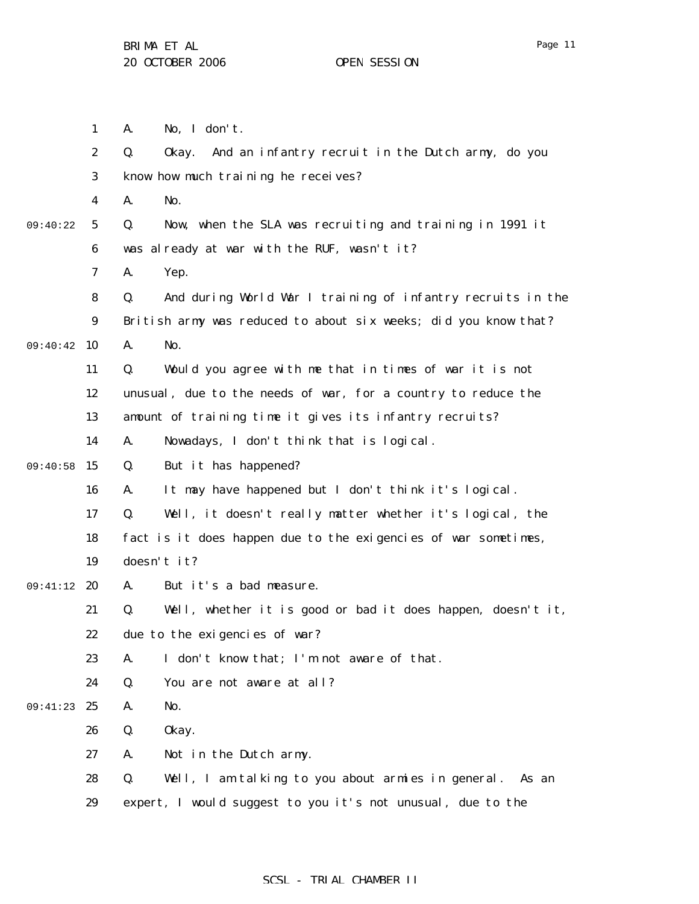|          | $\boldsymbol{2}$ |                                                                   |
|----------|------------------|-------------------------------------------------------------------|
|          |                  | Q.<br>And an infantry recruit in the Dutch army, do you<br>0kay.  |
|          | 3                | know how much training he receives?                               |
|          | 4                | No.<br>A.                                                         |
| 09:40:22 | $\sqrt{5}$       | Now, when the SLA was recruiting and training in 1991 it<br>Q.    |
|          | 6                | was already at war with the RUF, wasn't it?                       |
|          | 7                | A.<br>Yep.                                                        |
|          | 8                | And during World War I training of infantry recruits in the<br>Q. |
|          | $\boldsymbol{9}$ | British army was reduced to about six weeks; did you know that?   |
| 09:40:42 | 10               | A.<br>No.                                                         |
|          | 11               | Would you agree with me that in times of war it is not<br>Q.      |
|          | 12               | unusual, due to the needs of war, for a country to reduce the     |
|          | 13               | amount of training time it gives its infantry recruits?           |
|          | 14               | Nowadays, I don't think that is logical.<br>A.                    |
| 09:40:58 | 15               | But it has happened?<br>Q.                                        |
|          | 16               | It may have happened but I don't think it's logical.<br>A.        |
|          | 17               | Q.<br>Well, it doesn't really matter whether it's logical, the    |
|          | 18               | fact is it does happen due to the exigencies of war sometimes,    |
|          | 19               | doesn't it?                                                       |
| 09:41:12 | 20               | But it's a bad measure.<br>A.                                     |
|          | 21               | Q.<br>Well, whether it is good or bad it does happen, doesn't it, |
|          | 22               | due to the exigencies of war?                                     |
|          | 23               | I don't know that; I'm not aware of that.<br>A.                   |
|          | 24               | Q.<br>You are not aware at all?                                   |
| 09:41:23 | 25               | No.<br>A.                                                         |
|          | 26               | Q.<br>0kay.                                                       |
|          | 27               | Not in the Dutch army.<br>A.                                      |
|          | 28               | Q.<br>Well, I am talking to you about armies in general.<br>As an |
|          | 29               | expert, I would suggest to you it's not unusual, due to the       |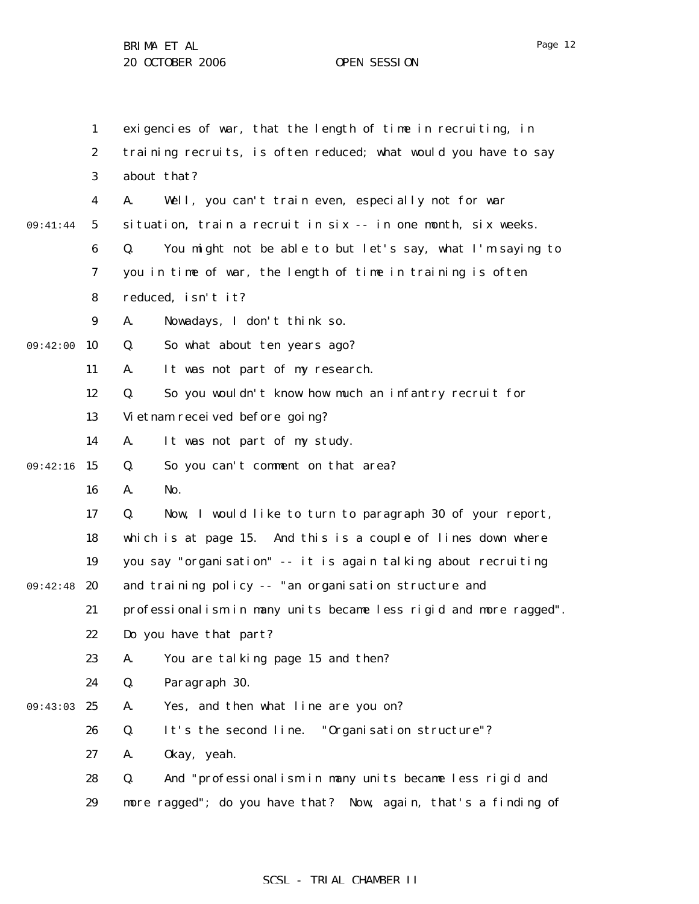1 2 3 4 5 6 7 8 9 09:42:00 10 11 12 13 14 09:42:16 15 16 17 18 19 09:42:48 20 21 22 23 24 09:43:03 25 26 27 28 29 09:41:44 exigencies of war, that the length of time in recruiting, in training recruits, is often reduced; what would you have to say about that? A. Well, you can't train even, especially not for war situation, train a recruit in six -- in one month, six weeks. Q. You might not be able to but let's say, what I'm saying to you in time of war, the length of time in training is often reduced, isn't it? A. Nowadays, I don't think so. Q. So what about ten years ago? A. It was not part of my research. Q. So you wouldn't know how much an infantry recruit for Vietnam received before going? A. It was not part of my study. Q. So you can't comment on that area? A. No. Q. Now, I would like to turn to paragraph 30 of your report, which is at page 15. And this is a couple of lines down where you say "organisation" -- it is again talking about recruiting and training policy -- "an organisation structure and professionalism in many units became less rigid and more ragged". Do you have that part? A. You are talking page 15 and then? Q. Paragraph 30. A. Yes, and then what line are you on? Q. It's the second line. "Organisation structure"? A. Okay, yeah. Q. And "professionalism in many units became less rigid and more ragged"; do you have that? Now, again, that's a finding of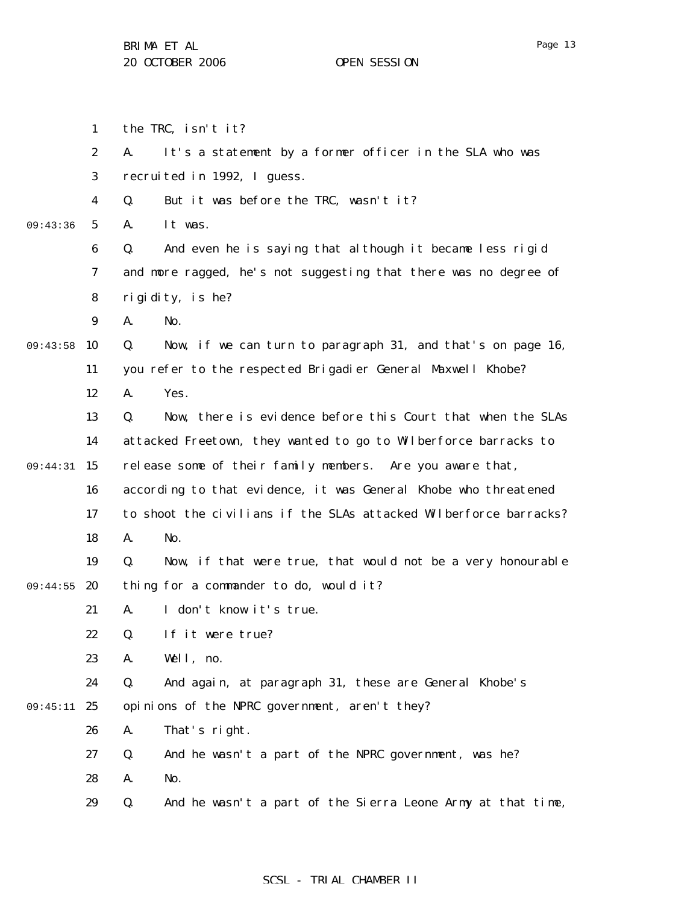1 2 3 4 5 6 7 8 9 09:43:58 10 11 12 13 14 09:44:31 15 16 17 18 19 09:44:55 20 21 22 23 24 09:45:11 25 26 27 28 29 09:43:36 the TRC, isn't it? A. It's a statement by a former officer in the SLA who was recruited in 1992, I guess. Q. But it was before the TRC, wasn't it? A. It was. Q. And even he is saying that although it became less rigid and more ragged, he's not suggesting that there was no degree of rigidity, is he? A. No. Q. Now, if we can turn to paragraph 31, and that's on page 16, you refer to the respected Brigadier General Maxwell Khobe? A. Yes. Q. Now, there is evidence before this Court that when the SLAs attacked Freetown, they wanted to go to Wilberforce barracks to release some of their family members. Are you aware that, according to that evidence, it was General Khobe who threatened to shoot the civilians if the SLAs attacked Wilberforce barracks? A. No. Q. Now, if that were true, that would not be a very honourable thing for a commander to do, would it? A. I don't know it's true. Q. If it were true? A. Well, no. Q. And again, at paragraph 31, these are General Khobe's opinions of the NPRC government, aren't they? A. That's right. Q. And he wasn't a part of the NPRC government, was he? A. No. Q. And he wasn't a part of the Sierra Leone Army at that time,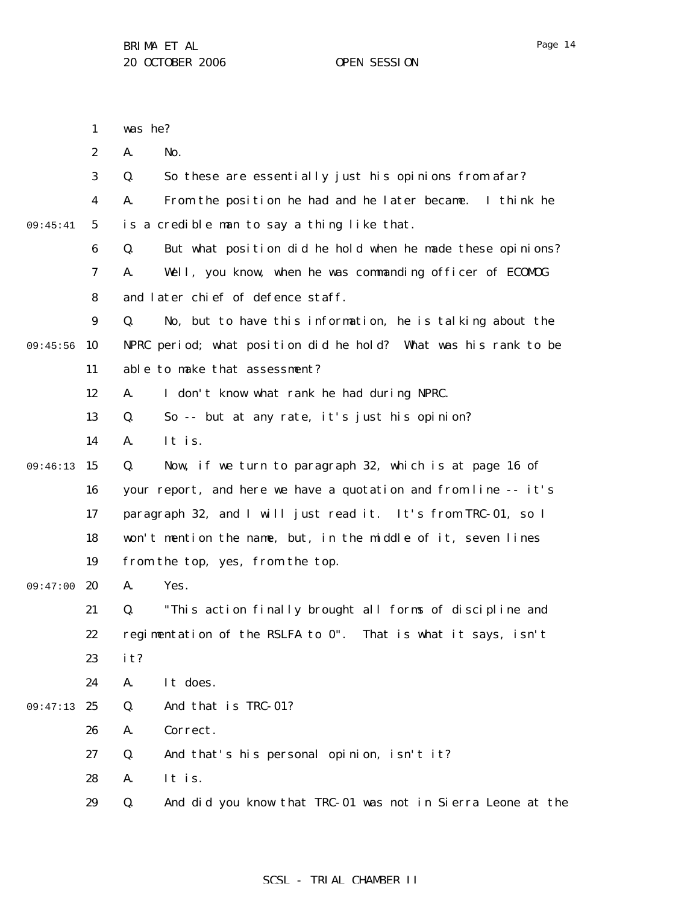|          | $\mathbf{1}$     | was he?                                                           |
|----------|------------------|-------------------------------------------------------------------|
|          | $\boldsymbol{2}$ | No.<br>A.                                                         |
|          | 3                | So these are essentially just his opinions from afar?<br>Q.       |
|          | 4                | From the position he had and he later became. I think he<br>A.    |
| 09:45:41 | $5\phantom{.0}$  | is a credible man to say a thing like that.                       |
|          | 6                | But what position did he hold when he made these opinions?<br>Q.  |
|          | 7                | Well, you know, when he was commanding officer of ECOMDG<br>A.    |
|          | 8                | and later chief of defence staff.                                 |
|          | $\boldsymbol{9}$ | No, but to have this information, he is talking about the<br>Q.   |
| 09:45:56 | 10               | NPRC period; what position did he hold? What was his rank to be   |
|          | 11               | able to make that assessment?                                     |
|          | 12               | I don't know what rank he had during NPRC.<br>A.                  |
|          | 13               | So -- but at any rate, it's just his opinion?<br>Q.               |
|          | 14               | It is.<br>A.                                                      |
| 09:46:13 | 15               | Now, if we turn to paragraph 32, which is at page 16 of<br>Q.     |
|          | 16               | your report, and here we have a quotation and from line -- it's   |
|          | 17               | paragraph 32, and I will just read it. It's from TRC-01, so I     |
|          | 18               | won't mention the name, but, in the middle of it, seven lines     |
|          | 19               | from the top, yes, from the top.                                  |
| 09:47:00 | 20               | Yes.<br>A.                                                        |
|          | 21               | "This action finally brought all forms of discipline and<br>Q.    |
|          | 22               | regimentation of the RSLFA to 0". That is what it says, isn't     |
|          | 23               | it?                                                               |
|          | 24               | It does.<br>A.                                                    |
| 09:47:13 | - 25             | Q.<br>And that is TRC-01?                                         |
|          | 26               | Correct.<br>A.                                                    |
|          | 27               | And that's his personal opinion, isn't it?<br>Q.                  |
|          | 28               | It is.<br>A.                                                      |
|          | 29               | And did you know that TRC-01 was not in Sierra Leone at the<br>Q. |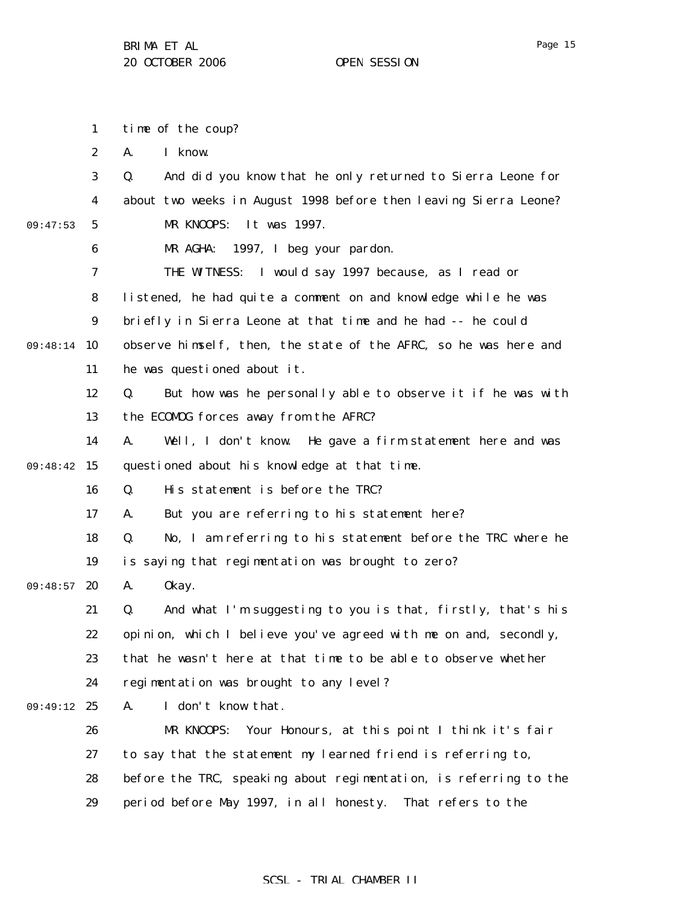Page 15

1 2 3 4 5 6 7 8 9 09:48:14 10 11 12 13 14 09:48:42 15 16 17 18 19 09:48:57 20 21 22 23 24 09:49:12 25 26 27 28 29 09:47:53 time of the coup? A. I know. Q. And did you know that he only returned to Sierra Leone for about two weeks in August 1998 before then leaving Sierra Leone? MR KNOOPS: It was 1997. MR AGHA: 1997, I beg your pardon. THE WITNESS: I would say 1997 because, as I read or listened, he had quite a comment on and knowledge while he was briefly in Sierra Leone at that time and he had -- he could observe himself, then, the state of the AFRC, so he was here and he was questioned about it. Q. But how was he personally able to observe it if he was with the ECOMOG forces away from the AFRC? A. Well, I don't know. He gave a firm statement here and was questioned about his knowledge at that time. Q. His statement is before the TRC? A. But you are referring to his statement here? Q. No, I am referring to his statement before the TRC where he is saying that regimentation was brought to zero? A. Okay. Q. And what I'm suggesting to you is that, firstly, that's his opinion, which I believe you've agreed with me on and, secondly, that he wasn't here at that time to be able to observe whether regimentation was brought to any level? A. I don't know that. MR KNOOPS: Your Honours, at this point I think it's fair to say that the statement my learned friend is referring to, before the TRC, speaking about regimentation, is referring to the period before May 1997, in all honesty. That refers to the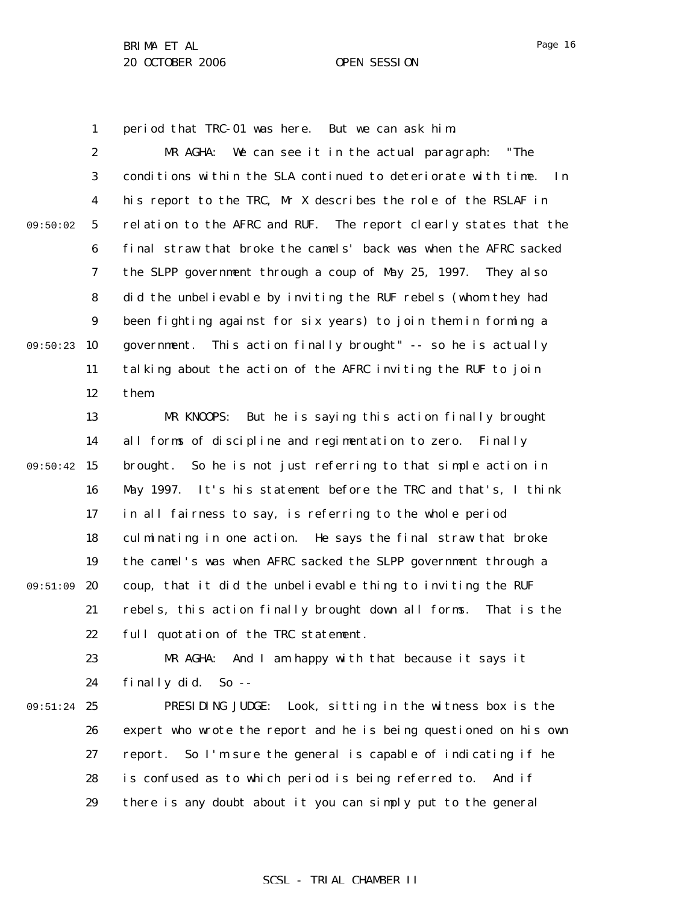1 period that TRC-01 was here. But we can ask him.

2 3 4 5 6 7 8 9 09:50:23 10 11 12 09:50:02 MR AGHA: We can see it in the actual paragraph: "The conditions within the SLA continued to deteriorate with time. In his report to the TRC, Mr X describes the role of the RSLAF in relation to the AFRC and RUF. The report clearly states that the final straw that broke the camels' back was when the AFRC sacked the SLPP government through a coup of May 25, 1997. They also did the unbelievable by inviting the RUF rebels (whom they had been fighting against for six years) to join them in forming a government. This action finally brought" -- so he is actually talking about the action of the AFRC inviting the RUF to join them.

13 14 09:50:42 15 16 17 18 19 09:51:09 20 21 22 MR KNOOPS: But he is saying this action finally brought all forms of discipline and regimentation to zero. Finally brought. So he is not just referring to that simple action in May 1997. It's his statement before the TRC and that's, I think in all fairness to say, is referring to the whole period culminating in one action. He says the final straw that broke the camel's was when AFRC sacked the SLPP government through a coup, that it did the unbelievable thing to inviting the RUF rebels, this action finally brought down all forms. That is the full quotation of the TRC statement.

23 24 MR AGHA: And I am happy with that because it says it finally did. So --

09:51:24 25 26 27 28 29 PRESIDING JUDGE: Look, sitting in the witness box is the expert who wrote the report and he is being questioned on his own report. So I'm sure the general is capable of indicating if he is confused as to which period is being referred to. And if there is any doubt about it you can simply put to the general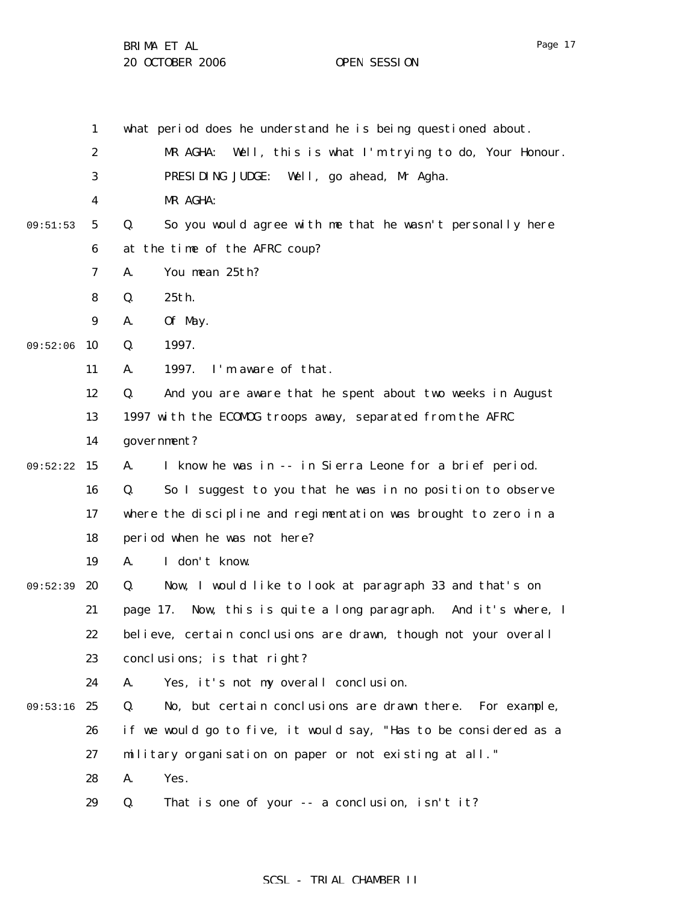Page 17

1 2 3 4 5 6 7 8 9 09:52:06 10 11 12 13 14 09:52:22 15 16 17 18 19 09:52:39 20 21 22 23 24 09:53:16 25 26 27 28 29 09:51:53 what period does he understand he is being questioned about. MR AGHA: Well, this is what I'm trying to do, Your Honour. PRESIDING JUDGE: Well, go ahead, Mr Agha. MR AGHA: Q. So you would agree with me that he wasn't personally here at the time of the AFRC coup? A. You mean 25th? Q. 25th. A. Of May. Q. 1997. A. 1997. I'm aware of that. Q. And you are aware that he spent about two weeks in August 1997 with the ECOMOG troops away, separated from the AFRC government? A. I know he was in -- in Sierra Leone for a brief period. Q. So I suggest to you that he was in no position to observe where the discipline and regimentation was brought to zero in a period when he was not here? A. I don't know. Q. Now, I would like to look at paragraph 33 and that's on page 17. Now, this is quite a long paragraph. And it's where, I believe, certain conclusions are drawn, though not your overall conclusions; is that right? A. Yes, it's not my overall conclusion. Q. No, but certain conclusions are drawn there. For example, if we would go to five, it would say, "Has to be considered as a military organisation on paper or not existing at all." A. Yes. Q. That is one of your -- a conclusion, isn't it?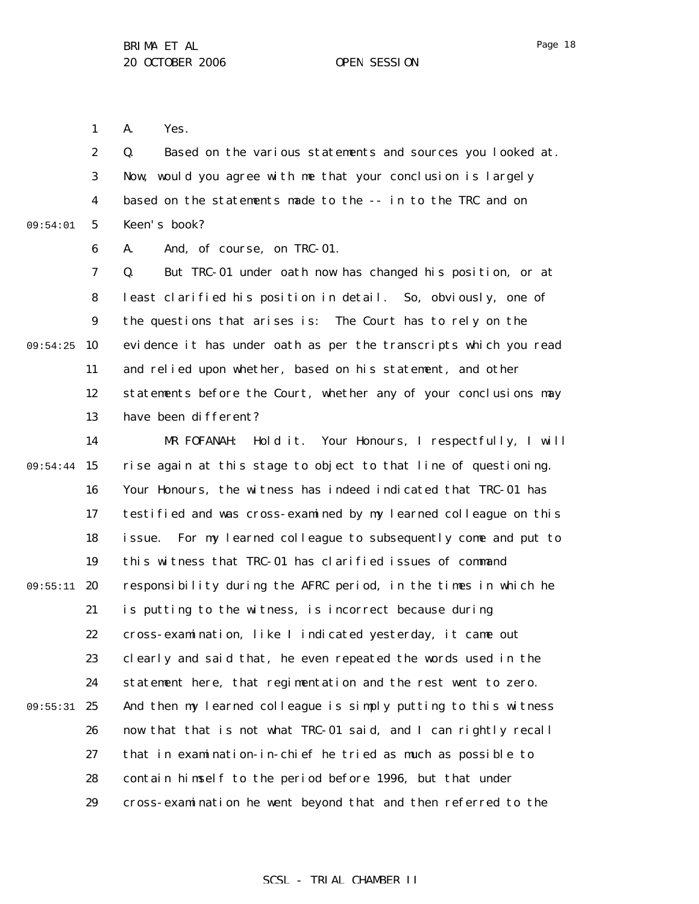Page 18

1 A. Yes.

2 3 4 5 09:54:01 Q. Based on the various statements and sources you looked at. Now, would you agree with me that your conclusion is largely based on the statements made to the -- in to the TRC and on Keen's book?

6 A. And, of course, on TRC-01.

7 8 9 09:54:25 10 11 12 13 Q. But TRC-01 under oath now has changed his position, or at least clarified his position in detail. So, obviously, one of the questions that arises is: The Court has to rely on the evidence it has under oath as per the transcripts which you read and relied upon whether, based on his statement, and other statements before the Court, whether any of your conclusions may have been different?

14 09:54:44 15 16 17 18 19 09:55:11 20 21 22 23 24 09:55:31 25 26 27 28 29 MR FOFANAH: Hold it. Your Honours, I respectfully, I will rise again at this stage to object to that line of questioning. Your Honours, the witness has indeed indicated that TRC-01 has testified and was cross-examined by my learned colleague on this issue. For my learned colleague to subsequently come and put to this witness that TRC-01 has clarified issues of command responsibility during the AFRC period, in the times in which he is putting to the witness, is incorrect because during cross-examination, like I indicated yesterday, it came out clearly and said that, he even repeated the words used in the statement here, that regimentation and the rest went to zero. And then my learned colleague is simply putting to this witness now that that is not what TRC-01 said, and I can rightly recall that in examination-in-chief he tried as much as possible to contain himself to the period before 1996, but that under cross-examination he went beyond that and then referred to the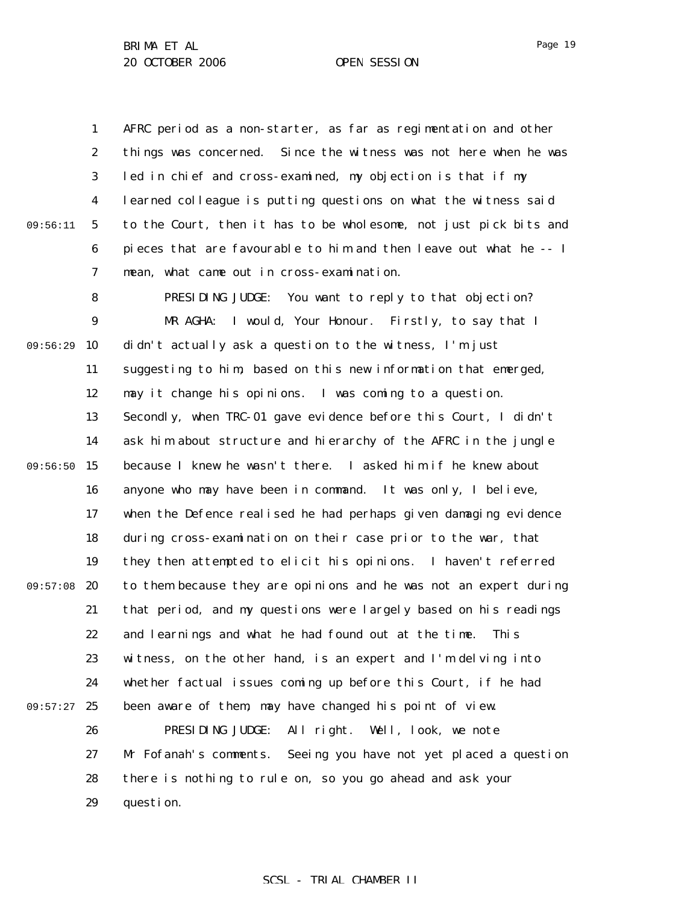1 2 3 4 5 6 7 09:56:11 AFRC period as a non-starter, as far as regimentation and other things was concerned. Since the witness was not here when he was led in chief and cross-examined, my objection is that if my learned colleague is putting questions on what the witness said to the Court, then it has to be wholesome, not just pick bits and pieces that are favourable to him and then leave out what he -- I mean, what came out in cross-examination.

8 9 10 11 12 13 14 09:56:50 15 16 17 18 19 09:57:08 20 21 22 23 24 09:57:27 25 09:56:29 PRESIDING JUDGE: You want to reply to that objection? MR AGHA: I would, Your Honour. Firstly, to say that I didn't actually ask a question to the witness, I'm just suggesting to him, based on this new information that emerged, may it change his opinions. I was coming to a question. Secondly, when TRC-01 gave evidence before this Court, I didn't ask him about structure and hierarchy of the AFRC in the jungle because I knew he wasn't there. I asked him if he knew about anyone who may have been in command. It was only, I believe, when the Defence realised he had perhaps given damaging evidence during cross-examination on their case prior to the war, that they then attempted to elicit his opinions. I haven't referred to them because they are opinions and he was not an expert during that period, and my questions were largely based on his readings and learnings and what he had found out at the time. This witness, on the other hand, is an expert and I'm delving into whether factual issues coming up before this Court, if he had been aware of them, may have changed his point of view.

26 27 28 29 PRESIDING JUDGE: All right. Well, look, we note Mr Fofanah's comments. Seeing you have not yet placed a question there is nothing to rule on, so you go ahead and ask your question.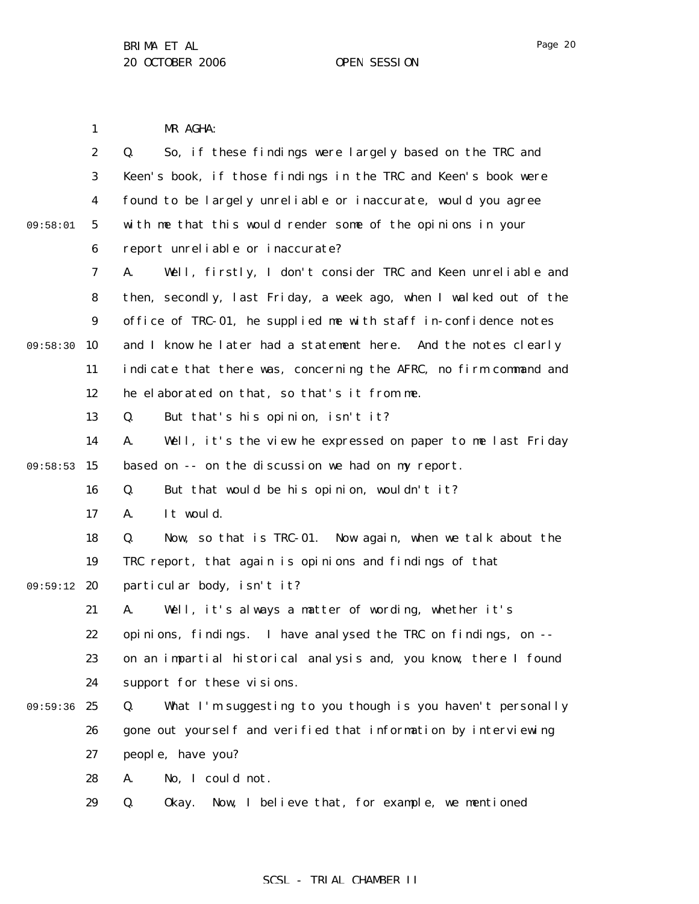Page 20

1 2 3 4 5 6 7 8 9 09:58:30 10 11 12 13 14 09:58:53 15 16 17 18 19 09:59:12 20 21 22 23 24 09:59:36 25 26 27 28 29 09:58:01 MR AGHA: Q. So, if these findings were largely based on the TRC and Keen's book, if those findings in the TRC and Keen's book were found to be largely unreliable or inaccurate, would you agree with me that this would render some of the opinions in your report unreliable or inaccurate? A. Well, firstly, I don't consider TRC and Keen unreliable and then, secondly, last Friday, a week ago, when I walked out of the office of TRC-01, he supplied me with staff in-confidence notes and I know he later had a statement here. And the notes clearly indicate that there was, concerning the AFRC, no firm command and he elaborated on that, so that's it from me. Q. But that's his opinion, isn't it? A. Well, it's the view he expressed on paper to me last Friday based on -- on the discussion we had on my report. Q. But that would be his opinion, wouldn't it? A. It would. Q. Now, so that is TRC-01. Now again, when we talk about the TRC report, that again is opinions and findings of that particular body, isn't it? A. Well, it's always a matter of wording, whether it's opinions, findings. I have analysed the TRC on findings, on - on an impartial historical analysis and, you know, there I found support for these visions. Q. What I'm suggesting to you though is you haven't personally gone out yourself and verified that information by interviewing people, have you? A. No, I could not. Q. Okay. Now, I believe that, for example, we mentioned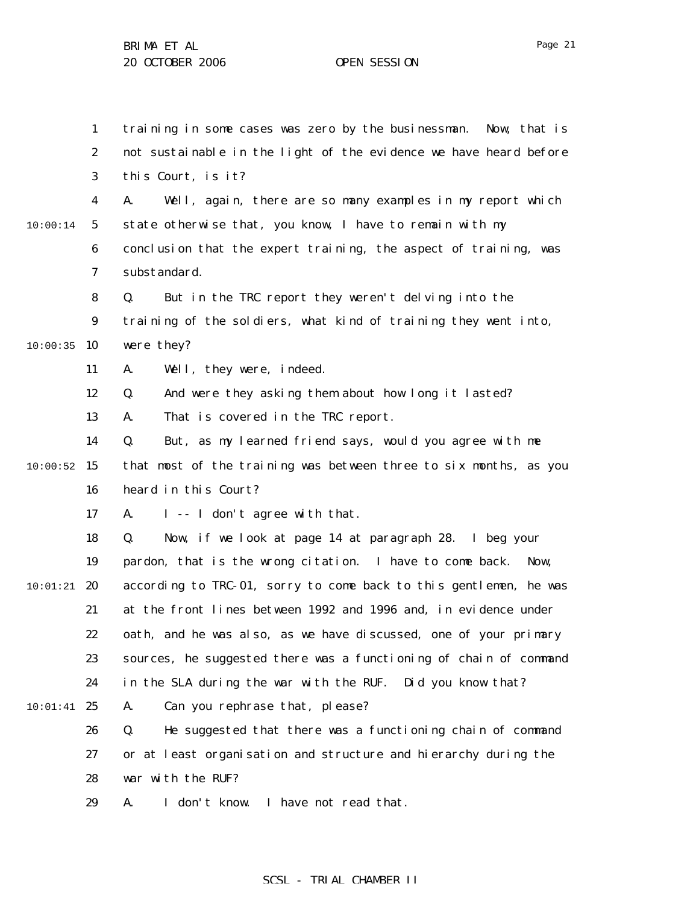1 2 3 4 5 6 7 8 9  $10:00:35$  10 11 12 13 14  $10:00:52$  15 16 17 18 19  $10:01:21$  20 21 22 23 24  $10:01:41$  25 26 27 28 29 10:00:14 training in some cases was zero by the businessman. Now, that is not sustainable in the light of the evidence we have heard before this Court, is it? A. Well, again, there are so many examples in my report which state otherwise that, you know, I have to remain with my conclusion that the expert training, the aspect of training, was substandard. Q. But in the TRC report they weren't delving into the training of the soldiers, what kind of training they went into, were they? A. Well, they were, indeed. Q. And were they asking them about how long it lasted? A. That is covered in the TRC report. Q. But, as my learned friend says, would you agree with me that most of the training was between three to six months, as you heard in this Court? A. I -- I don't agree with that. Q. Now, if we look at page 14 at paragraph 28. I beg your pardon, that is the wrong citation. I have to come back. Now, according to TRC-01, sorry to come back to this gentlemen, he was at the front lines between 1992 and 1996 and, in evidence under oath, and he was also, as we have discussed, one of your primary sources, he suggested there was a functioning of chain of command in the SLA during the war with the RUF. Did you know that? A. Can you rephrase that, please? Q. He suggested that there was a functioning chain of command or at least organisation and structure and hierarchy during the war with the RUF? A. I don't know. I have not read that.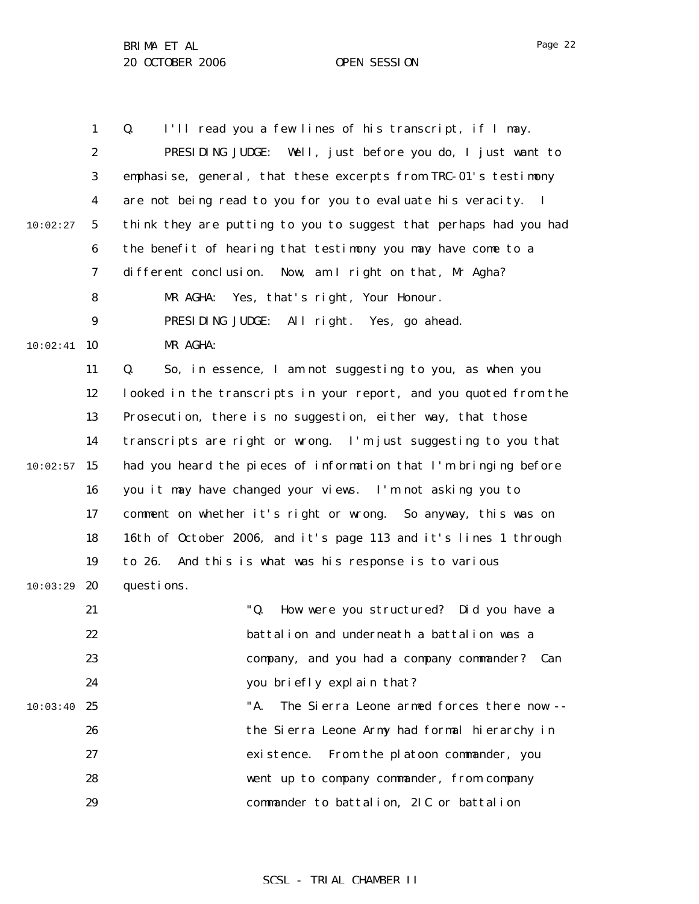1 2 3 4 5 6 7 8 9  $10:02:41$  10 11 12 13 14  $10:02:57$  15 16 17 18 19  $10:03:29$  20 21 22 23 24  $10:03:40$  25 26 27 28 29 10:02:27 Q. I'll read you a few lines of his transcript, if I may. PRESIDING JUDGE: Well, just before you do, I just want to emphasise, general, that these excerpts from TRC-01's testimony are not being read to you for you to evaluate his veracity. I think they are putting to you to suggest that perhaps had you had the benefit of hearing that testimony you may have come to a different conclusion. Now, am I right on that, Mr Agha? MR AGHA: Yes, that's right, Your Honour. PRESIDING JUDGE: All right. Yes, go ahead. MR AGHA: Q. So, in essence, I am not suggesting to you, as when you looked in the transcripts in your report, and you quoted from the Prosecution, there is no suggestion, either way, that those transcripts are right or wrong. I'm just suggesting to you that had you heard the pieces of information that I'm bringing before you it may have changed your views. I'm not asking you to comment on whether it's right or wrong. So anyway, this was on 16th of October 2006, and it's page 113 and it's lines 1 through to 26. And this is what was his response is to various questions. "Q. How were you structured? Did you have a battalion and underneath a battalion was a company, and you had a company commander? Can you briefly explain that? "A. The Sierra Leone armed forces there now - the Sierra Leone Army had formal hierarchy in existence. From the platoon commander, you went up to company commander, from company commander to battalion, 2IC or battalion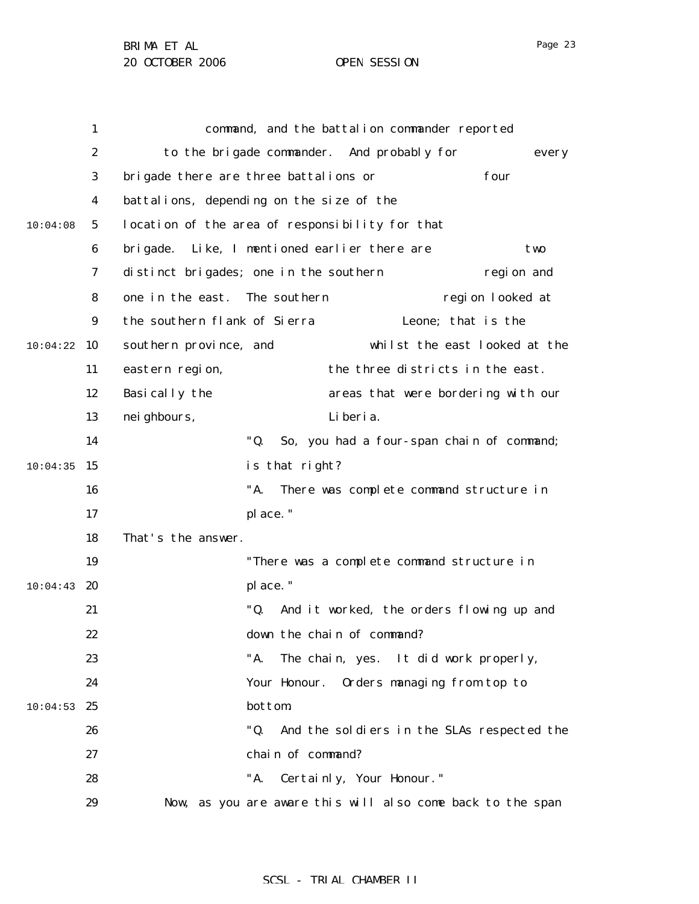| ю |  |
|---|--|
|---|--|

|          | $\mathbf{1}$     |                                                 |                                            | command, and the battalion commander reported              |                  |
|----------|------------------|-------------------------------------------------|--------------------------------------------|------------------------------------------------------------|------------------|
|          | $\boldsymbol{2}$ |                                                 | to the brigade commander. And probably for |                                                            | every            |
|          | $\boldsymbol{3}$ | brigade there are three battalions or           |                                            |                                                            | four             |
|          | 4                | battalions, depending on the size of the        |                                            |                                                            |                  |
| 10:04:08 | 5                | location of the area of responsibility for that |                                            |                                                            |                  |
|          | 6                | bri gade.                                       | Like, I mentioned earlier there are        |                                                            | two              |
|          | 7                | distinct brigades; one in the southern          |                                            |                                                            | region and       |
|          | 8                | one in the east. The southern                   |                                            |                                                            | region looked at |
|          | $\boldsymbol{9}$ | the southern flank of Sierra                    |                                            | Leone; that is the                                         |                  |
| 10:04:22 | 10               | southern province, and                          |                                            | whilst the east looked at the                              |                  |
|          | 11               | eastern region,                                 |                                            | the three districts in the east.                           |                  |
|          | 12               | Basically the                                   |                                            | areas that were bordering with our                         |                  |
|          | 13               | nei ghbours,                                    | Li beri a.                                 |                                                            |                  |
|          | 14               |                                                 | "Q.                                        | So, you had a four-span chain of command;                  |                  |
| 10:04:35 | 15               |                                                 | is that right?                             |                                                            |                  |
|          | 16               |                                                 | "A.                                        | There was complete command structure in                    |                  |
|          | 17               |                                                 | place."                                    |                                                            |                  |
|          | 18               | That's the answer.                              |                                            |                                                            |                  |
|          | 19               |                                                 |                                            | "There was a complete command structure in                 |                  |
| 10:04:43 | 20               |                                                 | place."                                    |                                                            |                  |
|          | 21               |                                                 | "Q.                                        | And it worked, the orders flowing up and                   |                  |
|          | 22               |                                                 | down the chain of command?                 |                                                            |                  |
|          | 23               |                                                 | "A.                                        | The chain, yes. It did work properly,                      |                  |
|          | 24               |                                                 | Your Honour.                               | Orders managing from top to                                |                  |
| 10:04:53 | 25               |                                                 | <b>bottom</b>                              |                                                            |                  |
|          | 26               |                                                 | "Q.                                        | And the soldiers in the SLAs respected the                 |                  |
|          | 27               |                                                 | chain of command?                          |                                                            |                  |
|          | 28               |                                                 | "A.                                        | Certainly, Your Honour."                                   |                  |
|          | 29               |                                                 |                                            | Now, as you are aware this will also come back to the span |                  |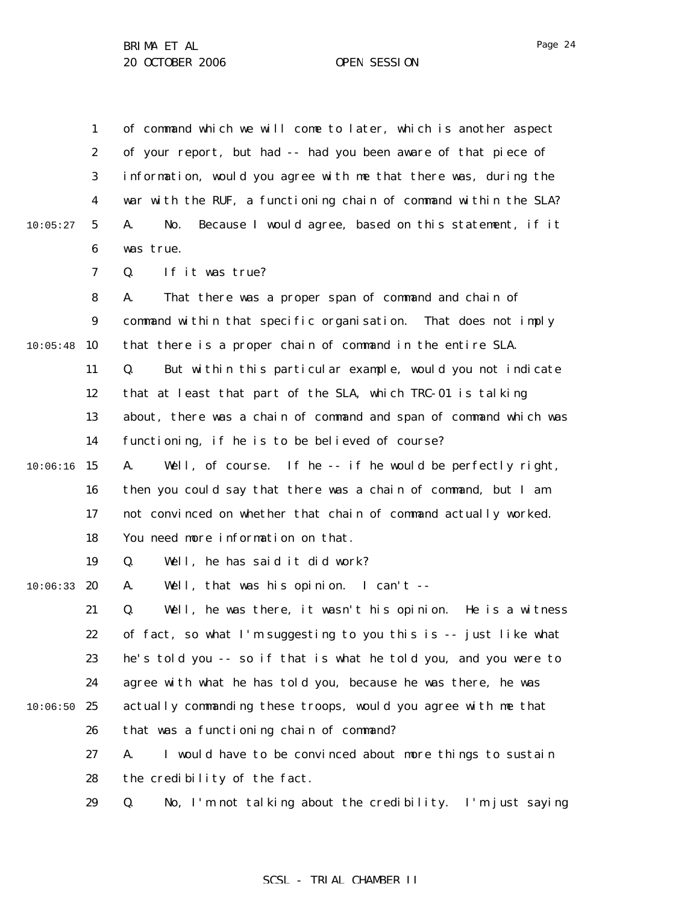|          | $\mathbf{1}$     | of command which we will come to later, which is another aspect     |
|----------|------------------|---------------------------------------------------------------------|
|          | 2                | of your report, but had -- had you been aware of that piece of      |
|          | 3                | information, would you agree with me that there was, during the     |
|          | $\boldsymbol{4}$ | war with the RUF, a functioning chain of command within the SLA?    |
| 10:05:27 | $5\phantom{.0}$  | Because I would agree, based on this statement, if it<br>No.<br>A.  |
|          | 6                | was true.                                                           |
|          | 7                | If it was true?<br>Q.                                               |
|          | 8                | That there was a proper span of command and chain of<br>A.          |
|          | $\boldsymbol{9}$ | command within that specific organisation. That does not imply      |
| 10:05:48 | 10               | that there is a proper chain of command in the entire SLA.          |
|          | 11               | But within this particular example, would you not indicate<br>Q.    |
|          | 12               | that at least that part of the SLA, which TRC-01 is talking         |
|          | 13               | about, there was a chain of command and span of command which was   |
|          | 14               | functioning, if he is to be believed of course?                     |
| 10:06:16 | 15               | Well, of course. If he -- if he would be perfectly right,<br>A.     |
|          | 16               | then you could say that there was a chain of command, but I am      |
|          | 17               | not convinced on whether that chain of command actually worked.     |
|          | 18               | You need more information on that.                                  |
|          | 19               | Well, he has said it did work?<br>Q.                                |
| 10:06:33 | 20               | Well, that was his opinion. I can't --<br>A.                        |
|          | 21               | Q.<br>Well, he was there, it wasn't his opinion.<br>He is a witness |
|          | 22               | of fact, so what I'm suggesting to you this is -- just like what    |
|          | 23               | he's told you -- so if that is what he told you, and you were to    |
|          | 24               | agree with what he has told you, because he was there, he was       |
| 10:06:50 | 25               | actually commanding these troops, would you agree with me that      |
|          | 26               | that was a functioning chain of command?                            |
|          | 27               | I would have to be convinced about more things to sustain<br>A.     |
|          | 28               | the credibility of the fact.                                        |
|          | 29               | No, I'm not talking about the credibility. I'm just saying<br>Q.    |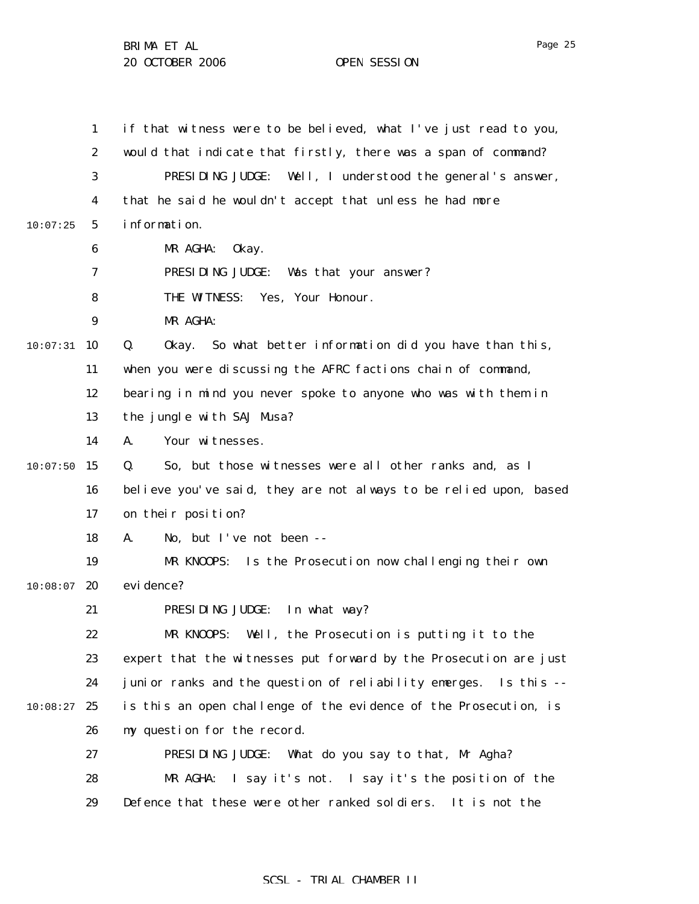1 2 3 4 5 6 7 8 9  $10:07:31$  10 11 12 13 14  $10:07:50$  15 16 17 18 19  $10:08:07$  20 21 22 23 24  $10:08:27$  25 26 27 28 29 10:07:25 if that witness were to be believed, what I've just read to you, would that indicate that firstly, there was a span of command? PRESIDING JUDGE: Well, I understood the general's answer, that he said he wouldn't accept that unless he had more information. MR AGHA: Okay. PRESIDING JUDGE: Was that your answer? THE WITNESS: Yes, Your Honour. MR AGHA: Q. Okay. So what better information did you have than this, when you were discussing the AFRC factions chain of command, bearing in mind you never spoke to anyone who was with them in the jungle with SAJ Musa? A. Your witnesses. Q. So, but those witnesses were all other ranks and, as I believe you've said, they are not always to be relied upon, based on their position? A. No, but I've not been -- MR KNOOPS: Is the Prosecution now challenging their own evi dence? PRESIDING JUDGE: In what way? MR KNOOPS: Well, the Prosecution is putting it to the expert that the witnesses put forward by the Prosecution are just junior ranks and the question of reliability emerges. Is this - is this an open challenge of the evidence of the Prosecution, is my question for the record. PRESIDING JUDGE: What do you say to that, Mr Agha? MR AGHA: I say it's not. I say it's the position of the Defence that these were other ranked soldiers. It is not the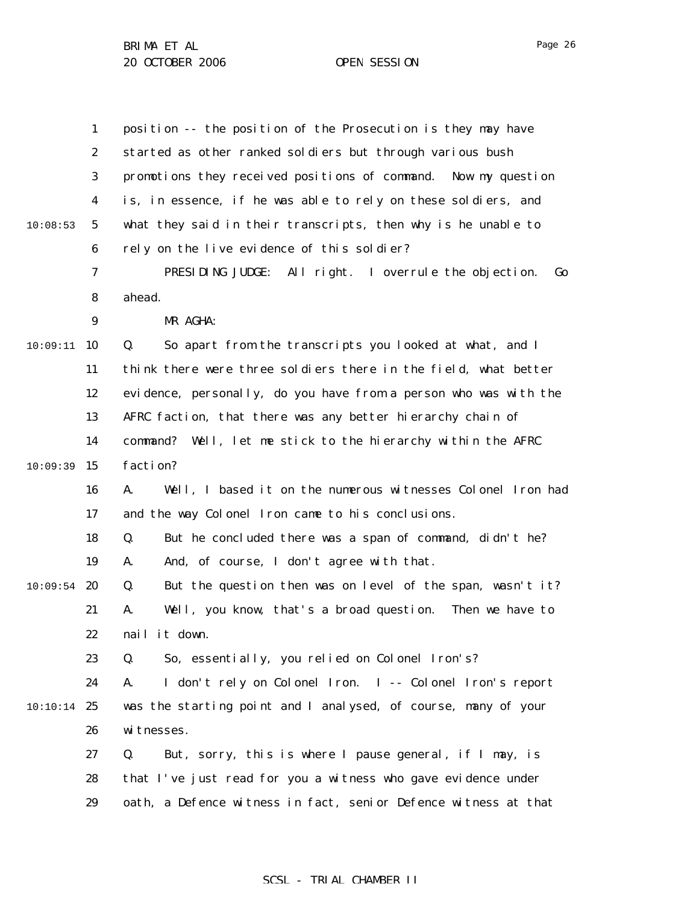|          | $\mathbf{1}$     | position -- the position of the Prosecution is they may have      |
|----------|------------------|-------------------------------------------------------------------|
|          | $\boldsymbol{2}$ | started as other ranked soldiers but through various bush         |
|          | 3                | promotions they received positions of command. Now my question    |
|          | $\boldsymbol{4}$ | is, in essence, if he was able to rely on these soldiers, and     |
| 10:08:53 | $\sqrt{5}$       | what they said in their transcripts, then why is he unable to     |
|          | $\boldsymbol{6}$ | rely on the live evidence of this soldier?                        |
|          | 7                | PRESIDING JUDGE: All right. I overrule the objection.<br>Go       |
|          | 8                | ahead.                                                            |
|          | 9                | MR AGHA:                                                          |
| 10:09:11 | 10               | Q.<br>So apart from the transcripts you looked at what, and I     |
|          | 11               | think there were three soldiers there in the field, what better   |
|          | 12               | evidence, personally, do you have from a person who was with the  |
|          | 13               | AFRC faction, that there was any better hierarchy chain of        |
|          | 14               | Well, let me stick to the hierarchy within the AFRC<br>command?   |
| 10:09:39 | 15               | faction?                                                          |
|          | 16               | Well, I based it on the numerous witnesses Colonel Iron had<br>A. |
|          | 17               | and the way Colonel Iron came to his conclusions.                 |
|          | 18               | But he concluded there was a span of command, didn't he?<br>Q.    |
|          | 19               | And, of course, I don't agree with that.<br>A.                    |
| 10:09:54 | 20               | But the question then was on level of the span, wasn't it?<br>Q.  |
|          | 21               | Well, you know, that's a broad question.<br>Then we have to<br>A. |
|          | 22               | nail it down.                                                     |
|          | 23               | So, essentially, you relied on Colonel Iron's?<br>Q.              |
|          | 24               | I don't rely on Colonel Iron. I -- Colonel Iron's report<br>A.    |
| 10:10:14 | 25               | was the starting point and I analysed, of course, many of your    |
|          | 26               | witnesses.                                                        |
|          | 27               | Q.<br>But, sorry, this is where I pause general, if I may, is     |
|          | 28               | that I've just read for you a witness who gave evidence under     |
|          | 29               | oath, a Defence witness in fact, senior Defence witness at that   |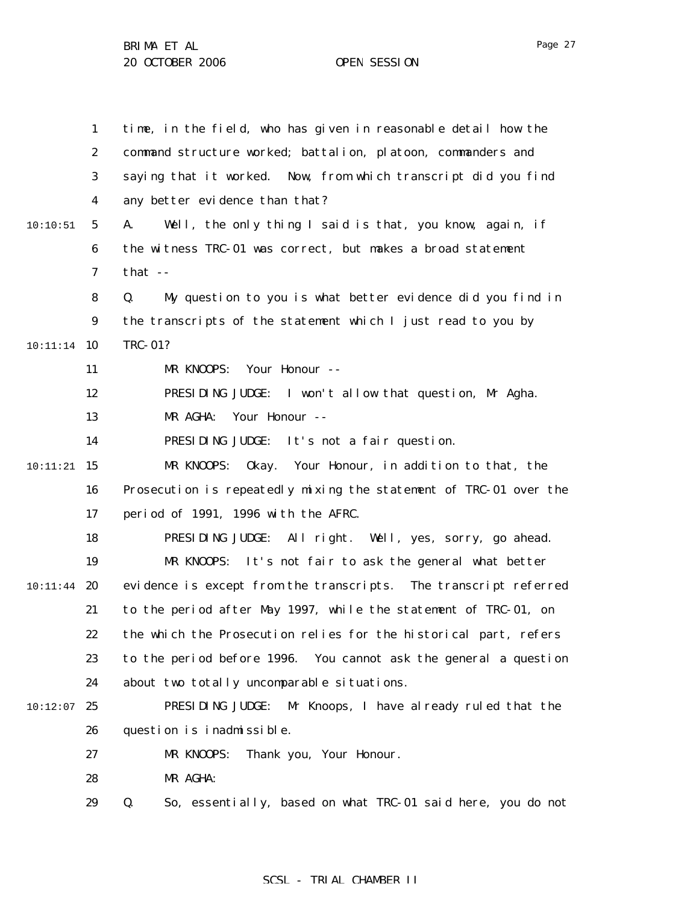1 2 3 4 5 6 7 8 9 10 10:11:14 11 12 13 14 15 10:11:21 16 17 18 19  $10:11:44$  20 21 22 23 24  $10:12:07$  25 26 27 28 29 10:10:51 time, in the field, who has given in reasonable detail how the command structure worked; battalion, platoon, commanders and saying that it worked. Now, from which transcript did you find any better evidence than that? A. Well, the only thing I said is that, you know, again, if the witness TRC-01 was correct, but makes a broad statement that -- Q. My question to you is what better evidence did you find in the transcripts of the statement which I just read to you by TRC-01? MR KNOOPS: Your Honour -- PRESIDING JUDGE: I won't allow that question, Mr Agha. MR AGHA: Your Honour -- PRESIDING JUDGE: It's not a fair question. MR KNOOPS: Okay. Your Honour, in addition to that, the Prosecution is repeatedly mixing the statement of TRC-01 over the period of 1991, 1996 with the AFRC. PRESIDING JUDGE: All right. Well, yes, sorry, go ahead. MR KNOOPS: It's not fair to ask the general what better evidence is except from the transcripts. The transcript referred to the period after May 1997, while the statement of TRC-01, on the which the Prosecution relies for the historical part, refers to the period before 1996. You cannot ask the general a question about two totally uncomparable situations. PRESIDING JUDGE: Mr Knoops, I have already ruled that the question is inadmissible. MR KNOOPS: Thank you, Your Honour. MR AGHA: Q. So, essentially, based on what TRC-01 said here, you do not

### SCSL - TRIAL CHAMBER II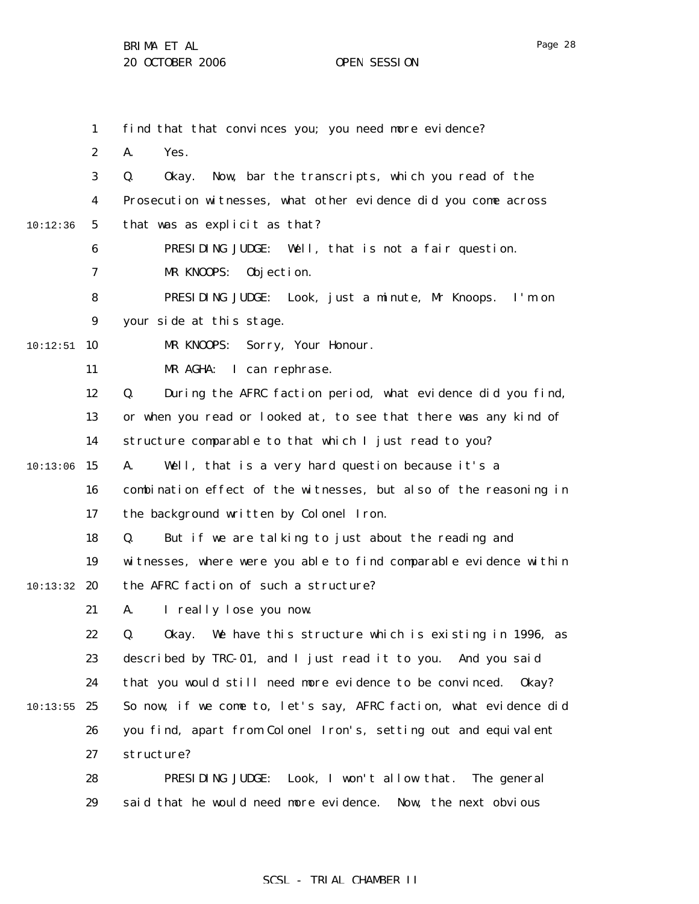|          | $\mathbf{1}$     | find that that convinces you; you need more evidence?             |
|----------|------------------|-------------------------------------------------------------------|
|          | $\boldsymbol{2}$ | A.<br>Yes.                                                        |
|          | 3                | Now, bar the transcripts, which you read of the<br>Q.<br>0kay.    |
|          | 4                | Prosecution witnesses, what other evidence did you come across    |
| 10:12:36 | $5\overline{ }$  | that was as explicit as that?                                     |
|          | 6                | PRESIDING JUDGE: Well, that is not a fair question.               |
|          | 7                | MR KNOOPS:<br>Objection.                                          |
|          | 8                | PRESIDING JUDGE: Look, just a minute, Mr Knoops. I'm on           |
|          | 9                | your side at this stage.                                          |
| 10:12:51 | 10               | Sorry, Your Honour.<br>MR KNOOPS:                                 |
|          | 11               | MR AGHA: I can rephrase.                                          |
|          | 12               | During the AFRC faction period, what evidence did you find,<br>Q. |
|          | 13               | or when you read or looked at, to see that there was any kind of  |
|          | 14               | structure comparable to that which I just read to you?            |
| 10:13:06 | 15               | Well, that is a very hard question because it's a<br>A.           |
|          | 16               | combination effect of the witnesses, but also of the reasoning in |
|          | 17               | the background written by Colonel Iron.                           |
|          | 18               | But if we are talking to just about the reading and<br>Q.         |
|          | 19               | witnesses, where were you able to find comparable evidence within |
| 10:13:32 | 20               | the AFRC faction of such a structure?                             |
|          | 21               | I really lose you now.<br>A.                                      |
|          | 22               | Okay. We have this structure which is existing in 1996, as<br>Q.  |
|          | 23               | described by TRC-01, and I just read it to you. And you said      |
|          | 24               | that you would still need more evidence to be convinced.<br>0kay? |
| 10:13:55 | 25               | So now, if we come to, let's say, AFRC faction, what evidence did |
|          | 26               | you find, apart from Colonel Iron's, setting out and equivalent   |
|          | 27               | structure?                                                        |
|          | 28               | Look, I won't allow that.<br>PRESIDING JUDGE:<br>The general      |
|          | 29               | said that he would need more evidence. Now, the next obvious      |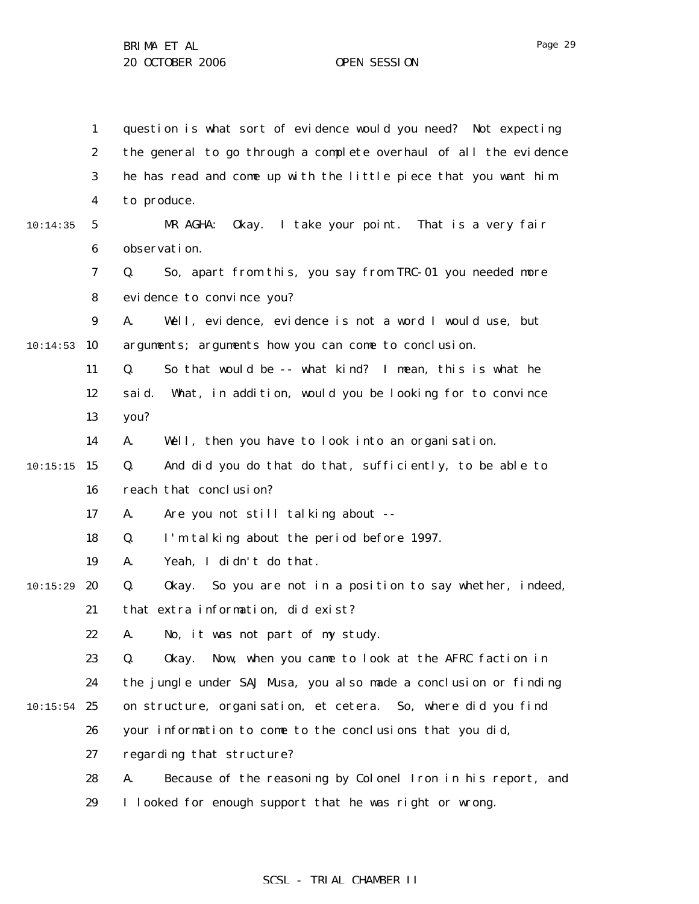1 2 3 4 5 6 7 8 9  $10:14:53$  10 11 12 13 14  $10:15:15$  15 16 17 18 19  $10:15:29$  20 21 22 23 24  $10:15:54$  25 26 27 28 29 10:14:35 question is what sort of evidence would you need? Not expecting the general to go through a complete overhaul of all the evidence he has read and come up with the little piece that you want him to produce. MR AGHA: Okay. I take your point. That is a very fair observation. Q. So, apart from this, you say from TRC-01 you needed more evidence to convince you? A. Well, evidence, evidence is not a word I would use, but arguments; arguments how you can come to conclusion. Q. So that would be -- what kind? I mean, this is what he said. What, in addition, would you be looking for to convince you? A. Well, then you have to look into an organisation. Q. And did you do that do that, sufficiently, to be able to reach that conclusion? A. Are you not still talking about -- Q. I'm talking about the period before 1997. A. Yeah, I didn't do that. Q. Okay. So you are not in a position to say whether, indeed, that extra information, did exist? A. No, it was not part of my study. Q. Okay. Now, when you came to look at the AFRC faction in the jungle under SAJ Musa, you also made a conclusion or finding on structure, organisation, et cetera. So, where did you find your information to come to the conclusions that you did, regarding that structure? A. Because of the reasoning by Colonel Iron in his report, and I looked for enough support that he was right or wrong.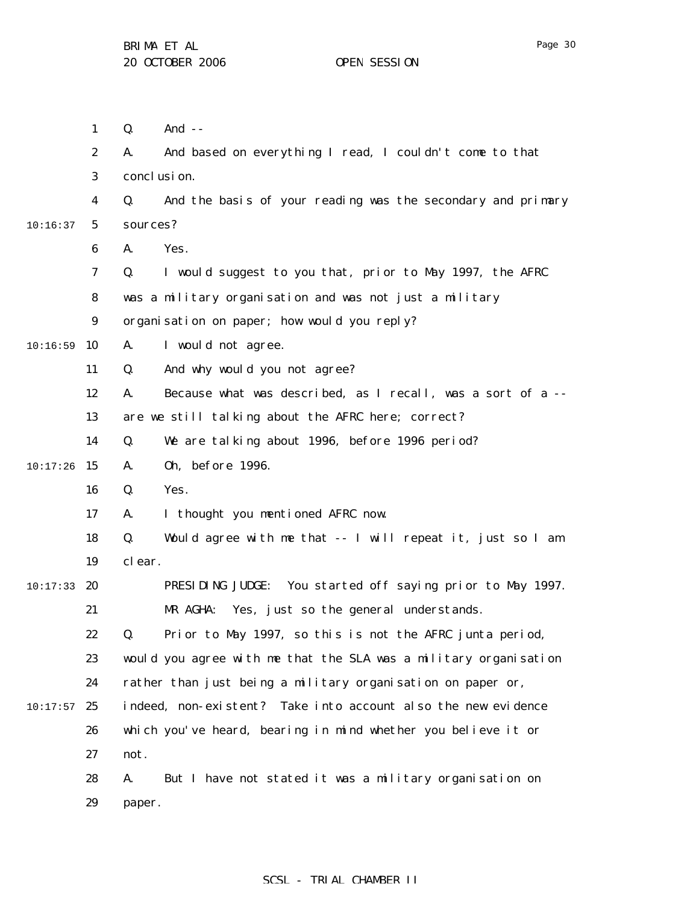1 2 3 4 5 6 7 8 9  $10:16:59$  10 11 12 13 14  $10:17:26$  15 16 17 18 19  $10:17:33$  20 21 22 23 24  $10:17:57$  25 26 27 28 10:16:37 Q. And -- A. And based on everything I read, I couldn't come to that conclusion. Q. And the basis of your reading was the secondary and primary sources? A. Yes. Q. I would suggest to you that, prior to May 1997, the AFRC was a military organisation and was not just a military organisation on paper; how would you reply? A. I would not agree. Q. And why would you not agree? A. Because what was described, as I recall, was a sort of a - are we still talking about the AFRC here; correct? Q. We are talking about 1996, before 1996 period? A. Oh, before 1996. Q. Yes. A. I thought you mentioned AFRC now. Q. Would agree with me that -- I will repeat it, just so I am clear. PRESIDING JUDGE: You started off saying prior to May 1997. MR AGHA: Yes, just so the general understands. Q. Prior to May 1997, so this is not the AFRC junta period, would you agree with me that the SLA was a military organisation rather than just being a military organisation on paper or, indeed, non-existent? Take into account also the new evidence which you've heard, bearing in mind whether you believe it or not. A. But I have not stated it was a military organisation on

> 29 paper.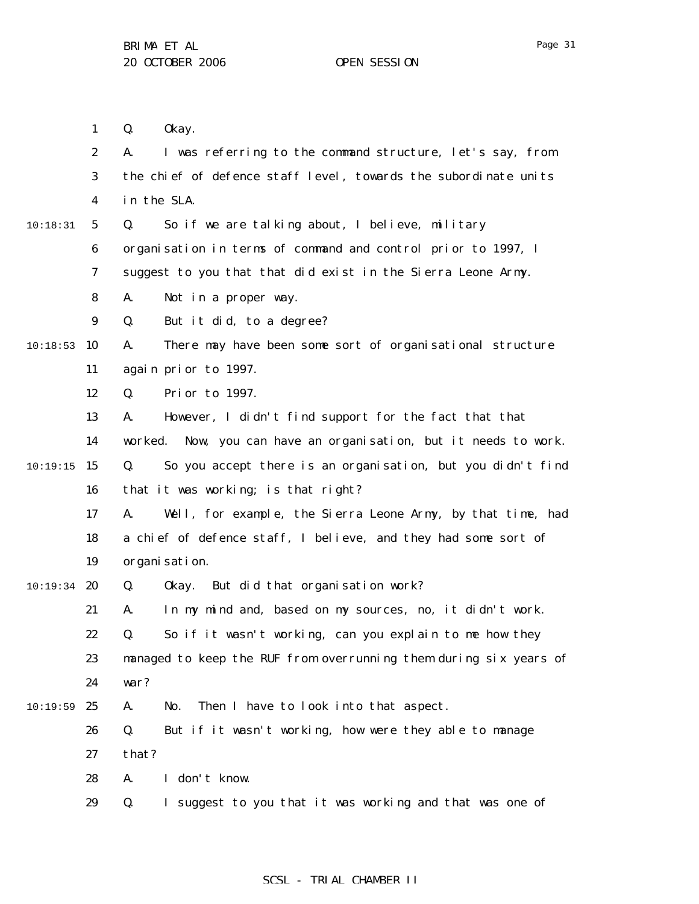1 Q. Okay.

2 3 4 5 6 7 8 9 10:18:53 10 11 12 13 14  $10:19:15$  15 16 17 18 19  $10:19:34$  20 21 22 23 24  $10:19:59$  25 26 27 28 29 10:18:31 A. I was referring to the command structure, let's say, from the chief of defence staff level, towards the subordinate units in the SLA. Q. So if we are talking about, I believe, military organisation in terms of command and control prior to 1997, I suggest to you that that did exist in the Sierra Leone Army. A. Not in a proper way. Q. But it did, to a degree? A. There may have been some sort of organisational structure again prior to 1997. Q. Prior to 1997. A. However, I didn't find support for the fact that that worked. Now, you can have an organisation, but it needs to work. Q. So you accept there is an organisation, but you didn't find that it was working; is that right? A. Well, for example, the Sierra Leone Army, by that time, had a chief of defence staff, I believe, and they had some sort of organisation. Q. Okay. But did that organisation work? A. In my mind and, based on my sources, no, it didn't work. Q. So if it wasn't working, can you explain to me how they managed to keep the RUF from overrunning them during six years of war? A. No. Then I have to look into that aspect. Q. But if it wasn't working, how were they able to manage that? A. I don't know. Q. I suggest to you that it was working and that was one of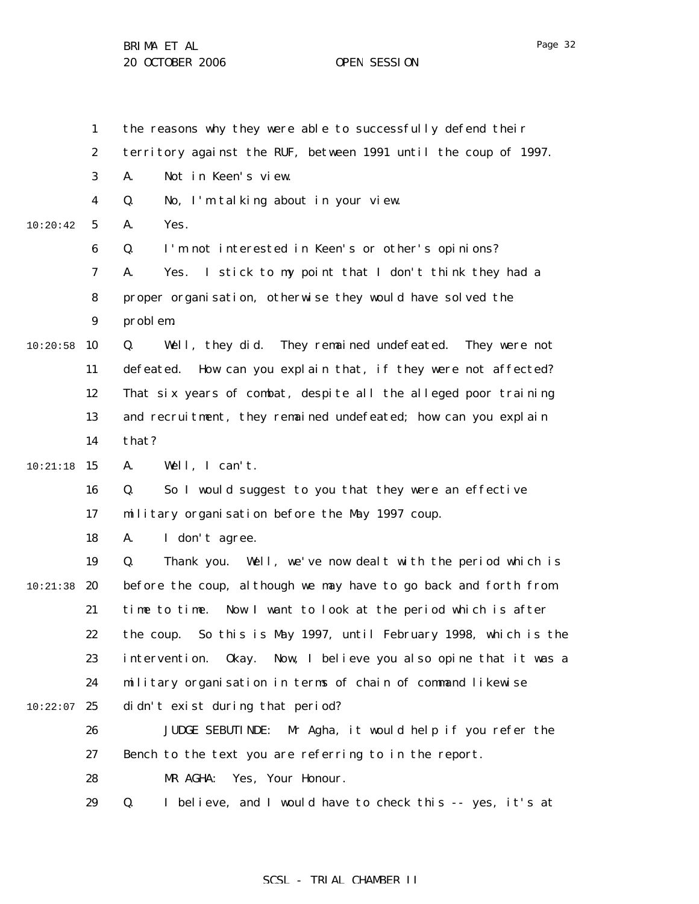|          | $\mathbf{1}$     | the reasons why they were able to successfully defend their           |
|----------|------------------|-----------------------------------------------------------------------|
|          | $\boldsymbol{2}$ | territory against the RUF, between 1991 until the coup of 1997.       |
|          | $\bf{3}$         | A.<br>Not in Keen's view.                                             |
|          | $\boldsymbol{4}$ | No, I'm talking about in your view.<br>Q.                             |
| 10:20:42 | $\mathbf{5}$     | Yes.<br>A.                                                            |
|          | 6                | I'm not interested in Keen's or other's opinions?<br>Q.               |
|          | 7                | I stick to my point that I don't think they had a<br>A.<br>Yes.       |
|          | 8                | proper organisation, otherwise they would have solved the             |
|          | $\boldsymbol{9}$ | problem.                                                              |
| 10:20:58 | 10               | Q.<br>Well, they did. They remained undefeated. They were not         |
|          | 11               | How can you explain that, if they were not affected?<br>defeated.     |
|          | 12               | That six years of combat, despite all the alleged poor training       |
|          | 13               | and recruitment, they remained undefeated; how can you explain        |
|          | 14               | that?                                                                 |
| 10:21:18 | 15               | Well, I can't.<br>A.                                                  |
|          | 16               | So I would suggest to you that they were an effective<br>Q.           |
|          | 17               | military organisation before the May 1997 coup.                       |
|          | 18               | I don't agree.<br>A.                                                  |
|          | 19               | Q.<br>Well, we've now dealt with the period which is<br>Thank you.    |
| 10:21:38 | 20               | before the coup, although we may have to go back and forth from       |
|          | 21               | time to time. Now I want to look at the period which is after         |
|          | 22               | the coup. So this is May 1997, until February 1998, which is the      |
|          | 23               | 0kay.<br>Now, I believe you also opine that it was a<br>intervention. |
|          | 24               | military organisation in terms of chain of command likewise           |
| 10:22:07 | 25               | didn't exist during that period?                                      |
|          | 26               | <b>JUDGE SEBUTINDE:</b><br>Mr Agha, it would help if you refer the    |
|          | 27               | Bench to the text you are referring to in the report.                 |
|          | 28               | Yes, Your Honour.<br>MR AGHA:                                         |
|          | 29               | Q.<br>I believe, and I would have to check this -- yes, it's at       |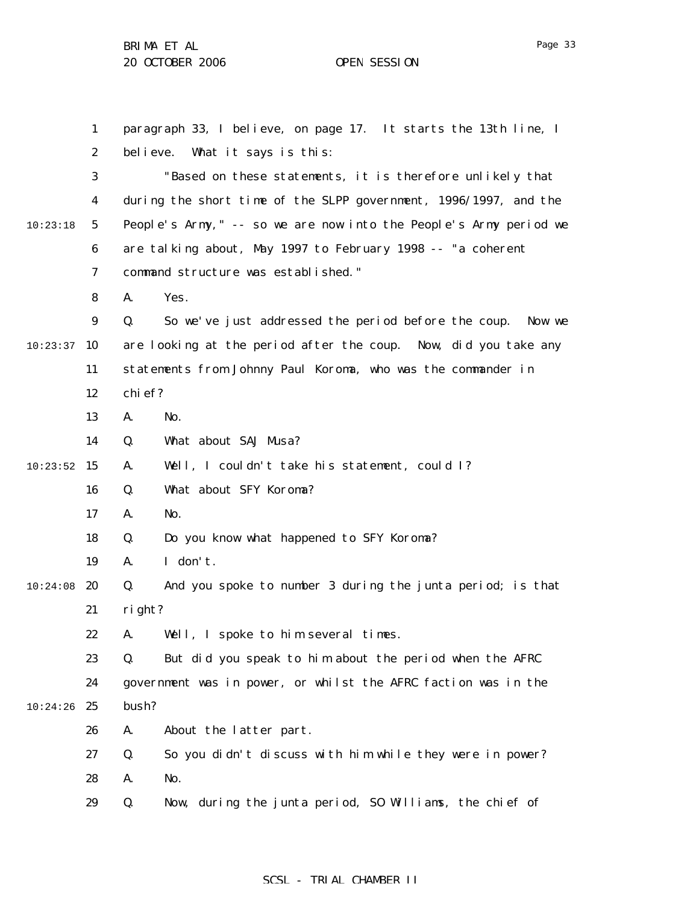1 2 3 4 5 6 7 8 9  $10:23:37$  10 11 12 13 14  $10:23:52$  15 16 17 18 19  $10:24:08$  20 21 22 23 24  $10:24:26$  25 26 27 28 29 10:23:18 paragraph 33, I believe, on page 17. It starts the 13th line, I believe. What it says is this: "Based on these statements, it is therefore unlikely that during the short time of the SLPP government, 1996/1997, and the People's Army," -- so we are now into the People's Army period we are talking about, May 1997 to February 1998 -- "a coherent command structure was established." A. Yes. Q. So we've just addressed the period before the coup. Now we are looking at the period after the coup. Now, did you take any statements from Johnny Paul Koroma, who was the commander in chief? A. No. Q. What about SAJ Musa? A. Well, I couldn't take his statement, could I? Q. What about SFY Koroma? A. No. Q. Do you know what happened to SFY Koroma? A. I don't. Q. And you spoke to number 3 during the junta period; is that right? A. Well, I spoke to him several times. Q. But did you speak to him about the period when the AFRC government was in power, or whilst the AFRC faction was in the bush? A. About the latter part. Q. So you didn't discuss with him while they were in power? A. No. Q. Now, during the junta period, SO Williams, the chief of

### SCSL - TRIAL CHAMBER II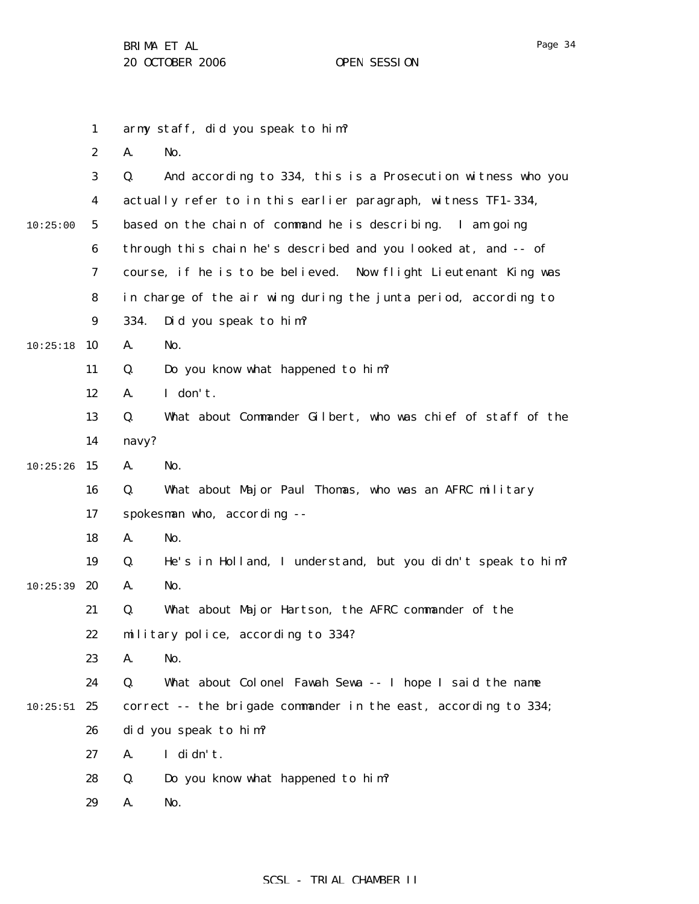|          | $\mathbf{1}$     |                                                               | army staff, did you speak to him?                               |  |  |
|----------|------------------|---------------------------------------------------------------|-----------------------------------------------------------------|--|--|
|          | $\boldsymbol{2}$ | A.                                                            | No.                                                             |  |  |
|          | $\boldsymbol{3}$ | Q.                                                            | And according to 334, this is a Prosecution witness who you     |  |  |
|          | 4                | actually refer to in this earlier paragraph, witness TF1-334, |                                                                 |  |  |
| 10:25:00 | $\mathbf{5}$     |                                                               | based on the chain of command he is describing. I am going      |  |  |
|          | $\boldsymbol{6}$ |                                                               | through this chain he's described and you looked at, and -- of  |  |  |
|          | 7                |                                                               | course, if he is to be believed. Now flight Lieutenant King was |  |  |
|          | 8                |                                                               | in charge of the air wing during the junta period, according to |  |  |
|          | 9                | 334.                                                          | Did you speak to him?                                           |  |  |
| 10:25:18 | 10               | A.                                                            | No.                                                             |  |  |
|          | 11               | Q.                                                            | Do you know what happened to him?                               |  |  |
|          | 12               | A.                                                            | I don't.                                                        |  |  |
|          | 13               | Q.                                                            | What about Commander Gilbert, who was chief of staff of the     |  |  |
|          | 14               | navy?                                                         |                                                                 |  |  |
| 10:25:26 | 15               | A.                                                            | No.                                                             |  |  |
|          | 16               | Q.                                                            | What about Major Paul Thomas, who was an AFRC military          |  |  |
|          | 17               |                                                               | spokesman who, according --                                     |  |  |
|          | 18               | A.                                                            | No.                                                             |  |  |
|          | 19               | Q.                                                            | He's in Holland, I understand, but you didn't speak to him?     |  |  |
| 10:25:39 | 20               | A.                                                            | No.                                                             |  |  |
|          | 21               | Q.                                                            | What about Major Hartson, the AFRC commander of the             |  |  |
|          | 22               |                                                               | military police, according to 334?                              |  |  |
|          | 23               | A.                                                            | No.                                                             |  |  |
|          | 24               | Q.                                                            | What about Colonel Fawah Sewa -- I hope I said the name         |  |  |
| 10:25:51 | 25               |                                                               | correct -- the brigade commander in the east, according to 334; |  |  |
|          | 26               |                                                               | did you speak to him?                                           |  |  |
|          | 27               | A.                                                            | I didn't.                                                       |  |  |
|          | 28               | Q.                                                            | Do you know what happened to him?                               |  |  |
|          | 29               | A.                                                            | No.                                                             |  |  |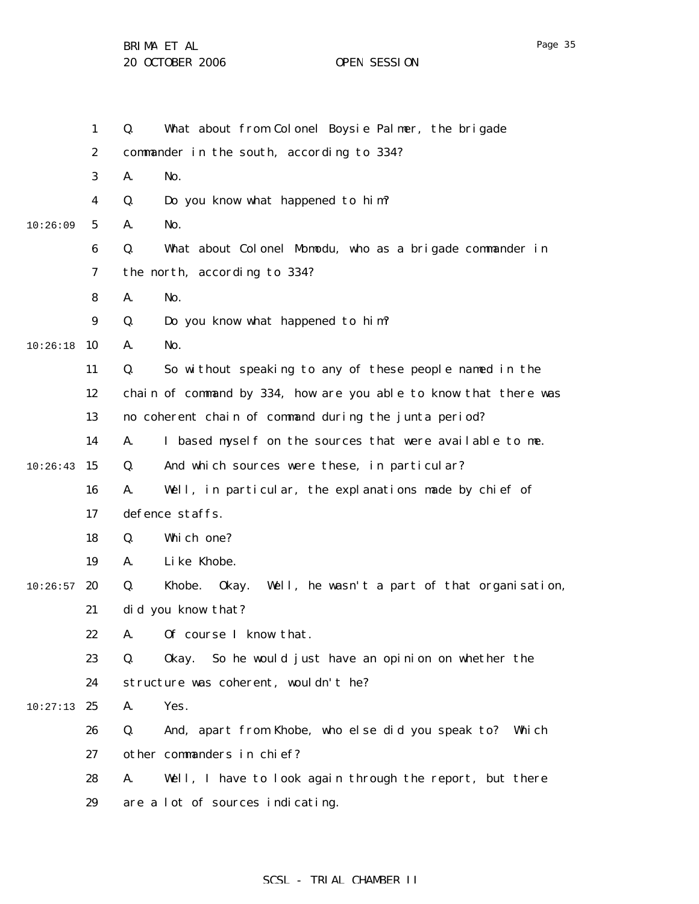1 2 3 4 5 6 7 8 9 10:26:18 10 11 12 13 14  $10:26:43$  15 16 17 18 19  $10:26:57$  20 21 22 23 24  $10:27:13$  25 26 27 28 29 10:26:09 Q. What about from Colonel Boysie Palmer, the brigade commander in the south, according to 334? A. No. Q. Do you know what happened to him? A. No. Q. What about Colonel Momodu, who as a brigade commander in the north, according to 334? A. No. Q. Do you know what happened to him? A. No. Q. So without speaking to any of these people named in the chain of command by 334, how are you able to know that there was no coherent chain of command during the junta period? A. I based myself on the sources that were available to me. Q. And which sources were these, in particular? A. Well, in particular, the explanations made by chief of defence staffs. Q. Which one? A. Like Khobe. Q. Khobe. Okay. Well, he wasn't a part of that organisation, did you know that? A. Of course I know that. Q. Okay. So he would just have an opinion on whether the structure was coherent, wouldn't he? A. Yes. Q. And, apart from Khobe, who else did you speak to? Which other commanders in chief? A. Well, I have to look again through the report, but there are a lot of sources indicating.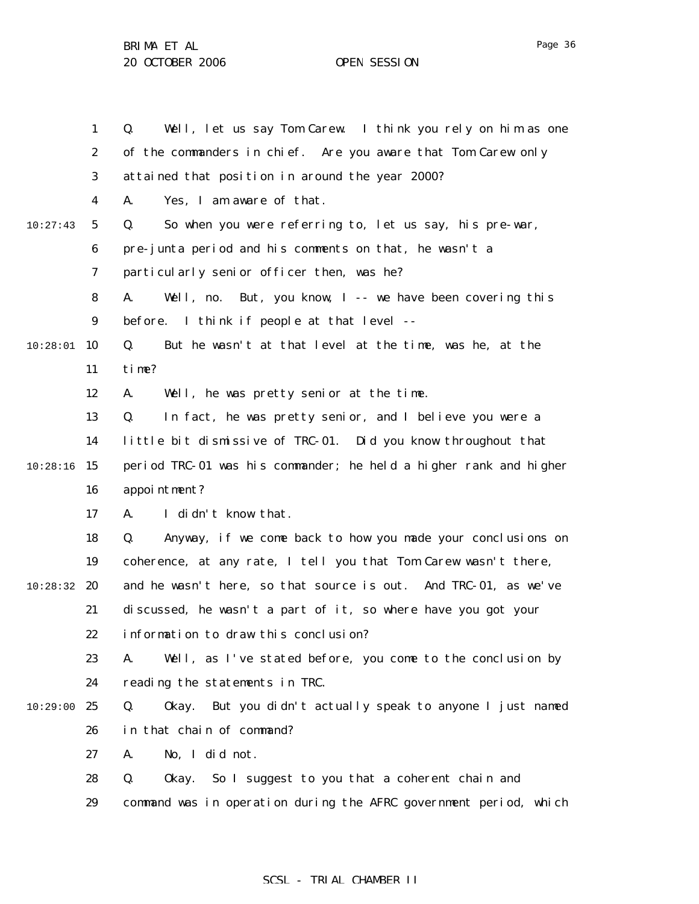1 2 3 4 5 6 7 8 9 10 10:28:01 11 12 13 14  $10:28:16$  15 16 17 18 19 10:28:32 20 21 22 23 24 10:29:00 25 26 27 28 29 10:27:43 Q. Well, let us say Tom Carew. I think you rely on him as one of the commanders in chief. Are you aware that Tom Carew only attained that position in around the year 2000? A. Yes, I am aware of that. Q. So when you were referring to, let us say, his pre-war, pre-junta period and his comments on that, he wasn't a particularly senior officer then, was he? A. Well, no. But, you know, I -- we have been covering this before. I think if people at that level -- Q. But he wasn't at that level at the time, was he, at the time? A. Well, he was pretty senior at the time. Q. In fact, he was pretty senior, and I believe you were a little bit dismissive of TRC-01. Did you know throughout that period TRC-01 was his commander; he held a higher rank and higher appointment? A. I didn't know that. Q. Anyway, if we come back to how you made your conclusions on coherence, at any rate, I tell you that Tom Carew wasn't there, and he wasn't here, so that source is out. And TRC-01, as we've discussed, he wasn't a part of it, so where have you got your information to draw this conclusion? A. Well, as I've stated before, you come to the conclusion by reading the statements in TRC. Q. Okay. But you didn't actually speak to anyone I just named in that chain of command? A. No, I did not. Q. Okay. So I suggest to you that a coherent chain and command was in operation during the AFRC government period, which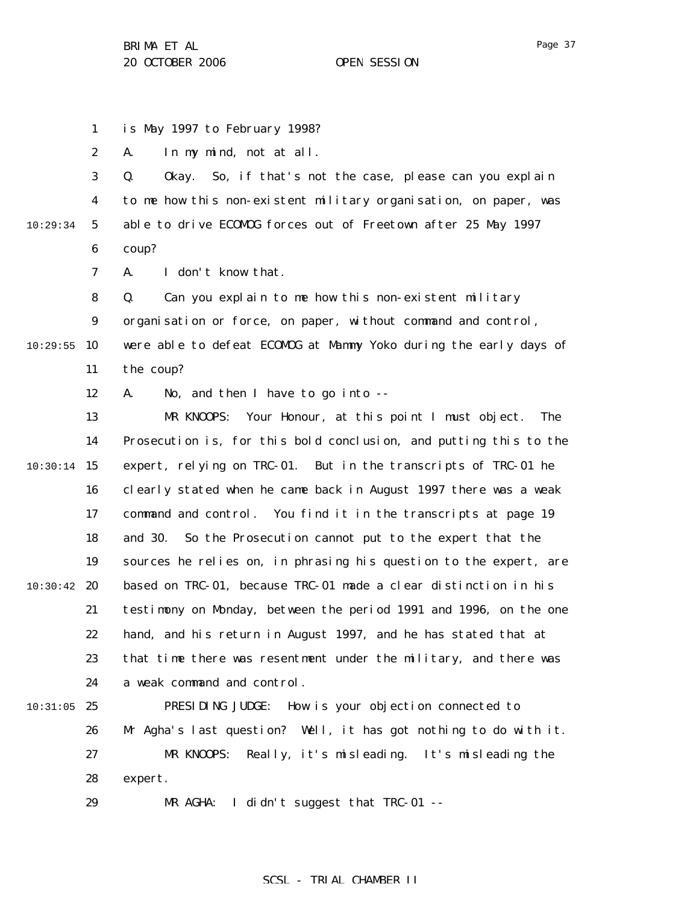1 is May 1997 to February 1998?

2 A. In my mind, not at all.

3 4 5 6 10:29:34 Q. Okay. So, if that's not the case, please can you explain to me how this non-existent military organisation, on paper, was able to drive ECOMOG forces out of Freetown after 25 May 1997 coup?

> 7 A. I don't know that.

8 Q. Can you explain to me how this non-existent military

9 organisation or force, on paper, without command and control,

 $10:29:55$  10 11 were able to defeat ECOMOG at Mammy Yoko during the early days of the coup?

> 12 A. No, and then I have to go into --

13 14  $10:30:14$  15 16 17 18 19  $10:30:42$  20 21 22 23 24 MR KNOOPS: Your Honour, at this point I must object. The Prosecution is, for this bold conclusion, and putting this to the expert, relying on TRC-01. But in the transcripts of TRC-01 he clearly stated when he came back in August 1997 there was a weak command and control. You find it in the transcripts at page 19 and 30. So the Prosecution cannot put to the expert that the sources he relies on, in phrasing his question to the expert, are based on TRC-01, because TRC-01 made a clear distinction in his testimony on Monday, between the period 1991 and 1996, on the one hand, and his return in August 1997, and he has stated that at that time there was resentment under the military, and there was a weak command and control.

 $10:31:05$  25 26 27 28 PRESIDING JUDGE: How is your objection connected to Mr Agha's last question? Well, it has got nothing to do with it. MR KNOOPS: Really, it's misleading. It's misleading the expert.

> 29 MR AGHA: I didn't suggest that TRC-01 --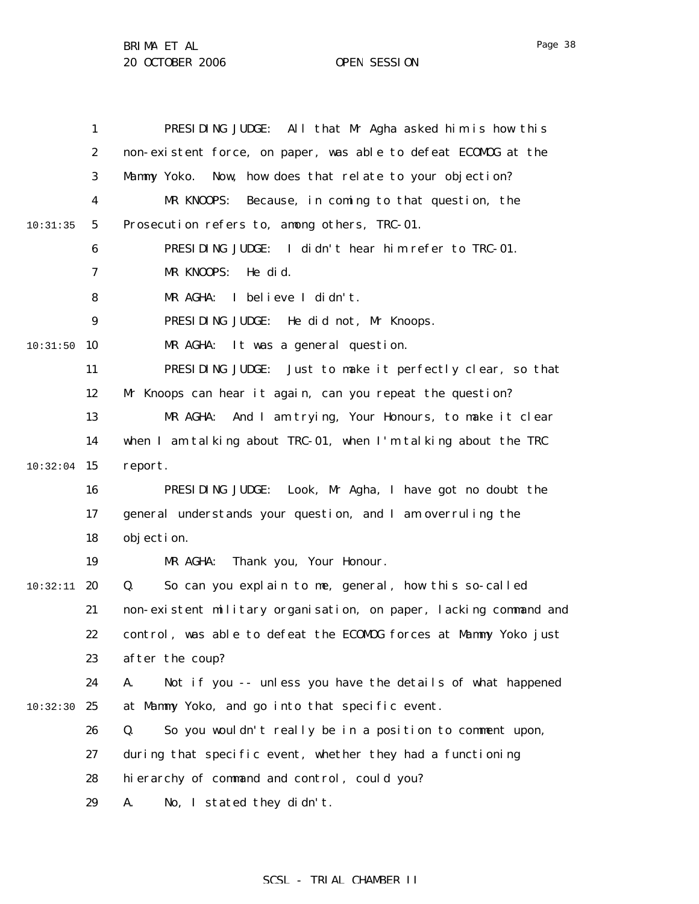|          | $\mathbf{1}$     | PRESIDING JUDGE: All that Mr Agha asked him is how this           |
|----------|------------------|-------------------------------------------------------------------|
|          | $\boldsymbol{2}$ | non-existent force, on paper, was able to defeat ECOMDG at the    |
|          | 3                | Now, how does that relate to your objection?<br>Mammy Yoko.       |
|          | 4                | MR KNOOPS:<br>Because, in coming to that question, the            |
| 10:31:35 | $\mathbf{5}$     | Prosecution refers to, among others, TRC-01.                      |
|          | 6                | PRESIDING JUDGE: I didn't hear him refer to TRC-01.               |
|          | 7                | MR KNOOPS:<br>He did.                                             |
|          | 8                | I believe I didn't.<br>MR AGHA:                                   |
|          | $\boldsymbol{9}$ | PRESIDING JUDGE: He did not, Mr Knoops.                           |
| 10:31:50 | 10               | MR AGHA:<br>It was a general question.                            |
|          | 11               | PRESIDING JUDGE: Just to make it perfectly clear, so that         |
|          | 12               | Mr Knoops can hear it again, can you repeat the question?         |
|          | 13               | MR AGHA:<br>And I am trying, Your Honours, to make it clear       |
|          | 14               | when I am talking about TRC-01, when I'm talking about the TRC    |
| 10:32:04 | 15               | report.                                                           |
|          | 16               | PRESIDING JUDGE: Look, Mr Agha, I have got no doubt the           |
|          | 17               | general understands your question, and I am overruling the        |
|          | 18               | objection.                                                        |
|          | 19               | MR AGHA:<br>Thank you, Your Honour.                               |
| 10:32:11 | 20               | So can you explain to me, general, how this so-called<br>Q.       |
|          | 21               | non-existent military organisation, on paper, lacking command and |
|          | 22               | control, was able to defeat the ECOMOG forces at Mammy Yoko just  |
|          | 23               | after the coup?                                                   |
|          | 24               | Not if you -- unless you have the details of what happened<br>A.  |
| 10:32:30 | 25               | at Mammy Yoko, and go into that specific event.                   |
|          | 26               | So you wouldn't really be in a position to comment upon,<br>Q.    |
|          | 27               | during that specific event, whether they had a functioning        |
|          | 28               | hierarchy of command and control, could you?                      |
|          | 29               | No, I stated they didn't.<br>A.                                   |

# SCSL - TRIAL CHAMBER II

Page 38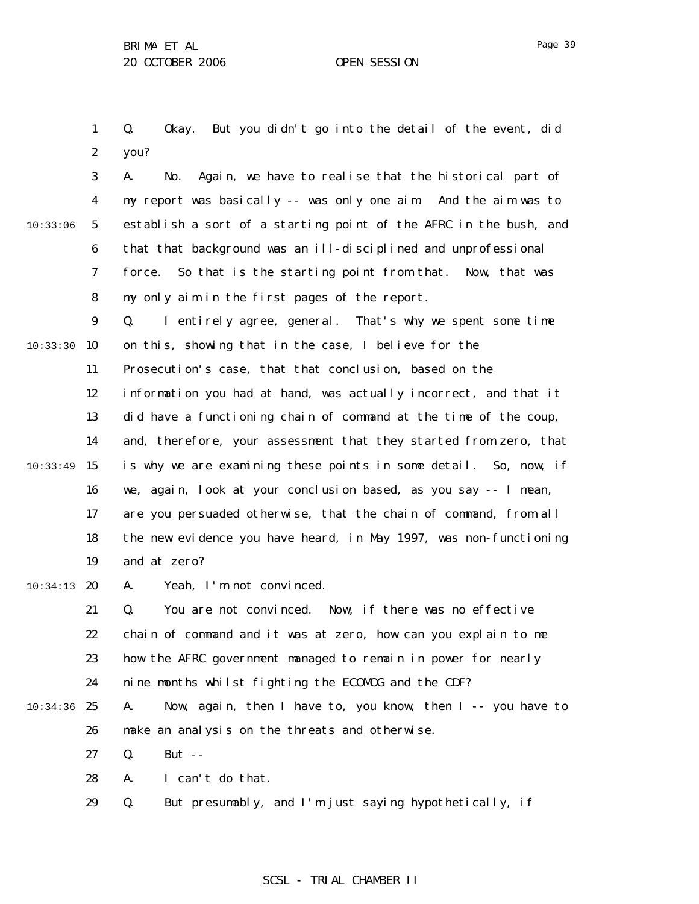1 2 Q. Okay. But you didn't go into the detail of the event, did you?

3 4 5 6 7 8 9 10:33:30 10 11 12 13 14  $10:33:49$  15 16 17 18 19  $10:34:13$  20 21 22 23 24 10:34:36 25 26 27 10:33:06 A. No. Again, we have to realise that the historical part of my report was basically -- was only one aim. And the aim was to establish a sort of a starting point of the AFRC in the bush, and that that background was an ill-disciplined and unprofessional force. So that is the starting point from that. Now, that was my only aim in the first pages of the report. Q. I entirely agree, general. That's why we spent some time on this, showing that in the case, I believe for the Prosecution's case, that that conclusion, based on the information you had at hand, was actually incorrect, and that it did have a functioning chain of command at the time of the coup, and, therefore, your assessment that they started from zero, that is why we are examining these points in some detail. So, now, if we, again, look at your conclusion based, as you say -- I mean, are you persuaded otherwise, that the chain of command, from all the new evidence you have heard, in May 1997, was non-functioning and at zero? A. Yeah, I'm not convinced. Q. You are not convinced. Now, if there was no effective chain of command and it was at zero, how can you explain to me how the AFRC government managed to remain in power for nearly nine months whilst fighting the ECOMOG and the CDF? A. Now, again, then I have to, you know, then I -- you have to make an analysis on the threats and otherwise. Q. But --

- 28 A. I can't do that.
- 29 Q. But presumably, and I'm just saying hypothetically, if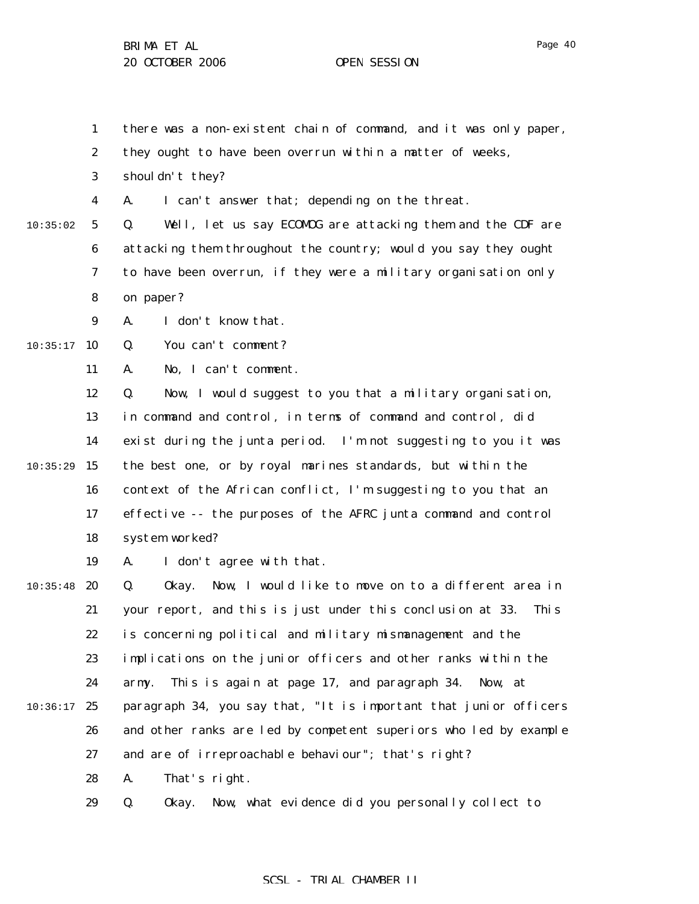- 1 there was a non-existent chain of command, and it was only paper,
- 2 they ought to have been overrun within a matter of weeks,
- 3 shouldn't they?

4 A. I can't answer that; depending on the threat.

5 6 7 8 10:35:02 Q. Well, let us say ECOMOG are attacking them and the CDF are attacking them throughout the country; would you say they ought to have been overrun, if they were a military organisation only on paper?

> 9 A. I don't know that.

 $10:35:17$  10 Q. You can't comment?

> 11 A. No, I can't comment.

12 13 14  $10:35:29$  15 16 17 18 Q. Now, I would suggest to you that a military organisation, in command and control, in terms of command and control, did exist during the junta period. I'm not suggesting to you it was the best one, or by royal marines standards, but within the context of the African conflict, I'm suggesting to you that an effective -- the purposes of the AFRC junta command and control system worked?

> 19 A. I don't agree with that.

 $10:35:48$  20 21 22 23 24  $10:36:17$  25 26 27 28 Q. Okay. Now, I would like to move on to a different area in your report, and this is just under this conclusion at 33. This is concerning political and military mismanagement and the implications on the junior officers and other ranks within the army. This is again at page 17, and paragraph 34. Now, at paragraph 34, you say that, "It is important that junior officers and other ranks are led by competent superiors who led by example and are of irreproachable behaviour"; that's right? A. That's right.

> 29 Q. Okay. Now, what evidence did you personally collect to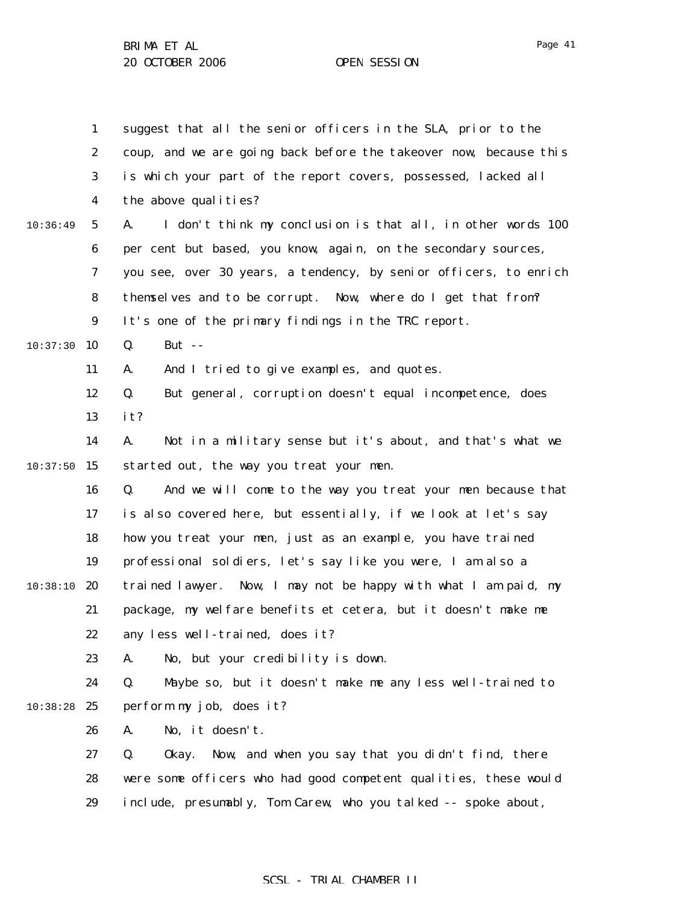|          | $\mathbf{1}$     | suggest that all the senior officers in the SLA, prior to the     |
|----------|------------------|-------------------------------------------------------------------|
|          | $\boldsymbol{2}$ | coup, and we are going back before the takeover now, because this |
|          | 3                | is which your part of the report covers, possessed, lacked all    |
|          | $\boldsymbol{4}$ | the above qualities?                                              |
| 10:36:49 | $5\phantom{.0}$  | I don't think my conclusion is that all, in other words 100<br>A. |
|          | 6                | per cent but based, you know, again, on the secondary sources,    |
|          | 7                | you see, over 30 years, a tendency, by senior officers, to enrich |
|          | 8                | themselves and to be corrupt. Now, where do I get that from?      |
|          | $\boldsymbol{9}$ | It's one of the primary findings in the TRC report.               |
| 10:37:30 | 10               | Q.<br>But $-$                                                     |
|          | 11               | And I tried to give examples, and quotes.<br>A.                   |
|          | 12               | Q.<br>But general, corruption doesn't equal incompetence, does    |
|          | 13               | it?                                                               |
|          | 14               | Not in a military sense but it's about, and that's what we<br>A.  |
| 10:37:50 | 15               | started out, the way you treat your men.                          |
|          | 16               | And we will come to the way you treat your men because that<br>Q. |
|          | 17               | is also covered here, but essentially, if we look at let's say    |
|          | 18               | how you treat your men, just as an example, you have trained      |
|          | 19               | professional soldiers, let's say like you were, I am also a       |
| 10:38:10 | 20               | trained lawyer. Now, I may not be happy with what I am paid, my   |
|          | 21               | package, my welfare benefits et cetera, but it doesn't make me    |
|          | 22               | any less well-trained, does it?                                   |
|          | 23               | No, but your credibility is down.<br>A.                           |
|          | 24               | Maybe so, but it doesn't make me any less well-trained to<br>Q.   |
| 10:38:28 | 25               | perform my job, does it?                                          |
|          | 26               | No, it doesn't.<br>A.                                             |
|          | 27               | Q.<br>Now, and when you say that you didn't find, there<br>0kay.  |
|          | 28               | were some officers who had good competent qualities, these would  |
|          | 29               | include, presumably, Tom Carew, who you talked -- spoke about,    |
|          |                  |                                                                   |

# SCSL - TRIAL CHAMBER II

Page 41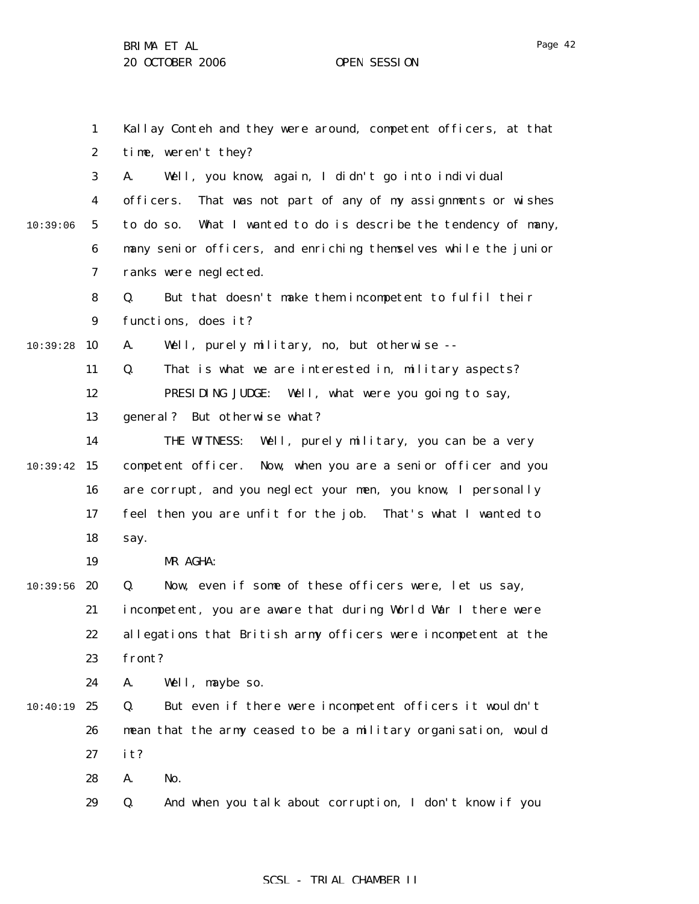1 2 3 4 5 6 7 8 9 10:39:28 10 11 12 13 14  $10:39:42$  15 16 17 18 19  $10:39:56$  20 21 22 23 24  $10:40:19$  25 26 27 28 29 10:39:06 Kallay Conteh and they were around, competent officers, at that time, weren't they? A. Well, you know, again, I didn't go into individual officers. That was not part of any of my assignments or wishes to do so. What I wanted to do is describe the tendency of many, many senior officers, and enriching themselves while the junior ranks were neglected. Q. But that doesn't make them incompetent to fulfil their functions, does it? A. Well, purely military, no, but otherwise -- Q. That is what we are interested in, military aspects? PRESIDING JUDGE: Well, what were you going to say, general? But otherwise what? THE WITNESS: Well, purely military, you can be a very competent officer. Now, when you are a senior officer and you are corrupt, and you neglect your men, you know, I personally feel then you are unfit for the job. That's what I wanted to say. MR AGHA: Q. Now, even if some of these officers were, let us say, incompetent, you are aware that during World War I there were allegations that British army officers were incompetent at the front? A. Well, maybe so. Q. But even if there were incompetent officers it wouldn't mean that the army ceased to be a military organisation, would it? A. No. Q. And when you talk about corruption, I don't know if you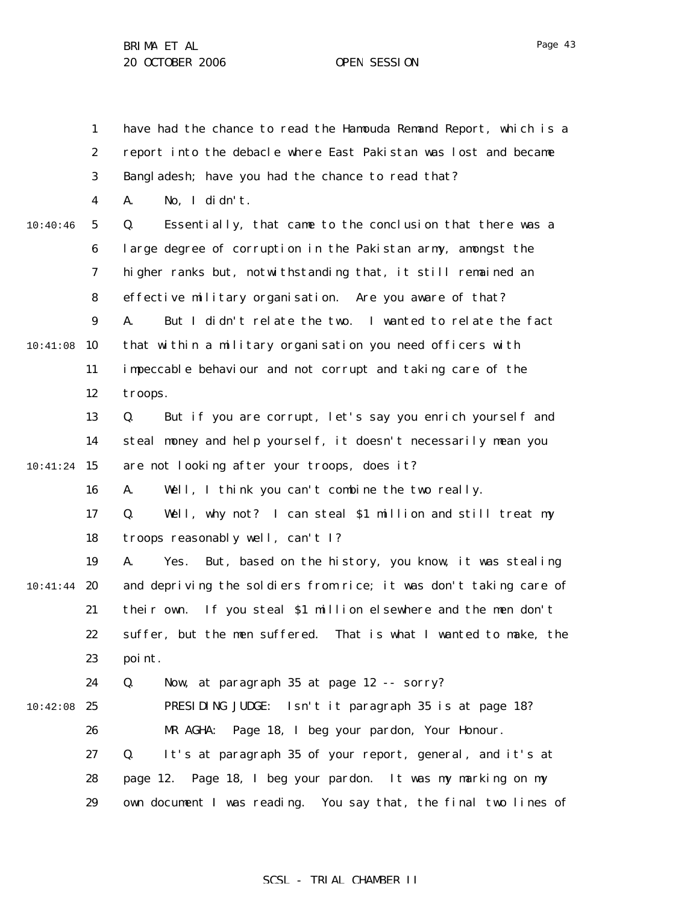Page 43

1 2 3 4 5 6 7 8 9 10:41:08 10 11 12 13 14 10:41:24 15 16 17 18 19  $10:41:44$  20 21 22 23 24  $10:42:08$  25 26 27 28 29 10:40:46 have had the chance to read the Hamouda Remand Report, which is a report into the debacle where East Pakistan was lost and became Bangladesh; have you had the chance to read that? A. No, I didn't. Q. Essentially, that came to the conclusion that there was a large degree of corruption in the Pakistan army, amongst the higher ranks but, notwithstanding that, it still remained an effective military organisation. Are you aware of that? A. But I didn't relate the two. I wanted to relate the fact that within a military organisation you need officers with impeccable behaviour and not corrupt and taking care of the troops. Q. But if you are corrupt, let's say you enrich yourself and steal money and help yourself, it doesn't necessarily mean you are not looking after your troops, does it? A. Well, I think you can't combine the two really. Q. Well, why not? I can steal \$1 million and still treat my troops reasonably well, can't I? A. Yes. But, based on the history, you know, it was stealing and depriving the soldiers from rice; it was don't taking care of their own. If you steal \$1 million elsewhere and the men don't suffer, but the men suffered. That is what I wanted to make, the point. Q. Now, at paragraph 35 at page 12 -- sorry? PRESIDING JUDGE: Isn't it paragraph 35 is at page 18? MR AGHA: Page 18, I beg your pardon, Your Honour. Q. It's at paragraph 35 of your report, general, and it's at page 12. Page 18, I beg your pardon. It was my marking on my own document I was reading. You say that, the final two lines of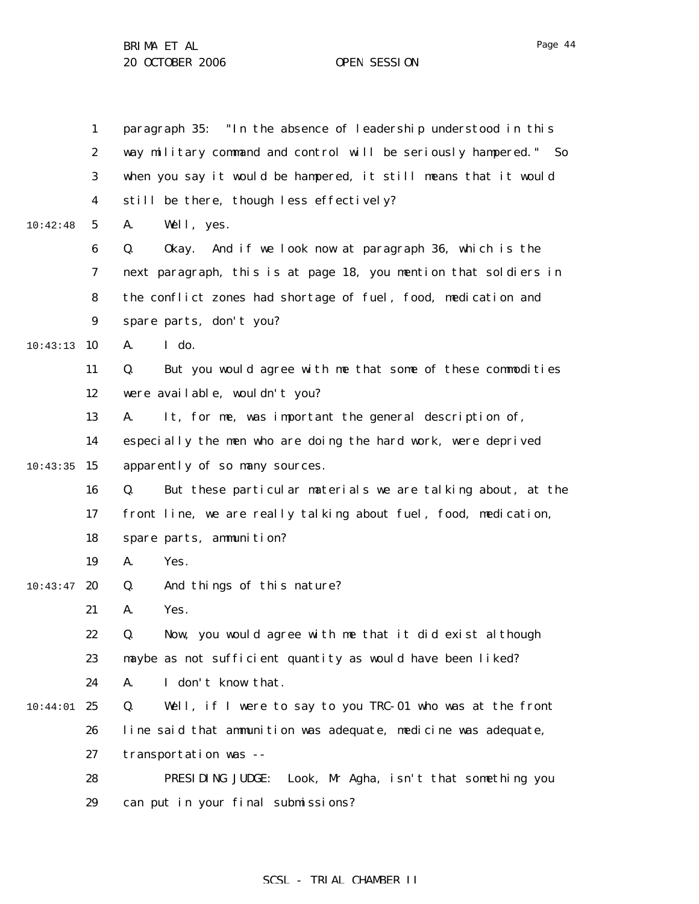|          | $\mathbf{1}$     | paragraph 35: "In the absence of leadership understood in this    |
|----------|------------------|-------------------------------------------------------------------|
|          | $\boldsymbol{2}$ | way military command and control will be seriously hampered." So  |
|          | $\boldsymbol{3}$ | when you say it would be hampered, it still means that it would   |
|          | $\boldsymbol{4}$ | still be there, though less effectively?                          |
| 10:42:48 | $\mathbf 5$      | A.<br>Well, yes.                                                  |
|          | $\boldsymbol{6}$ | Q.<br>And if we look now at paragraph 36, which is the<br>0kay.   |
|          | $\boldsymbol{7}$ | next paragraph, this is at page 18, you mention that soldiers in  |
|          | 8                | the conflict zones had shortage of fuel, food, medication and     |
|          | 9                | spare parts, don't you?                                           |
| 10:43:13 | 10               | I do.<br>A.                                                       |
|          | 11               | But you would agree with me that some of these commodities<br>Q.  |
|          | 12               | were available, wouldn't you?                                     |
|          | 13               | It, for me, was important the general description of,<br>A.       |
|          | 14               | especially the men who are doing the hard work, were deprived     |
| 10:43:35 | 15               | apparently of so many sources.                                    |
|          | 16               | But these particular materials we are talking about, at the<br>Q. |
|          | 17               | front line, we are really talking about fuel, food, medication,   |
|          | 18               | spare parts, ammunition?                                          |
|          | 19               | A.<br>Yes.                                                        |
| 10:43:47 | 20               | And things of this nature?<br>Q.                                  |
|          | 21               | Yes.<br>A.                                                        |
|          | 22               | Now, you would agree with me that it did exist although<br>Q.     |
|          | 23               | maybe as not sufficient quantity as would have been liked?        |
|          | 24               | I don't know that.<br>A.                                          |
| 10:44:01 | 25               | Well, if I were to say to you TRC-01 who was at the front<br>Q.   |
|          | 26               | line said that ammunition was adequate, medicine was adequate,    |
|          | 27               | transportation was --                                             |
|          | 28               | PRESIDING JUDGE: Look, Mr Agha, isn't that something you          |
|          | 29               | can put in your final submissions?                                |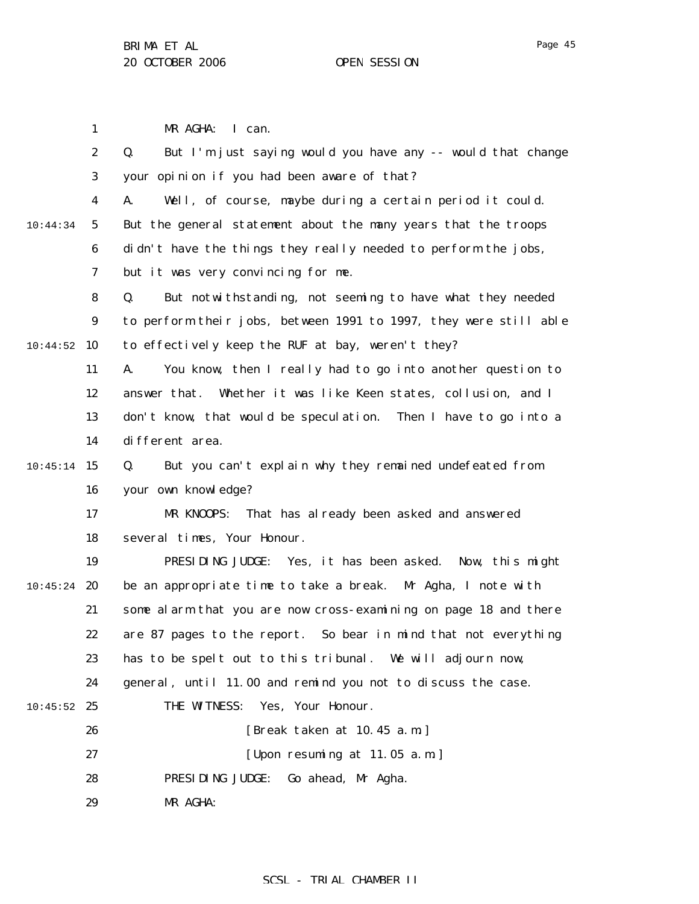1 2 3 4 5 6 7 8 9 10:44:52 10 11 12 13 14  $10:45:14$  15 16 17 18 19  $10:45:24$  20 21 22 23 24  $10:45:52$  25 26 27 28 29 10:44:34 MR AGHA: I can. Q. But I'm just saying would you have any -- would that change your opinion if you had been aware of that? A. Well, of course, maybe during a certain period it could. But the general statement about the many years that the troops didn't have the things they really needed to perform the jobs, but it was very convincing for me. Q. But notwithstanding, not seeming to have what they needed to perform their jobs, between 1991 to 1997, they were still able to effectively keep the RUF at bay, weren't they? A. You know, then I really had to go into another question to answer that. Whether it was like Keen states, collusion, and I don't know, that would be speculation. Then I have to go into a different area. Q. But you can't explain why they remained undefeated from your own knowledge? MR KNOOPS: That has already been asked and answered several times, Your Honour. PRESIDING JUDGE: Yes, it has been asked. Now, this might be an appropriate time to take a break. Mr Agha, I note with some alarm that you are now cross-examining on page 18 and there are 87 pages to the report. So bear in mind that not everything has to be spelt out to this tribunal. We will adjourn now, general, until 11.00 and remind you not to discuss the case. THE WITNESS: Yes, Your Honour. [Break taken at 10.45 a.m.] [Upon resuming at 11.05 a.m.] PRESIDING JUDGE: Go ahead, Mr Agha. MR AGHA: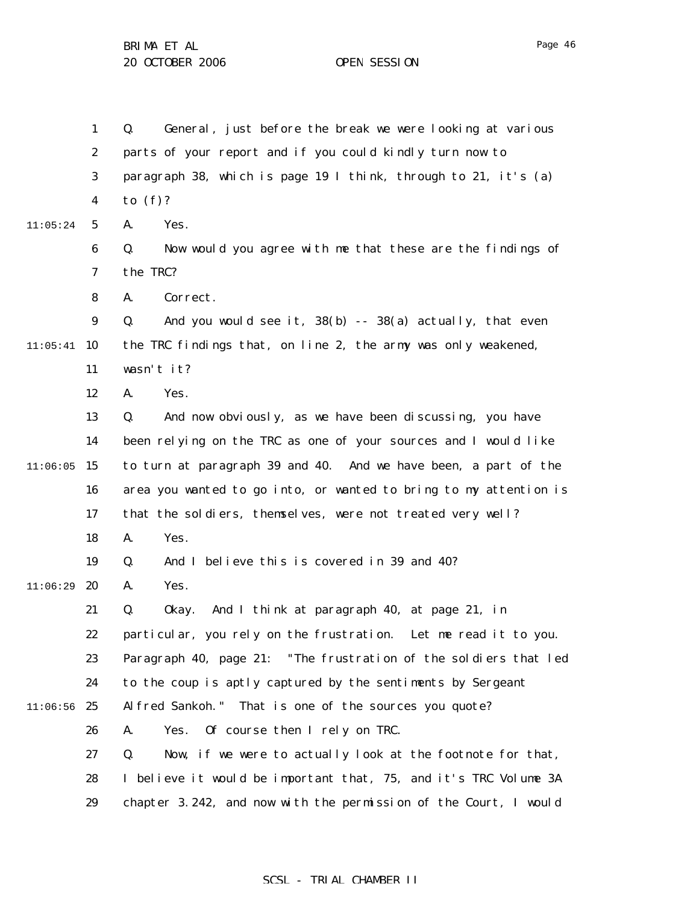1 2 3 4 5 6 7 8 9  $11:05:41$  10 11 12 13 14  $11:06:05$  15 16 17 18 19  $11:06:29$  20 21 22 23 24  $11:06:56$  25 26 27 28 29 11:05:24 Q. General, just before the break we were looking at various parts of your report and if you could kindly turn now to paragraph 38, which is page 19 I think, through to 21, it's (a) to (f)? A. Yes. Q. Now would you agree with me that these are the findings of the TRC? A. Correct. Q. And you would see it,  $38(b)$  --  $38(a)$  actually, that even the TRC findings that, on line 2, the army was only weakened, wasn't it? A. Yes. Q. And now obviously, as we have been discussing, you have been relying on the TRC as one of your sources and I would like to turn at paragraph 39 and 40. And we have been, a part of the area you wanted to go into, or wanted to bring to my attention is that the soldiers, themselves, were not treated very well? A. Yes. Q. And I believe this is covered in 39 and 40? A. Yes. Q. Okay. And I think at paragraph 40, at page 21, in particular, you rely on the frustration. Let me read it to you. Paragraph 40, page 21: "The frustration of the soldiers that led to the coup is aptly captured by the sentiments by Sergeant Alfred Sankoh." That is one of the sources you quote? A. Yes. Of course then I rely on TRC. Q. Now, if we were to actually look at the footnote for that, I believe it would be important that, 75, and it's TRC Volume 3A chapter 3.242, and now with the permission of the Court, I would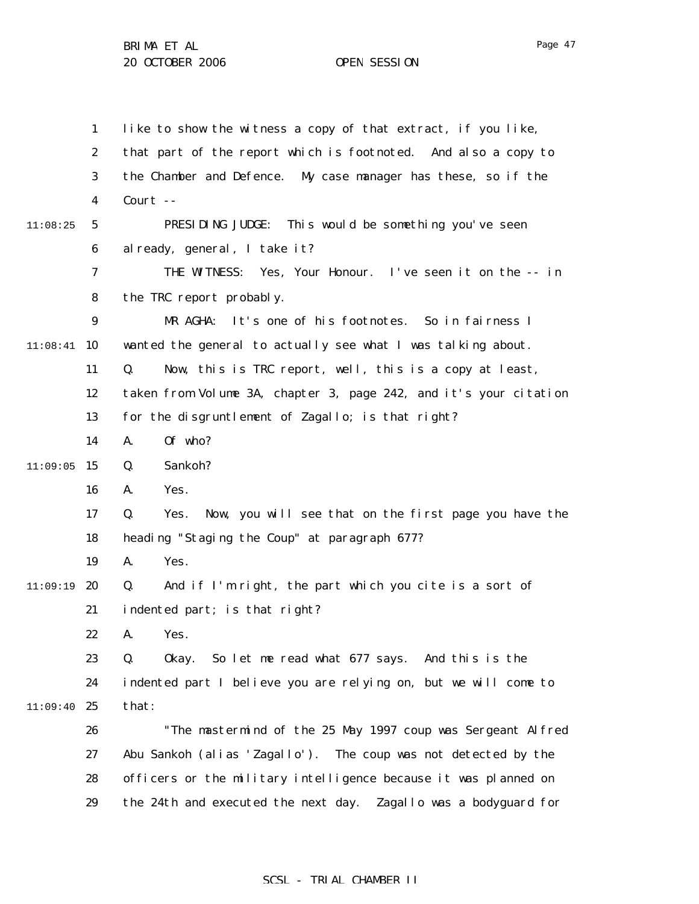1 2 3 4 5 6 7 8 9  $11:08:41$  10 11 12 13 14  $11:09:05$  15 16 17 18 19 11:09:19 20 21 22 23 24 11:09:40 25 26 27 28 29 11:08:25 like to show the witness a copy of that extract, if you like, that part of the report which is footnoted. And also a copy to the Chamber and Defence. My case manager has these, so if the Court -- PRESIDING JUDGE: This would be something you've seen already, general, I take it? THE WITNESS: Yes, Your Honour. I've seen it on the -- in the TRC report probably. MR AGHA: It's one of his footnotes. So in fairness I wanted the general to actually see what I was talking about. Q. Now, this is TRC report, well, this is a copy at least, taken from Volume 3A, chapter 3, page 242, and it's your citation for the disgruntlement of Zagallo; is that right? A. Of who? Q. Sankoh? A. Yes. Q. Yes. Now, you will see that on the first page you have the heading "Staging the Coup" at paragraph 677? A. Yes. Q. And if I'm right, the part which you cite is a sort of indented part; is that right? A. Yes. Q. Okay. So let me read what 677 says. And this is the indented part I believe you are relying on, but we will come to that: "The mastermind of the 25 May 1997 coup was Sergeant Alfred Abu Sankoh (alias 'Zagallo'). The coup was not detected by the officers or the military intelligence because it was planned on the 24th and executed the next day. Zagallo was a bodyguard for

#### Page 47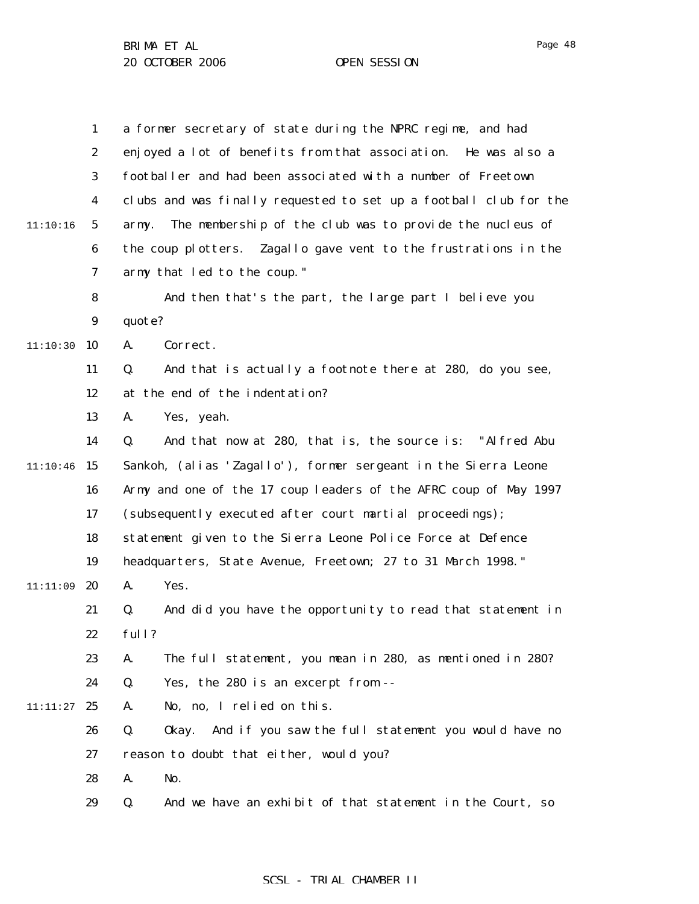|          | $\mathbf{1}$     | a former secretary of state during the NPRC regime, and had        |
|----------|------------------|--------------------------------------------------------------------|
|          | $\boldsymbol{2}$ | enjoyed a lot of benefits from that association. He was also a     |
|          | 3                | footballer and had been associated with a number of Freetown       |
|          | $\boldsymbol{4}$ | clubs and was finally requested to set up a football club for the  |
| 11:10:16 | $\mathbf{5}$     | The membership of the club was to provide the nucleus of<br>army.  |
|          | 6                | the coup plotters. Zagallo gave vent to the frustrations in the    |
|          | 7                | army that led to the coup."                                        |
|          | 8                | And then that's the part, the large part I believe you             |
|          | $\boldsymbol{9}$ | quote?                                                             |
| 11:10:30 | 10               | Correct.<br>A.                                                     |
|          | 11               | And that is actually a footnote there at 280, do you see,<br>Q.    |
|          | 12               | at the end of the indentation?                                     |
|          | 13               | Yes, yeah.<br>A.                                                   |
|          | 14               | And that now at 280, that is, the source is: "Alfred Abu<br>Q.     |
| 11:10:46 | 15               | Sankoh, (alias 'Zagallo'), former sergeant in the Sierra Leone     |
|          | 16               | Army and one of the 17 coup leaders of the AFRC coup of May 1997   |
|          | 17               | (subsequently executed after court martial proceedings);           |
|          | 18               | statement given to the Sierra Leone Police Force at Defence        |
|          | 19               | headquarters, State Avenue, Freetown; 27 to 31 March 1998."        |
| 11:11:09 | 20               | Yes.<br>A.                                                         |
|          | 21               | And did you have the opportunity to read that statement in<br>Q.   |
|          | 22               | full?                                                              |
|          | 23               | The full statement, you mean in 280, as mentioned in 280?<br>A.    |
|          | 24               | Q.<br>Yes, the 280 is an excerpt from --                           |
| 11:11:27 | 25               | No, no, I relied on this.<br>A.                                    |
|          | 26               | And if you saw the full statement you would have no<br>Q.<br>0kay. |
|          | 27               | reason to doubt that either, would you?                            |
|          | 28               | No.<br>A.                                                          |
|          | 29               | And we have an exhibit of that statement in the Court, so<br>Q.    |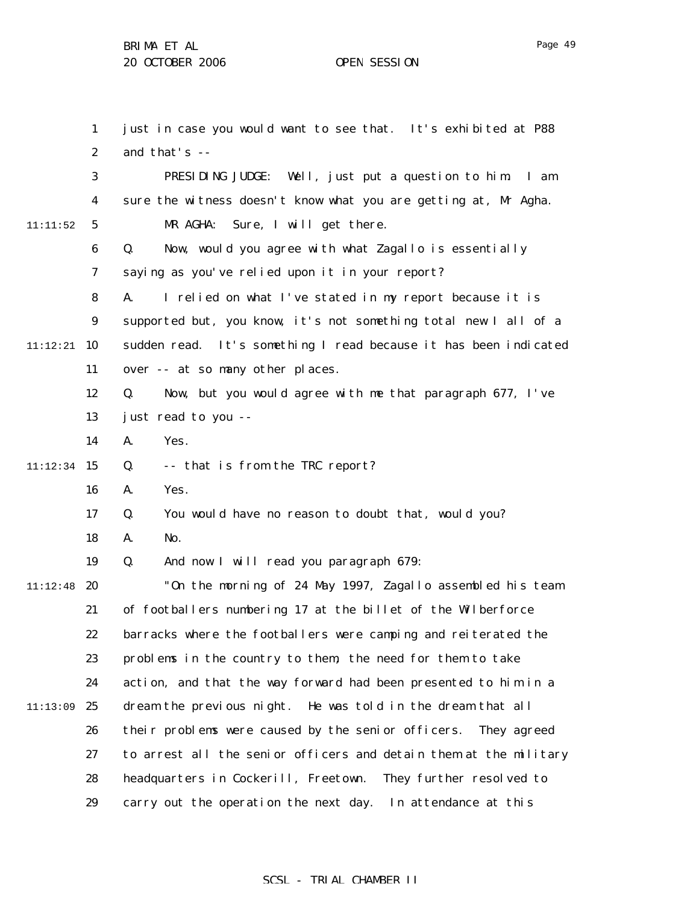1 2 3 4 5 6 7 8 9  $11:12:21$  10 11 12 13 14  $11:12:34$  15 16 17 18 19 11:12:48 20 21 22 23 24 11:13:09 25 26 27 28 29 11:11:52 just in case you would want to see that. It's exhibited at P88 and that's -- PRESIDING JUDGE: Well, just put a question to him. I am sure the witness doesn't know what you are getting at, Mr Agha. MR AGHA: Sure, I will get there. Q. Now, would you agree with what Zagallo is essentially saying as you've relied upon it in your report? A. I relied on what I've stated in my report because it is supported but, you know, it's not something total new I all of a sudden read. It's something I read because it has been indicated over -- at so many other places. Q. Now, but you would agree with me that paragraph 677, I've just read to you -- A. Yes. Q. -- that is from the TRC report? A. Yes. Q. You would have no reason to doubt that, would you? A. No. Q. And now I will read you paragraph 679: "On the morning of 24 May 1997, Zagallo assembled his team of footballers numbering 17 at the billet of the Wilberforce barracks where the footballers were camping and reiterated the problems in the country to them, the need for them to take action, and that the way forward had been presented to him in a dream the previous night. He was told in the dream that all their problems were caused by the senior officers. They agreed to arrest all the senior officers and detain them at the military headquarters in Cockerill, Freetown. They further resolved to carry out the operation the next day. In attendance at this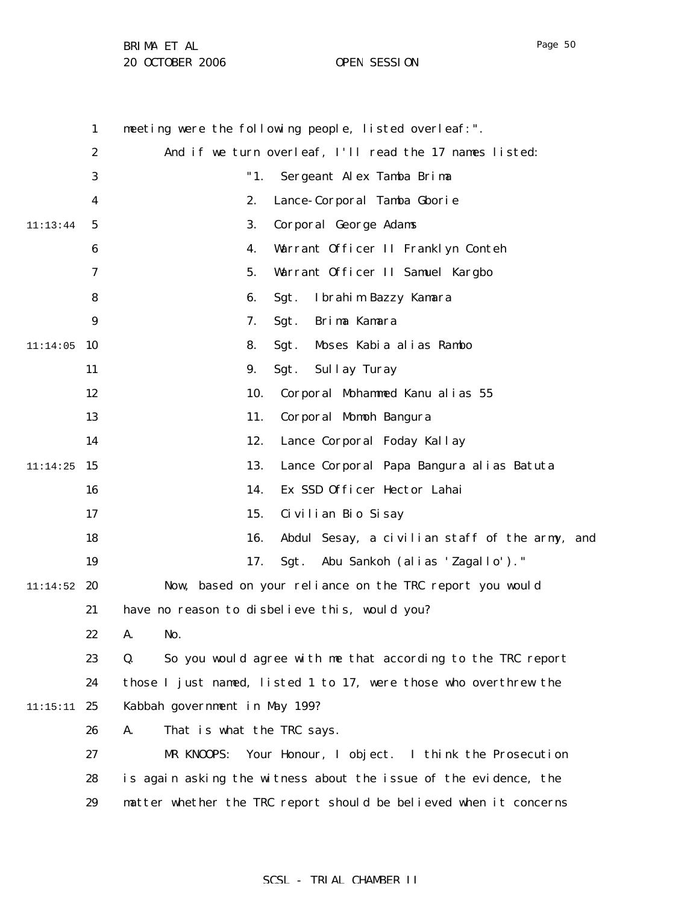1 2 3 4 5 6 7 8 9  $11:14:05$  10 11 12 13 14  $11:14:25$  15 16 17 18 19  $11:14:52$  20 21 22 23 24 11:15:11 25 26 27 28 29 11:13:44 meeting were the following people, listed overleaf:". And if we turn overleaf, I'll read the 17 names listed: "1. Sergeant Alex Tamba Brima 2. Lance-Corporal Tamba Gborie 3. Corporal George Adams 4. Warrant Officer II Franklyn Conteh 5. Warrant Officer II Samuel Kargbo 6. Sgt. Ibrahim Bazzy Kamara 7. Sgt. Brima Kamara 8. Sgt. Moses Kabia alias Rambo 9. Sgt. Sullay Turay 10. Corporal Mohammed Kanu alias 55 11. Corporal Momoh Bangura 12. Lance Corporal Foday Kallay 13. Lance Corporal Papa Bangura alias Batuta 14. Ex SSD Officer Hector Lahai 15. Civilian Bio Sisay 16. Abdul Sesay, a civilian staff of the army, and 17. Sgt. Abu Sankoh (alias 'Zagallo')." Now, based on your reliance on the TRC report you would have no reason to disbelieve this, would you? A. No. Q. So you would agree with me that according to the TRC report those I just named, listed 1 to 17, were those who overthrew the Kabbah government in May 199? A. That is what the TRC says. MR KNOOPS: Your Honour, I object. I think the Prosecution is again asking the witness about the issue of the evidence, the matter whether the TRC report should be believed when it concerns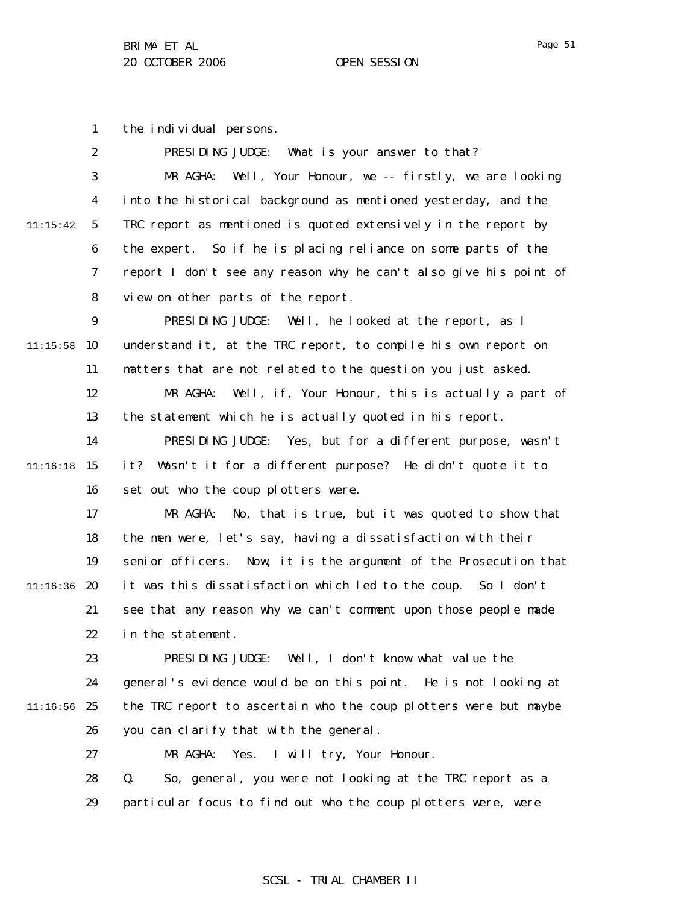Page 51

1 the individual persons.

|          | $\boldsymbol{2}$ | PRESIDING JUDGE:<br>What is your answer to that?                  |
|----------|------------------|-------------------------------------------------------------------|
|          | 3                | Well, Your Honour, we -- firstly, we are looking<br>MR AGHA:      |
|          | $\boldsymbol{4}$ | into the historical background as mentioned yesterday, and the    |
| 11:15:42 | $\mathbf{5}$     | TRC report as mentioned is quoted extensively in the report by    |
|          | 6                | the expert. So if he is placing reliance on some parts of the     |
|          | 7                | report I don't see any reason why he can't also give his point of |
|          | 8                | view on other parts of the report.                                |
|          | $\boldsymbol{9}$ | PRESIDING JUDGE: Well, he looked at the report, as I              |
| 11:15:58 | 10               | understand it, at the TRC report, to compile his own report on    |
|          | 11               | matters that are not related to the question you just asked.      |
|          | 12               | Well, if, Your Honour, this is actually a part of<br>MR AGHA:     |
|          | 13               | the statement which he is actually quoted in his report.          |
|          | 14               | Yes, but for a different purpose, wasn't<br>PRESIDING JUDGE:      |
| 11:16:18 | 15               | it? Wasn't it for a different purpose? He didn't quote it to      |
|          | 16               | set out who the coup plotters were.                               |
|          | 17               | No, that is true, but it was quoted to show that<br>MR AGHA:      |
|          | 18               | the men were, let's say, having a dissatisfaction with their      |
|          | 19               | senior officers. Now, it is the argument of the Prosecution that  |
| 11:16:36 | 20               | it was this dissatisfaction which led to the coup. So I don't     |
|          | 21               | see that any reason why we can't comment upon those people made   |
|          | 22               | in the statement.                                                 |
|          | 23               | PRESIDING JUDGE: Well, I don't know what value the                |
|          | 24               | general's evidence would be on this point. He is not looking at   |
| 11:16:56 | 25               | the TRC report to ascertain who the coup plotters were but maybe  |
|          | 26               | you can clarify that with the general.                            |
|          | 27               | MR AGHA:<br>Yes. I will try, Your Honour.                         |
|          | 28               | So, general, you were not looking at the TRC report as a<br>Q.    |
|          | 29               | particular focus to find out who the coup plotters were, were     |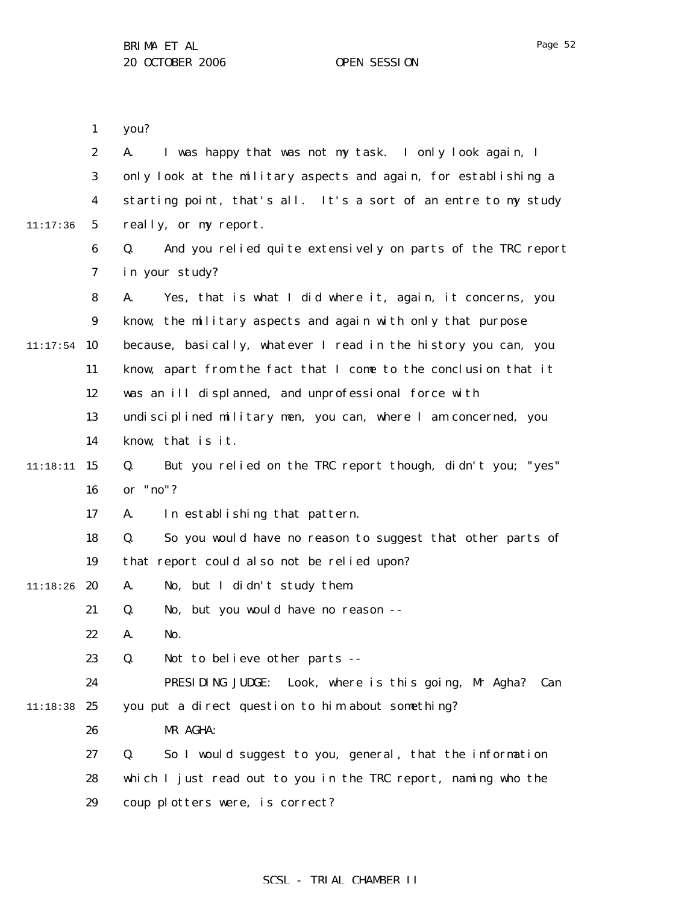|          | $\mathbf{1}$     | you?                                                              |
|----------|------------------|-------------------------------------------------------------------|
|          | $\boldsymbol{2}$ | I was happy that was not my task. I only look again, I<br>A.      |
|          | 3                | only look at the military aspects and again, for establishing a   |
|          | $\boldsymbol{4}$ | starting point, that's all. It's a sort of an entre to my study   |
| 11:17:36 | $5\phantom{.0}$  | really, or my report.                                             |
|          | $\boldsymbol{6}$ | Q.<br>And you relied quite extensively on parts of the TRC report |
|          | 7                | in your study?                                                    |
|          | 8                | Yes, that is what I did where it, again, it concerns, you<br>A.   |
|          | 9                | know, the military aspects and again with only that purpose       |
| 11:17:54 | 10               | because, basically, whatever I read in the history you can, you   |
|          | 11               | know, apart from the fact that I come to the conclusion that it   |
|          | 12               | was an ill displanned, and unprofessional force with              |
|          | 13               | undisciplined military men, you can, where I am concerned, you    |
|          | 14               | know, that is it.                                                 |
| 11:18:11 | 15               | Q.<br>But you relied on the TRC report though, didn't you; "yes"  |
|          | 16               | or "no"?                                                          |
|          | 17               | In establishing that pattern.<br>A.                               |
|          | 18               | So you would have no reason to suggest that other parts of<br>Q.  |
|          | 19               | that report could also not be relied upon?                        |
| 11:18:26 | 20               | No, but I didn't study them.<br>A.                                |
|          | 21               | No, but you would have no reason --<br>Q.                         |
|          | 22               | No.<br>A.                                                         |
|          | 23               | Q.<br>Not to believe other parts --                               |
|          | 24               | PRESIDING JUDGE: Look, where is this going, Mr Agha? Can          |
| 11:18:38 | 25               | you put a direct question to him about something?                 |
|          | 26               | MR AGHA:                                                          |
|          | 27               | So I would suggest to you, general, that the information<br>Q.    |
|          | 28               | which I just read out to you in the TRC report, naming who the    |
|          | 29               | coup plotters were, is correct?                                   |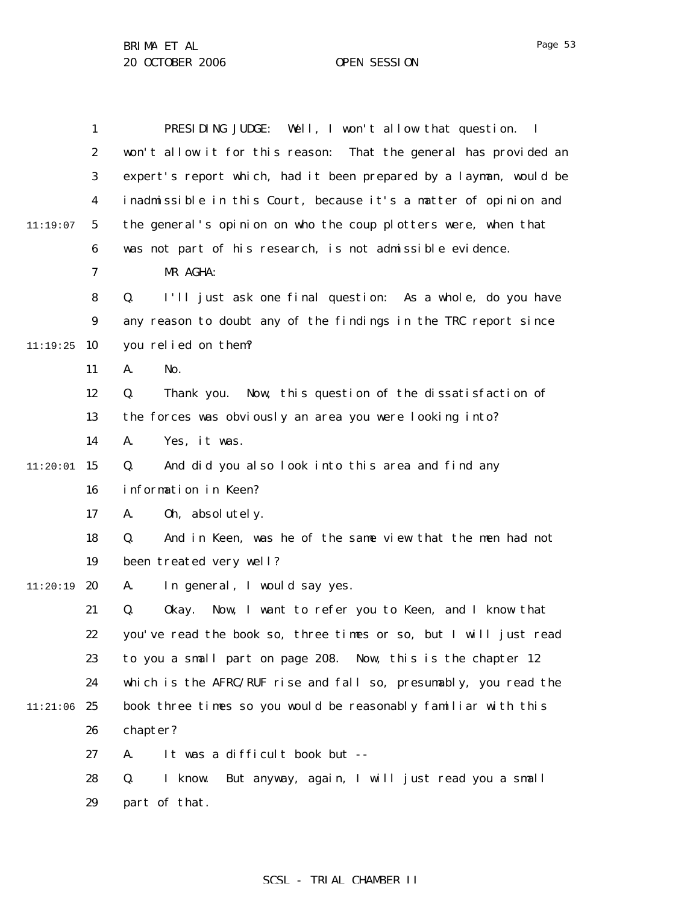|          | $\mathbf{1}$     | PRESIDING JUDGE: Well, I won't allow that question. I               |
|----------|------------------|---------------------------------------------------------------------|
|          |                  |                                                                     |
|          | $\boldsymbol{2}$ | won't allow it for this reason:<br>That the general has provided an |
|          | 3                | expert's report which, had it been prepared by a layman, would be   |
|          | 4                | inadmissible in this Court, because it's a matter of opinion and    |
| 11:19:07 | $5\phantom{.0}$  | the general's opinion on who the coup plotters were, when that      |
|          | 6                | was not part of his research, is not admissible evidence.           |
|          | 7                | MR AGHA:                                                            |
|          | 8                | Q.<br>I'll just ask one final question: As a whole, do you have     |
|          | $\boldsymbol{9}$ | any reason to doubt any of the findings in the TRC report since     |
| 11:19:25 | 10               | you relied on them?                                                 |
|          | 11               | A.<br>No.                                                           |
|          | 12               | Q.<br>Thank you. Now, this question of the dissatisfaction of       |
|          | 13               | the forces was obviously an area you were looking into?             |
|          | 14               | Yes, it was.<br>A.                                                  |
| 11:20:01 | 15               | And did you also look into this area and find any<br>Q.             |
|          | 16               | information in Keen?                                                |
|          | 17               | 0h, absolutely.<br>A.                                               |
|          | 18               | And in Keen, was he of the same view that the men had not<br>Q.     |
|          | 19               | been treated very well?                                             |
| 11:20:19 | 20               | In general, I would say yes.<br>A.                                  |
|          | 21               | Q.<br>Now, I want to refer you to Keen, and I know that<br>0kay.    |
|          | 22               | you've read the book so, three times or so, but I will just read    |
|          | 23               | to you a small part on page 208. Now, this is the chapter 12        |
|          | 24               | which is the AFRC/RUF rise and fall so, presumably, you read the    |
| 11:21:06 | 25               | book three times so you would be reasonably familiar with this      |
|          | 26               | chapter?                                                            |
|          | 27               | It was a difficult book but --<br>A.                                |
|          | 28               | I know.<br>But anyway, again, I will just read you a small<br>Q.    |
|          | 29               | part of that.                                                       |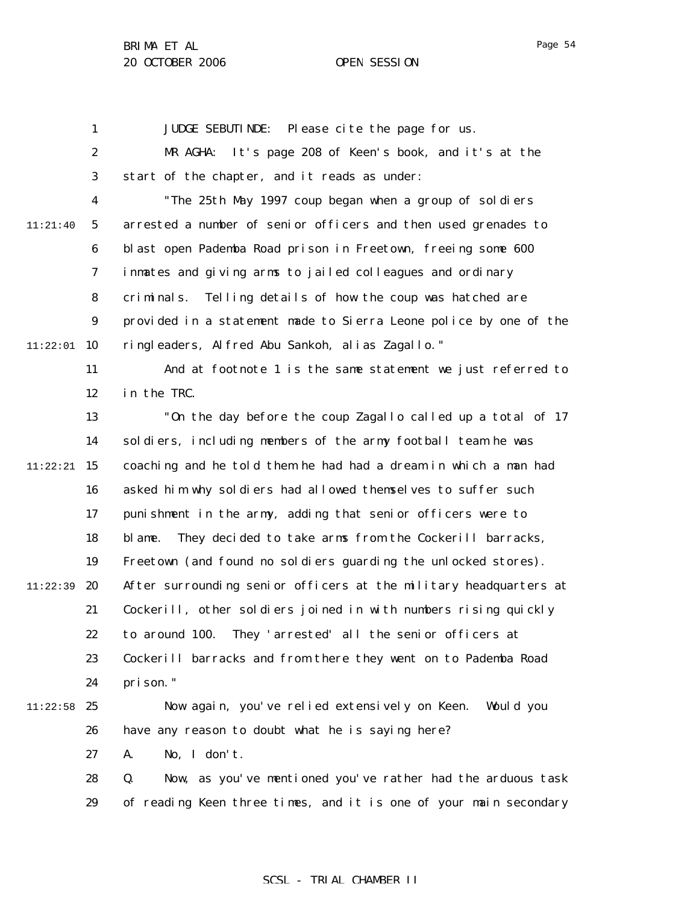Page 54

1 2 3 4 5 6 7 8 9  $11:22:01$  10 11 12 13 14  $11:22:21$  15 16 17 18 19 11:22:39 **20** 21 22 23 24  $11:22:58$  25 26 27 28 29 11:21:40 JUDGE SEBUTINDE: Please cite the page for us. MR AGHA: It's page 208 of Keen's book, and it's at the start of the chapter, and it reads as under: "The 25th May 1997 coup began when a group of soldiers arrested a number of senior officers and then used grenades to blast open Pademba Road prison in Freetown, freeing some 600 inmates and giving arms to jailed colleagues and ordinary criminals. Telling details of how the coup was hatched are provided in a statement made to Sierra Leone police by one of the ringleaders, Alfred Abu Sankoh, alias Zagallo." And at footnote 1 is the same statement we just referred to in the TRC. "On the day before the coup Zagallo called up a total of 17 soldiers, including members of the army football team he was coaching and he told them he had had a dream in which a man had asked him why soldiers had allowed themselves to suffer such punishment in the army, adding that senior officers were to blame. They decided to take arms from the Cockerill barracks, Freetown (and found no soldiers guarding the unlocked stores). After surrounding senior officers at the military headquarters at Cockerill, other soldiers joined in with numbers rising quickly to around 100. They 'arrested' all the senior officers at Cockerill barracks and from there they went on to Pademba Road prison." Now again, you've relied extensively on Keen. Would you have any reason to doubt what he is saying here? A. No, I don't. Q. Now, as you've mentioned you've rather had the arduous task of reading Keen three times, and it is one of your main secondary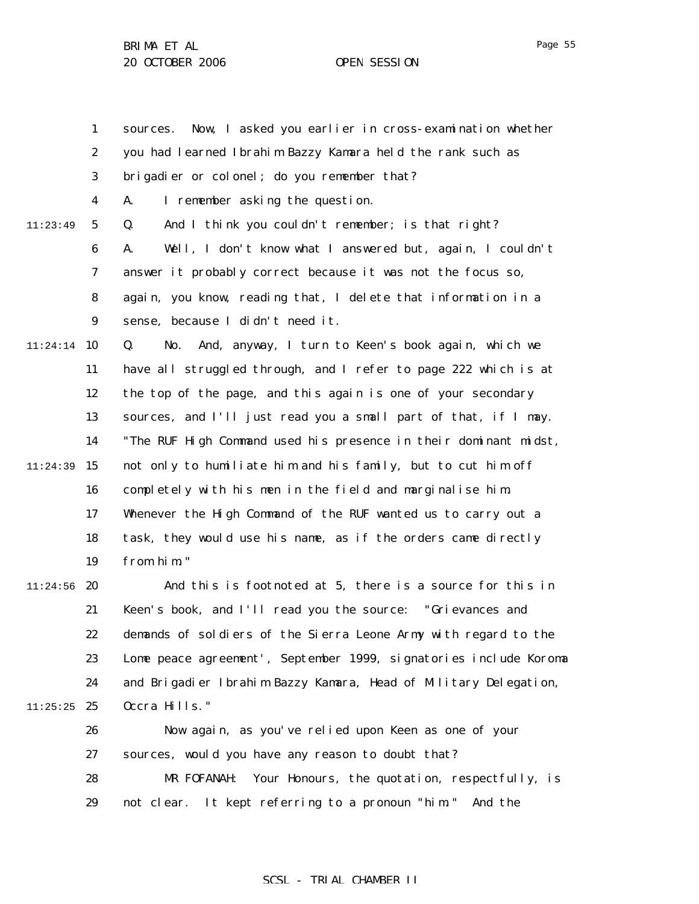|          | $\mathbf{1}$     | Now, I asked you earlier in cross-examination whether<br>sources. |
|----------|------------------|-------------------------------------------------------------------|
|          | $\boldsymbol{2}$ | you had learned Ibrahim Bazzy Kamara held the rank such as        |
|          | 3                | brigadier or colonel; do you remember that?                       |
|          | 4                | I remember asking the question.<br>A.                             |
| 11:23:49 | $\mathbf 5$      | And I think you couldn't remember; is that right?<br>Q.           |
|          | $\boldsymbol{6}$ | Well, I don't know what I answered but, again, I couldn't<br>A.   |
|          | 7                | answer it probably correct because it was not the focus so,       |
|          | 8                | again, you know, reading that, I delete that information in a     |
|          | $\boldsymbol{9}$ | sense, because I didn't need it.                                  |
| 11:24:14 | 10               | And, anyway, I turn to Keen's book again, which we<br>Q.<br>No.   |
|          | 11               | have all struggled through, and I refer to page 222 which is at   |
|          | 12               | the top of the page, and this again is one of your secondary      |
|          | 13               | sources, and I'll just read you a small part of that, if I may.   |
|          | 14               | "The RUF High Command used his presence in their dominant midst,  |
| 11:24:39 | 15               | not only to humiliate him and his family, but to cut him off      |
|          | 16               | completely with his men in the field and marginalise him.         |
|          | 17               | Whenever the High Command of the RUF wanted us to carry out a     |
|          | 18               | task, they would use his name, as if the orders came directly     |
|          | 19               | from him."                                                        |
| 11:24:56 | 20               | And this is footnoted at 5, there is a source for this in         |
|          | 21               | Keen's book, and I'll read you the source: "Grievances and        |
|          | 22               | demands of soldiers of the Sierra Leone Army with regard to the   |
|          | 23               | Lome peace agreement', September 1999, signatories include Koroma |
|          | 24               | and Brigadier Ibrahim Bazzy Kamara, Head of Military Delegation,  |
| 11:25:25 | 25               | Occra Hills."                                                     |
|          | 26               | Now again, as you've relied upon Keen as one of your              |
|          | 27               | sources, would you have any reason to doubt that?                 |
|          | 28               | Your Honours, the quotation, respectfully, is<br>MR FOFANAH:      |
|          | 29               | not clear. It kept referring to a pronoun "him." And the          |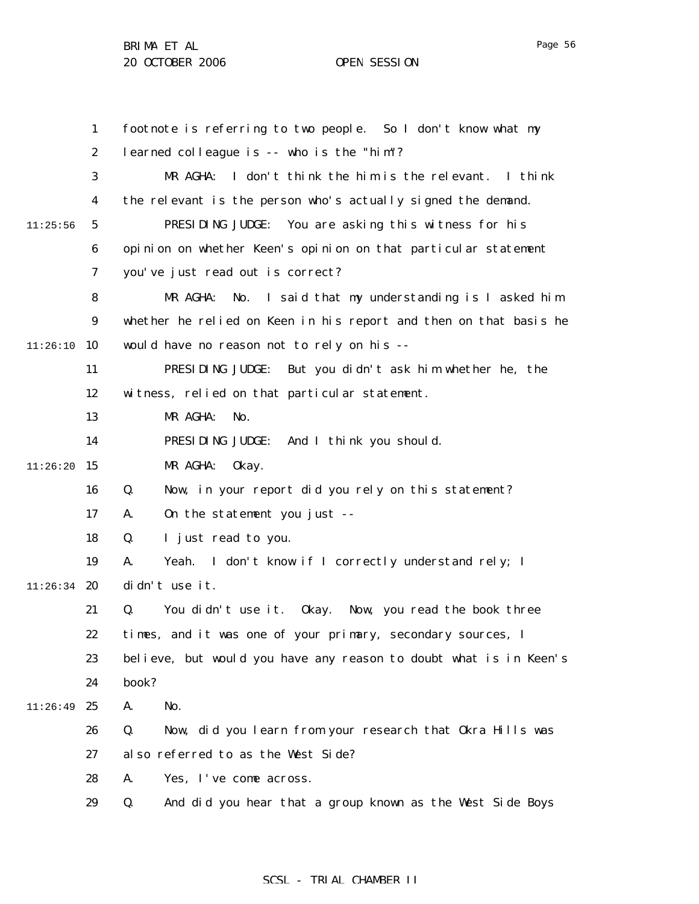1 2 3 4 5 6 7 8 9  $11:26:10$  10 11 12 13 14  $11:26:20$  15 16 17 18 19  $11:26:34$  20 21 22 23 24 11:26:49 25 26 27 28 29 11:25:56 footnote is referring to two people. So I don't know what my learned colleague is -- who is the "him"? MR AGHA: I don't think the him is the relevant. I think the relevant is the person who's actually signed the demand. PRESIDING JUDGE: You are asking this witness for his opinion on whether Keen's opinion on that particular statement you've just read out is correct? MR AGHA: No. I said that my understanding is I asked him whether he relied on Keen in his report and then on that basis he would have no reason not to rely on his -- PRESIDING JUDGE: But you didn't ask him whether he, the witness, relied on that particular statement. MR AGHA: No. PRESIDING JUDGE: And I think you should. MR AGHA: Okay. Q. Now, in your report did you rely on this statement? A. On the statement you just -- Q. I just read to you. A. Yeah. I don't know if I correctly understand rely; I didn't use it. Q. You didn't use it. Okay. Now, you read the book three times, and it was one of your primary, secondary sources, I believe, but would you have any reason to doubt what is in Keen's book? A. No. Q. Now, did you learn from your research that Okra Hills was also referred to as the West Side? A. Yes, I've come across. Q. And did you hear that a group known as the West Side Boys

# SCSL - TRIAL CHAMBER II

Page 56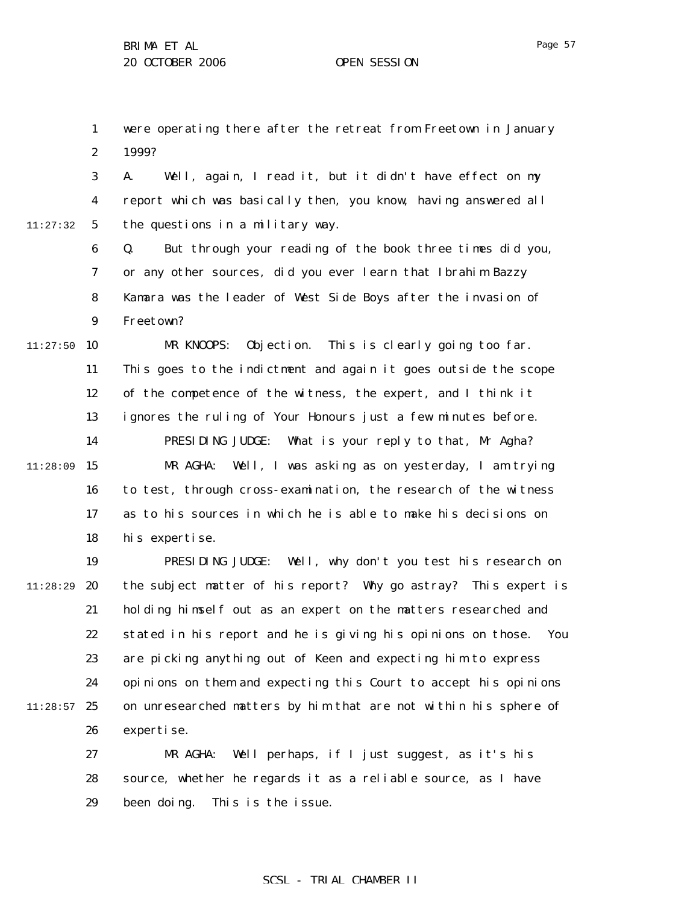1 2 were operating there after the retreat from Freetown in January 1999?

3 4 5 11:27:32 A. Well, again, I read it, but it didn't have effect on my report which was basically then, you know, having answered all the questions in a military way.

> 6 7 8 9 Q. But through your reading of the book three times did you, or any other sources, did you ever learn that Ibrahim Bazzy Kamara was the leader of West Side Boys after the invasion of Freetown?

 $11:27:50$  10 11 12 13 14  $11:28:09$  15 16 17 18 MR KNOOPS: Objection. This is clearly going too far. This goes to the indictment and again it goes outside the scope of the competence of the witness, the expert, and I think it ignores the ruling of Your Honours just a few minutes before. PRESIDING JUDGE: What is your reply to that, Mr Agha? MR AGHA: Well, I was asking as on yesterday, I am trying to test, through cross-examination, the research of the witness as to his sources in which he is able to make his decisions on his expertise.

19 20 21 22 23 24  $11:28:57$  25 26 11:28:29 PRESIDING JUDGE: Well, why don't you test his research on the subject matter of his report? Why go astray? This expert is holding himself out as an expert on the matters researched and stated in his report and he is giving his opinions on those. You are picking anything out of Keen and expecting him to express opinions on them and expecting this Court to accept his opinions on unresearched matters by him that are not within his sphere of expertise.

> 27 28 29 MR AGHA: Well perhaps, if I just suggest, as it's his source, whether he regards it as a reliable source, as I have been doing. This is the issue.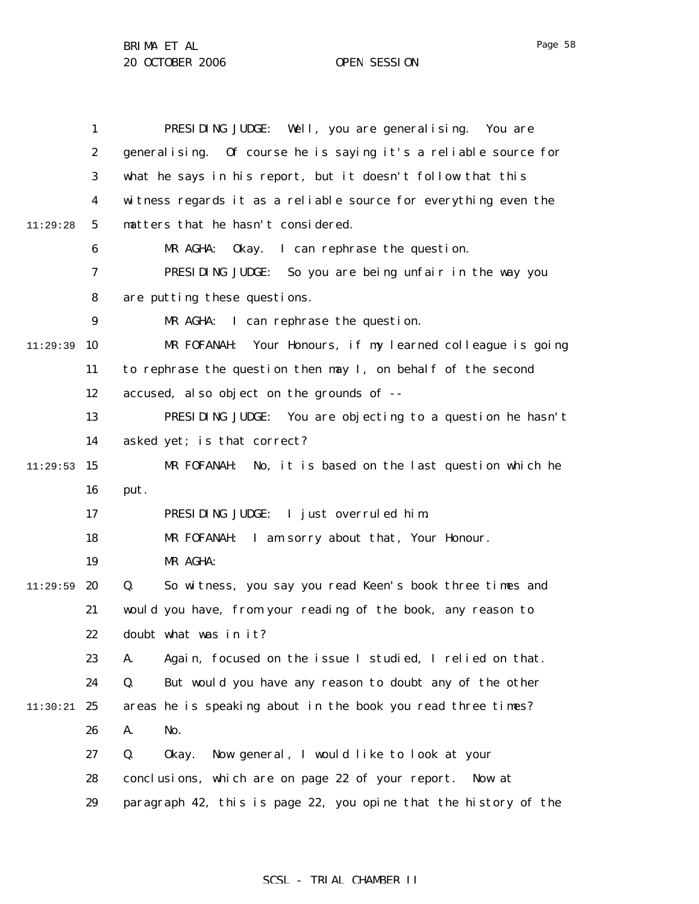|          | $\mathbf{1}$     | PRESIDING JUDGE: Well, you are generalising. You are             |
|----------|------------------|------------------------------------------------------------------|
|          | $\boldsymbol{2}$ | generalising. Of course he is saying it's a reliable source for  |
|          | 3                | what he says in his report, but it doesn't follow that this      |
|          | $\boldsymbol{4}$ | witness regards it as a reliable source for everything even the  |
| 11:29:28 | $5\phantom{.0}$  | matters that he hasn't considered.                               |
|          | 6                | I can rephrase the question.<br>MR AGHA:<br>0kay.                |
|          | 7                | PRESIDING JUDGE: So you are being unfair in the way you          |
|          | 8                | are putting these questions.                                     |
|          | $\boldsymbol{9}$ | I can rephrase the question.<br>MR AGHA:                         |
| 11:29:39 | 10               | Your Honours, if my learned colleague is going<br>MR FOFANAH:    |
|          | 11               | to rephrase the question then may I, on behalf of the second     |
|          | 12               | accused, also object on the grounds of --                        |
|          | 13               | PRESIDING JUDGE: You are objecting to a question he hasn't       |
|          | 14               | asked yet; is that correct?                                      |
| 11:29:53 | 15               | No, it is based on the last question which he<br>MR FOFANAH:     |
|          | 16               | put.                                                             |
|          | 17               | PRESIDING JUDGE: I just overruled him.                           |
|          | 18               | MR FOFANAH: I am sorry about that, Your Honour.                  |
|          | 19               | MR AGHA:                                                         |
| 11:29:59 | 20               | Q.<br>So witness, you say you read Keen's book three times and   |
|          | 21               | would you have, from your reading of the book, any reason to     |
|          | 22               | doubt what was in it?                                            |
|          | 23               | A.<br>Again, focused on the issue I studied, I relied on that.   |
|          | 24               | But would you have any reason to doubt any of the other<br>Q.    |
| 11:30:21 | 25               | areas he is speaking about in the book you read three times?     |
|          | 26               | No.<br>A.                                                        |
|          | 27               | Q.<br>0kay.<br>Now general, I would like to look at your         |
|          | 28               | conclusions, which are on page 22 of your report. Now at         |
|          | 29               | paragraph 42, this is page 22, you opine that the history of the |

Page 58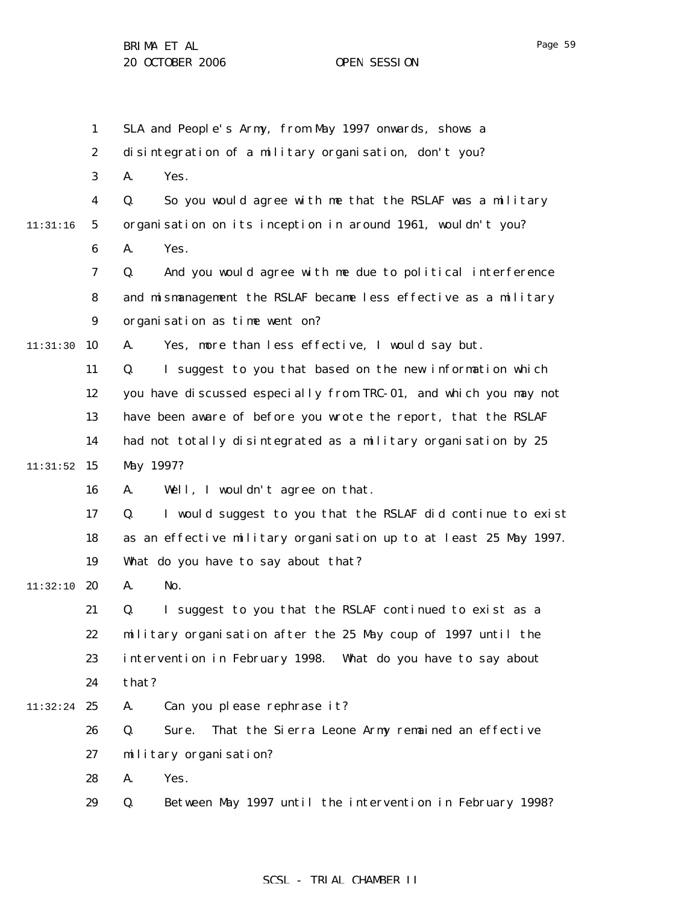1 2 3 4 5 6 7 8 9 11:31:30 10 11 12 13 14  $11:31:52$  15 16 17 18 19 11:32:10 **20** 21 22 23 24 11:32:24 25 26 27 28 29 11:31:16 SLA and People's Army, from May 1997 onwards, shows a disintegration of a military organisation, don't you? A. Yes. Q. So you would agree with me that the RSLAF was a military organisation on its inception in around 1961, wouldn't you? A. Yes. Q. And you would agree with me due to political interference and mismanagement the RSLAF became less effective as a military organisation as time went on? A. Yes, more than less effective, I would say but. Q. I suggest to you that based on the new information which you have discussed especially from TRC-01, and which you may not have been aware of before you wrote the report, that the RSLAF had not totally disintegrated as a military organisation by 25 May 1997? A. Well, I wouldn't agree on that. Q. I would suggest to you that the RSLAF did continue to exist as an effective military organisation up to at least 25 May 1997. What do you have to say about that? A. No. Q. I suggest to you that the RSLAF continued to exist as a military organisation after the 25 May coup of 1997 until the intervention in February 1998. What do you have to say about that? A. Can you please rephrase it? Q. Sure. That the Sierra Leone Army remained an effective military organisation? A. Yes. Q. Between May 1997 until the intervention in February 1998?

# SCSL - TRIAL CHAMBER II

Page 59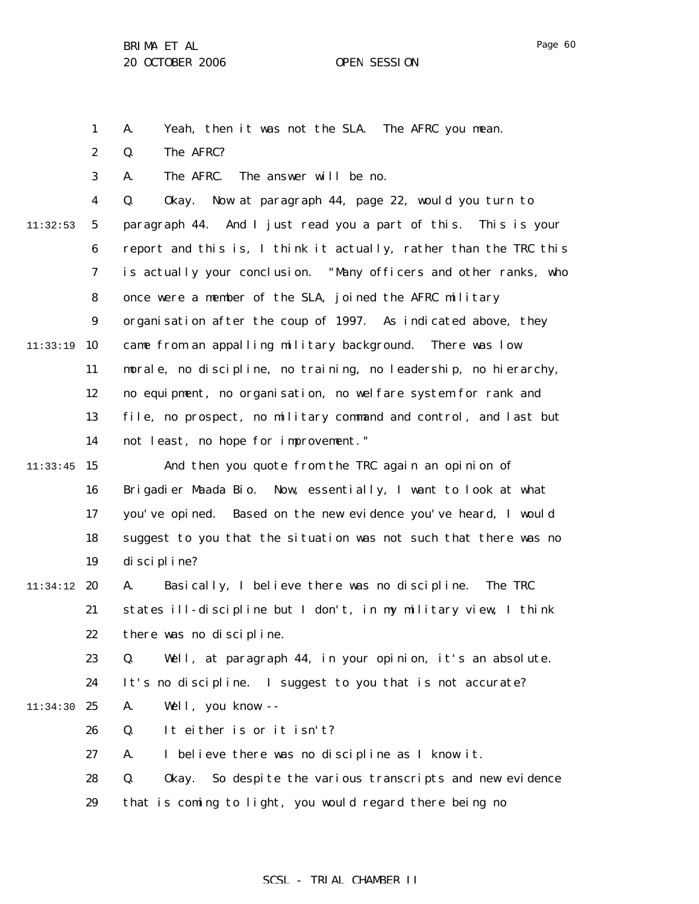Page 60

1 A. Yeah, then it was not the SLA. The AFRC you mean.

2 Q. The AFRC?

3 A. The AFRC. The answer will be no.

4 5 6 7 8 9 11:33:19 10 11 12 13 14  $11:33:45$  15 11:32:53 Q. Okay. Now at paragraph 44, page 22, would you turn to paragraph 44. And I just read you a part of this. This is your report and this is, I think it actually, rather than the TRC this is actually your conclusion. "Many officers and other ranks, who once were a member of the SLA, joined the AFRC military organisation after the coup of 1997. As indicated above, they came from an appalling military background. There was low morale, no discipline, no training, no leadership, no hierarchy, no equipment, no organisation, no welfare system for rank and file, no prospect, no military command and control, and last but not least, no hope for improvement." And then you quote from the TRC again an opinion of

16 17 18 19 Brigadier Maada Bio. Now, essentially, I want to look at what you've opined. Based on the new evidence you've heard, I would suggest to you that the situation was not such that there was no discipline?

#### 11:34:12 20 21 22 A. Basically, I believe there was no discipline. The TRC states ill-discipline but I don't, in my military view, I think there was no discipline.

23 Q. Well, at paragraph 44, in your opinion, it's an absolute.

24 It's no discipline. I suggest to you that is not accurate?

- 11:34:30 25 A. Well, you know --
	- 26 Q. It either is or it isn't?

27 A. I believe there was no discipline as I know it.

28 Q. Okay. So despite the various transcripts and new evidence

29 that is coming to light, you would regard there being no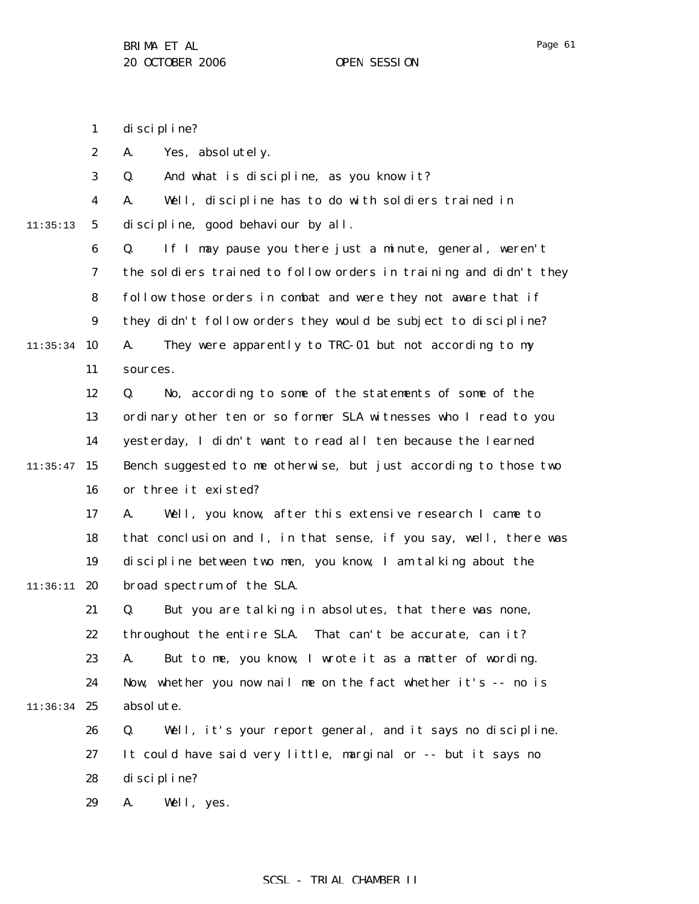1 discipline?

2 A. Yes, absolutely.

|  |  |  |  | And what is discipline, as you know it? |  |  |  |  |
|--|--|--|--|-----------------------------------------|--|--|--|--|
|--|--|--|--|-----------------------------------------|--|--|--|--|

discipline, good behaviour by all.

4 A. Well, discipline has to do with soldiers trained in

11:35:13

5

6 7 8 9  $11:35:34$  10 11 Q. If I may pause you there just a minute, general, weren't the soldiers trained to follow orders in training and didn't they follow those orders in combat and were they not aware that if they didn't follow orders they would be subject to discipline? A. They were apparently to TRC-01 but not according to my sources.

12 13 14  $11:35:47$  15 16 Q. No, according to some of the statements of some of the ordinary other ten or so former SLA witnesses who I read to you yesterday, I didn't want to read all ten because the learned Bench suggested to me otherwise, but just according to those two or three it existed?

17 18 19  $11:36:11$  20 A. Well, you know, after this extensive research I came to that conclusion and I, in that sense, if you say, well, there was discipline between two men, you know, I am talking about the broad spectrum of the SLA.

21 22 23 24 11:36:34 25 Q. But you are talking in absolutes, that there was none, throughout the entire SLA. That can't be accurate, can it? A. But to me, you know, I wrote it as a matter of wording. Now, whether you now nail me on the fact whether it's -- no is absolute.

> 26 27 28 Q. Well, it's your report general, and it says no discipline. It could have said very little, marginal or -- but it says no discipline?

29 A. Well, yes.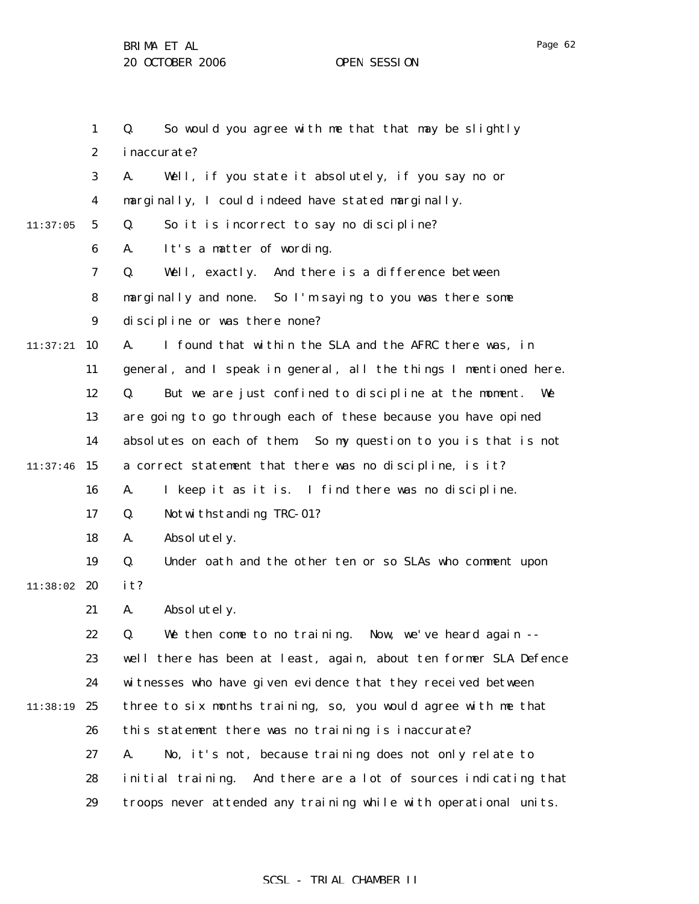1 2 3 4 5 6 7 8 9  $11:37:21$  10 11 12 13 14  $11:37:46$  15 16 17 18 19 11:38:02 20 21 22 23 24 11:38:19 25 26 27 28 29 11:37:05 Q. So would you agree with me that that may be slightly inaccurate? A. Well, if you state it absolutely, if you say no or marginally, I could indeed have stated marginally. Q. So it is incorrect to say no discipline? A. It's a matter of wording. Q. Well, exactly. And there is a difference between marginally and none. So I'm saying to you was there some discipline or was there none? A. I found that within the SLA and the AFRC there was, in general, and I speak in general, all the things I mentioned here. Q. But we are just confined to discipline at the moment. We are going to go through each of these because you have opined absolutes on each of them. So my question to you is that is not a correct statement that there was no discipline, is it? A. I keep it as it is. I find there was no discipline. Q. Notwithstanding TRC-01? A. Absolutely. Q. Under oath and the other ten or so SLAs who comment upon it? A. Absolutely. Q. We then come to no training. Now, we've heard again - well there has been at least, again, about ten former SLA Defence witnesses who have given evidence that they received between three to six months training, so, you would agree with me that this statement there was no training is inaccurate? A. No, it's not, because training does not only relate to initial training. And there are a lot of sources indicating that troops never attended any training while with operational units.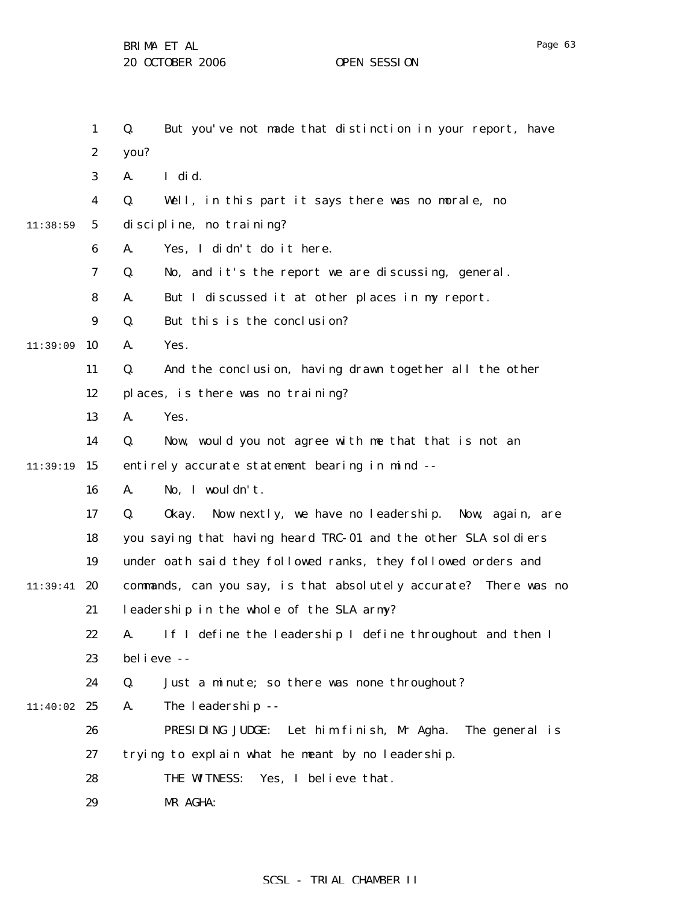1 2 3 4 5 6 7 8 9  $11:39:09$  10 11 12 13 14 11:39:19 15 16 17 18 19 11:39:41 **20** 21 22 23 24 11:40:02 25 26 27 28 29 11:38:59 Q. But you've not made that distinction in your report, have you? A. I did. Q. Well, in this part it says there was no morale, no discipline, no training? A. Yes, I didn't do it here. Q. No, and it's the report we are discussing, general. A. But I discussed it at other places in my report. Q. But this is the conclusion? A. Yes. Q. And the conclusion, having drawn together all the other places, is there was no training? A. Yes. Q. Now, would you not agree with me that that is not an entirely accurate statement bearing in mind -- A. No, I wouldn't. Q. Okay. Now nextly, we have no leadership. Now, again, are you saying that having heard TRC-01 and the other SLA soldiers under oath said they followed ranks, they followed orders and commands, can you say, is that absolutely accurate? There was no leadership in the whole of the SLA army? A. If I define the leadership I define throughout and then I believe -- Q. Just a minute; so there was none throughout? A. The leadership -- PRESIDING JUDGE: Let him finish, Mr Agha. The general is trying to explain what he meant by no leadership. THE WITNESS: Yes, I believe that. MR AGHA: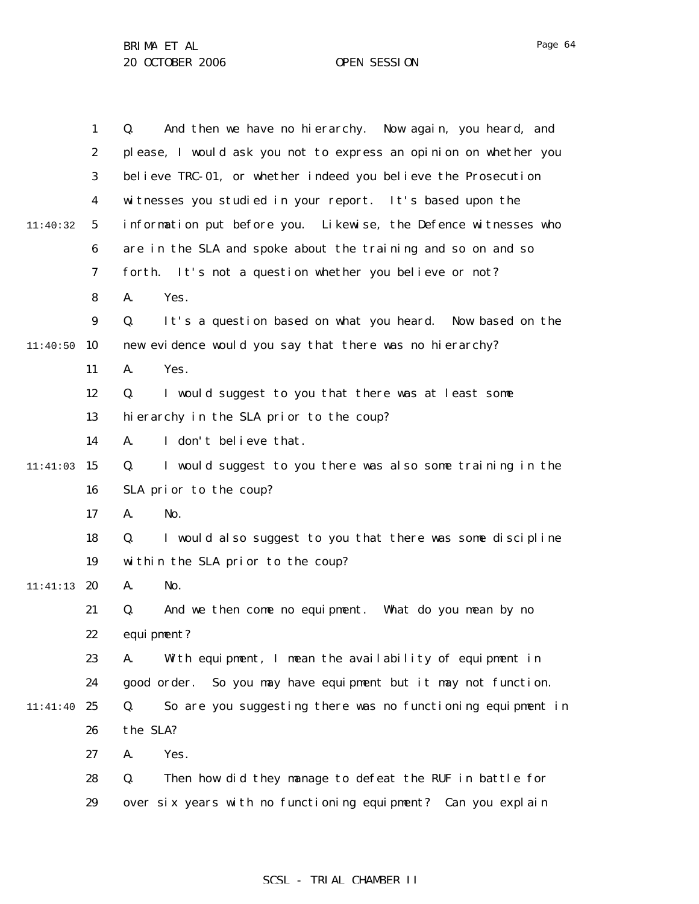|          | $\mathbf{1}$     | And then we have no hierarchy. Now again, you heard, and<br>Q.    |
|----------|------------------|-------------------------------------------------------------------|
|          | $\boldsymbol{2}$ | please, I would ask you not to express an opinion on whether you  |
|          | 3                | believe TRC-01, or whether indeed you believe the Prosecution     |
|          | 4                | witnesses you studied in your report. It's based upon the         |
| 11:40:32 | $5\overline{ }$  | information put before you. Likewise, the Defence witnesses who   |
|          | 6                | are in the SLA and spoke about the training and so on and so      |
|          | 7                | It's not a question whether you believe or not?<br>forth.         |
|          | 8                | A.<br>Yes.                                                        |
|          | $\boldsymbol{9}$ | Q.<br>It's a question based on what you heard. Now based on the   |
| 11:40:50 | 10               | new evidence would you say that there was no hierarchy?           |
|          | 11               | Yes.<br>A.                                                        |
|          | 12               | I would suggest to you that there was at least some<br>Q.         |
|          | 13               | hierarchy in the SLA prior to the coup?                           |
|          | 14               | I don't believe that.<br>A.                                       |
| 11:41:03 | 15               | I would suggest to you there was also some training in the<br>Q.  |
|          | 16               | SLA prior to the coup?                                            |
|          | 17               | No.<br>A.                                                         |
|          | 18               | I would also suggest to you that there was some discipline<br>Q.  |
|          | 19               | within the SLA prior to the coup?                                 |
| 11:41:13 | 20               | No.<br>A.                                                         |
|          | 21               | And we then come no equipment. What do you mean by no<br>Q.       |
|          | 22               | equi pment?                                                       |
|          | 23               | With equipment, I mean the availability of equipment in<br>А.     |
|          | 24               | So you may have equipment but it may not function.<br>good order. |
| 11:41:40 | 25               | So are you suggesting there was no functioning equipment in<br>Q. |
|          | 26               | the SLA?                                                          |
|          | 27               | Yes.<br>A.                                                        |
|          | 28               | Q.<br>Then how did they manage to defeat the RUF in battle for    |
|          | 29               | over six years with no functioning equipment? Can you explain     |
|          |                  |                                                                   |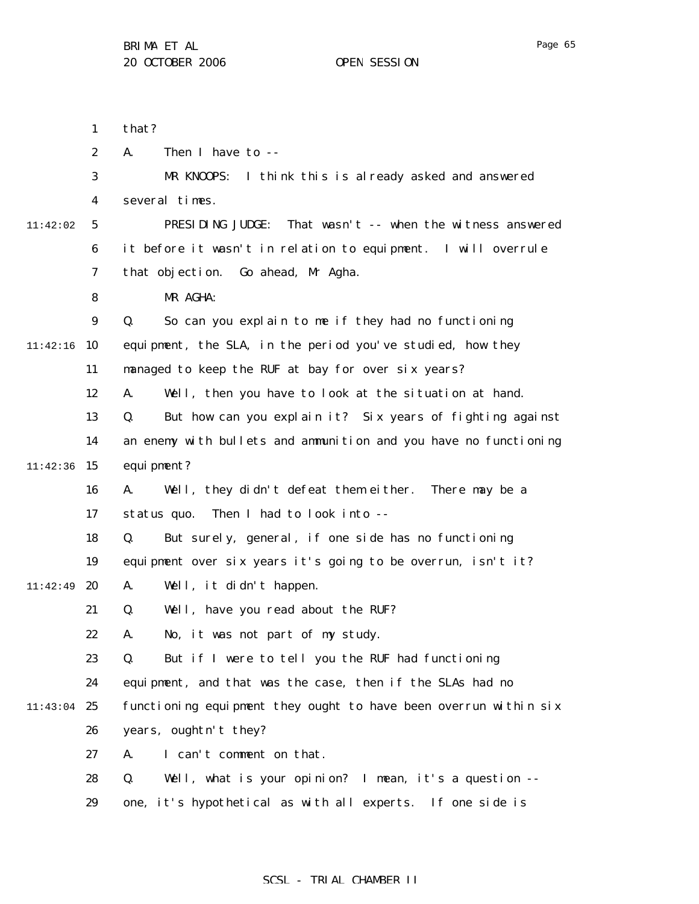1

that?

|          | $\boldsymbol{2}$ | Then I have to --<br>A.                                          |
|----------|------------------|------------------------------------------------------------------|
|          | 3                | MR KNOOPS:<br>I think this is already asked and answered         |
|          | 4                | several times.                                                   |
| 11:42:02 | 5                | That wasn't -- when the witness answered<br>PRESIDING JUDGE:     |
|          | 6                | it before it wasn't in relation to equipment. I will overrule    |
|          | $\boldsymbol{7}$ | that objection. Go ahead, Mr Agha.                               |
|          | 8                | MR AGHA:                                                         |
|          | $\boldsymbol{9}$ | So can you explain to me if they had no functioning<br>Q.        |
| 11:42:16 | 10               | equipment, the SLA, in the period you've studied, how they       |
|          | 11               | managed to keep the RUF at bay for over six years?               |
|          | 12               | Well, then you have to look at the situation at hand.<br>A.      |
|          | 13               | But how can you explain it? Six years of fighting against<br>Q.  |
|          | 14               | an enemy with bullets and ammunition and you have no functioning |
| 11:42:36 | 15               | equi pment?                                                      |
|          | 16               | Well, they didn't defeat them either.<br>There may be a<br>A.    |
|          | 17               | Then I had to look into --<br>status quo.                        |
|          | 18               | But surely, general, if one side has no functioning<br>Q.        |
|          | 19               | equipment over six years it's going to be overrun, isn't it?     |
| 11:42:49 | 20               | Well, it didn't happen.<br>A.                                    |
|          | 21               | Well, have you read about the RUF?<br>Q.                         |
|          | 22               | No, it was not part of my study.<br>A.                           |
|          | 23               | But if I were to tell you the RUF had functioning<br>Q.          |
|          | 24               | equipment, and that was the case, then if the SLAs had no        |
| 11:43:04 | 25               | functioning equipment they ought to have been overrun within six |
|          | 26               | years, oughtn't they?                                            |
|          | 27               | I can't comment on that.<br>A.                                   |
|          | 28               | Q.<br>Well, what is your opinion? I mean, it's a question --     |
|          | 29               | one, it's hypothetical as with all experts. If one side is       |
|          |                  |                                                                  |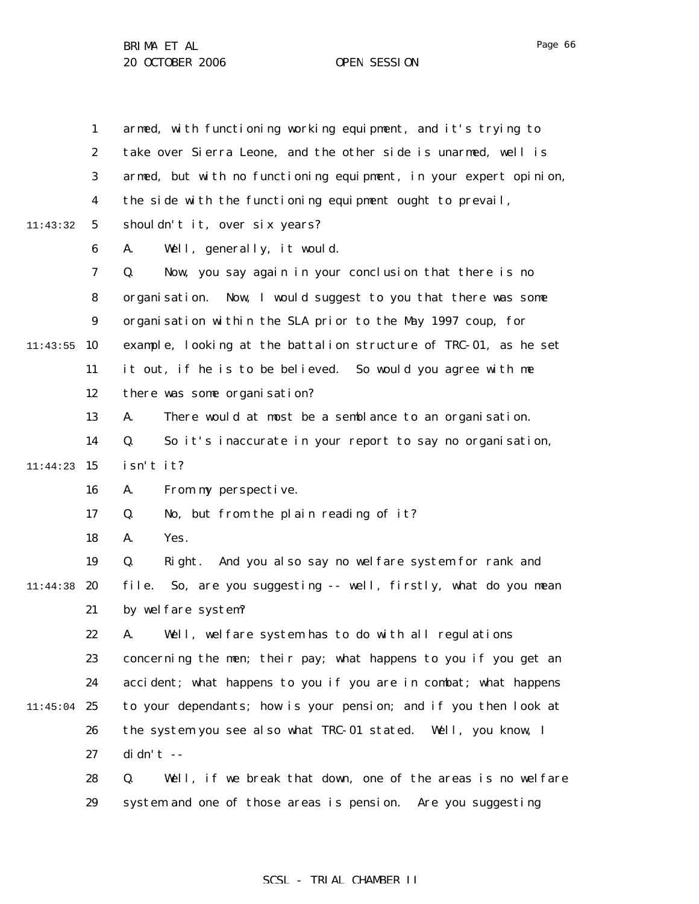|          | $\mathbf{1}$     | armed, with functioning working equipment, and it's trying to      |
|----------|------------------|--------------------------------------------------------------------|
|          | $\boldsymbol{2}$ | take over Sierra Leone, and the other side is unarmed, well is     |
|          | 3                | armed, but with no functioning equipment, in your expert opinion,  |
|          | $\boldsymbol{4}$ | the side with the functioning equipment ought to prevail,          |
| 11:43:32 | $\mathbf{5}$     | shouldn't it, over six years?                                      |
|          | 6                | Well, generally, it would.<br>A.                                   |
|          | 7                | Now, you say again in your conclusion that there is no<br>Q.       |
|          | 8                | organisation. Now, I would suggest to you that there was some      |
|          | $\boldsymbol{9}$ | organisation within the SLA prior to the May 1997 coup, for        |
| 11:43:55 | 10               | example, looking at the battalion structure of TRC-01, as he set   |
|          | 11               | it out, if he is to be believed. So would you agree with me        |
|          | 12               | there was some organisation?                                       |
|          | 13               | There would at most be a semblance to an organisation.<br>A.       |
|          | 14               | So it's inaccurate in your report to say no organisation,<br>Q.    |
| 11:44:23 | 15               | isn't it?                                                          |
|          | 16               | From my perspective.<br>A.                                         |
|          | 17               | No, but from the plain reading of it?<br>Q.                        |
|          | 18               | Yes.<br>A.                                                         |
|          | 19               | And you also say no welfare system for rank and<br>Right.<br>Q.    |
| 11:44:38 | 20               | So, are you suggesting -- well, firstly, what do you mean<br>file. |
|          | 21               | by welfare system?                                                 |
|          | 22               | Well, welfare system has to do with all regulations<br>A.          |
|          | 23               | concerning the men; their pay; what happens to you if you get an   |
|          | 24               | accident; what happens to you if you are in combat; what happens   |
| 11:45:04 | 25               | to your dependants; how is your pension; and if you then look at   |
|          | 26               | the system you see also what TRC-01 stated. Well, you know, I      |
|          | 27               | $di dn' t - -$                                                     |
|          | 28               | Well, if we break that down, one of the areas is no welfare<br>Q.  |
|          | 29               | system and one of those areas is pension. Are you suggesting       |

Page 66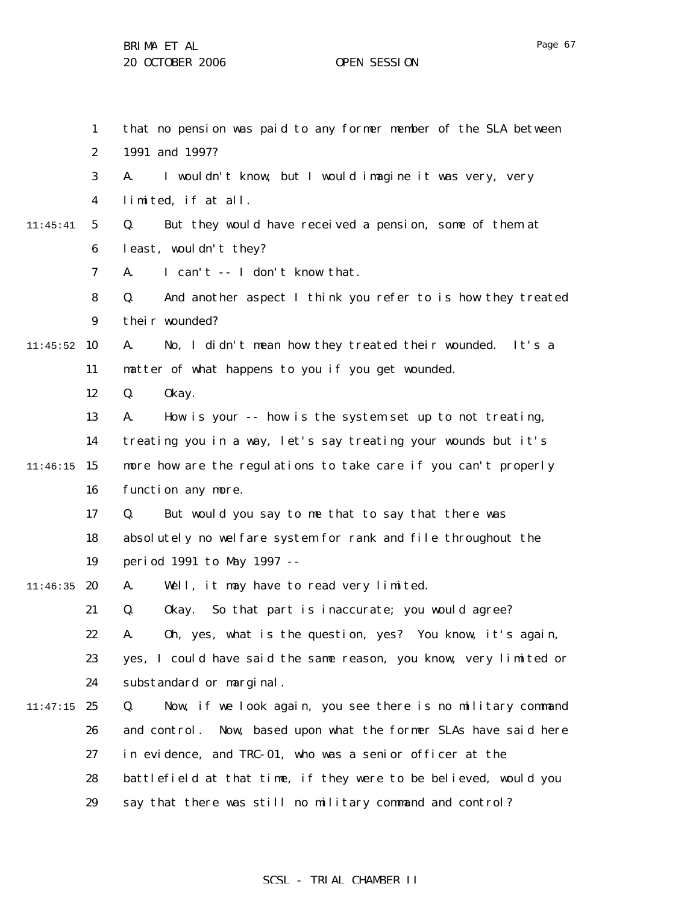1 2 3 4 5 6 7 8 9  $11:45:52$  10 11 12 13 14  $11:46:15$  15 16 17 18 19 11:46:35 **20** 21 22 23 24 11:47:15 25 26 27 28 29 11:45:41 that no pension was paid to any former member of the SLA between 1991 and 1997? A. I wouldn't know, but I would imagine it was very, very limited, if at all. Q. But they would have received a pension, some of them at least, wouldn't they? A. I can't -- I don't know that. Q. And another aspect I think you refer to is how they treated their wounded? A. No, I didn't mean how they treated their wounded. It's a matter of what happens to you if you get wounded. Q. Okay. A. How is your -- how is the system set up to not treating, treating you in a way, let's say treating your wounds but it's more how are the regulations to take care if you can't properly function any more. Q. But would you say to me that to say that there was absolutely no welfare system for rank and file throughout the period 1991 to May 1997 -- A. Well, it may have to read very limited. Q. Okay. So that part is inaccurate; you would agree? A. Oh, yes, what is the question, yes? You know, it's again, yes, I could have said the same reason, you know, very limited or substandard or marginal. Q. Now, if we look again, you see there is no military command and control. Now, based upon what the former SLAs have said here in evidence, and TRC-01, who was a senior officer at the battlefield at that time, if they were to be believed, would you say that there was still no military command and control?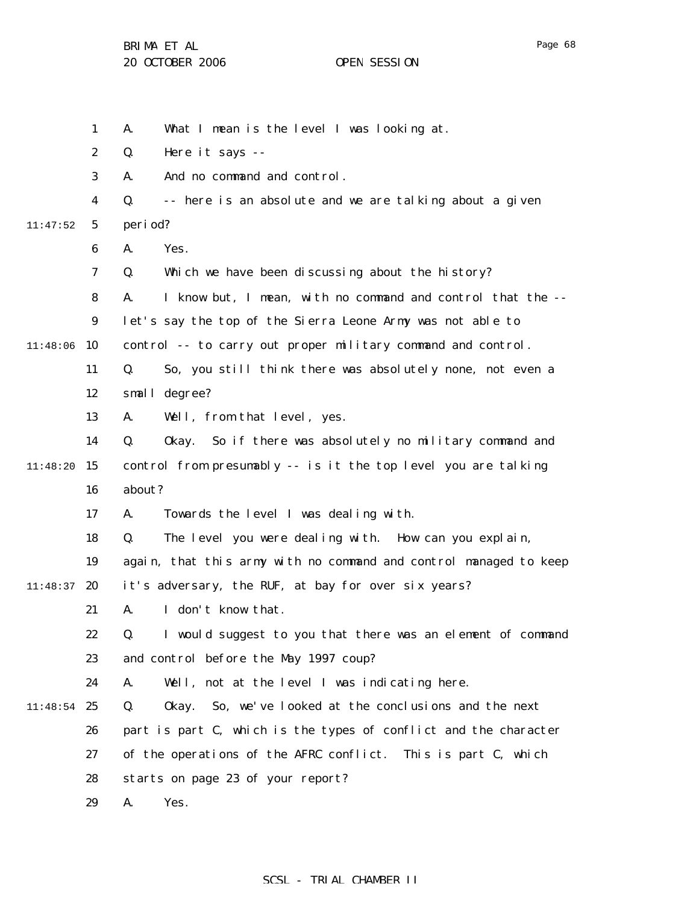Page 68

|          | $\mathbf{1}$     | What I mean is the level I was looking at.<br>A.                  |
|----------|------------------|-------------------------------------------------------------------|
|          | $\boldsymbol{2}$ | Q.<br>Here it says --                                             |
|          | 3                | And no command and control.<br>A.                                 |
|          | 4                | -- here is an absolute and we are talking about a given<br>Q.     |
| 11:47:52 | $5\overline{ }$  | period?                                                           |
|          | 6                | A.<br>Yes.                                                        |
|          | 7                | Q.<br>Which we have been discussing about the history?            |
|          | 8                | A.<br>I know but, I mean, with no command and control that the -- |
|          | $\boldsymbol{9}$ | let's say the top of the Sierra Leone Army was not able to        |
| 11:48:06 | 10               | control -- to carry out proper military command and control.      |
|          | 11               | Q.<br>So, you still think there was absolutely none, not even a   |
|          | 12               | small degree?                                                     |
|          | 13               | Well, from that level, yes.<br>A.                                 |
|          | 14               | So if there was absolutely no military command and<br>Q.<br>0kay. |
| 11:48:20 | 15               | control from presumably -- is it the top level you are talking    |
|          | 16               | about?                                                            |
|          | 17               | A.<br>Towards the level I was dealing with.                       |
|          | 18               | The level you were dealing with. How can you explain,<br>Q.       |
|          | 19               | again, that this army with no command and control managed to keep |
| 11:48:37 | 20               | it's adversary, the RUF, at bay for over six years?               |
|          | 21               | I don't know that.<br>A.                                          |
|          | 22               | Q.<br>I would suggest to you that there was an element of command |
|          | 23               | and control before the May 1997 coup?                             |
|          | 24               | A.<br>Well, not at the level I was indicating here.               |
| 11:48:54 | 25               | So, we've looked at the conclusions and the next<br>Q.<br>0kay.   |
|          | 26               | part is part C, which is the types of conflict and the character  |
|          | 27               | of the operations of the AFRC conflict.<br>This is part C, which  |
|          | 28               | starts on page 23 of your report?                                 |
|          | 29               | A.<br>Yes.                                                        |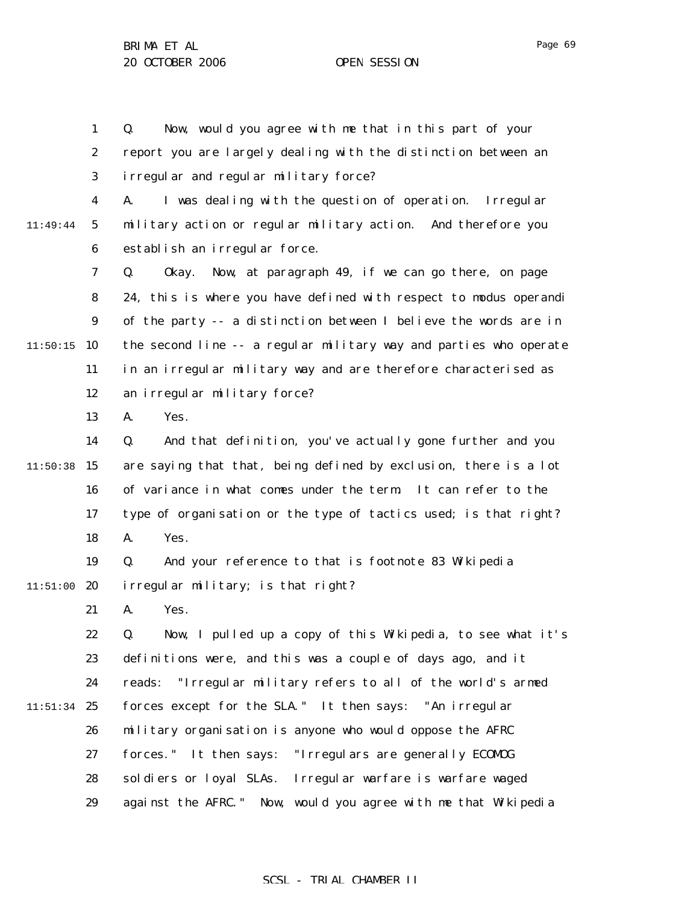1 2 3 4 5 Q. Now, would you agree with me that in this part of your report you are largely dealing with the distinction between an irregular and regular military force? A. I was dealing with the question of operation. Irregular military action or regular military action. And therefore you

6 establish an irregular force.

7 8 9  $11:50:15$  10 11 12 Q. Okay. Now, at paragraph 49, if we can go there, on page 24, this is where you have defined with respect to modus operandi of the party -- a distinction between I believe the words are in the second line -- a regular military way and parties who operate in an irregular military way and are therefore characterised as an irregular military force?

> 13 A. Yes.

11:49:44

14  $11:50:38$  15 16 17 18 Q. And that definition, you've actually gone further and you are saying that that, being defined by exclusion, there is a lot of variance in what comes under the term. It can refer to the type of organisation or the type of tactics used; is that right? A. Yes.

19  $11:51:00$  20 Q. And your reference to that is footnote 83 Wikipedia irregular military; is that right?

> 21 A. Yes.

22 23 24  $11:51:34$  25 26 27 28 29 Q. Now, I pulled up a copy of this Wikipedia, to see what it's definitions were, and this was a couple of days ago, and it reads: "Irregular military refers to all of the world's armed forces except for the SLA." It then says: "An irregular military organisation is anyone who would oppose the AFRC forces." It then says: "Irregulars are generally ECOMOG soldiers or loyal SLAs. Irregular warfare is warfare waged against the AFRC." Now, would you agree with me that Wikipedia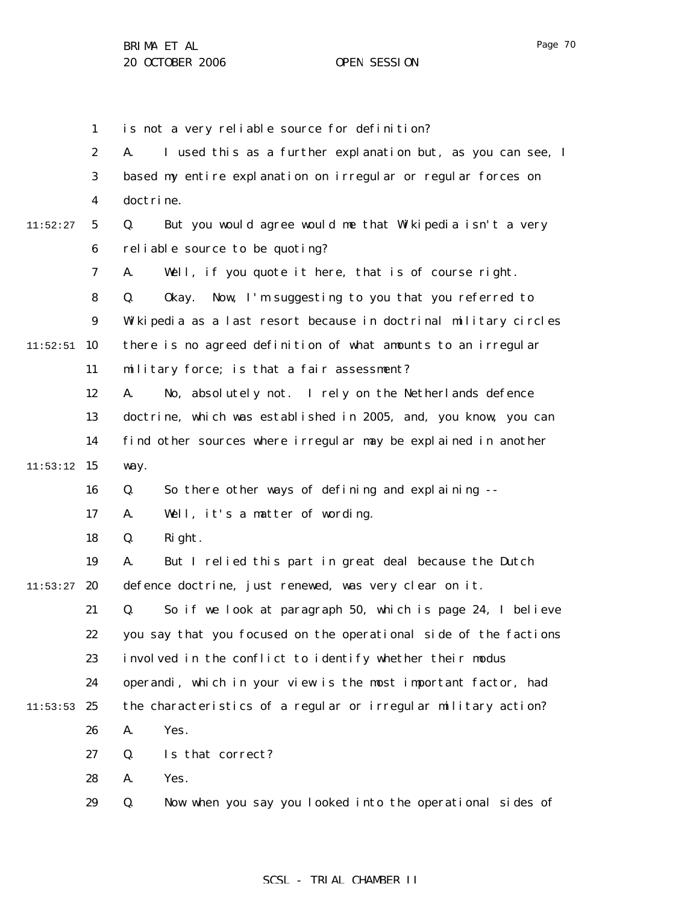1 2 3 4 5 6 7 8 9  $11:52:51$  10 11 12 13 14  $11:53:12$  15 16 17 18 19  $11:53:27$  20 21 22 23 24  $11:53:53$  25 26 27 28 29 11:52:27 is not a very reliable source for definition? A. I used this as a further explanation but, as you can see, I based my entire explanation on irregular or regular forces on doctrine. Q. But you would agree would me that Wikipedia isn't a very reliable source to be quoting? A. Well, if you quote it here, that is of course right. Q. Okay. Now, I'm suggesting to you that you referred to Wikipedia as a last resort because in doctrinal military circles there is no agreed definition of what amounts to an irregular military force; is that a fair assessment? A. No, absolutely not. I rely on the Netherlands defence doctrine, which was established in 2005, and, you know, you can find other sources where irregular may be explained in another way. Q. So there other ways of defining and explaining -- A. Well, it's a matter of wording. Q. Right. A. But I relied this part in great deal because the Dutch defence doctrine, just renewed, was very clear on it. Q. So if we look at paragraph 50, which is page 24, I believe you say that you focused on the operational side of the factions involved in the conflict to identify whether their modus operandi, which in your view is the most important factor, had the characteristics of a regular or irregular military action? A. Yes. Q. Is that correct? A. Yes. Q. Now when you say you looked into the operational sides of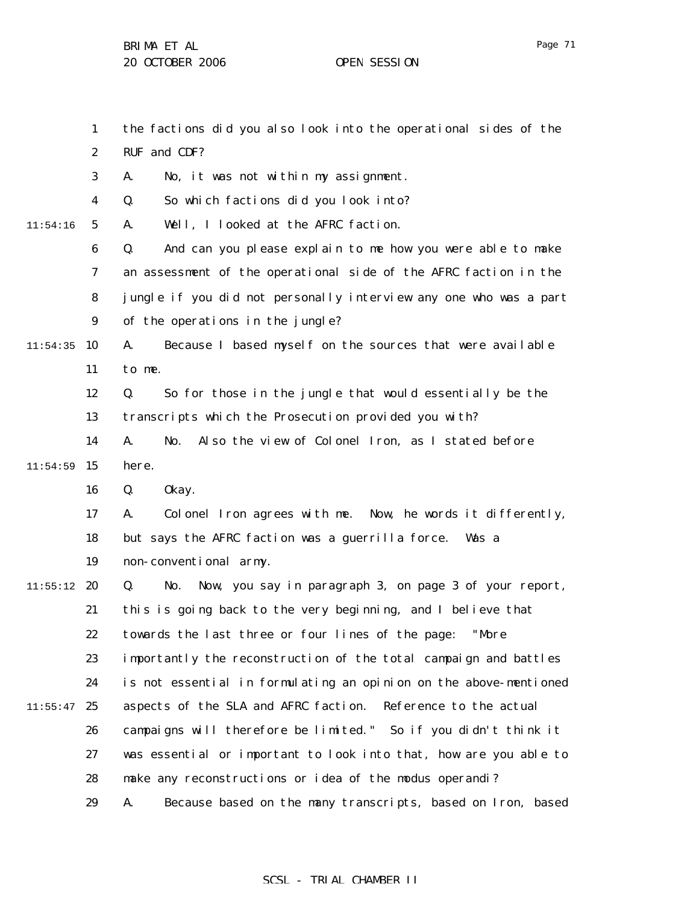1 2 3 4 5 6 7 8 9  $11:54:35$  10 11 12 13 14  $11:54:59$  15 16 17 18 19  $11:55:12$  20 21 22 23 24  $11:55:47$  25 26 27 28 29 11:54:16 the factions did you also look into the operational sides of the RUF and CDF? A. No, it was not within my assignment. Q. So which factions did you look into? A. Well, I looked at the AFRC faction. Q. And can you please explain to me how you were able to make an assessment of the operational side of the AFRC faction in the jungle if you did not personally interview any one who was a part of the operations in the jungle? A. Because I based myself on the sources that were available to me. Q. So for those in the jungle that would essentially be the transcripts which the Prosecution provided you with? A. No. Also the view of Colonel Iron, as I stated before here. Q. Okay. A. Colonel Iron agrees with me. Now, he words it differently, but says the AFRC faction was a guerrilla force. Was a non-conventional army. Q. No. Now, you say in paragraph 3, on page 3 of your report, this is going back to the very beginning, and I believe that towards the last three or four lines of the page: "More importantly the reconstruction of the total campaign and battles is not essential in formulating an opinion on the above-mentioned aspects of the SLA and AFRC faction. Reference to the actual campaigns will therefore be limited." So if you didn't think it was essential or important to look into that, how are you able to make any reconstructions or idea of the modus operandi? A. Because based on the many transcripts, based on Iron, based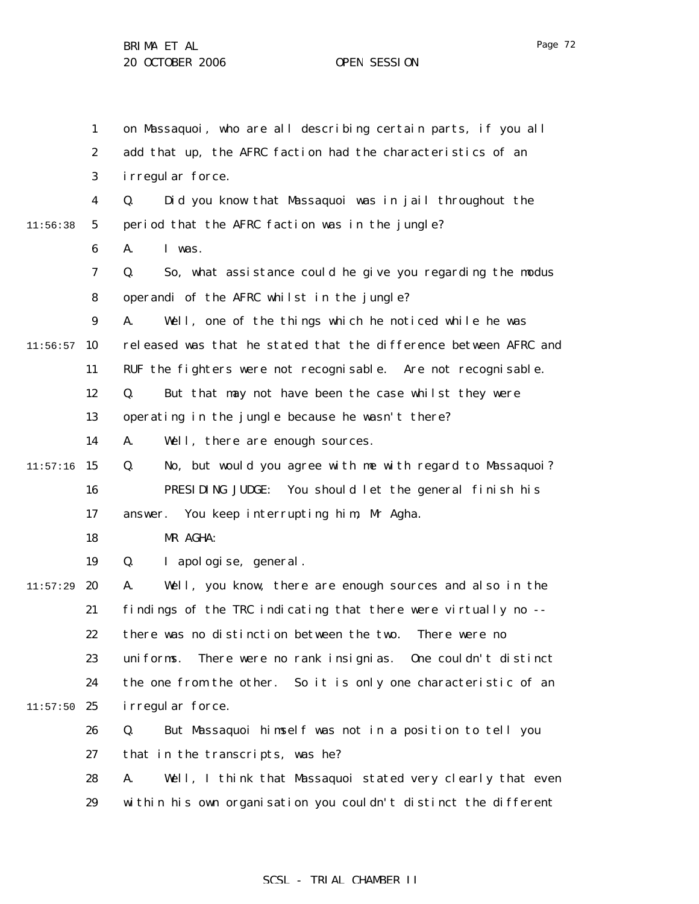|          | $\mathbf{1}$     | on Massaquoi, who are all describing certain parts, if you all    |
|----------|------------------|-------------------------------------------------------------------|
|          | $\boldsymbol{2}$ | add that up, the AFRC faction had the characteristics of an       |
|          | 3                | i rregul ar force.                                                |
|          | 4                | Q.<br>Did you know that Massaquoi was in jail throughout the      |
| 11:56:38 | $5\overline{ }$  | period that the AFRC faction was in the jungle?                   |
|          | 6                | A.<br>I was.                                                      |
|          | 7                | So, what assistance could he give you regarding the modus<br>Q.   |
|          | 8                | operandi of the AFRC whilst in the jungle?                        |
|          | $\boldsymbol{9}$ | A.<br>Well, one of the things which he noticed while he was       |
| 11:56:57 | 10               | released was that he stated that the difference between AFRC and  |
|          | 11               | RUF the fighters were not recognisable. Are not recognisable.     |
|          | 12               | But that may not have been the case whilst they were<br>Q.        |
|          | 13               | operating in the jungle because he wasn't there?                  |
|          | 14               | A.<br>Well, there are enough sources.                             |
| 11:57:16 | 15               | No, but would you agree with me with regard to Massaquoi?<br>Q.   |
|          | 16               | PRESIDING JUDGE:<br>You should let the general finish his         |
|          | 17               | You keep interrupting him, Mr Agha.<br>answer.                    |
|          | 18               | MR AGHA:                                                          |
|          | 19               | Q.<br>I apologise, general.                                       |
| 11:57:29 | 20               | Well, you know, there are enough sources and also in the<br>A.    |
|          | 21               | findings of the TRC indicating that there were virtually no --    |
|          | 22               | there was no distinction between the two. There were no           |
|          | 23               | There were no rank insignias. One couldn't distinct<br>uni forms. |
|          | 24               | the one from the other. So it is only one characteristic of an    |
| 11:57:50 | 25               | i rregul ar force.                                                |
|          | 26               | But Massaquoi himself was not in a position to tell you<br>Q.     |
|          | 27               | that in the transcripts, was he?                                  |
|          | 28               | Well, I think that Massaquoi stated very clearly that even<br>A.  |
|          | 29               | within his own organisation you couldn't distinct the different   |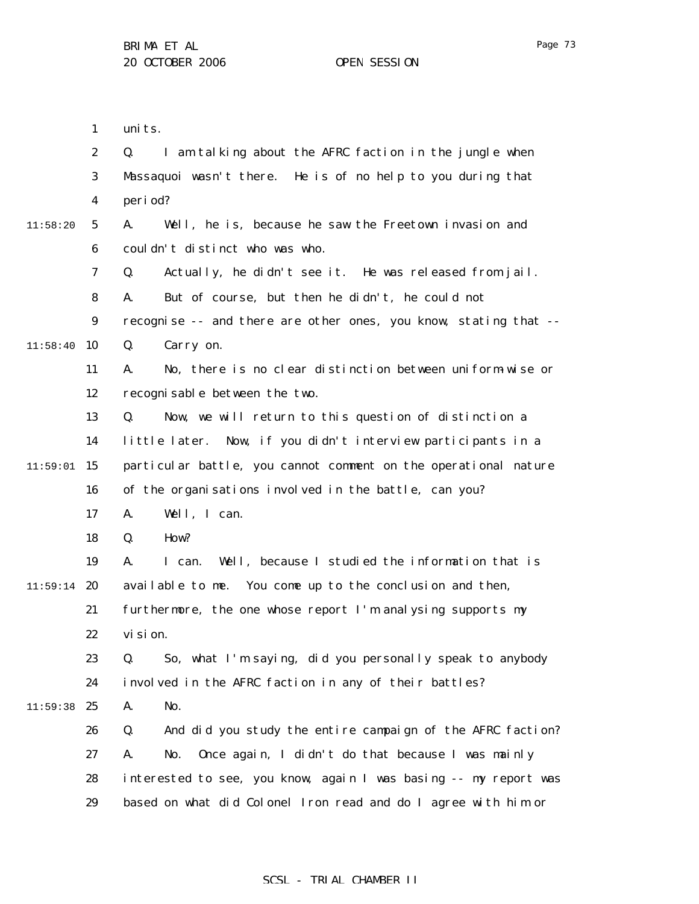|          | $\boldsymbol{2}$ | I am talking about the AFRC faction in the jungle when<br>Q.     |
|----------|------------------|------------------------------------------------------------------|
|          | 3                | Massaquoi wasn't there. He is of no help to you during that      |
|          | 4                | period?                                                          |
| 11:58:20 | 5                | A.<br>Well, he is, because he saw the Freetown invasion and      |
|          | $\boldsymbol{6}$ | couldn't distinct who was who.                                   |
|          | 7                | Actually, he didn't see it. He was released from jail.<br>Q.     |
|          | 8                | But of course, but then he didn't, he could not<br>A.            |
|          | $\boldsymbol{9}$ | recognise -- and there are other ones, you know, stating that -- |
| 11:58:40 | 10               | Carry on.<br>Q.                                                  |
|          | 11               | No, there is no clear distinction between uniform wise or<br>A.  |
|          | 12               | recognisable between the two.                                    |
|          | 13               | Now, we will return to this question of distinction a<br>Q.      |
|          | 14               | little later. Now, if you didn't interview participants in a     |
| 11:59:01 | 15               | particular battle, you cannot comment on the operational nature  |
|          | 16               | of the organisations involved in the battle, can you?            |
|          | 17               | Well, I can.<br>А.                                               |
|          | 18               | How?<br>Q.                                                       |
|          | 19               | Well, because I studied the information that is<br>A.<br>I can.  |
| 11:59:14 | 20               | available to me. You come up to the conclusion and then,         |
|          | 21               | furthermore, the one whose report I'm analysing supports my      |
|          | 22               | vi si on.                                                        |
|          | 23               | So, what I'm saying, did you personally speak to anybody<br>Q.   |
|          | 24               | involved in the AFRC faction in any of their battles?            |
| 11:59:38 | 25               | No.<br>A.                                                        |
|          | 26               | And did you study the entire campaign of the AFRC faction?<br>Q. |
|          | 27               | Once again, I didn't do that because I was mainly<br>A.<br>No.   |
|          | 28               | interested to see, you know, again I was basing -- my report was |
|          | 29               | based on what did Colonel Iron read and do I agree with him or   |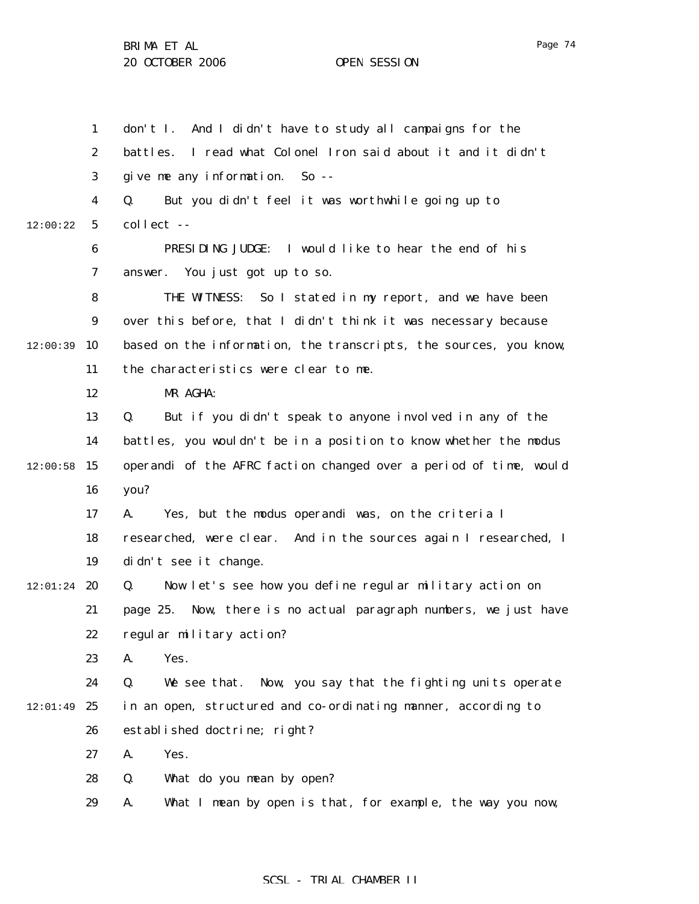1 2 3 4 5 6 7 8 9  $12:00:39$  10 11 12 13 14  $12:00:58$  15 16 17 18 19  $12:01:24$  20 21 22 23 24  $12:01:49$  25 26 27 28 29 12:00:22 don't I. And I didn't have to study all campaigns for the battles. I read what Colonel Iron said about it and it didn't give me any information. So -- Q. But you didn't feel it was worthwhile going up to collect -- PRESIDING JUDGE: I would like to hear the end of his answer. You just got up to so. THE WITNESS: So I stated in my report, and we have been over this before, that I didn't think it was necessary because based on the information, the transcripts, the sources, you know, the characteristics were clear to me. MR AGHA: Q. But if you didn't speak to anyone involved in any of the battles, you wouldn't be in a position to know whether the modus operandi of the AFRC faction changed over a period of time, would you? A. Yes, but the modus operandi was, on the criteria I researched, were clear. And in the sources again I researched, I didn't see it change. Q. Now let's see how you define regular military action on page 25. Now, there is no actual paragraph numbers, we just have regular military action? A. Yes. Q. We see that. Now, you say that the fighting units operate in an open, structured and co-ordinating manner, according to established doctrine; right? A. Yes. Q. What do you mean by open? A. What I mean by open is that, for example, the way you now,

## SCSL - TRIAL CHAMBER II

Page 74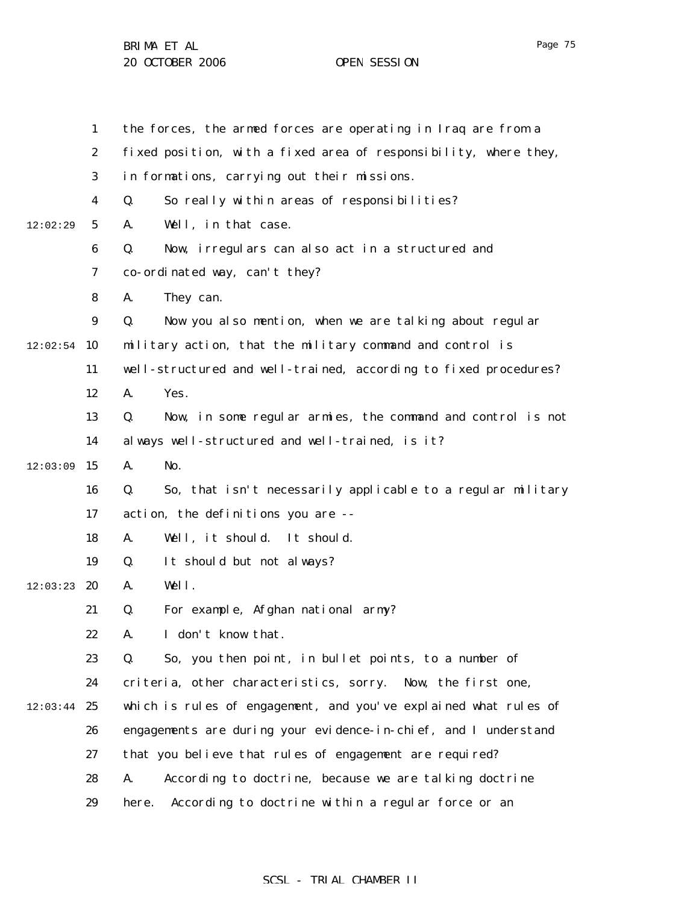|          | $\mathbf{1}$     | the forces, the armed forces are operating in Iraq are from a     |
|----------|------------------|-------------------------------------------------------------------|
|          | $\boldsymbol{2}$ | fixed position, with a fixed area of responsibility, where they,  |
|          | 3                | in formations, carrying out their missions.                       |
|          | $\boldsymbol{4}$ | So really within areas of responsibilities?<br>Q.                 |
| 12:02:29 | $5\phantom{.0}$  | Well, in that case.<br>A.                                         |
|          | $\boldsymbol{6}$ | Q.<br>Now, irregulars can also act in a structured and            |
|          | 7                | co-ordinated way, can't they?                                     |
|          | 8                | They can.<br>A.                                                   |
|          | $\boldsymbol{9}$ | Q.<br>Now you also mention, when we are talking about regular     |
| 12:02:54 | <b>10</b>        | military action, that the military command and control is         |
|          | 11               | well-structured and well-trained, according to fixed procedures?  |
|          | 12               | Yes.<br>A.                                                        |
|          | 13               | Now, in some regular armies, the command and control is not<br>Q. |
|          | 14               | always well-structured and well-trained, is it?                   |
| 12:03:09 | 15               | No.<br>A.                                                         |
|          | 16               | So, that isn't necessarily applicable to a regular military<br>Q. |
|          | 17               | action, the definitions you are --                                |
|          | 18               | Well, it should. It should.<br>A.                                 |
|          | 19               | Q.<br>It should but not always?                                   |
| 12:03:23 | 20               | Well.<br>A.                                                       |
|          | 21               | For example, Afghan national army?<br>Q.                          |
|          | 22               | I don't know that.<br>А.                                          |
|          | 23               | Q.<br>So, you then point, in bullet points, to a number of        |
|          | 24               | criteria, other characteristics, sorry. Now, the first one,       |
| 12:03:44 | 25               | which is rules of engagement, and you've explained what rules of  |
|          | 26               | engagements are during your evidence-in-chief, and I understand   |
|          | 27               | that you believe that rules of engagement are required?           |
|          | 28               | According to doctrine, because we are talking doctrine<br>A.      |
|          | 29               | According to doctrine within a regular force or an<br>here.       |

Page 75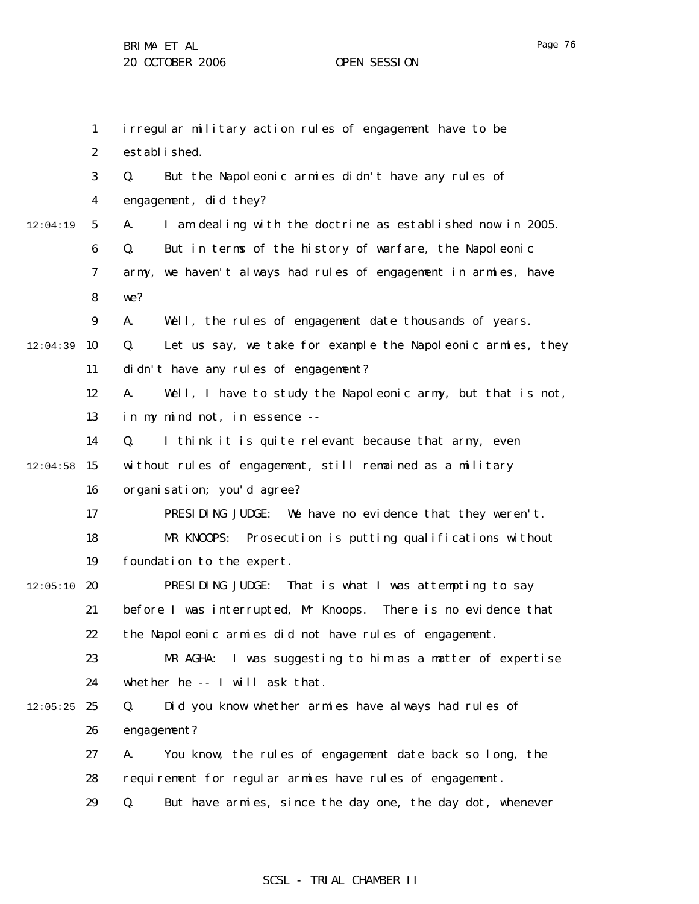1 2 3 4 5 6 7 8 9  $12:04:39$  10 11 12 13 14  $12:04:58$  15 16 17 18 19  $12:05:10$  20 21 22 23 24  $12:05:25$  25 26 27 28 29 12:04:19 irregular military action rules of engagement have to be established. Q. But the Napoleonic armies didn't have any rules of engagement, did they? A. I am dealing with the doctrine as established now in 2005. Q. But in terms of the history of warfare, the Napoleonic army, we haven't always had rules of engagement in armies, have we? A. Well, the rules of engagement date thousands of years. Q. Let us say, we take for example the Napoleonic armies, they didn't have any rules of engagement? A. Well, I have to study the Napoleonic army, but that is not, in my mind not, in essence -- Q. I think it is quite relevant because that army, even without rules of engagement, still remained as a military organisation; you'd agree? PRESIDING JUDGE: We have no evidence that they weren't. MR KNOOPS: Prosecution is putting qualifications without foundation to the expert. PRESIDING JUDGE: That is what I was attempting to say before I was interrupted, Mr Knoops. There is no evidence that the Napoleonic armies did not have rules of engagement. MR AGHA: I was suggesting to him as a matter of expertise whether he -- I will ask that. Q. Did you know whether armies have always had rules of engagement? A. You know, the rules of engagement date back so long, the requirement for regular armies have rules of engagement. Q. But have armies, since the day one, the day dot, whenever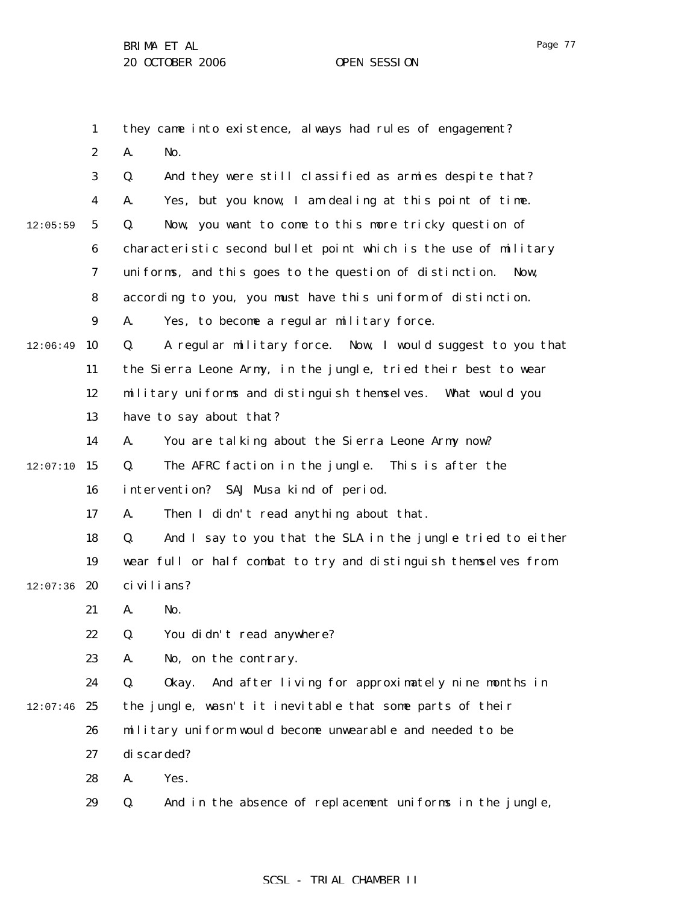1 2 3 4 5 6 7 8 9  $12:06:49$  10 11 12 13 14  $12:07:10$  15 16 17 18 19  $12:07:36$  20 21 22 23 24  $12:07:46$  25 26 27 28 29 12:05:59 they came into existence, always had rules of engagement? A. No. Q. And they were still classified as armies despite that? A. Yes, but you know, I am dealing at this point of time. Q. Now, you want to come to this more tricky question of characteristic second bullet point which is the use of military uniforms, and this goes to the question of distinction. Now, according to you, you must have this uniform of distinction. A. Yes, to become a regular military force. Q. A regular military force. Now, I would suggest to you that the Sierra Leone Army, in the jungle, tried their best to wear military uniforms and distinguish themselves. What would you have to say about that? A. You are talking about the Sierra Leone Army now? Q. The AFRC faction in the jungle. This is after the intervention? SAJ Musa kind of period. A. Then I didn't read anything about that. Q. And I say to you that the SLA in the jungle tried to either wear full or half combat to try and distinguish themselves from civilians? A. No. Q. You didn't read anywhere? A. No, on the contrary. Q. Okay. And after living for approximately nine months in the jungle, wasn't it inevitable that some parts of their military uniform would become unwearable and needed to be di scarded? A. Yes. Q. And in the absence of replacement uniforms in the jungle,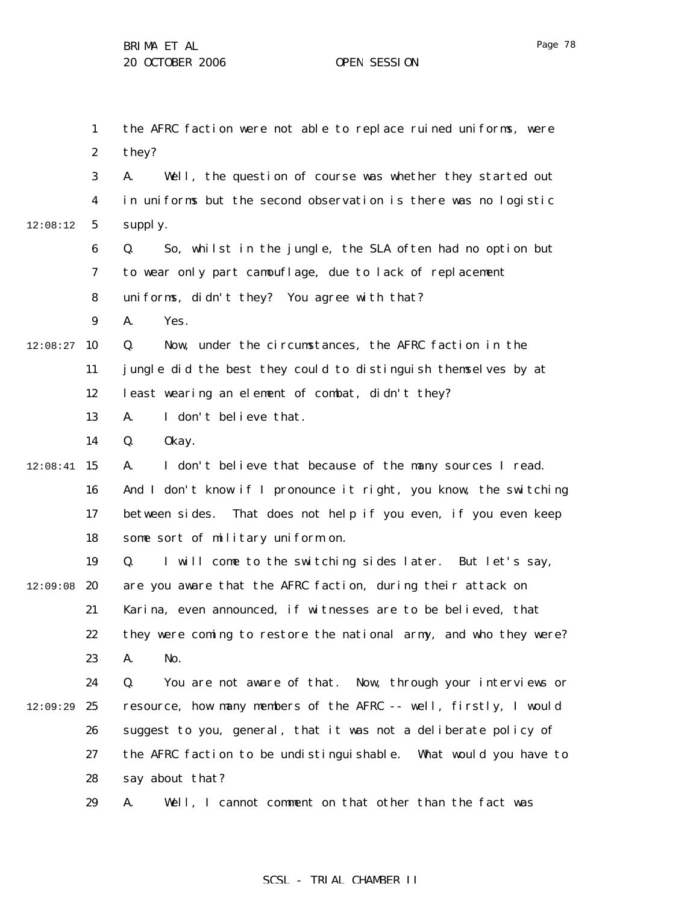|          | $\mathbf{1}$     | the AFRC faction were not able to replace ruined uniforms, were   |
|----------|------------------|-------------------------------------------------------------------|
|          | $\boldsymbol{2}$ | they?                                                             |
|          | 3                | Well, the question of course was whether they started out<br>A.   |
|          | 4                | in uniforms but the second observation is there was no logistic   |
| 12:08:12 | $\mathbf{5}$     | supply.                                                           |
|          | 6                | So, whilst in the jungle, the SLA often had no option but<br>Q.   |
|          | 7                | to wear only part camouflage, due to lack of replacement          |
|          | 8                | uniforms, didn't they? You agree with that?                       |
|          | $\boldsymbol{9}$ | A.<br>Yes.                                                        |
| 12:08:27 | 10               | Now, under the circumstances, the AFRC faction in the<br>Q.       |
|          | 11               | jungle did the best they could to distinguish themselves by at    |
|          | 12               | least wearing an element of combat, didn't they?                  |
|          | 13               | I don't believe that.<br>A.                                       |
|          | 14               | Q.<br>0kay.                                                       |
| 12:08:41 | 15               | I don't believe that because of the many sources I read.<br>A.    |
|          | 16               | And I don't know if I pronounce it right, you know, the switching |
|          | 17               | between sides. That does not help if you even, if you even keep   |
|          | 18               | some sort of military uniform on.                                 |
|          | 19               | I will come to the switching sides later. But let's say,<br>Q.    |
| 12:09:08 | 20               | are you aware that the AFRC faction, during their attack on       |
|          | 21               | Karina, even announced, if witnesses are to be believed, that     |
|          | 22               | they were coming to restore the national army, and who they were? |
|          | 23               | No.<br>A.                                                         |
|          | 24               | You are not aware of that. Now, through your interviews or<br>Q.  |
| 12:09:29 | 25               | resource, how many members of the AFRC -- well, firstly, I would  |
|          | 26               | suggest to you, general, that it was not a deliberate policy of   |
|          | 27               | the AFRC faction to be undistinguishable. What would you have to  |
|          | 28               | say about that?                                                   |
|          | 29               | Well, I cannot comment on that other than the fact was<br>A.      |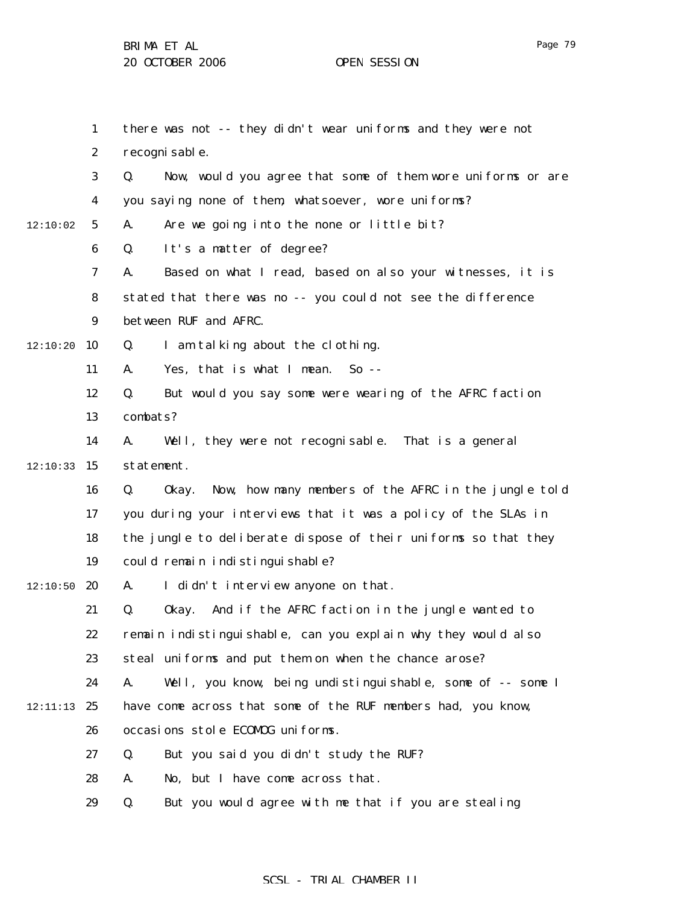1 2 3 4 5 6 7 8 9  $12:10:20$  10 11 12 13 14  $12:10:33$  15 16 17 18 19  $12:10:50$  20 21 22 23 24 12:11:13 25 26 27 28 29 12:10:02 there was not -- they didn't wear uniforms and they were not recognisable. Q. Now, would you agree that some of them wore uniforms or are you saying none of them, whatsoever, wore uniforms? A. Are we going into the none or little bit? Q. It's a matter of degree? A. Based on what I read, based on also your witnesses, it is stated that there was no -- you could not see the difference between RUF and AFRC. Q. I am talking about the clothing. A. Yes, that is what I mean. So -- Q. But would you say some were wearing of the AFRC faction combats? A. Well, they were not recognisable. That is a general statement. Q. Okay. Now, how many members of the AFRC in the jungle told you during your interviews that it was a policy of the SLAs in the jungle to deliberate dispose of their uniforms so that they could remain indistinguishable? A. I didn't interview anyone on that. Q. Okay. And if the AFRC faction in the jungle wanted to remain indistinguishable, can you explain why they would also steal uniforms and put them on when the chance arose? A. Well, you know, being undistinguishable, some of -- some I have come across that some of the RUF members had, you know, occasions stole ECOMOG uniforms. Q. But you said you didn't study the RUF? A. No, but I have come across that. Q. But you would agree with me that if you are stealing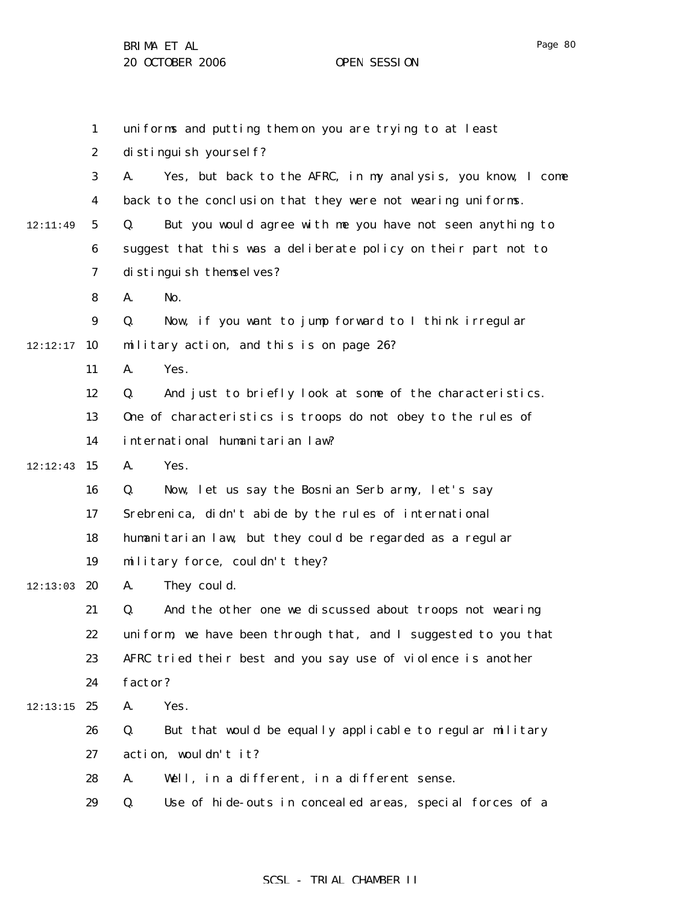Page 80

|          | $\mathbf{1}$     | uniforms and putting them on you are trying to at least           |
|----------|------------------|-------------------------------------------------------------------|
|          | $\boldsymbol{2}$ | distinguish yourself?                                             |
|          | 3                | Yes, but back to the AFRC, in my analysis, you know, I come<br>A. |
|          | 4                | back to the conclusion that they were not wearing uniforms.       |
| 12:11:49 | $\mathbf 5$      | But you would agree with me you have not seen anything to<br>Q.   |
|          | $\boldsymbol{6}$ | suggest that this was a deliberate policy on their part not to    |
|          | 7                | distinguish themselves?                                           |
|          | 8                | No.<br>A.                                                         |
|          | $\boldsymbol{9}$ | Now, if you want to jump forward to I think irregular<br>Q.       |
| 12:12:17 | 10               | military action, and this is on page 26?                          |
|          | 11               | Yes.<br>A.                                                        |
|          | 12               | And just to briefly look at some of the characteristics.<br>Q.    |
|          | 13               | One of characteristics is troops do not obey to the rules of      |
|          | 14               | international humanitarian law?                                   |
| 12:12:43 | 15               | Yes.<br>A.                                                        |
|          | 16               | Now, let us say the Bosnian Serb army, let's say<br>Q.            |
|          | 17               | Srebrenica, didn't abide by the rules of international            |
|          | 18               | humanitarian law, but they could be regarded as a regular         |
|          | 19               | military force, couldn't they?                                    |
| 12:13:03 | 20               | They could.<br>A.                                                 |
|          | 21               | And the other one we discussed about troops not wearing<br>Q.     |
|          | 22               | uniform, we have been through that, and I suggested to you that   |
|          | 23               | AFRC tried their best and you say use of violence is another      |
|          | 24               | factor?                                                           |
| 12:13:15 | 25               | Yes.<br>A.                                                        |
|          | 26               | But that would be equally applicable to regular military<br>Q.    |
|          | 27               | action, wouldn't it?                                              |
|          | 28               | Well, in a different, in a different sense.<br>A.                 |
|          | 29               | Use of hide-outs in concealed areas, special forces of a<br>Q.    |
|          |                  |                                                                   |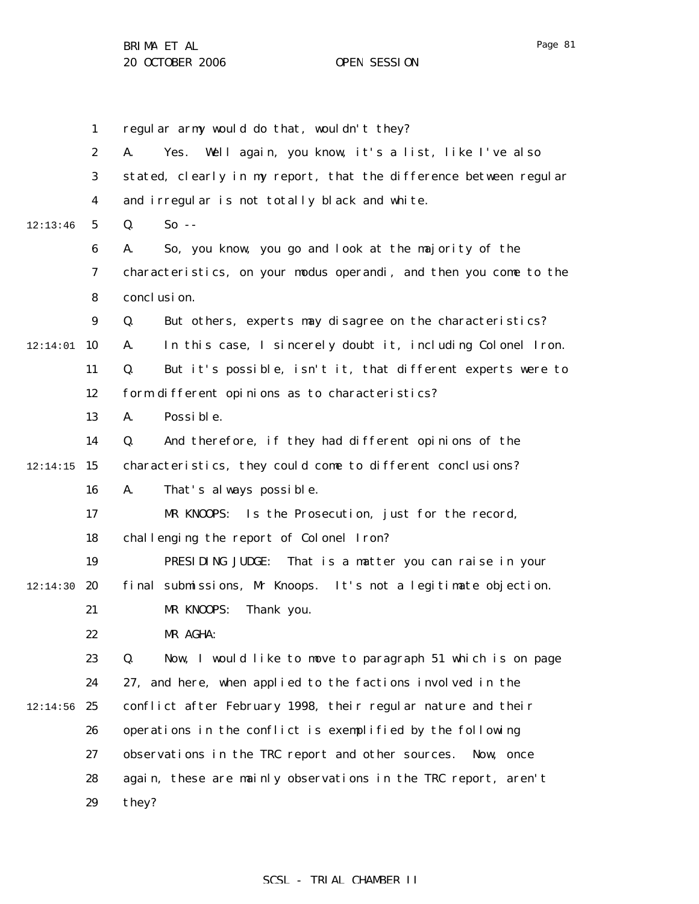1 2 3 4 5 6 7 8 9  $12:14:01$  10 11 12 13 14  $12:14:15$  15 16 17 18 19  $12:14:30$  20 21 22 23 24  $12:14:56$  25 26 27 28 29 12:13:46 regular army would do that, wouldn't they? A. Yes. Well again, you know, it's a list, like I've also stated, clearly in my report, that the difference between regular and irregular is not totally black and white. Q. So -- A. So, you know, you go and look at the majority of the characteristics, on your modus operandi, and then you come to the conclusion. Q. But others, experts may disagree on the characteristics? A. In this case, I sincerely doubt it, including Colonel Iron. Q. But it's possible, isn't it, that different experts were to form different opinions as to characteristics? A. Possible. Q. And therefore, if they had different opinions of the characteristics, they could come to different conclusions? A. That's always possible. MR KNOOPS: Is the Prosecution, just for the record, challenging the report of Colonel Iron? PRESIDING JUDGE: That is a matter you can raise in your final submissions, Mr Knoops. It's not a legitimate objection. MR KNOOPS: Thank you. MR AGHA: Q. Now, I would like to move to paragraph 51 which is on page 27, and here, when applied to the factions involved in the conflict after February 1998, their regular nature and their operations in the conflict is exemplified by the following observations in the TRC report and other sources. Now, once again, these are mainly observations in the TRC report, aren't they?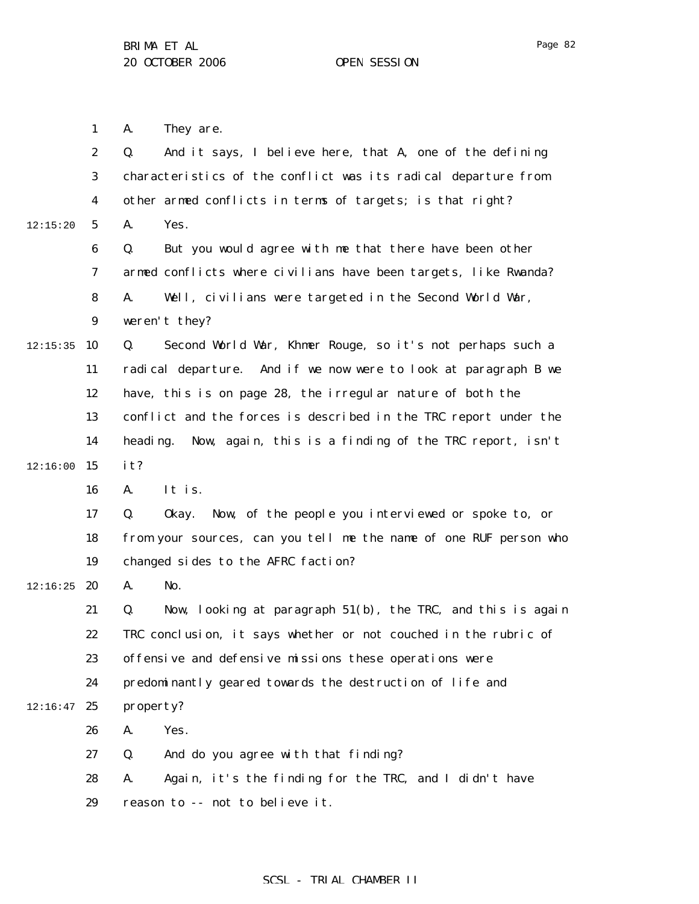A. They are.

1

2 3 4 5 6 7 8 9  $12:15:35$  10 11 12 13 14  $12:16:00$  15 16 17 18 19  $12:16:25$  20 21 22 23 24  $12:16:47$  25 26 27 28 29 12:15:20 Q. And it says, I believe here, that A, one of the defining characteristics of the conflict was its radical departure from other armed conflicts in terms of targets; is that right? A. Yes. Q. But you would agree with me that there have been other armed conflicts where civilians have been targets, like Rwanda? A. Well, civilians were targeted in the Second World War, weren't they? Q. Second World War, Khmer Rouge, so it's not perhaps such a radical departure. And if we now were to look at paragraph B we have, this is on page 28, the irregular nature of both the conflict and the forces is described in the TRC report under the heading. Now, again, this is a finding of the TRC report, isn't it? A. It is. Q. Okay. Now, of the people you interviewed or spoke to, or from your sources, can you tell me the name of one RUF person who changed sides to the AFRC faction? A. No. Q. Now, looking at paragraph 51(b), the TRC, and this is again TRC conclusion, it says whether or not couched in the rubric of offensive and defensive missions these operations were predominantly geared towards the destruction of life and property? A. Yes. Q. And do you agree with that finding? A. Again, it's the finding for the TRC, and I didn't have reason to -- not to believe it.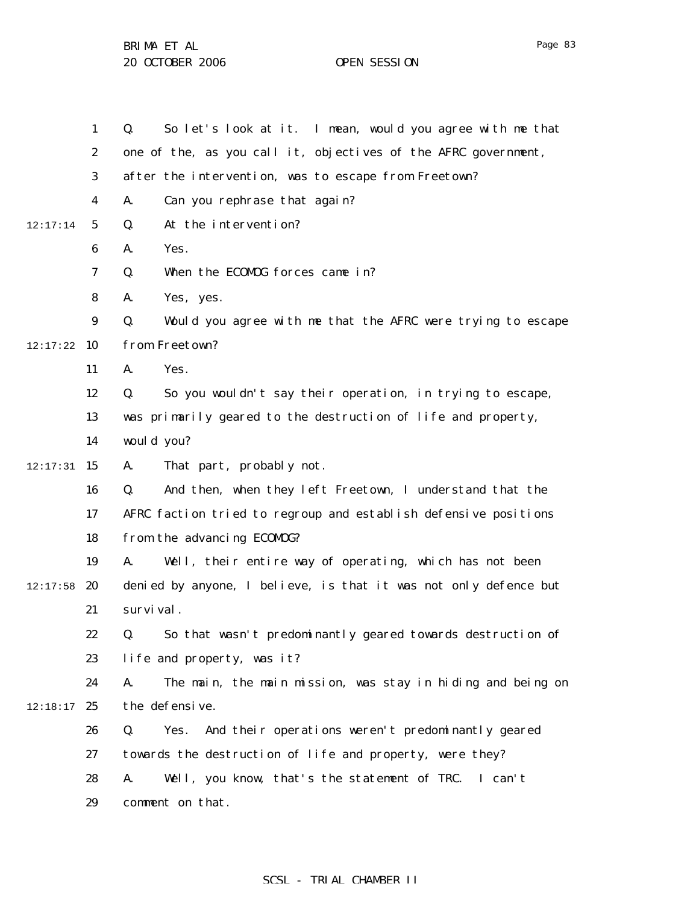1 2 3 4 5 6 7 8 9  $12:17:22$  10 11 12 13 14  $12:17:31$  15 16 17 18 19  $12:17:58$  20 21 22 23 24  $12:18:17$  25 26 27 28 29 12:17:14 Q. So let's look at it. I mean, would you agree with me that one of the, as you call it, objectives of the AFRC government, after the intervention, was to escape from Freetown? A. Can you rephrase that again? Q. At the intervention? A. Yes. Q. When the ECOMOG forces came in? A. Yes, yes. Q. Would you agree with me that the AFRC were trying to escape from Freetown? A. Yes. Q. So you wouldn't say their operation, in trying to escape, was primarily geared to the destruction of life and property, would you? A. That part, probably not. Q. And then, when they left Freetown, I understand that the AFRC faction tried to regroup and establish defensive positions from the advancing ECOMOG? A. Well, their entire way of operating, which has not been denied by anyone, I believe, is that it was not only defence but survival. Q. So that wasn't predominantly geared towards destruction of life and property, was it? A. The main, the main mission, was stay in hiding and being on the defensive. Q. Yes. And their operations weren't predominantly geared towards the destruction of life and property, were they? A. Well, you know, that's the statement of TRC. I can't comment on that.

#### Page 83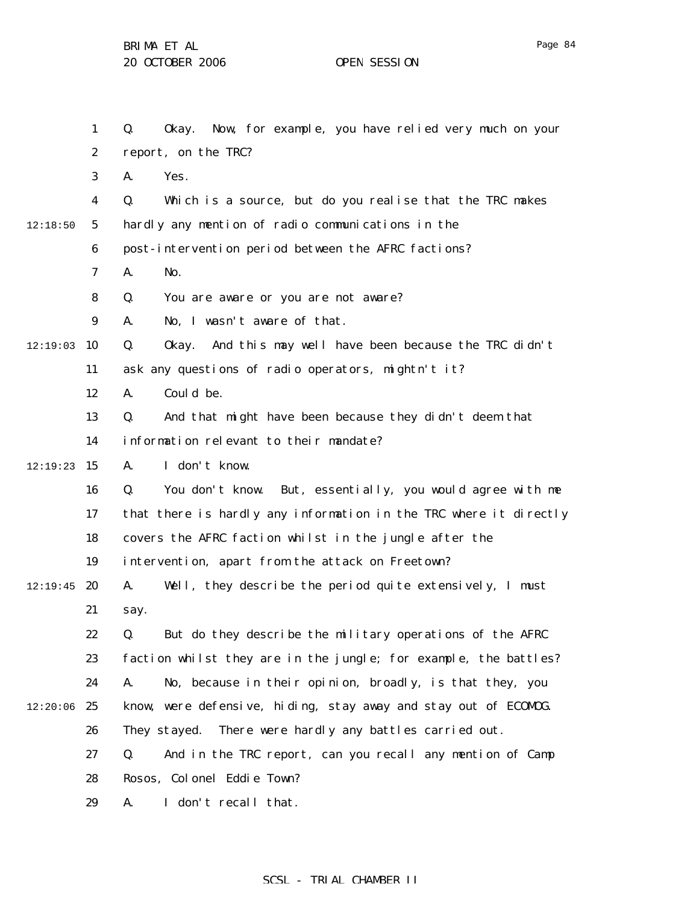1 2 3 4 5 6 7 8 9  $12:19:03$  10 11 12 13 14  $12:19:23$  15 16 17 18 19  $12:19:45$  20 21 22 23 24  $12:20:06$  25 26 27 28 12:18:50 Q. Okay. Now, for example, you have relied very much on your report, on the TRC? A. Yes. Q. Which is a source, but do you realise that the TRC makes hardly any mention of radio communications in the post-intervention period between the AFRC factions? A. No. Q. You are aware or you are not aware? A. No, I wasn't aware of that. Q. Okay. And this may well have been because the TRC didn't ask any questions of radio operators, mightn't it? A. Could be. Q. And that might have been because they didn't deem that information relevant to their mandate? A. I don't know. Q. You don't know. But, essentially, you would agree with me that there is hardly any information in the TRC where it directly covers the AFRC faction whilst in the jungle after the intervention, apart from the attack on Freetown? A. Well, they describe the period quite extensively, I must say. Q. But do they describe the military operations of the AFRC faction whilst they are in the jungle; for example, the battles? A. No, because in their opinion, broadly, is that they, you know, were defensive, hiding, stay away and stay out of ECOMOG. They stayed. There were hardly any battles carried out. Q. And in the TRC report, can you recall any mention of Camp Rosos, Colonel Eddie Town?

> 29 A. I don't recall that.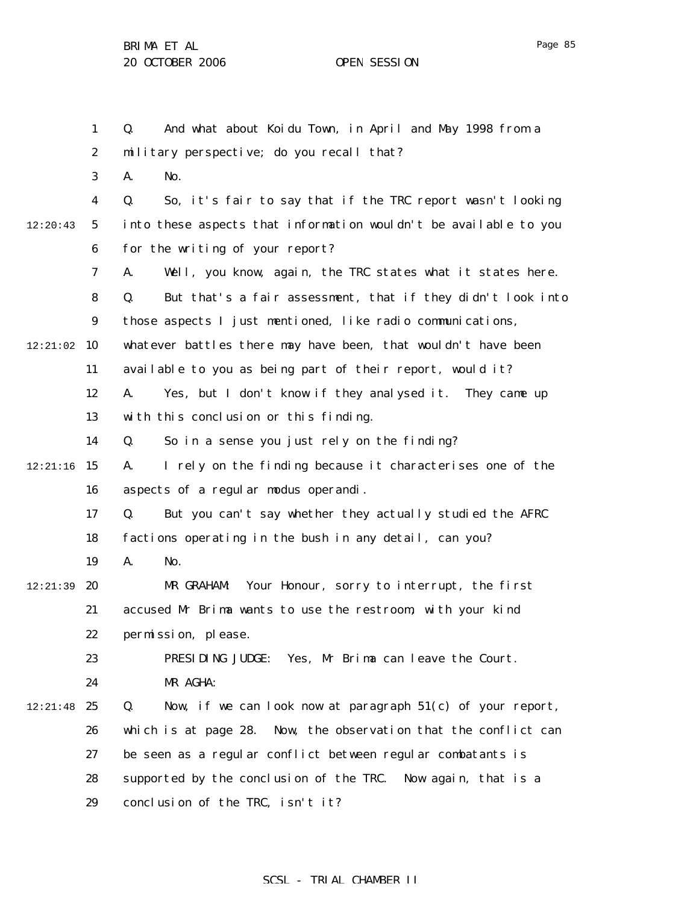1 2 3 4 5 6 7 8 9  $12:21:02$  10 11 12 13 14  $12:21:16$  15 16 17 18 19 12:21:39 **20** 21 22 23 24 12:21:48 25 26 27 28 29 12:20:43 Q. And what about Koidu Town, in April and May 1998 from a military perspective; do you recall that? A. No. Q. So, it's fair to say that if the TRC report wasn't looking into these aspects that information wouldn't be available to you for the writing of your report? A. Well, you know, again, the TRC states what it states here. Q. But that's a fair assessment, that if they didn't look into those aspects I just mentioned, like radio communications, whatever battles there may have been, that wouldn't have been available to you as being part of their report, would it? A. Yes, but I don't know if they analysed it. They came up with this conclusion or this finding. Q. So in a sense you just rely on the finding? A. I rely on the finding because it characterises one of the aspects of a regular modus operandi. Q. But you can't say whether they actually studied the AFRC factions operating in the bush in any detail, can you? A. No. MR GRAHAM: Your Honour, sorry to interrupt, the first accused Mr Brima wants to use the restroom, with your kind permission, please. PRESIDING JUDGE: Yes, Mr Brima can leave the Court. MR AGHA:  $Q.$  Now, if we can look now at paragraph  $51(c)$  of your report, which is at page 28. Now, the observation that the conflict can be seen as a regular conflict between regular combatants is supported by the conclusion of the TRC. Now again, that is a conclusion of the TRC, isn't it?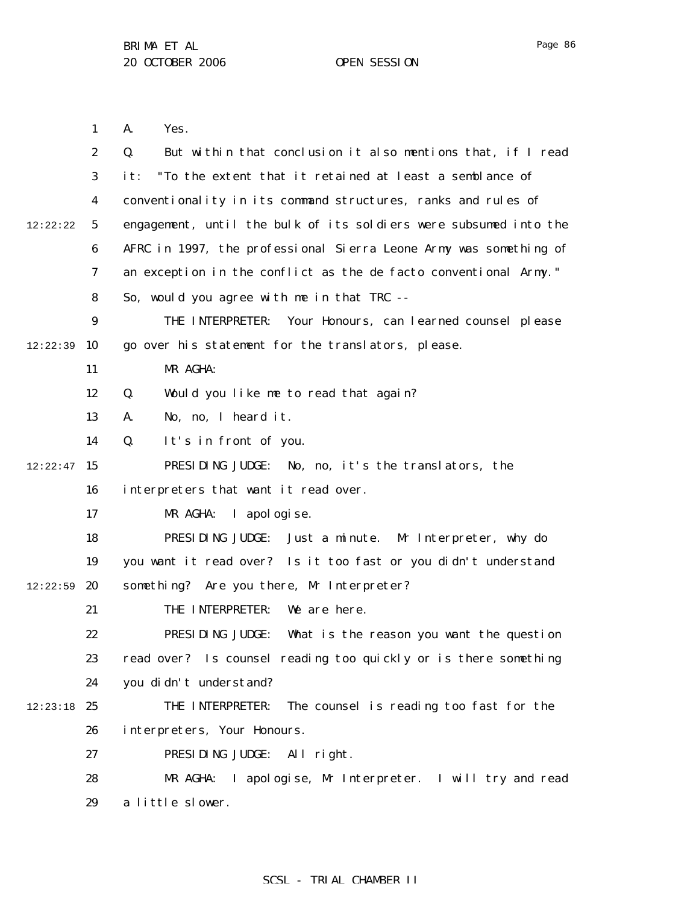Page 86

1 2 3 4 5 6 7 8 9 12:22:39 10 11 12 13 14  $12:22:47$  15 16 17 18 19  $12:22:59$  20 21 22 23 24  $12:23:18$  25 26 27 28 29 12:22:22 A. Yes. Q. But within that conclusion it also mentions that, if I read it: "To the extent that it retained at least a semblance of conventionality in its command structures, ranks and rules of engagement, until the bulk of its soldiers were subsumed into the AFRC in 1997, the professional Sierra Leone Army was something of an exception in the conflict as the *de facto* conventional Army." So, would you agree with me in that TRC -- THE INTERPRETER: Your Honours, can learned counsel please go over his statement for the translators, please. MR AGHA: Q. Would you like me to read that again? A. No, no, I heard it. Q. It's in front of you. PRESIDING JUDGE: No, no, it's the translators, the interpreters that want it read over. MR AGHA: I apologise. PRESIDING JUDGE: Just a minute. Mr Interpreter, why do you want it read over? Is it too fast or you didn't understand something? Are you there, Mr Interpreter? THE INTERPRETER: We are here. PRESIDING JUDGE: What is the reason you want the question read over? Is counsel reading too quickly or is there something you didn't understand? THE INTERPRETER: The counsel is reading too fast for the interpreters, Your Honours. PRESIDING JUDGE: All right. MR AGHA: I apologise, Mr Interpreter. I will try and read a little slower.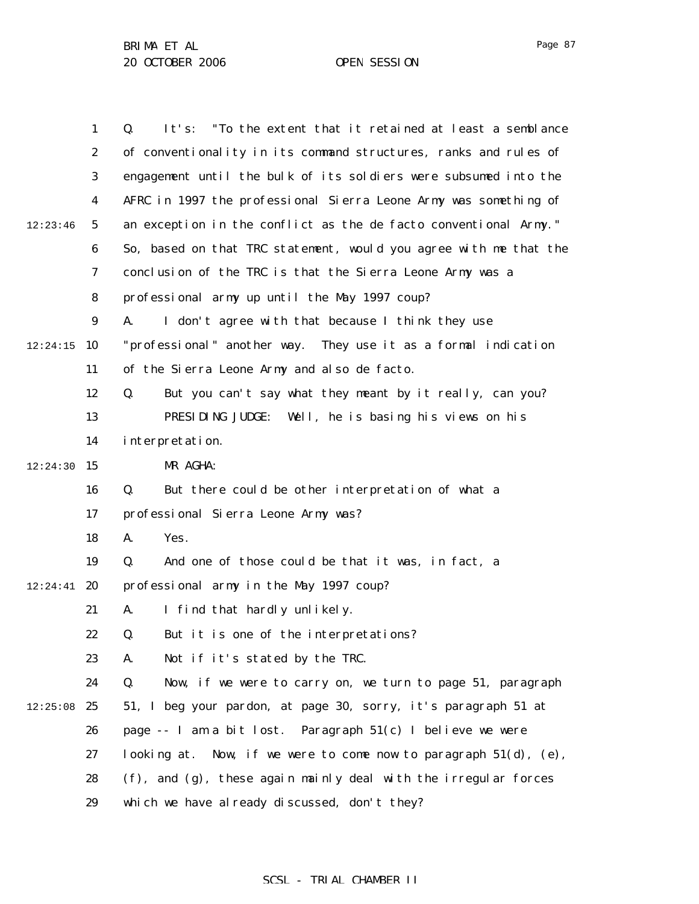| $\mathbf{1}$     | It's: "To the extent that it retained at least a semblance<br>Q.    |
|------------------|---------------------------------------------------------------------|
| $\boldsymbol{2}$ | of conventionality in its command structures, ranks and rules of    |
| 3                | engagement until the bulk of its soldiers were subsumed into the    |
| 4                | AFRC in 1997 the professional Sierra Leone Army was something of    |
| $5\phantom{.0}$  | an exception in the conflict as the de facto conventional Army."    |
| 6                | So, based on that TRC statement, would you agree with me that the   |
| 7                | conclusion of the TRC is that the Sierra Leone Army was a           |
| 8                | professional army up until the May 1997 coup?                       |
| $\boldsymbol{9}$ | A.<br>I don't agree with that because I think they use              |
| 10               | "professional" another way. They use it as a formal indication      |
| 11               | of the Sierra Leone Army and also de facto.                         |
| 12               | But you can't say what they meant by it really, can you?<br>Q.      |
| 13               | PRESIDING JUDGE: Well, he is basing his views on his                |
| 14               | interpretation.                                                     |
| 15               | MR AGHA:                                                            |
| 16               | But there could be other interpretation of what a<br>Q.             |
| 17               | professional Sierra Leone Army was?                                 |
| 18               | Yes.<br>A.                                                          |
| 19               | And one of those could be that it was, in fact, a<br>Q.             |
| 20               | professional army in the May 1997 coup?                             |
| 21               | I find that hardly unlikely.<br>A.                                  |
| 22               | But it is one of the interpretations?<br>O.                         |
| 23               | Not if it's stated by the TRC.<br>А.                                |
| 24               | Now, if we were to carry on, we turn to page 51, paragraph<br>Q.    |
| 25               | 51, I beg your pardon, at page 30, sorry, it's paragraph 51 at      |
| 26               | page $-$ I am a bit lost. Paragraph $51(c)$ I believe we were       |
| 27               | looking at. Now, if we were to come now to paragraph $51(d)$ , (e), |
| 28               | (f), and (g), these again mainly deal with the irregular forces     |
| 29               | which we have already discussed, don't they?                        |
|                  |                                                                     |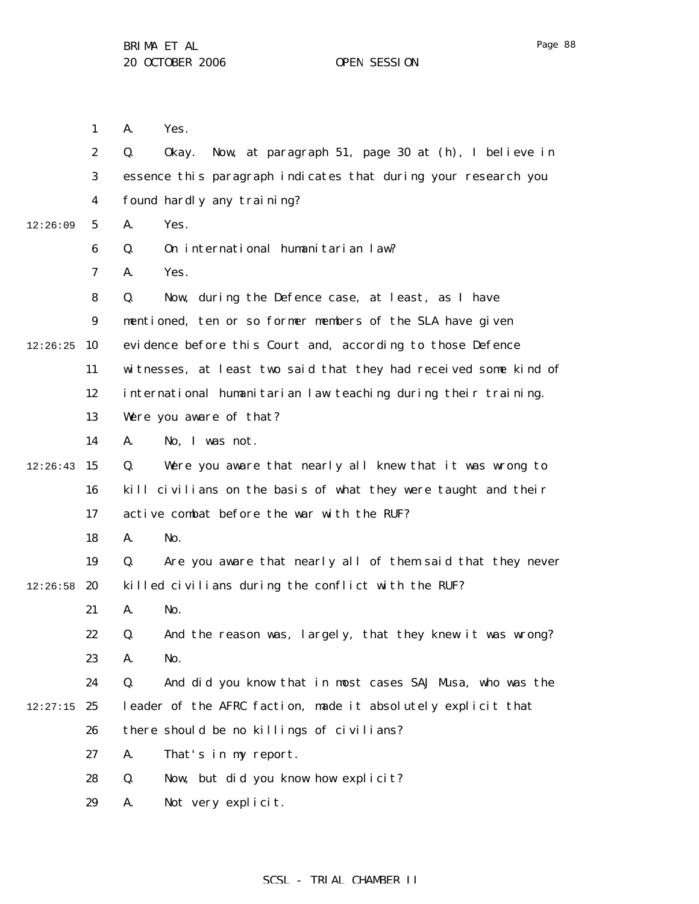1 2 3 4 5 6 7 8 9  $12:26:25$  10 11 12 13 14  $12:26:43$  15 16 17 18 19  $12:26:58$  20 21 22 23 24  $12:27:15$  25 26 27 28 29 12:26:09 A. Yes. Q. Okay. Now, at paragraph 51, page 30 at (h), I believe in essence this paragraph indicates that during your research you found hardly any training? A. Yes. Q. On international humanitarian law? A. Yes. Q. Now, during the Defence case, at least, as I have mentioned, ten or so former members of the SLA have given evidence before this Court and, according to those Defence witnesses, at least two said that they had received some kind of international humanitarian law teaching during their training. Were you aware of that? A. No, I was not. Q. Were you aware that nearly all knew that it was wrong to kill civilians on the basis of what they were taught and their active combat before the war with the RUF? A. No. Q. Are you aware that nearly all of them said that they never killed civilians during the conflict with the RUF? A. No. Q. And the reason was, largely, that they knew it was wrong? A. No. Q. And did you know that in most cases SAJ Musa, who was the leader of the AFRC faction, made it absolutely explicit that there should be no killings of civilians? A. That's in my report. Q. Now, but did you know how explicit? A. Not very explicit.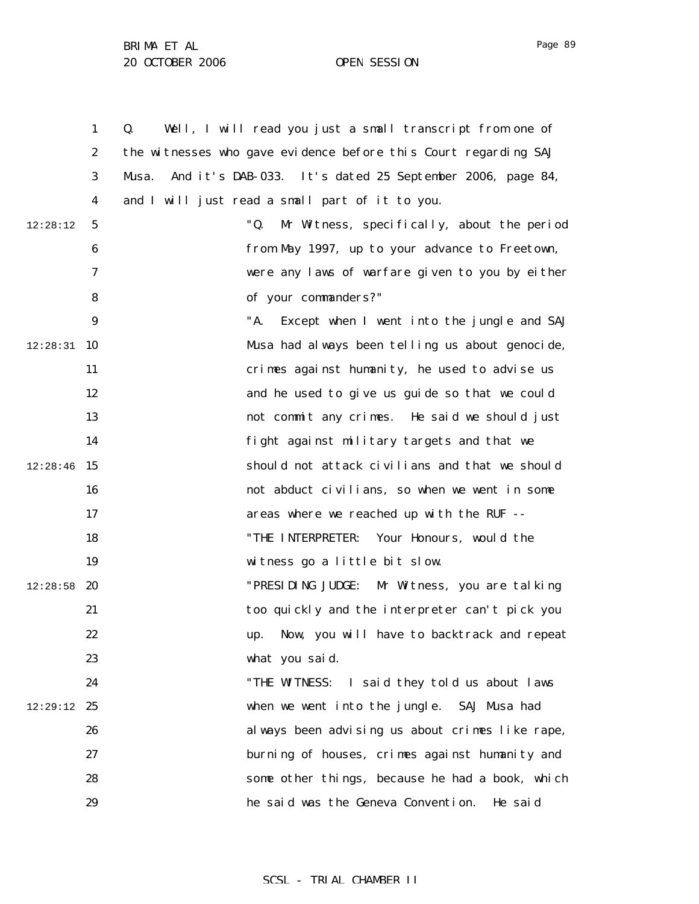|          | $\mathbf{1}$     | Well, I will read you just a small transcript from one of<br>Q.   |
|----------|------------------|-------------------------------------------------------------------|
|          | $\boldsymbol{2}$ | the witnesses who gave evidence before this Court regarding SAJ   |
|          | 3                | And it's DAB-033. It's dated 25 September 2006, page 84,<br>Musa. |
|          | 4                | and I will just read a small part of it to you.                   |
| 12:28:12 | $\sqrt{5}$       | "Q.<br>Mr Witness, specifically, about the period                 |
|          | $\boldsymbol{6}$ | from May 1997, up to your advance to Freetown,                    |
|          | 7                | were any laws of warfare given to you by either                   |
|          | 8                | of your commanders?"                                              |
|          | 9                | "A.<br>Except when I went into the jungle and SAJ                 |
| 12:28:31 | 10               | Musa had always been telling us about genocide,                   |
|          | 11               | crimes against humanity, he used to advise us                     |
|          | 12               | and he used to give us guide so that we could                     |
|          | 13               | not commit any crimes. He said we should just                     |
|          | 14               | fight against military targets and that we                        |
| 12:28:46 | 15               | should not attack civilians and that we should                    |
|          | 16               | not abduct civilians, so when we went in some                     |
|          | 17               | areas where we reached up with the RUF --                         |
|          | 18               | Your Honours, would the<br>"THE INTERPRETER:                      |
|          | 19               | witness go a little bit slow.                                     |
| 12:28:58 | 20               | "PRESI DI NG JUDGE:<br>Mr Witness, you are talking                |
|          | 21               | too quickly and the interpreter can't pick you                    |
|          | 22               | Now, you will have to backtrack and repeat                        |
|          | 23               | what you said.                                                    |
|          | 24               | "THE WITNESS: I said they told us about laws                      |
| 12:29:12 | 25               | when we went into the jungle. SAJ Musa had                        |
|          | 26               | always been advising us about crimes like rape,                   |
|          | 27               | burning of houses, crimes against humanity and                    |
|          | 28               | some other things, because he had a book, which                   |
|          | 29               | he said was the Geneva Convention.<br>He said                     |

## SCSL - TRIAL CHAMBER II

Page 89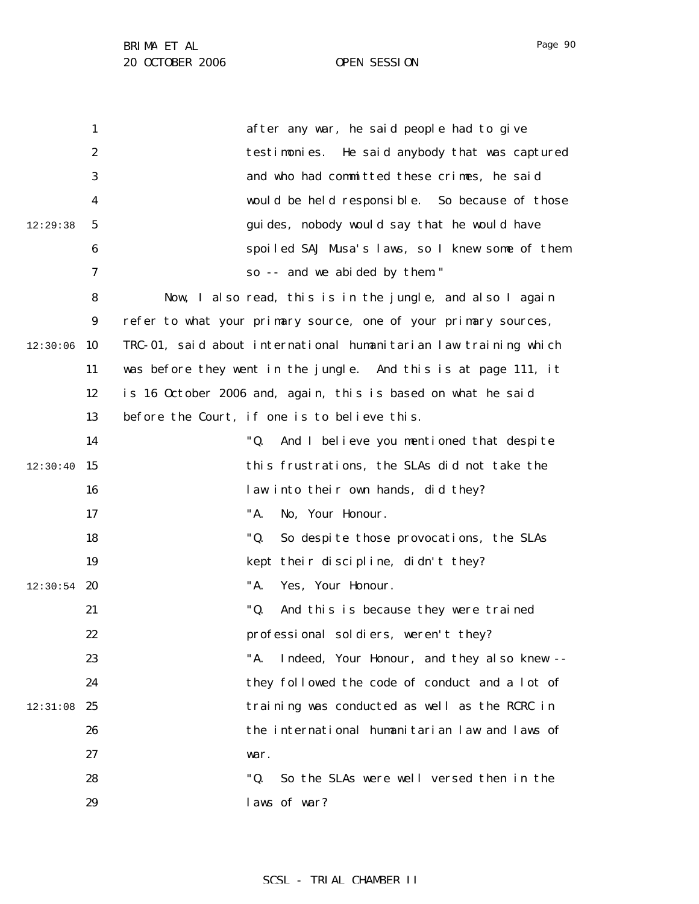|          | $\mathbf{1}$     | after any war, he said people had to give                        |
|----------|------------------|------------------------------------------------------------------|
|          | $\boldsymbol{2}$ | testimonies. He said anybody that was captured                   |
|          | 3                | and who had committed these crimes, he said                      |
|          | 4                | would be held responsible. So because of those                   |
| 12:29:38 | 5                | guides, nobody would say that he would have                      |
|          | 6                | spoiled SAJ Musa's laws, so I knew some of them                  |
|          | 7                | so -- and we abided by them."                                    |
|          | 8                | Now, I also read, this is in the jungle, and also I again        |
|          | 9                | refer to what your primary source, one of your primary sources,  |
| 12:30:06 | 10               | TRC-01, said about international humanitarian law training which |
|          | 11               | was before they went in the jungle. And this is at page 111, it  |
|          | 12               | is 16 October 2006 and, again, this is based on what he said     |
|          | 13               | before the Court, if one is to believe this.                     |
|          | 14               | "Q.<br>And I believe you mentioned that despite                  |
| 12:30:40 | 15               | this frustrations, the SLAs did not take the                     |
|          | 16               | law into their own hands, did they?                              |
|          | 17               | "A.<br>No, Your Honour.                                          |
|          | 18               | "Q.<br>So despite those provocations, the SLAs                   |
|          | 19               | kept their discipline, didn't they?                              |
| 12:30:54 | 20               | "A.<br>Yes, Your Honour.                                         |
|          | 21               | "Q.<br>And this is because they were trained                     |
|          | 22               | professional soldiers, weren't they?                             |
|          | 23               | "A.<br>Indeed, Your Honour, and they also knew --                |
|          | 24               | they followed the code of conduct and a lot of                   |
| 12:31:08 | 25               | training was conducted as well as the RCRC in                    |
|          | 26               | the international humanitarian law and laws of                   |
|          | 27               | war.                                                             |
|          | 28               | "Q.<br>So the SLAs were well versed then in the                  |
|          | 29               | laws of war?                                                     |

Page 90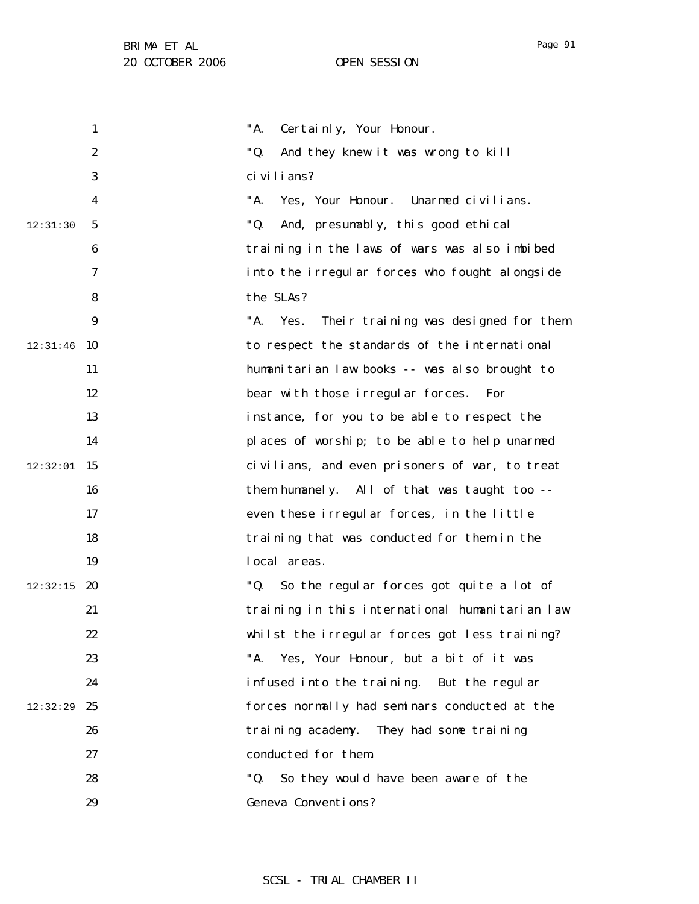1 2 3 4 5 6 7 8 9 12:31:46 10 11 12 13 14  $12:32:01$  15 16 17 18 19  $12:32:15$  20 21 22 23 24 12:32:29 25 26 27 28 29 12:31:30 "A. Certainly, Your Honour. "Q. And they knew it was wrong to kill civilians? "A. Yes, Your Honour. Unarmed civilians. "Q. And, presumably, this good ethical training in the laws of wars was also imbibed into the irregular forces who fought alongside the SLAs? "A. Yes. Their training was designed for them to respect the standards of the international humanitarian law books -- was also brought to bear with those irregular forces. For instance, for you to be able to respect the places of worship; to be able to help unarmed civilians, and even prisoners of war, to treat them humanely. All of that was taught too - even these irregular forces, in the little training that was conducted for them in the local areas. "Q. So the regular forces got quite a lot of training in this international humanitarian law whilst the irregular forces got less training? "A. Yes, Your Honour, but a bit of it was infused into the training. But the regular forces normally had seminars conducted at the training academy. They had some training conducted for them. "Q. So they would have been aware of the Geneva Conventions?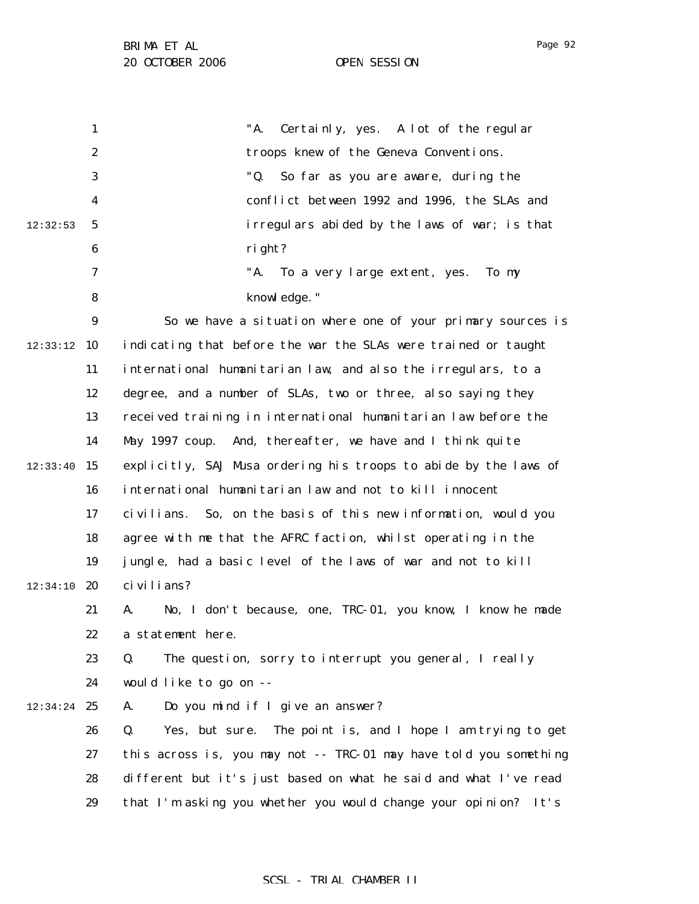|          | $\mathbf{1}$     | "A.<br>Certainly, yes. A lot of the regular                         |
|----------|------------------|---------------------------------------------------------------------|
|          | $\boldsymbol{2}$ | troops knew of the Geneva Conventions.                              |
|          | 3                | "Q.<br>So far as you are aware, during the                          |
|          | 4                | conflict between 1992 and 1996, the SLAs and                        |
| 12:32:53 | $5\phantom{.0}$  | irregulars abided by the laws of war; is that                       |
|          | 6                | right?                                                              |
|          | 7                | "A.<br>To a very large extent, yes.<br>To my                        |
|          | 8                | knowledge."                                                         |
|          | $\boldsymbol{9}$ | So we have a situation where one of your primary sources is         |
| 12:33:12 | 10               | indicating that before the war the SLAs were trained or taught      |
|          | 11               | international humanitarian law, and also the irregulars, to a       |
|          | 12               | degree, and a number of SLAs, two or three, also saying they        |
|          | 13               | received training in international humanitarian law before the      |
|          | 14               | May 1997 coup. And, thereafter, we have and I think quite           |
| 12:33:40 | 15               | explicitly, SAJ Musa ordering his troops to abide by the laws of    |
|          | 16               | international humanitarian law and not to kill innocent             |
|          | 17               | civilians. So, on the basis of this new information, would you      |
|          | 18               | agree with me that the AFRC faction, whilst operating in the        |
|          | 19               | jungle, had a basic level of the laws of war and not to kill        |
| 12:34:10 | 20               | ci vi li ans?                                                       |
|          | 21               | No, I don't because, one, TRC-01, you know, I know he made<br>A.    |
|          | 22               | a statement here.                                                   |
|          | 23               | The question, sorry to interrupt you general, I really<br>Q.        |
|          | 24               | would like to go on --                                              |
| 12:34:24 | 25               | Do you mind if I give an answer?<br>A.                              |
|          | 26               | Q.<br>The point is, and I hope I am trying to get<br>Yes, but sure. |
|          | 27               | this across is, you may not -- TRC-01 may have told you something   |
|          | 28               | different but it's just based on what he said and what I've read    |
|          | 29               | that I'm asking you whether you would change your opinion?<br>It's  |
|          |                  |                                                                     |

## SCSL - TRIAL CHAMBER II

Page 92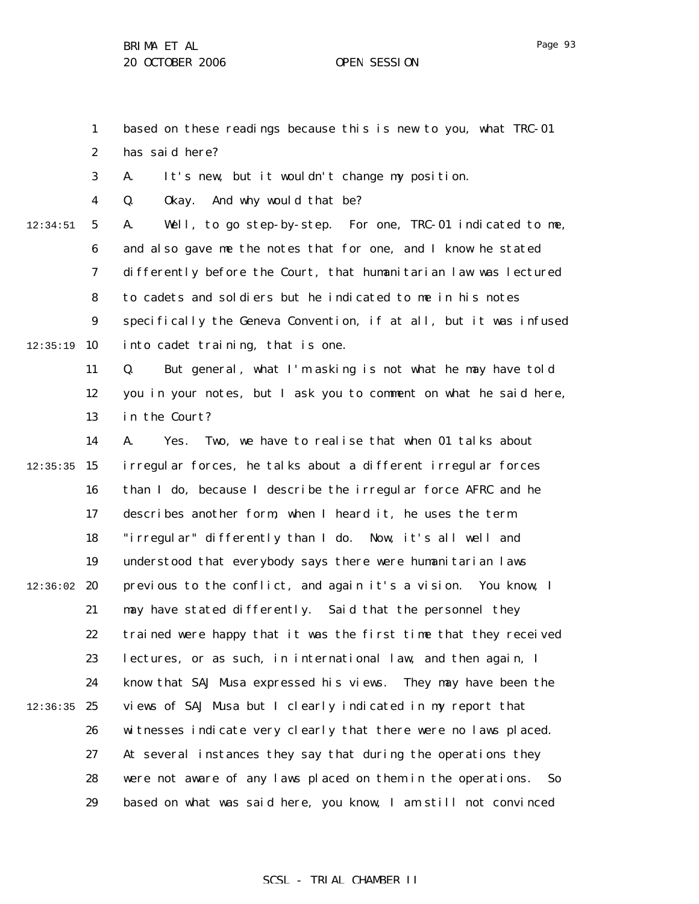1 2 based on these readings because this is new to you, what TRC-01 has said here?

3 A. It's new, but it wouldn't change my position.

4 Q. Okay. And why would that be?

5 6 7 8 9  $12:35:19$  10 12:34:51 A. Well, to go step-by-step. For one, TRC-01 indicated to me, and also gave me the notes that for one, and I know he stated differently before the Court, that humanitarian law was lectured to cadets and soldiers but he indicated to me in his notes specifically the Geneva Convention, if at all, but it was infused into cadet training, that is one.

> 11 12 13 Q. But general, what I'm asking is not what he may have told you in your notes, but I ask you to comment on what he said here, in the Court?

14  $12:35:35$  15 16 17 18 19  $12:36:02$  20 21 22 23 24  $12:36:35$  25 26 27 28 29 A. Yes. Two, we have to realise that when 01 talks about irregular forces, he talks about a different irregular forces than I do, because I describe the irregular force AFRC and he describes another form, when I heard it, he uses the term "irregular" differently than I do. Now, it's all well and understood that everybody says there were humanitarian laws previous to the conflict, and again it's a vision. You know, I may have stated differently. Said that the personnel they trained were happy that it was the first time that they received lectures, or as such, in international law, and then again, I know that SAJ Musa expressed his views. They may have been the views of SAJ Musa but I clearly indicated in my report that witnesses indicate very clearly that there were no laws placed. At several instances they say that during the operations they were not aware of any laws placed on them in the operations. So based on what was said here, you know, I am still not convinced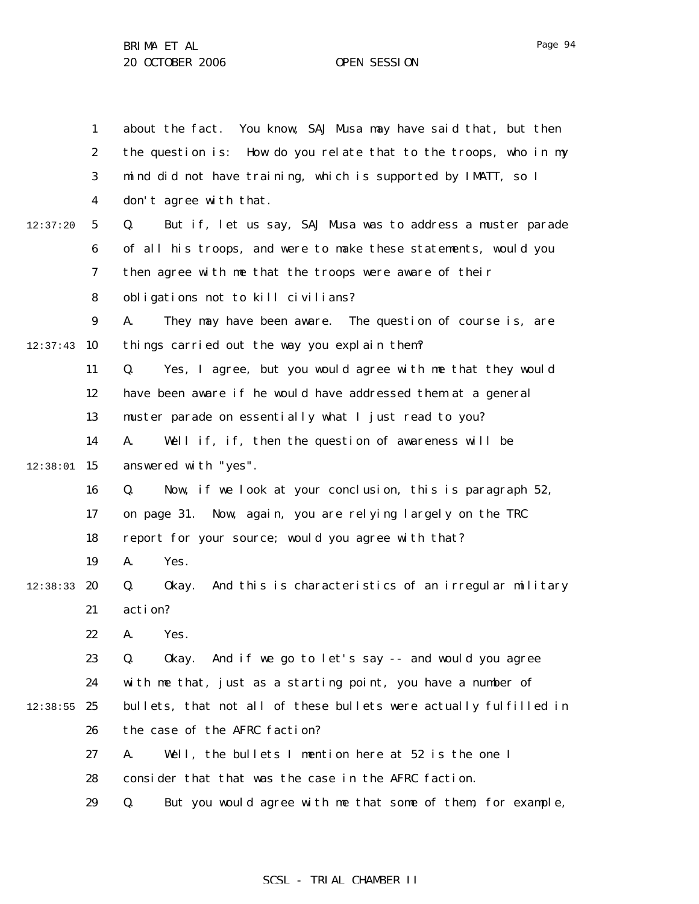1 2 3 4 5 6 7 8 9  $12:37:43$  10 11 12 13 14  $12:38:01$  15 16 17 18 19 12:38:33 **20** 21 22 23 24  $12:38:55$  25 26 27 28 29 12:37:20 about the fact. You know, SAJ Musa may have said that, but then the question is: How do you relate that to the troops, who in my mind did not have training, which is supported by IMATT, so I don't agree with that. Q. But if, let us say, SAJ Musa was to address a muster parade of all his troops, and were to make these statements, would you then agree with me that the troops were aware of their obligations not to kill civilians? A. They may have been aware. The question of course is, are things carried out the way you explain them? Q. Yes, I agree, but you would agree with me that they would have been aware if he would have addressed them at a general muster parade on essentially what I just read to you? A. Well if, if, then the question of awareness will be answered with "yes". Q. Now, if we look at your conclusion, this is paragraph 52, on page 31. Now, again, you are relying largely on the TRC report for your source; would you agree with that? A. Yes. Q. Okay. And this is characteristics of an irregular military action? A. Yes. Q. Okay. And if we go to let's say -- and would you agree with me that, just as a starting point, you have a number of bullets, that not all of these bullets were actually fulfilled in the case of the AFRC faction? A. Well, the bullets I mention here at 52 is the one I consider that that was the case in the AFRC faction. Q. But you would agree with me that some of them, for example,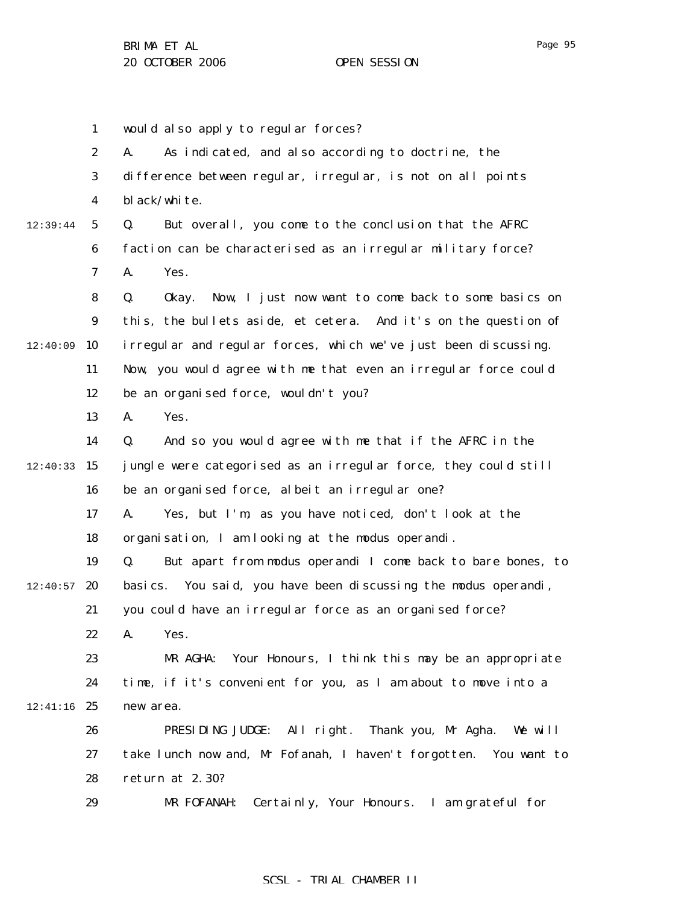|          | $\mathbf{1}$            | would also apply to regular forces?                                |
|----------|-------------------------|--------------------------------------------------------------------|
|          | $\boldsymbol{2}$        | As indicated, and also according to doctrine, the<br>A.            |
|          | 3                       | difference between regular, irregular, is not on all points        |
|          | $\overline{\mathbf{4}}$ | bl ack/white.                                                      |
| 12:39:44 | $5\phantom{.0}$         | Q.<br>But overall, you come to the conclusion that the AFRC        |
|          | $\boldsymbol{6}$        | faction can be characterised as an irregular military force?       |
|          | $\boldsymbol{7}$        | A.<br>Yes.                                                         |
|          | 8                       | Q.<br>Now, I just now want to come back to some basics on<br>0kay. |
|          | $\boldsymbol{9}$        | this, the bullets aside, et cetera. And it's on the question of    |
| 12:40:09 | 10                      | i rregular and regular forces, which we've just been discussing.   |
|          | 11                      | Now, you would agree with me that even an irregular force could    |
|          | 12                      | be an organised force, wouldn't you?                               |
|          | 13                      | Yes.<br>A.                                                         |
|          | 14                      | And so you would agree with me that if the AFRC in the<br>Q.       |
| 12:40:33 | 15                      | jungle were categorised as an irregular force, they could still    |
|          | 16                      | be an organised force, albeit an irregular one?                    |
|          | 17                      | Yes, but I'm, as you have noticed, don't look at the<br>A.         |
|          | 18                      | organisation, I am looking at the modus operandi.                  |
|          | 19                      | But apart from modus operandi I come back to bare bones, to<br>Q.  |
| 12:40:57 | 20                      | You said, you have been discussing the modus operandi,<br>basi cs. |
|          | 21                      | you could have an irregular force as an organised force?           |
|          | 22                      | A. Yes.                                                            |
|          | 23                      | MR AGHA: Your Honours, I think this may be an appropriate          |
|          | 24                      | time, if it's convenient for you, as I am about to move into a     |
| 12:41:16 | 25                      | new area.                                                          |
|          | 26                      | PRESIDING JUDGE: All right. Thank you, Mr Agha. We will            |
|          | 27                      | take lunch now and, Mr Fofanah, I haven't forgotten. You want to   |
|          | 28                      | return at 2.30?                                                    |
|          | 29                      | MR FOFANAH:<br>Certainly, Your Honours. I am grateful for          |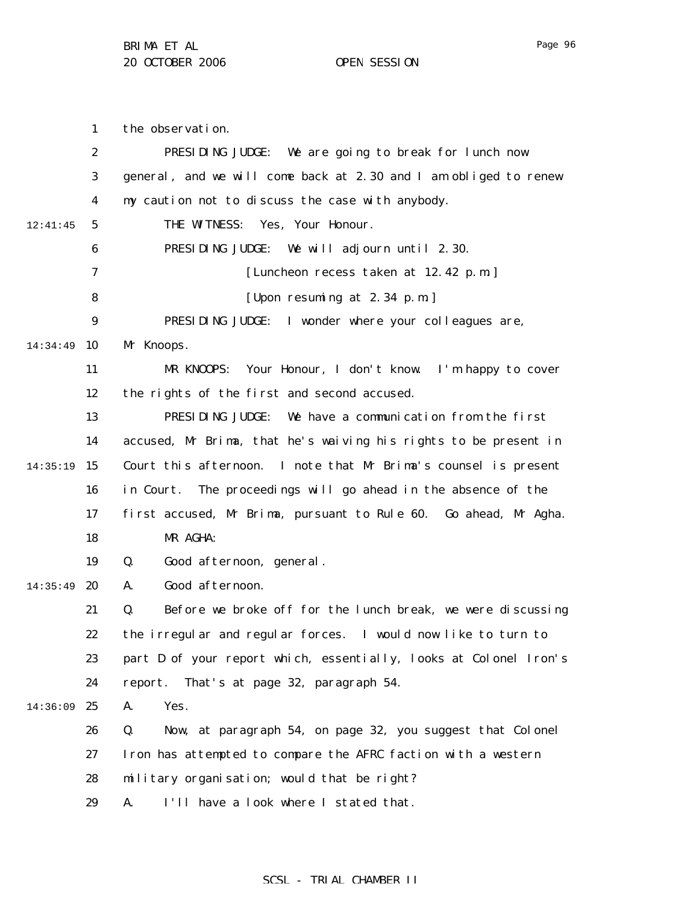the observation.

1

Page 96

2 3 4 5 6 7 8 9 14:34:49 10 11 12 13 14 14:35:19 15 16 17 18 19 14:35:49 **20** 21 22 23 24 14:36:09 25 26 27 28 29 12:41:45 PRESIDING JUDGE: We are going to break for lunch now general, and we will come back at 2.30 and I am obliged to renew my caution not to discuss the case with anybody. THE WITNESS: Yes, Your Honour. PRESIDING JUDGE: We will adjourn until 2.30. [Luncheon recess taken at 12.42 p.m.] [Upon resuming at 2.34 p.m.] PRESIDING JUDGE: I wonder where your colleagues are, Mr Knoops. MR KNOOPS: Your Honour, I don't know. I'm happy to cover the rights of the first and second accused. PRESIDING JUDGE: We have a communication from the first accused, Mr Brima, that he's waiving his rights to be present in Court this afternoon. I note that Mr Brima's counsel is present in Court. The proceedings will go ahead in the absence of the first accused, Mr Brima, pursuant to Rule 60. Go ahead, Mr Agha. MR AGHA: Q. Good afternoon, general. A. Good afternoon. Q. Before we broke off for the lunch break, we were discussing the irregular and regular forces. I would now like to turn to part D of your report which, essentially, looks at Colonel Iron's report. That's at page 32, paragraph 54. A. Yes. Q. Now, at paragraph 54, on page 32, you suggest that Colonel Iron has attempted to compare the AFRC faction with a western military organisation; would that be right? A. I'll have a look where I stated that.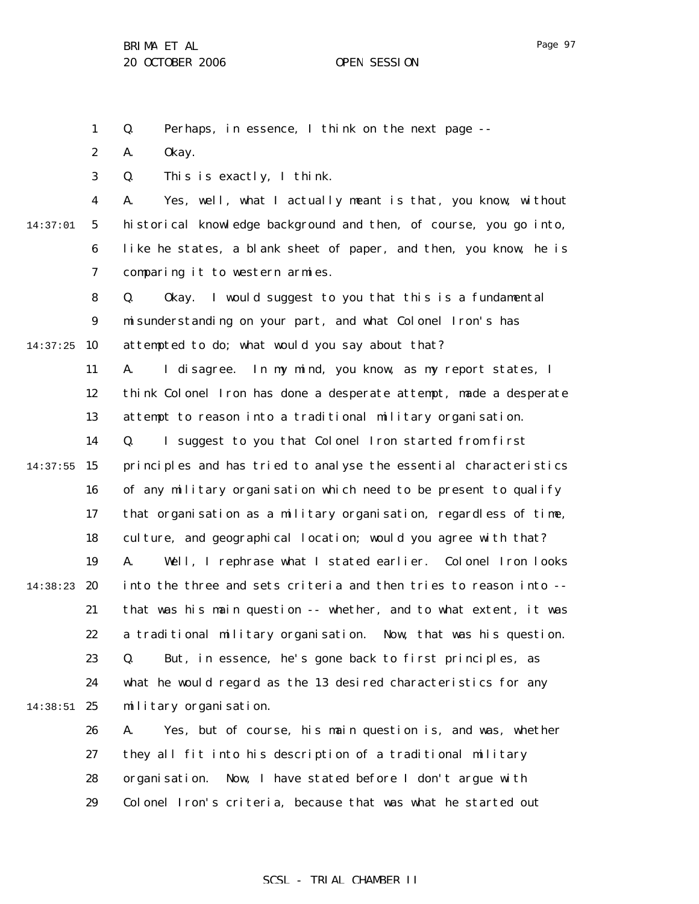1 Q. Perhaps, in essence, I think on the next page --

2 A. Okay.

3 Q. This is exactly, I think.

4 5 6 7 14:37:01 A. Yes, well, what I actually meant is that, you know, without historical knowledge background and then, of course, you go into, like he states, a blank sheet of paper, and then, you know, he is comparing it to western armies.

8 9 14:37:25 10 Q. Okay. I would suggest to you that this is a fundamental misunderstanding on your part, and what Colonel Iron's has attempted to do; what would you say about that?

> 11 12 13 A. I disagree. In my mind, you know, as my report states, I think Colonel Iron has done a desperate attempt, made a desperate attempt to reason into a traditional military organisation.

14  $14:37:55$  15 16 17 18 19 14:38:23 20 21 22 23 24 14:38:51 25 Q. I suggest to you that Colonel Iron started from first principles and has tried to analyse the essential characteristics of any military organisation which need to be present to qualify that organisation as a military organisation, regardless of time, culture, and geographical location; would you agree with that? A. Well, I rephrase what I stated earlier. Colonel Iron looks into the three and sets criteria and then tries to reason into - that was his main question -- whether, and to what extent, it was a traditional military organisation. Now, that was his question. Q. But, in essence, he's gone back to first principles, as what he would regard as the 13 desired characteristics for any military organisation.

> 26 27 28 29 A. Yes, but of course, his main question is, and was, whether they all fit into his description of a traditional military organisation. Now, I have stated before I don't argue with Colonel Iron's criteria, because that was what he started out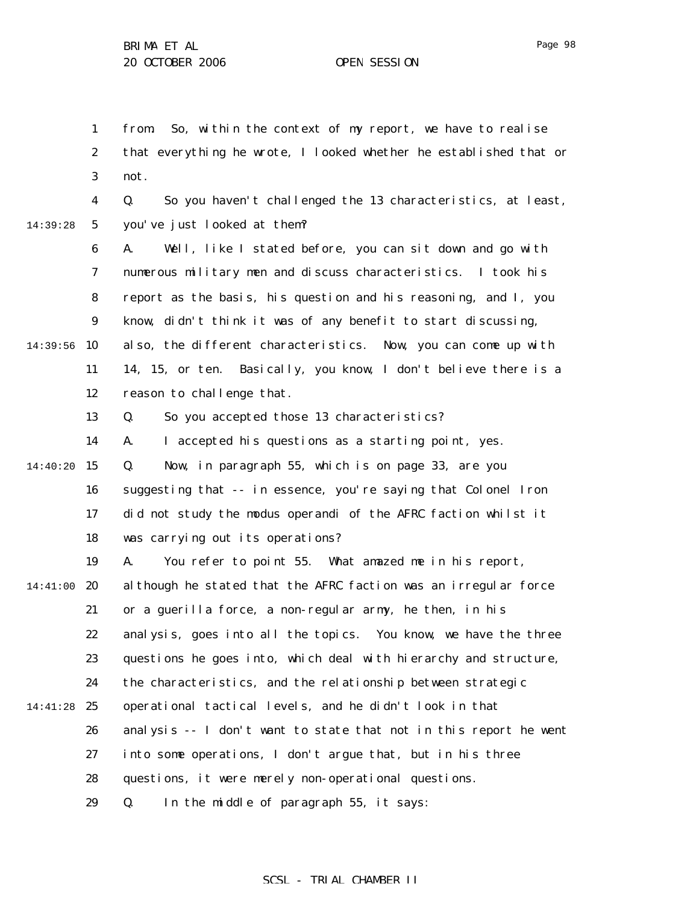1

2

3

not.

4

from. So, within the context of my report, we have to realise

that everything he wrote, I looked whether he established that or

Q. So you haven't challenged the 13 characteristics, at least,

5 6 7 8 9 14:39:56 10 11 12 13 14 14:40:20 15 16 17 18 19 14:41:00 20 21 22 23 14:39:28 you've just looked at them? A. Well, like I stated before, you can sit down and go with numerous military men and discuss characteristics. I took his report as the basis, his question and his reasoning, and I, you know, didn't think it was of any benefit to start discussing, also, the different characteristics. Now, you can come up with 14, 15, or ten. Basically, you know, I don't believe there is a reason to challenge that. Q. So you accepted those 13 characteristics? A. I accepted his questions as a starting point, yes. Q. Now, in paragraph 55, which is on page 33, are you suggesting that -- in essence, you're saying that Colonel Iron did not study the modus operandi of the AFRC faction whilst it was carrying out its operations? A. You refer to point 55. What amazed me in his report, although he stated that the AFRC faction was an irregular force or a guerilla force, a non-regular army, he then, in his analysis, goes into all the topics. You know, we have the three questions he goes into, which deal with hierarchy and structure,

24 the characteristics, and the relationship between strategic

14:41:28 25 operational tactical levels, and he didn't look in that

26 analysis -- I don't want to state that not in this report he went

27 into some operations, I don't argue that, but in his three

28 questions, it were merely non-operational questions.

29 Q. In the middle of paragraph 55, it says:

# Page 98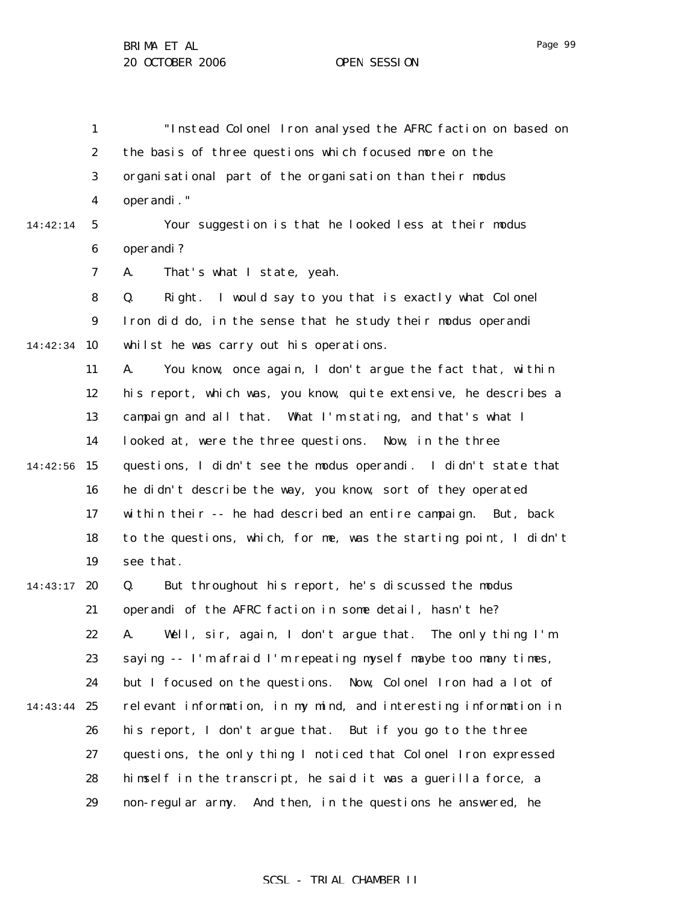1 2 3 4 5 6 7 8 9 14:42:34 10 11 12 13 14 14:42:56 15 16 17 18 19 14:43:17 20 21 22 23 24 14:43:44 25 26 27 28 29 14:42:14 "Instead Colonel Iron analysed the AFRC faction on based on the basis of three questions which focused more on the organisational part of the organisation than their *modus operandi*." Your suggestion is that he looked less at their modus operandi? A. That's what I state, yeah. Q. Right. I would say to you that is exactly what Colonel Iron did do, in the sense that he study their modus operandi whilst he was carry out his operations. A. You know, once again, I don't argue the fact that, within his report, which was, you know, quite extensive, he describes a campaign and all that. What I'm stating, and that's what I looked at, were the three questions. Now, in the three questions, I didn't see the modus operandi. I didn't state that he didn't describe the way, you know, sort of they operated within their -- he had described an entire campaign. But, back to the questions, which, for me, was the starting point, I didn't see that. Q. But throughout his report, he's discussed the modus operandi of the AFRC faction in some detail, hasn't he? A. Well, sir, again, I don't argue that. The only thing I'm saying -- I'm afraid I'm repeating myself maybe too many times, but I focused on the questions. Now, Colonel Iron had a lot of relevant information, in my mind, and interesting information in his report, I don't argue that. But if you go to the three questions, the only thing I noticed that Colonel Iron expressed himself in the transcript, he said it was a guerilla force, a non-regular army. And then, in the questions he answered, he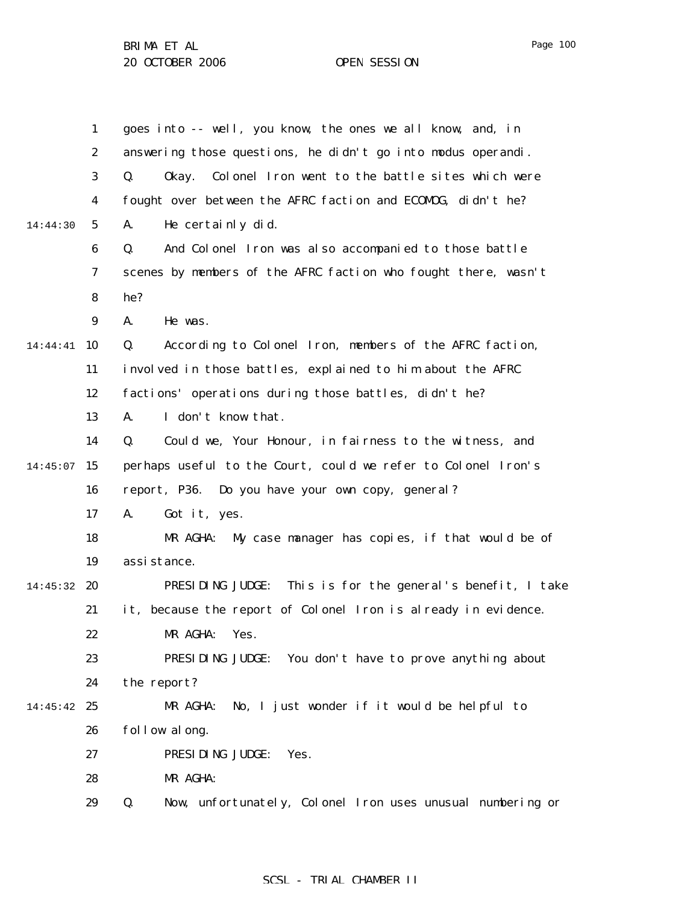1 2 3 4 5 6 7 8 9 14:44:41 10 11 12 13 14  $14:45:07$  15 16 17 18 19 14:45:32 20 21 22 23 24 14:45:42 25 26 27 28 29 14:44:30 goes into -- well, you know, the ones we all know, and, in answering those questions, he didn't go into modus operandi. Q. Okay. Colonel Iron went to the battle sites which were fought over between the AFRC faction and ECOMOG, didn't he? A. He certainly did. Q. And Colonel Iron was also accompanied to those battle scenes by members of the AFRC faction who fought there, wasn't he? A. He was. Q. According to Colonel Iron, members of the AFRC faction, involved in those battles, explained to him about the AFRC factions' operations during those battles, didn't he? A. I don't know that. Q. Could we, Your Honour, in fairness to the witness, and perhaps useful to the Court, could we refer to Colonel Iron's report, P36. Do you have your own copy, general? A. Got it, yes. MR AGHA: My case manager has copies, if that would be of assistance. PRESIDING JUDGE: This is for the general's benefit, I take it, because the report of Colonel Iron is already in evidence. MR AGHA: Yes. PRESIDING JUDGE: You don't have to prove anything about the report? MR AGHA: No, I just wonder if it would be helpful to follow along. PRESIDING JUDGE: Yes. MR AGHA: Q. Now, unfortunately, Colonel Iron uses unusual numbering or

## SCSL - TRIAL CHAMBER II

Page 100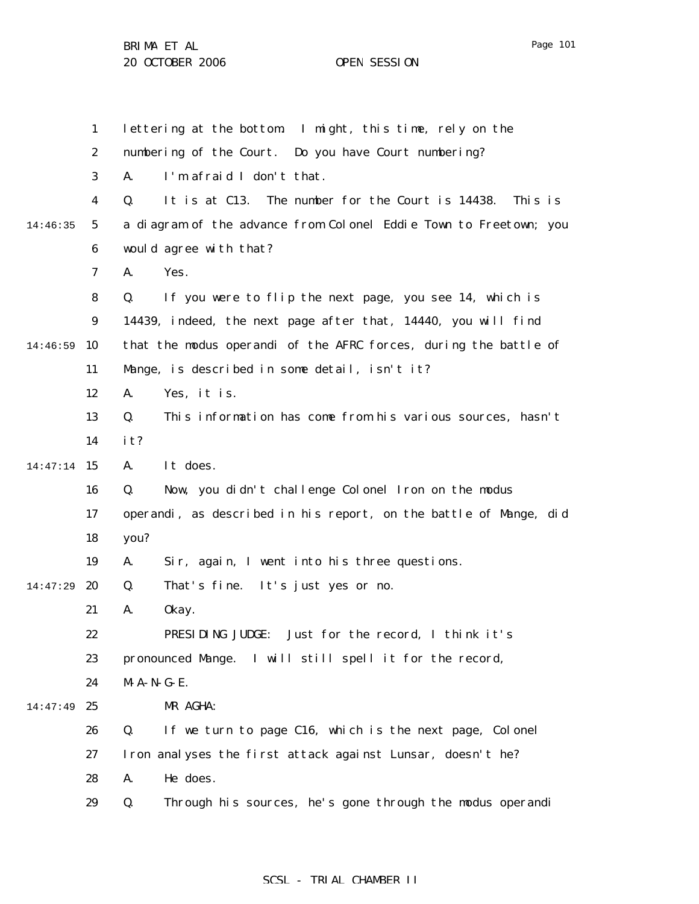1 2 3 4 5 6 7 8 9 14:46:59 10 11 12 13 14 14:47:14 15 16 17 18 19 14:47:29 **20** 21 22 23 24 14:47:49 25 26 27 28 29 14:46:35 lettering at the bottom. I might, this time, rely on the numbering of the Court. Do you have Court numbering? A. I'm afraid I don't that. Q. It is at C13. The number for the Court is 14438. This is a diagram of the advance from Colonel Eddie Town to Freetown; you would agree with that? A. Yes. Q. If you were to flip the next page, you see 14, which is 14439, indeed, the next page after that, 14440, you will find that the modus operandi of the AFRC forces, during the battle of Mange, is described in some detail, isn't it? A. Yes, it is. Q. This information has come from his various sources, hasn't it? A. It does. Q. Now, you didn't challenge Colonel Iron on the modus operandi, as described in his report, on the battle of Mange, did you? A. Sir, again, I went into his three questions. Q. That's fine. It's just yes or no. A. Okay. PRESIDING JUDGE: Just for the record, I think it's pronounced Mange. I will still spell it for the record, M-A-N-G-E. MR AGHA: Q. If we turn to page C16, which is the next page, Colonel Iron analyses the first attack against Lunsar, doesn't he? A. He does. Q. Through his sources, he's gone through the modus operandi

## SCSL - TRIAL CHAMBER II

Page 101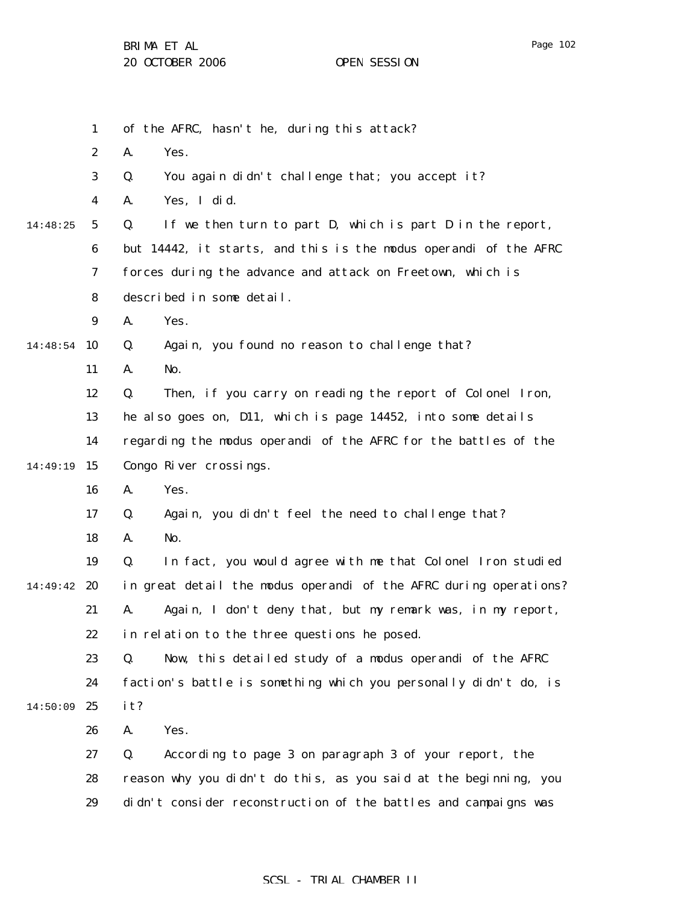|          | $\mathbf{1}$     | of the AFRC, hasn't he, during this attack?                       |
|----------|------------------|-------------------------------------------------------------------|
|          | $\boldsymbol{2}$ | A.<br>Yes.                                                        |
|          | 3                | You again didn't challenge that; you accept it?<br>Q.             |
|          | $\boldsymbol{4}$ | A.<br>Yes, I did.                                                 |
| 14:48:25 | $5\phantom{.0}$  | If we then turn to part D, which is part D in the report,<br>Q.   |
|          | 6                | but 14442, it starts, and this is the modus operandi of the AFRC  |
|          | 7                | forces during the advance and attack on Freetown, which is        |
|          | 8                | described in some detail.                                         |
|          | 9                | A.<br>Yes.                                                        |
| 14:48:54 | 10               | Again, you found no reason to challenge that?<br>Q.               |
|          | 11               | A.<br>No.                                                         |
|          | 12               | Then, if you carry on reading the report of Colonel Iron,<br>Q.   |
|          | 13               | he also goes on, D11, which is page 14452, into some details      |
|          | 14               | regarding the modus operandi of the AFRC for the battles of the   |
| 14:49:19 | 15               | Congo River crossings.                                            |
|          | 16               | A.<br>Yes.                                                        |
|          | 17               | Q.<br>Again, you didn't feel the need to challenge that?          |
|          | 18               | A.<br>No.                                                         |
|          | 19               | Q.<br>In fact, you would agree with me that Colonel Iron studied  |
| 14:49:42 | 20               | in great detail the modus operandi of the AFRC during operations? |
|          | 21               | Again, I don't deny that, but my remark was, in my report,<br>A.  |
|          | 22               | in relation to the three questions he posed.                      |
|          | 23               | Now, this detailed study of a modus operandi of the AFRC<br>Q.    |
|          | 24               | faction's battle is something which you personally didn't do, is  |
| 14:50:09 | 25               | it?                                                               |
|          | 26               | A.<br>Yes.                                                        |
|          | 27               | Q.<br>According to page 3 on paragraph 3 of your report, the      |
|          | 28               | reason why you didn't do this, as you said at the beginning, you  |
|          | 29               | didn't consider reconstruction of the battles and campaigns was   |
|          |                  |                                                                   |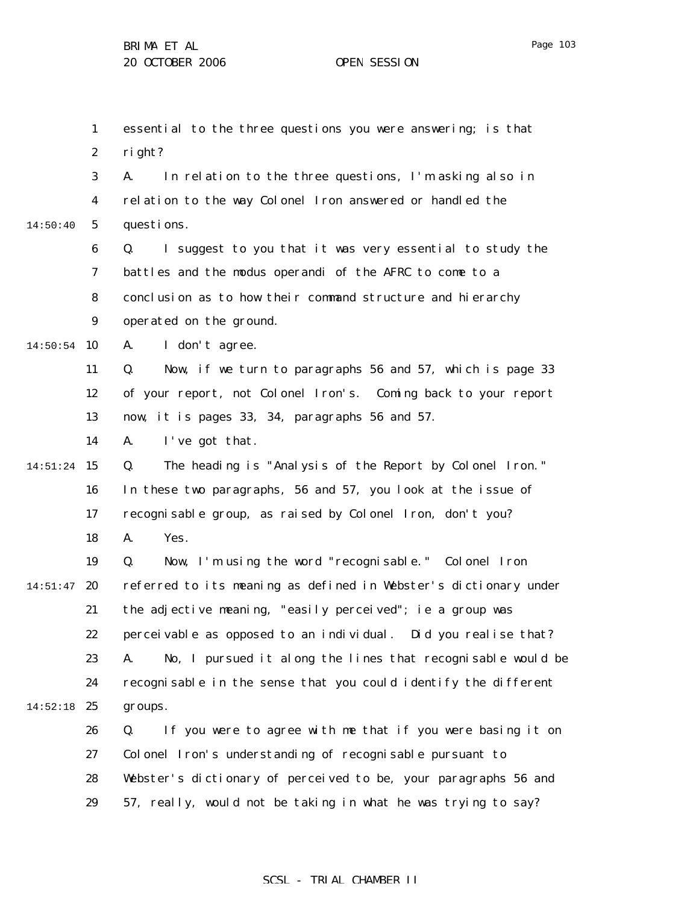1 2 3 4 5 6 7 8 9  $14:50:54$  10 11 12 13 14 14:51:24 15 16 17 18 19  $14:51:47$  20 21 22 23 24  $14:52:18$  25 26 27 28 29 14:50:40 essential to the three questions you were answering; is that right? A. In relation to the three questions, I'm asking also in relation to the way Colonel Iron answered or handled the questions. Q. I suggest to you that it was very essential to study the battles and the modus operandi of the AFRC to come to a conclusion as to how their command structure and hierarchy operated on the ground. A. I don't agree. Q. Now, if we turn to paragraphs 56 and 57, which is page 33 of your report, not Colonel Iron's. Coming back to your report now, it is pages 33, 34, paragraphs 56 and 57. A. I've got that. Q. The heading is "Analysis of the Report by Colonel Iron." In these two paragraphs, 56 and 57, you look at the issue of recognisable group, as raised by Colonel Iron, don't you? A. Yes. Q. Now, I'm using the word "recognisable." Colonel Iron referred to its meaning as defined in Webster's dictionary under the adjective meaning, "easily perceived"; ie a group was perceivable as opposed to an individual. Did you realise that? A. No, I pursued it along the lines that recognisable would be recognisable in the sense that you could identify the different groups. Q. If you were to agree with me that if you were basing it on Colonel Iron's understanding of recognisable pursuant to Webster's dictionary of perceived to be, your paragraphs 56 and 57, really, would not be taking in what he was trying to say?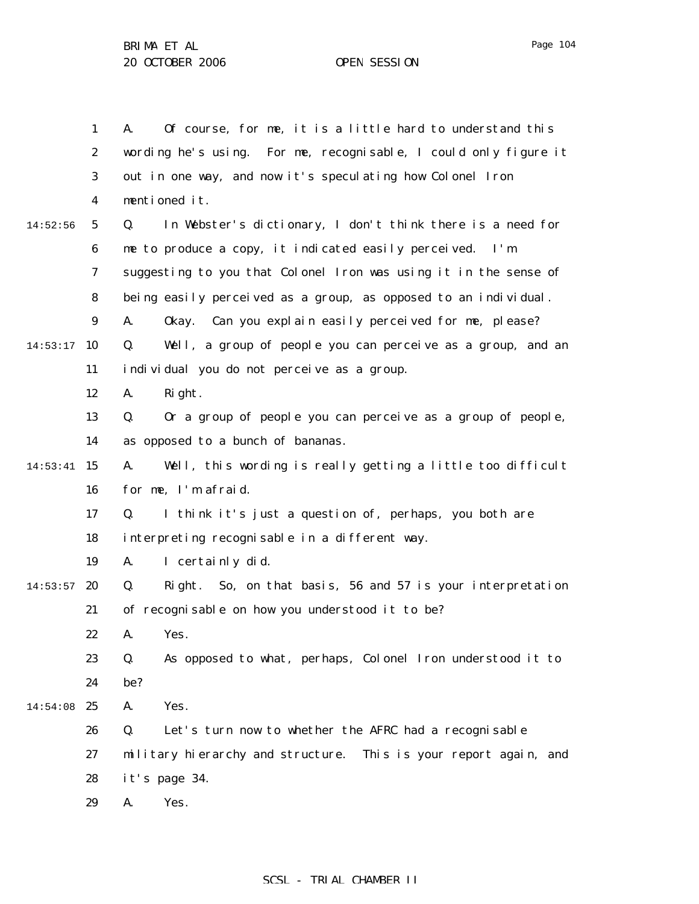1 2 3 4 5 6 7 8 9  $14:53:17$  10 11 12 13 14 14:53:41 15 16 17 18 19  $14:53:57$  20 21 22 23 24 14:54:08 25 26 27 28 29 14:52:56 A. Of course, for me, it is a little hard to understand this wording he's using. For me, recognisable, I could only figure it out in one way, and now it's speculating how Colonel Iron mentioned it. Q. In Webster's dictionary, I don't think there is a need for me to produce a copy, it indicated easily perceived. I'm suggesting to you that Colonel Iron was using it in the sense of being easily perceived as a group, as opposed to an individual. A. Okay. Can you explain easily perceived for me, please? Q. Well, a group of people you can perceive as a group, and an individual you do not perceive as a group. A. Right. Q. Or a group of people you can perceive as a group of people, as opposed to a bunch of bananas. A. Well, this wording is really getting a little too difficult for me, I'm afraid. Q. I think it's just a question of, perhaps, you both are interpreting recognisable in a different way. A. I certainly did. Q. Right. So, on that basis, 56 and 57 is your interpretation of recognisable on how you understood it to be? A. Yes. Q. As opposed to what, perhaps, Colonel Iron understood it to be? A. Yes. Q. Let's turn now to whether the AFRC had a recognisable military hierarchy and structure. This is your report again, and it's page 34. A. Yes.

Page 104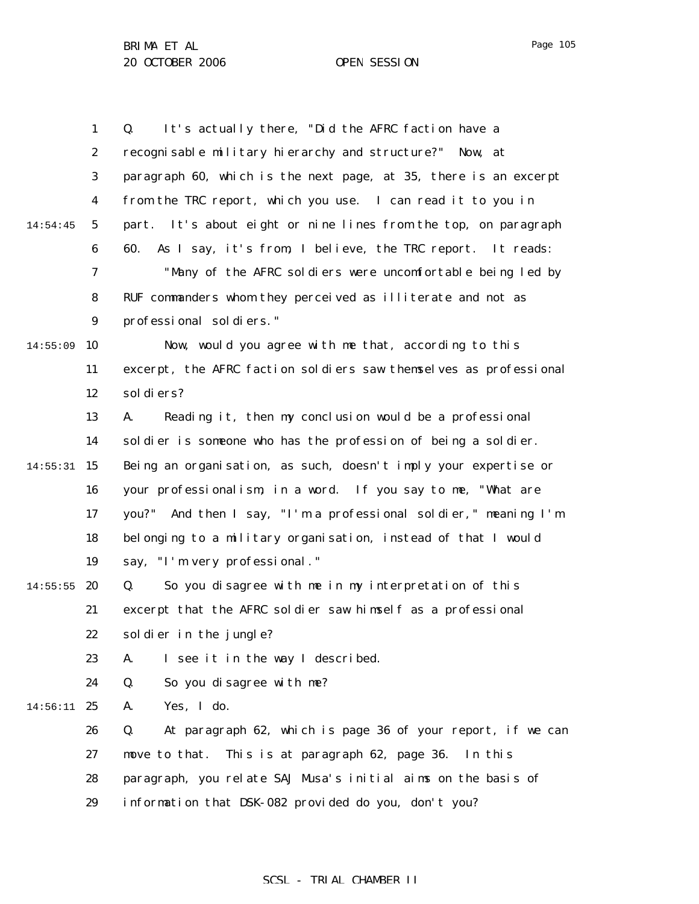|          | $\mathbf{1}$     | It's actually there, "Did the AFRC faction have a<br>Q.           |
|----------|------------------|-------------------------------------------------------------------|
|          | $\boldsymbol{2}$ | recognisable military hierarchy and structure?" Now, at           |
|          | $\bf{3}$         | paragraph 60, which is the next page, at 35, there is an excerpt  |
|          | 4                | from the TRC report, which you use. I can read it to you in       |
| 14:54:45 | $\mathbf 5$      | part. It's about eight or nine lines from the top, on paragraph   |
|          | $\boldsymbol{6}$ | As I say, it's from, I believe, the TRC report. It reads:<br>60.  |
|          | 7                | "Many of the AFRC soldiers were uncomfortable being led by        |
|          | 8                | RUF commanders whom they perceived as illiterate and not as       |
|          | $\boldsymbol{9}$ | professional soldiers."                                           |
| 14:55:09 | 10               | Now, would you agree with me that, according to this              |
|          | 11               | excerpt, the AFRC faction soldiers saw themselves as professional |
|          | 12               | sol di ers?                                                       |
|          | 13               | Reading it, then my conclusion would be a professional<br>A.      |
|          | 14               | soldier is someone who has the profession of being a soldier.     |
| 14:55:31 | 15               | Being an organisation, as such, doesn't imply your expertise or   |
|          | 16               | your professionalism, in a word. If you say to me, "What are      |
|          | 17               | you?" And then I say, "I'm a professional soldier," meaning I'm   |
|          | 18               | belonging to a military organisation, instead of that I would     |
|          | 19               | say, "I'm very professional."                                     |
| 14:55:55 | 20               | So you disagree with me in my interpretation of this<br>Q.        |
|          | 21               | excerpt that the AFRC soldier saw himself as a professional       |
|          | 22               | soldier in the jungle?                                            |
|          | 23               | I see it in the way I described.<br>A.                            |
|          | 24               | Q.<br>So you disagree with me?                                    |
| 14:56:11 | 25               | Yes, I do.<br>A.                                                  |
|          | 26               | Q.<br>At paragraph 62, which is page 36 of your report, if we can |
|          | 27               | This is at paragraph 62, page 36.<br>move to that.<br>In this     |
|          | 28               | paragraph, you relate SAJ Musa's initial aims on the basis of     |
|          | 29               | information that DSK-082 provided do you, don't you?              |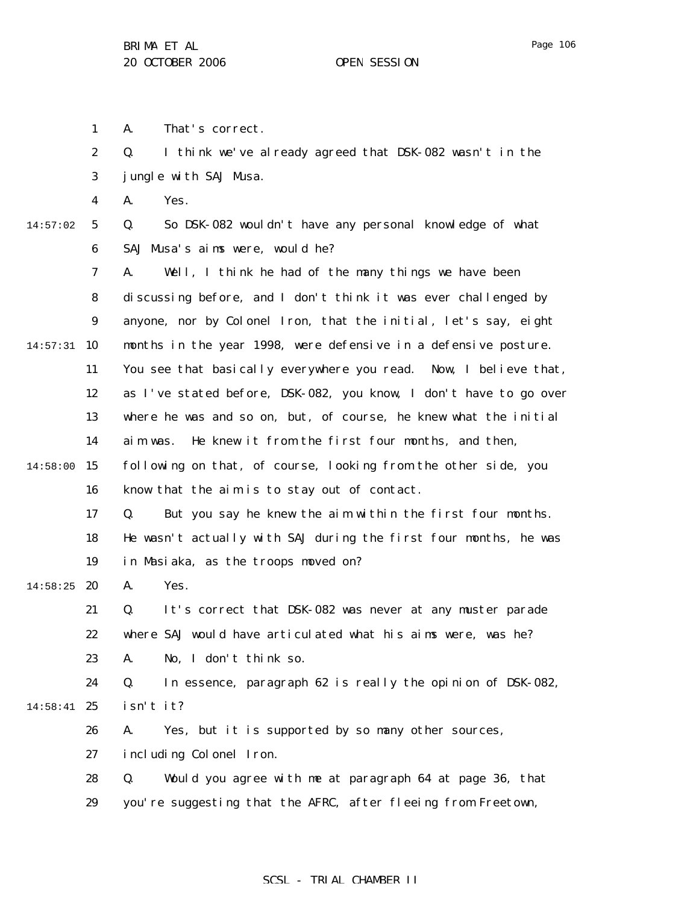1 A. That's correct.

|          | $\boldsymbol{2}$ | I think we've already agreed that DSK-082 wasn't in the<br>Q.     |
|----------|------------------|-------------------------------------------------------------------|
|          | 3                | jungle with SAJ Musa.                                             |
|          | 4                | Yes.<br>A.                                                        |
| 14:57:02 | $\mathbf 5$      | So DSK-082 wouldn't have any personal knowledge of what<br>Q.     |
|          | 6                | SAJ Musa's aims were, would he?                                   |
|          | 7                | Well, I think he had of the many things we have been<br>A.        |
|          | 8                | discussing before, and I don't think it was ever challenged by    |
|          | $\boldsymbol{9}$ | anyone, nor by Colonel Iron, that the initial, let's say, eight   |
| 14:57:31 | 10               | months in the year 1998, were defensive in a defensive posture.   |
|          | 11               | You see that basically everywhere you read. Now, I believe that,  |
|          | 12               | as I've stated before, DSK-082, you know, I don't have to go over |
|          | 13               | where he was and so on, but, of course, he knew what the initial  |
|          | 14               | He knew it from the first four months, and then,<br>aim was.      |
| 14:58:00 | 15               | following on that, of course, looking from the other side, you    |
|          | 16               | know that the aim is to stay out of contact.                      |
|          | 17               | But you say he knew the aim within the first four months.<br>Q.   |
|          | 18               | He wasn't actually with SAJ during the first four months, he was  |
|          | 19               | in Masiaka, as the troops moved on?                               |
| 14:58:25 | 20               | Yes.<br>A.                                                        |
|          | 21               | It's correct that DSK-082 was never at any muster parade<br>Q.    |
|          | 22               | where SAJ would have articulated what his aims were, was he?      |
|          | 23               | A.<br>No, I don't think so.                                       |
|          | 24               | In essence, paragraph 62 is really the opinion of DSK-082,<br>Q.  |
| 14:58:41 | 25               | isn't it?                                                         |
|          | 26               | Yes, but it is supported by so many other sources,<br>A.          |
|          | 27               | including Colonel Iron.                                           |
|          | 28               | Would you agree with me at paragraph 64 at page 36, that<br>Q.    |
|          | 29               | you're suggesting that the AFRC, after fleeing from Freetown,     |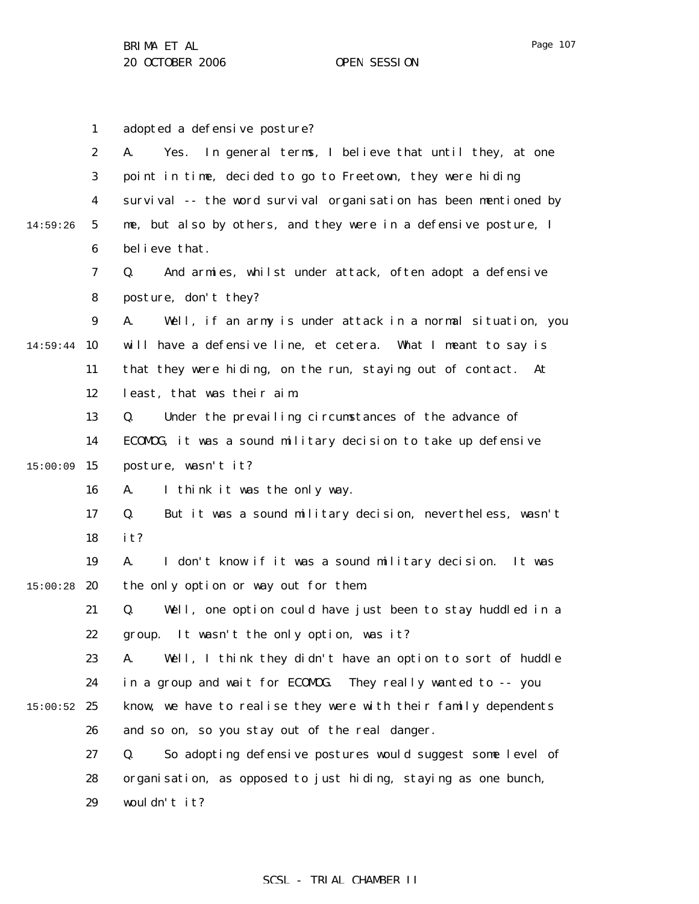1 2 3 4 5 6 7 8 9 14:59:44 10 11 12 13 14 15 15:00:09 16 17 18 19  $15:00:28$  20 21 22 23 24  $15:00:52$  25 26 27 28 29 14:59:26 adopted a defensive posture? A. Yes. In general terms, I believe that until they, at one point in time, decided to go to Freetown, they were hiding survival -- the word survival organisation has been mentioned by me, but also by others, and they were in a defensive posture, I believe that. Q. And armies, whilst under attack, often adopt a defensive posture, don't they? A. Well, if an army is under attack in a normal situation, you will have a defensive line, et cetera. What I meant to say is that they were hiding, on the run, staying out of contact. At least, that was their aim. Q. Under the prevailing circumstances of the advance of ECOMOG, it was a sound military decision to take up defensive posture, wasn't it? A. I think it was the only way. Q. But it was a sound military decision, nevertheless, wasn't it? A. I don't know if it was a sound military decision. It was the only option or way out for them. Q. Well, one option could have just been to stay huddled in a group. It wasn't the only option, was it? A. Well, I think they didn't have an option to sort of huddle in a group and wait for ECOMOG. They really wanted to -- you know, we have to realise they were with their family dependents and so on, so you stay out of the real danger. Q. So adopting defensive postures would suggest some level of organisation, as opposed to just hiding, staying as one bunch, wouldn't it?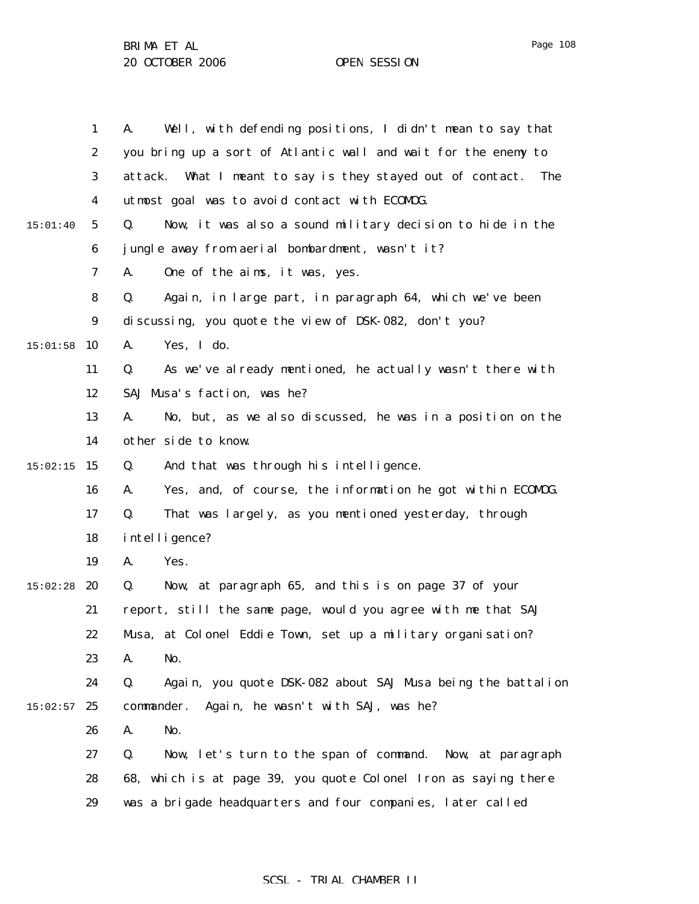|          | $\mathbf{1}$     | Well, with defending positions, I didn't mean to say that<br>A.   |
|----------|------------------|-------------------------------------------------------------------|
|          | $\boldsymbol{2}$ | you bring up a sort of Atlantic wall and wait for the enemy to    |
|          | 3                | attack. What I meant to say is they stayed out of contact.<br>The |
|          | $\boldsymbol{4}$ | utmost goal was to avoid contact with ECOMDG.                     |
| 15:01:40 | $5\phantom{.0}$  | Now, it was also a sound military decision to hide in the<br>Q.   |
|          | 6                | jungle away from aerial bombardment, wasn't it?                   |
|          | 7                | A.<br>One of the aims, it was, yes.                               |
|          | 8                | Q.<br>Again, in large part, in paragraph 64, which we've been     |
|          | $\boldsymbol{9}$ | discussing, you quote the view of DSK-082, don't you?             |
| 15:01:58 | 10               | Yes, I do.<br>A.                                                  |
|          | 11               | As we've already mentioned, he actually wasn't there with<br>Q.   |
|          | 12               | SAJ Musa's faction, was he?                                       |
|          | 13               | A.<br>No, but, as we also discussed, he was in a position on the  |
|          | 14               | other side to know.                                               |
| 15:02:15 | 15               | And that was through his intelligence.<br>Q.                      |
|          | 16               | Yes, and, of course, the information he got within ECOMDG.<br>A.  |
|          | 17               | That was largely, as you mentioned yesterday, through<br>Q.       |
|          | 18               | intelligence?                                                     |
|          | 19               | Yes.<br>A.                                                        |
| 15:02:28 | 20               | Now, at paragraph 65, and this is on page 37 of your<br>Q.        |
|          | 21               | report, still the same page, would you agree with me that SAJ     |
|          | 22               | Musa, at Colonel Eddie Town, set up a military organisation?      |
|          | 23               | A.<br>No.                                                         |
|          | 24               | Q.<br>Again, you quote DSK-082 about SAJ Musa being the battalion |
| 15:02:57 | 25               | commander.<br>Again, he wasn't with SAJ, was he?                  |
|          | 26               | No.<br>A.                                                         |
|          | 27               | Now, let's turn to the span of command. Now, at paragraph<br>Q.   |
|          | 28               | 68, which is at page 39, you quote Colonel Iron as saying there   |
|          | 29               | was a brigade headquarters and four companies, later called       |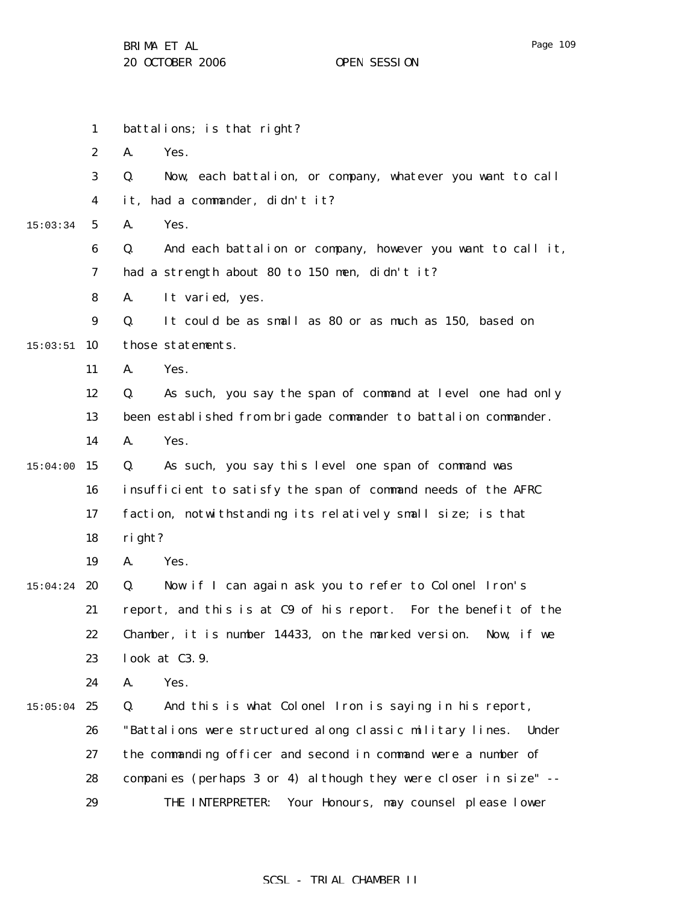|          | $\mathbf{1}$     | battalions; is that right?                                         |
|----------|------------------|--------------------------------------------------------------------|
|          | $\boldsymbol{2}$ | A.<br>Yes.                                                         |
|          | 3                | Q.<br>Now, each battalion, or company, whatever you want to call   |
|          | $\boldsymbol{4}$ | it, had a commander, didn't it?                                    |
| 15:03:34 | $\mathbf{5}$     | Yes.<br>A.                                                         |
|          | 6                | And each battalion or company, however you want to call it,<br>Q.  |
|          | 7                | had a strength about 80 to 150 men, didn't it?                     |
|          | 8                | A.<br>It varied, yes.                                              |
|          | $\boldsymbol{9}$ | It could be as small as 80 or as much as 150, based on<br>Q.       |
| 15:03:51 | 10               | those statements.                                                  |
|          | 11               | Yes.<br>A.                                                         |
|          | 12               | As such, you say the span of command at level one had only<br>Q.   |
|          | 13               | been established from brigade commander to battalion commander.    |
|          | 14               | A.<br>Yes.                                                         |
| 15:04:00 | 15               | As such, you say this level one span of command was<br>Q.          |
|          | 16               | insufficient to satisfy the span of command needs of the AFRC      |
|          | 17               | faction, notwithstanding its relatively small size; is that        |
|          | 18               | right?                                                             |
|          | 19               | A.<br>Yes.                                                         |
| 15:04:24 | 20               | Now if I can again ask you to refer to Colonel Iron's<br>Q.        |
|          | 21               | report, and this is at C9 of his report. For the benefit of the    |
|          | 22               | Chamber, it is number 14433, on the marked version.<br>Now, if we  |
|          | 23               | look at C3.9.                                                      |
|          | 24               | Yes.<br>A.                                                         |
| 15:05:04 | 25               | And this is what Colonel Iron is saying in his report,<br>Q.       |
|          | 26               | "Battalions were structured along classic military lines.<br>Under |
|          | 27               | the commanding officer and second in command were a number of      |
|          | 28               | companies (perhaps 3 or 4) although they were closer in size" --   |
|          | 29               | Your Honours, may counsel please lower<br>THE INTERPRETER:         |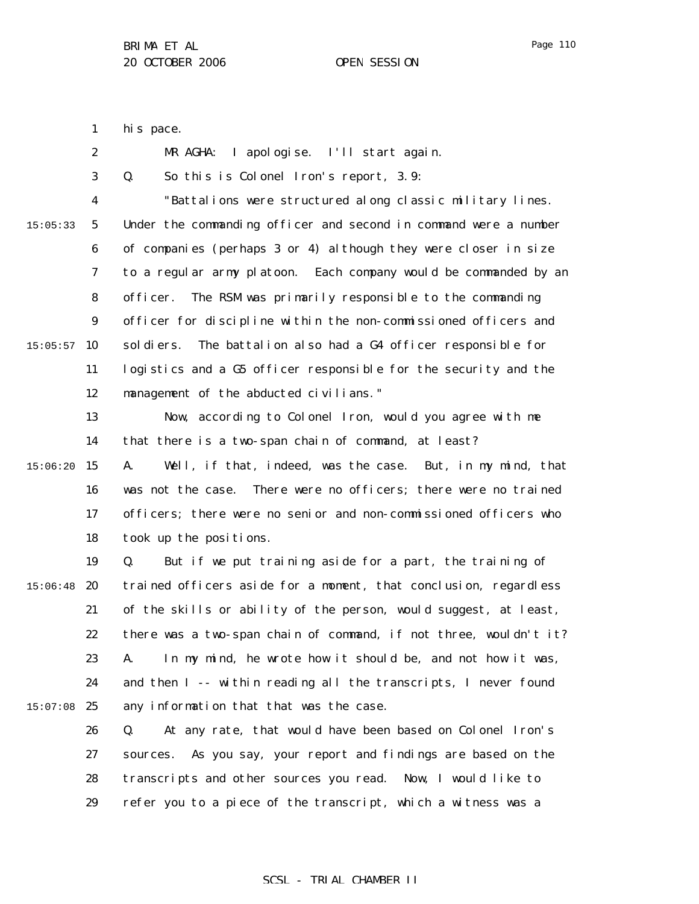Page 110

1 his pace.

2 3 4 5 6 7 8 9  $15:05:57$  10 11 12 13 14 15 15:06:20 16 17 18 19  $15:06:48$  20 21 22 23 24  $15:07:08$  25 26 27 28 15:05:33 MR AGHA: I apologise. I'll start again. Q. So this is Colonel Iron's report, 3.9: "Battalions were structured along classic military lines. Under the commanding officer and second in command were a number of companies (perhaps 3 or 4) although they were closer in size to a regular army platoon. Each company would be commanded by an officer. The RSM was primarily responsible to the commanding officer for discipline within the non-commissioned officers and soldiers. The battalion also had a G4 officer responsible for logistics and a G5 officer responsible for the security and the management of the abducted civilians." Now, according to Colonel Iron, would you agree with me that there is a two-span chain of command, at least? A. Well, if that, indeed, was the case. But, in my mind, that was not the case. There were no officers; there were no trained officers; there were no senior and non-commissioned officers who took up the positions. Q. But if we put training aside for a part, the training of trained officers aside for a moment, that conclusion, regardless of the skills or ability of the person, would suggest, at least, there was a two-span chain of command, if not three, wouldn't it? A. In my mind, he wrote how it should be, and not how it was, and then I -- within reading all the transcripts, I never found any information that that was the case. Q. At any rate, that would have been based on Colonel Iron's sources. As you say, your report and findings are based on the transcripts and other sources you read. Now, I would like to

> 29 refer you to a piece of the transcript, which a witness was a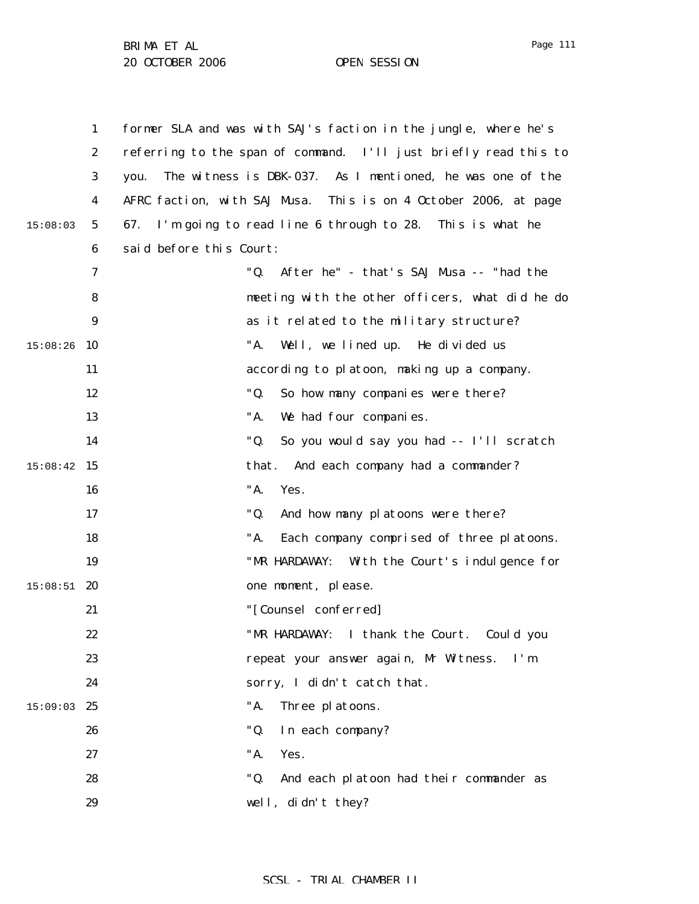|          | $\mathbf{1}$     | former SLA and was with SAJ's faction in the jungle, where he's   |
|----------|------------------|-------------------------------------------------------------------|
|          | $\boldsymbol{2}$ | referring to the span of command. I'll just briefly read this to  |
|          | 3                | The witness is DBK-037. As I mentioned, he was one of the<br>you. |
|          | 4                | AFRC faction, with SAJ Musa. This is on 4 October 2006, at page   |
| 15:08:03 | $5\phantom{.0}$  | I'm going to read line 6 through to 28. This is what he<br>67.    |
|          | 6                | said before this Court:                                           |
|          | 7                | "Q.<br>After he" - that's SAJ Musa -- "had the                    |
|          | 8                | meeting with the other officers, what did he do                   |
|          | 9                | as it related to the military structure?                          |
| 15:08:26 | 10               | "A.<br>Well, we lined up. He divided us                           |
|          | 11               | according to platoon, making up a company.                        |
|          | 12               | "Q.<br>So how many companies were there?                          |
|          | 13               | "A.<br>We had four companies.                                     |
|          | 14               | "Q.<br>So you would say you had -- I'll scratch                   |
| 15:08:42 | 15               | that.<br>And each company had a commander?                        |
|          | 16               | "A.<br>Yes.                                                       |
|          | 17               | "Q.<br>And how many platoons were there?                          |
|          | 18               | "A.<br>Each company comprised of three platoons.                  |
|          | 19               | "MR HARDAWAY: With the Court's indulgence for                     |
| 15:08:51 | 20               | one moment, please.                                               |
|          | 21               | "[Counsel conferred]                                              |
|          | 22               | "MR HARDAWAY: I thank the Court. Could you                        |
|          | 23               | repeat your answer again, Mr Witness.<br>I'm                      |
|          | 24               | sorry, I didn't catch that.                                       |
| 15:09:03 | 25               | "A.<br>Three platoons.                                            |
|          | 26               | "Q.<br>In each company?                                           |
|          | 27               | "A.<br>Yes.                                                       |
|          | 28               | "Q.<br>And each platoon had their commander as                    |
|          | 29               | well, didn't they?                                                |
|          |                  |                                                                   |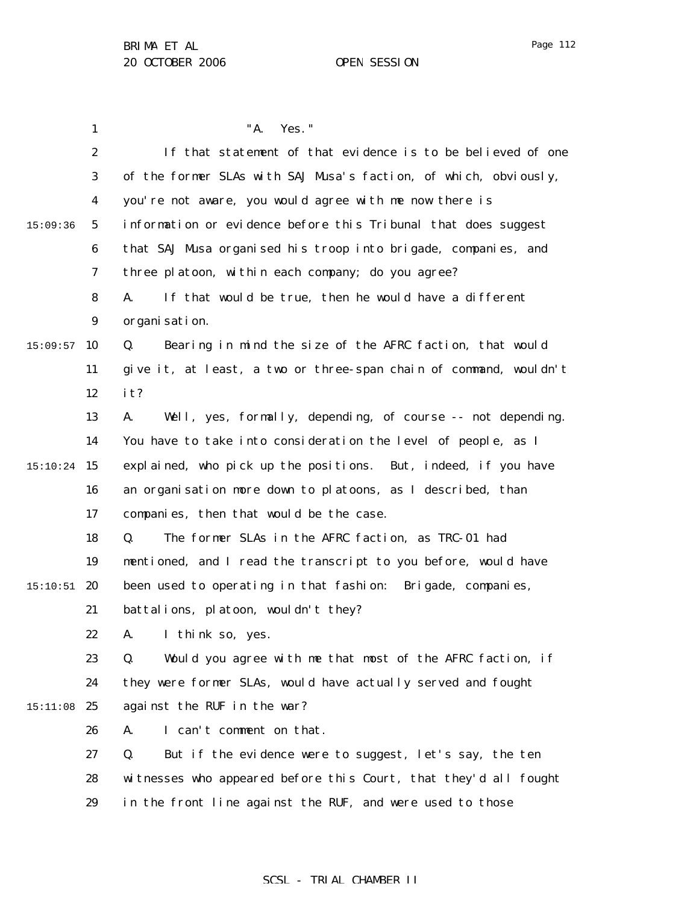1 2 3 4 5 6 7 8 9  $15:09:57$  10 11 12 13 14 15 15:10:24 16 17 18 19  $15:10:51$  20 21 22 23 24 15:11:08 25 26 27 28 29 15:09:36 "A. Yes." If that statement of that evidence is to be believed of one of the former SLAs with SAJ Musa's faction, of which, obviously, you're not aware, you would agree with me now there is information or evidence before this Tribunal that does suggest that SAJ Musa organised his troop into brigade, companies, and three platoon, within each company; do you agree? A. If that would be true, then he would have a different organisation. Q. Bearing in mind the size of the AFRC faction, that would give it, at least, a two or three-span chain of command, wouldn't it? A. Well, yes, formally, depending, of course -- not depending. You have to take into consideration the level of people, as I explained, who pick up the positions. But, indeed, if you have an organisation more down to platoons, as I described, than companies, then that would be the case. Q. The former SLAs in the AFRC faction, as TRC-01 had mentioned, and I read the transcript to you before, would have been used to operating in that fashion: Brigade, companies, battalions, platoon, wouldn't they? A. I think so, yes. Q. Would you agree with me that most of the AFRC faction, if they were former SLAs, would have actually served and fought against the RUF in the war? A. I can't comment on that. Q. But if the evidence were to suggest, let's say, the ten witnesses who appeared before this Court, that they'd all fought in the front line against the RUF, and were used to those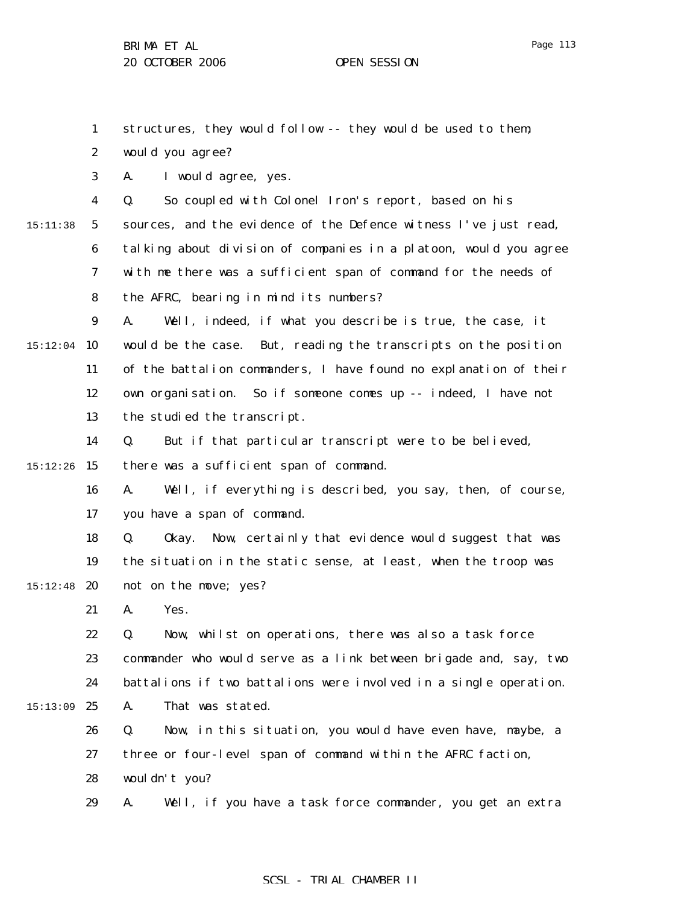1 2 3 4 5 6 7 8 9  $15:12:04$  10 11 12 13 14 15 15:12:26 16 17 18 19  $15:12:48$  20 21 22 23 24 15:13:09 25 26 27 28 15:11:38 structures, they would follow -- they would be used to them; would you agree? A. I would agree, yes. Q. So coupled with Colonel Iron's report, based on his sources, and the evidence of the Defence witness I've just read, talking about division of companies in a platoon, would you agree with me there was a sufficient span of command for the needs of the AFRC, bearing in mind its numbers? A. Well, indeed, if what you describe is true, the case, it would be the case. But, reading the transcripts on the position of the battalion commanders, I have found no explanation of their own organisation. So if someone comes up -- indeed, I have not the studied the transcript. Q. But if that particular transcript were to be believed, there was a sufficient span of command. A. Well, if everything is described, you say, then, of course, you have a span of command. Q. Okay. Now, certainly that evidence would suggest that was the situation in the static sense, at least, when the troop was not on the move; yes? A. Yes. Q. Now, whilst on operations, there was also a task force commander who would serve as a link between brigade and, say, two battalions if two battalions were involved in a single operation. A. That was stated. Q. Now, in this situation, you would have even have, maybe, a three or four-level span of command within the AFRC faction, wouldn't you?

29 A. Well, if you have a task force commander, you get an extra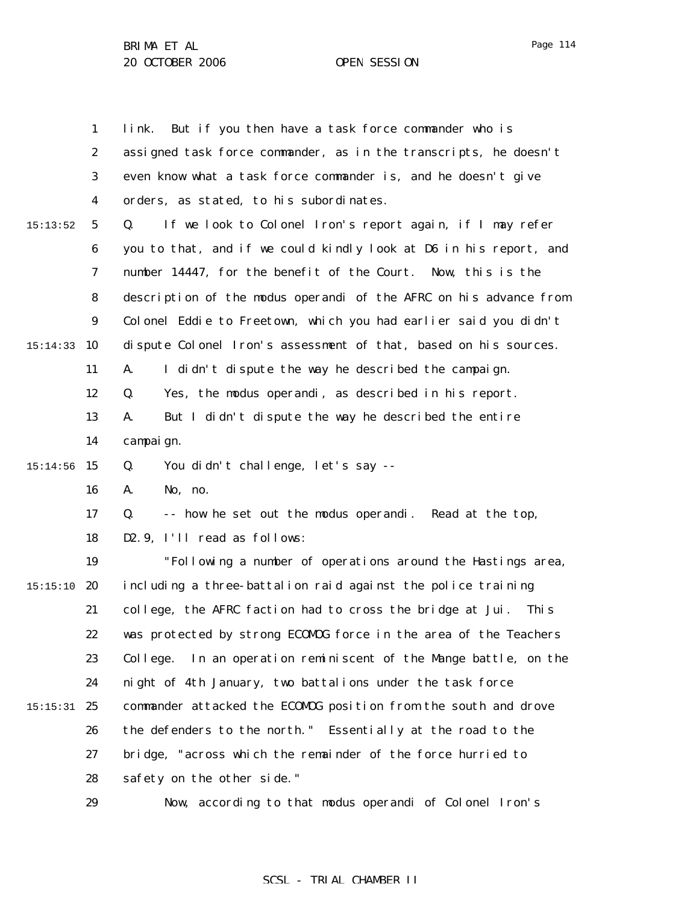|          | $\mathbf{1}$     | link. But if you then have a task force commander who is            |
|----------|------------------|---------------------------------------------------------------------|
|          | $\boldsymbol{2}$ | assigned task force commander, as in the transcripts, he doesn't    |
|          | 3                | even know what a task force commander is, and he doesn't give       |
|          | 4                | orders, as stated, to his subordinates.                             |
| 15:13:52 | $\sqrt{5}$       | If we look to Colonel Iron's report again, if I may refer<br>Q.     |
|          | $\boldsymbol{6}$ | you to that, and if we could kindly look at D6 in his report, and   |
|          | 7                | number 14447, for the benefit of the Court. Now, this is the        |
|          | 8                | description of the modus operandi of the AFRC on his advance from   |
|          | $\boldsymbol{9}$ | Colonel Eddie to Freetown, which you had earlier said you didn't    |
| 15:14:33 | 10               | dispute Colonel Iron's assessment of that, based on his sources.    |
|          | 11               | I didn't dispute the way he described the campaign.<br>A.           |
|          | 12               | Yes, the modus operandi, as described in his report.<br>Q.          |
|          | 13               | But I didn't dispute the way he described the entire<br>A.          |
|          | 14               | campai gn.                                                          |
| 15:14:56 | 15               | You didn't challenge, let's say --<br>Q.                            |
|          | 16               | A.<br>No, no.                                                       |
|          | 17               | -- how he set out the modus operandi. Read at the top,<br>Q.        |
|          | 18               | D2.9, I'll read as follows:                                         |
|          | 19               | "Following a number of operations around the Hastings area,         |
| 15:15:10 | 20               | including a three-battalion raid against the police training        |
|          | 21               | college, the AFRC faction had to cross the bridge at Jui.<br>Thi s  |
|          | 22               | was protected by strong ECOMOG force in the area of the Teachers    |
|          | 23               | In an operation reminiscent of the Mange battle, on the<br>College. |
|          | 24               | night of 4th January, two battalions under the task force           |
| 15:15:31 | 25               | commander attacked the ECOMDG position from the south and drove     |
|          | 26               | the defenders to the north." Essentially at the road to the         |
|          | 27               | bridge, "across which the remainder of the force hurried to         |
|          | 28               | safety on the other side."                                          |
|          | 29               | Now, according to that modus operandi of Colonel Iron's             |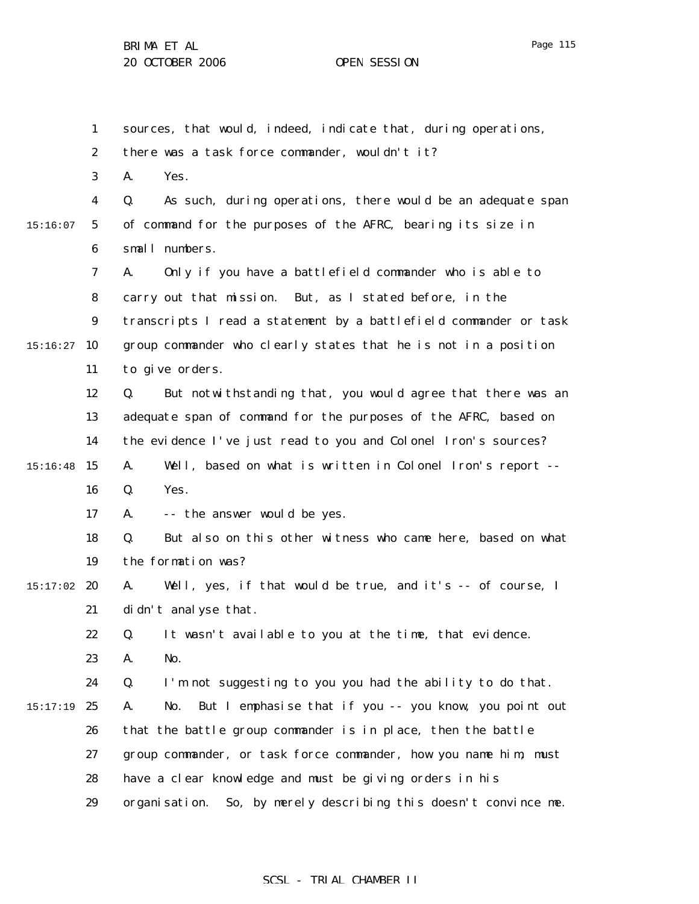1 2 3 4 5 6 7 8 9  $15:16:27$  10 11 12 13 14 15 15:16:48 16 17 18 19  $15:17:02$  20 21 22 23 24 15:17:19 25 26 27 28 29 15:16:07 sources, that would, indeed, indicate that, during operations, there was a task force commander, wouldn't it? A. Yes. Q. As such, during operations, there would be an adequate span of command for the purposes of the AFRC, bearing its size in small numbers. A. Only if you have a battlefield commander who is able to carry out that mission. But, as I stated before, in the transcripts I read a statement by a battlefield commander or task group commander who clearly states that he is not in a position to give orders. Q. But notwithstanding that, you would agree that there was an adequate span of command for the purposes of the AFRC, based on the evidence I've just read to you and Colonel Iron's sources? A. Well, based on what is written in Colonel Iron's report -- Q. Yes. A. -- the answer would be yes. Q. But also on this other witness who came here, based on what the formation was? A. Well, yes, if that would be true, and it's -- of course, I didn't analyse that. Q. It wasn't available to you at the time, that evidence. A. No. Q. I'm not suggesting to you you had the ability to do that. A. No. But I emphasise that if you -- you know, you point out that the battle group commander is in place, then the battle group commander, or task force commander, how you name him, must have a clear knowledge and must be giving orders in his organisation. So, by merely describing this doesn't convince me.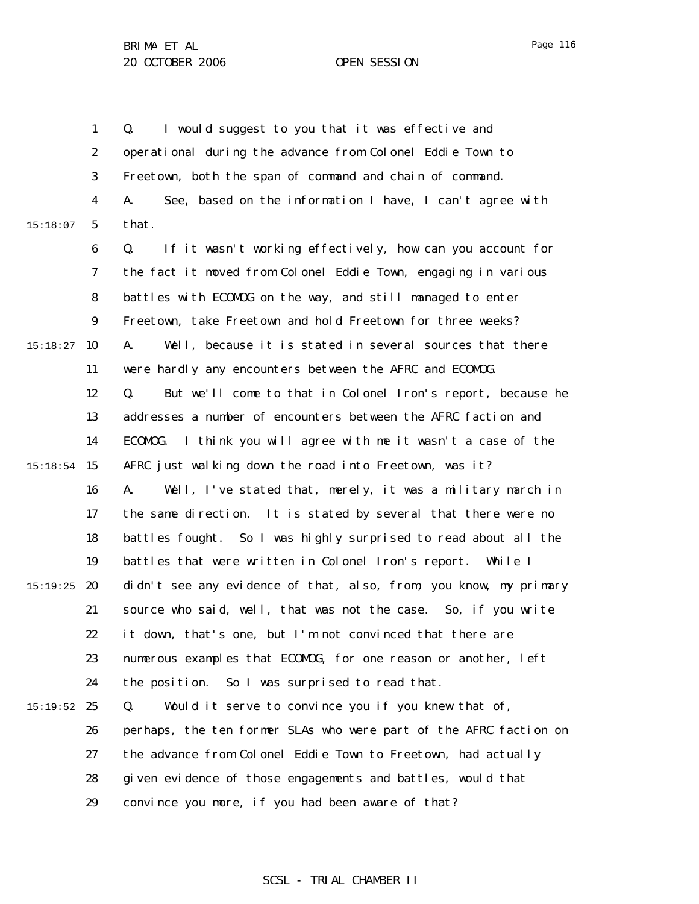1 2 3 4 5 6 7 8 9  $15:18:27$  10 11 12 13 14 15 15:18:54 16 17 18 19  $15:19:25$  20 21 22 23 24  $15:19:52$  25 26 27 28 29 15:18:07 Q. I would suggest to you that it was effective and operational during the advance from Colonel Eddie Town to Freetown, both the span of command and chain of command. A. See, based on the information I have, I can't agree with that. Q. If it wasn't working effectively, how can you account for the fact it moved from Colonel Eddie Town, engaging in various battles with ECOMOG on the way, and still managed to enter Freetown, take Freetown and hold Freetown for three weeks? A. Well, because it is stated in several sources that there were hardly any encounters between the AFRC and ECOMOG. Q. But we'll come to that in Colonel Iron's report, because he addresses a number of encounters between the AFRC faction and ECOMOG. I think you will agree with me it wasn't a case of the AFRC just walking down the road into Freetown, was it? A. Well, I've stated that, merely, it was a military march in the same direction. It is stated by several that there were no battles fought. So I was highly surprised to read about all the battles that were written in Colonel Iron's report. While I didn't see any evidence of that, also, from, you know, my primary source who said, well, that was not the case. So, if you write it down, that's one, but I'm not convinced that there are numerous examples that ECOMOG, for one reason or another, left the position. So I was surprised to read that. Q. Would it serve to convince you if you knew that of, perhaps, the ten former SLAs who were part of the AFRC faction on the advance from Colonel Eddie Town to Freetown, had actually given evidence of those engagements and battles, would that convince you more, if you had been aware of that?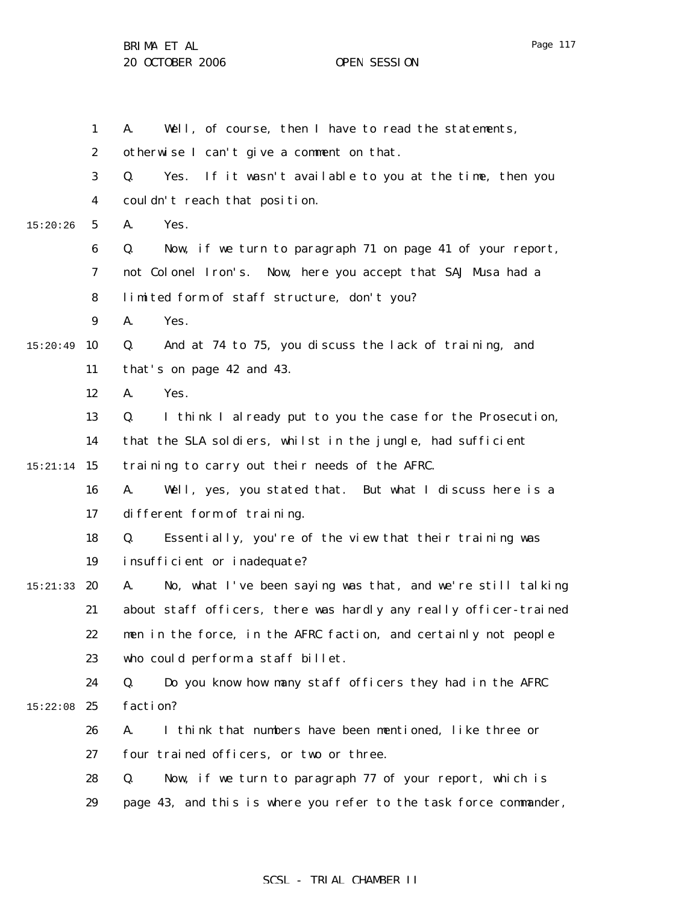1 2 3 4 5 6 7 8 9  $15:20:49$  10 11 12 13 14 15 15:21:14 16 17 18 19 15:21:33 **20** 21 22 23 24  $15:22:08$  25 26 27 28 29 15:20:26 A. Well, of course, then I have to read the statements, otherwise I can't give a comment on that. Q. Yes. If it wasn't available to you at the time, then you couldn't reach that position. A. Yes. Q. Now, if we turn to paragraph 71 on page 41 of your report, not Colonel Iron's. Now, here you accept that SAJ Musa had a limited form of staff structure, don't you? A. Yes. Q. And at 74 to 75, you discuss the lack of training, and that's on page 42 and 43. A. Yes. Q. I think I already put to you the case for the Prosecution, that the SLA soldiers, whilst in the jungle, had sufficient training to carry out their needs of the AFRC. A. Well, yes, you stated that. But what I discuss here is a different form of training. Q. Essentially, you're of the view that their training was insufficient or inadequate? A. No, what I've been saying was that, and we're still talking about staff officers, there was hardly any really officer-trained men in the force, in the AFRC faction, and certainly not people who could perform a staff billet. Q. Do you know how many staff officers they had in the AFRC faction? A. I think that numbers have been mentioned, like three or four trained officers, or two or three. Q. Now, if we turn to paragraph 77 of your report, which is page 43, and this is where you refer to the task force commander,

### SCSL - TRIAL CHAMBER II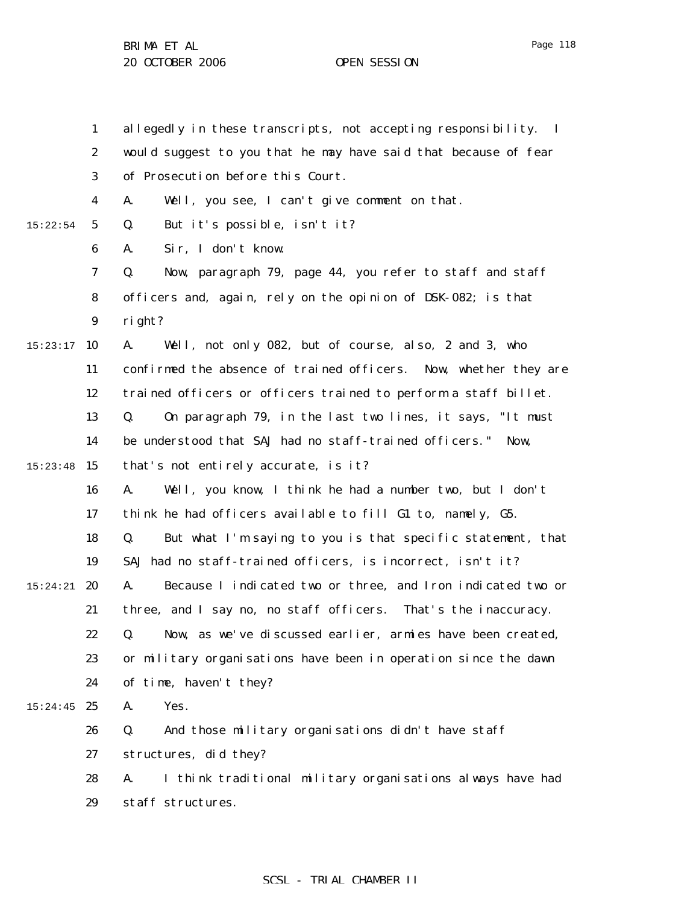1 2 3 4 5 6 7 8 9  $15:23:17$  10 11 12 13 14 15:23:48 15 16 17 18 19 15:24:21 **20** 21 22 23 24  $15:24:45$  25 26 27 28 29 15:22:54 allegedly in these transcripts, not accepting responsibility. I would suggest to you that he may have said that because of fear of Prosecution before this Court. A. Well, you see, I can't give comment on that. Q. But it's possible, isn't it? A. Sir, I don't know. Q. Now, paragraph 79, page 44, you refer to staff and staff officers and, again, rely on the opinion of DSK-082; is that right? A. Well, not only 082, but of course, also, 2 and 3, who confirmed the absence of trained officers. Now, whether they are trained officers or officers trained to perform a staff billet. Q. On paragraph 79, in the last two lines, it says, "It must be understood that SAJ had no staff-trained officers." Now, that's not entirely accurate, is it? A. Well, you know, I think he had a number two, but I don't think he had officers available to fill G1 to, namely, G5. Q. But what I'm saying to you is that specific statement, that SAJ had no staff-trained officers, is incorrect, isn't it? A. Because I indicated two or three, and Iron indicated two or three, and I say no, no staff officers. That's the inaccuracy. Q. Now, as we've discussed earlier, armies have been created, or military organisations have been in operation since the dawn of time, haven't they? A. Yes. Q. And those military organisations didn't have staff structures, did they? A. I think traditional military organisations always have had staff structures.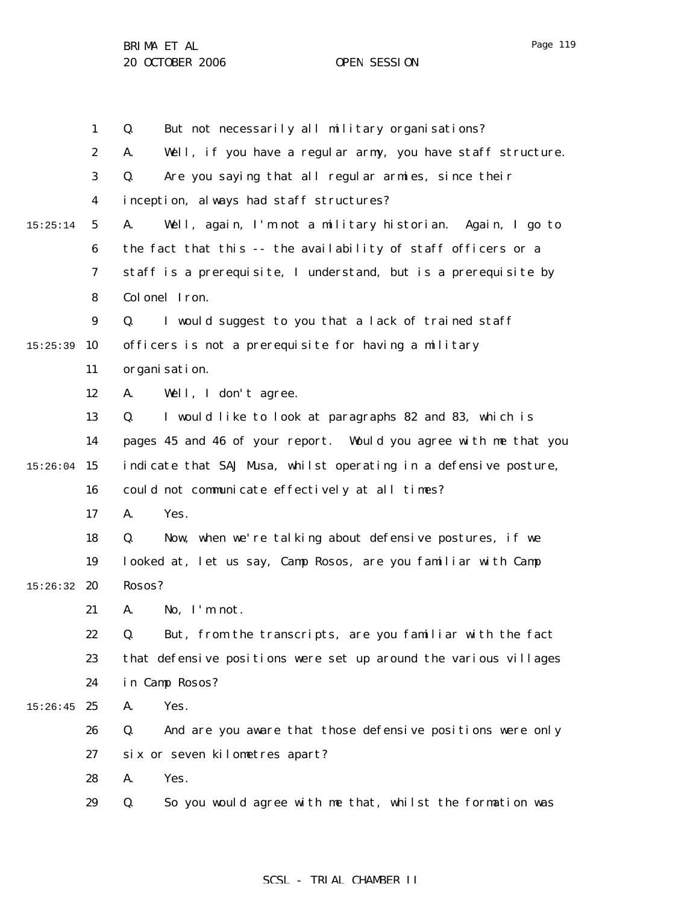1 2 3 4 5 6 7 8 9  $15:25:39$  10 11 12 13 14 15:26:04 15 16 17 18 19 15:26:32 **20** 21 22 23 24  $15:26:45$  25 26 27 28 29 15:25:14 Q. But not necessarily all military organisations? A. Well, if you have a regular army, you have staff structure. Q. Are you saying that all regular armies, since their inception, always had staff structures? A. Well, again, I'm not a military historian. Again, I go to the fact that this -- the availability of staff officers or a staff is a prerequisite, I understand, but is a prerequisite by Colonel Iron. Q. I would suggest to you that a lack of trained staff officers is not a prerequisite for having a military organisation. A. Well, I don't agree. Q. I would like to look at paragraphs 82 and 83, which is pages 45 and 46 of your report. Would you agree with me that you indicate that SAJ Musa, whilst operating in a defensive posture, could not communicate effectively at all times? A. Yes. Q. Now, when we're talking about defensive postures, if we looked at, let us say, Camp Rosos, are you familiar with Camp Rosos? A. No, I'm not. Q. But, from the transcripts, are you familiar with the fact that defensive positions were set up around the various villages in Camp Rosos? A. Yes. Q. And are you aware that those defensive positions were only six or seven kilometres apart? A. Yes. Q. So you would agree with me that, whilst the formation was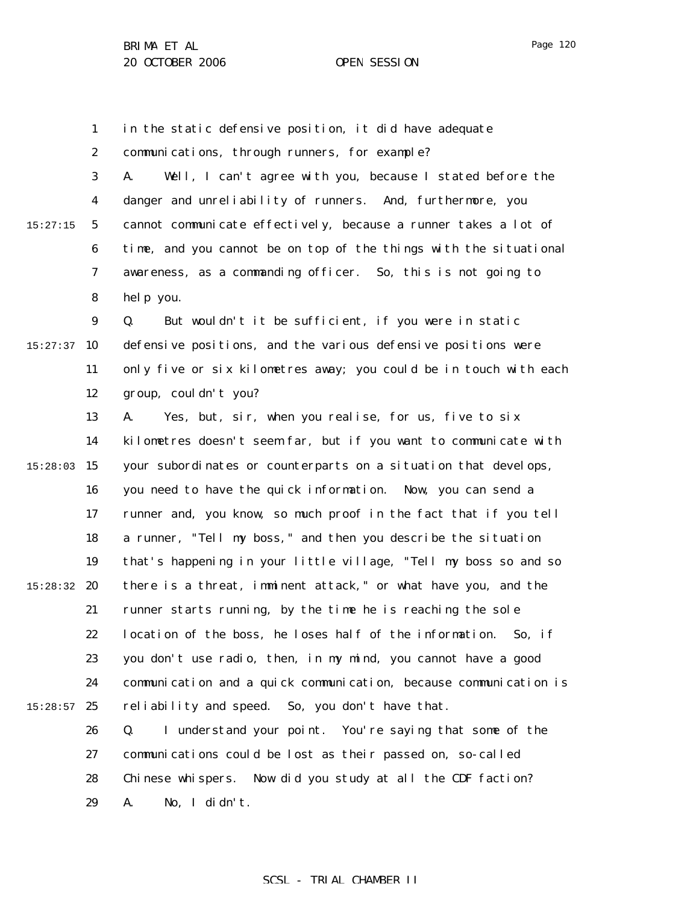1 2 3 4 5 6 7 8 9  $15:27:37$  10 11 12 13 14 15:28:03 15 16 17 18 19 15:28:32 **20** 21 22 23 24  $15:28:57$  25 26 27 28 29 15:27:15 in the static defensive position, it did have adequate communications, through runners, for example? A. Well, I can't agree with you, because I stated before the danger and unreliability of runners. And, furthermore, you cannot communicate effectively, because a runner takes a lot of time, and you cannot be on top of the things with the situational awareness, as a commanding officer. So, this is not going to help you. Q. But wouldn't it be sufficient, if you were in static defensive positions, and the various defensive positions were only five or six kilometres away; you could be in touch with each group, couldn't you? A. Yes, but, sir, when you realise, for us, five to six kilometres doesn't seem far, but if you want to communicate with your subordinates or counterparts on a situation that develops, you need to have the quick information. Now, you can send a runner and, you know, so much proof in the fact that if you tell a runner, "Tell my boss," and then you describe the situation that's happening in your little village, "Tell my boss so and so there is a threat, imminent attack," or what have you, and the runner starts running, by the time he is reaching the sole location of the boss, he loses half of the information. So, if you don't use radio, then, in my mind, you cannot have a good communication and a quick communication, because communication is reliability and speed. So, you don't have that. Q. I understand your point. You're saying that some of the communications could be lost as their passed on, so-called Chinese whispers. Now did you study at all the CDF faction? A. No, I didn't.

### Page 120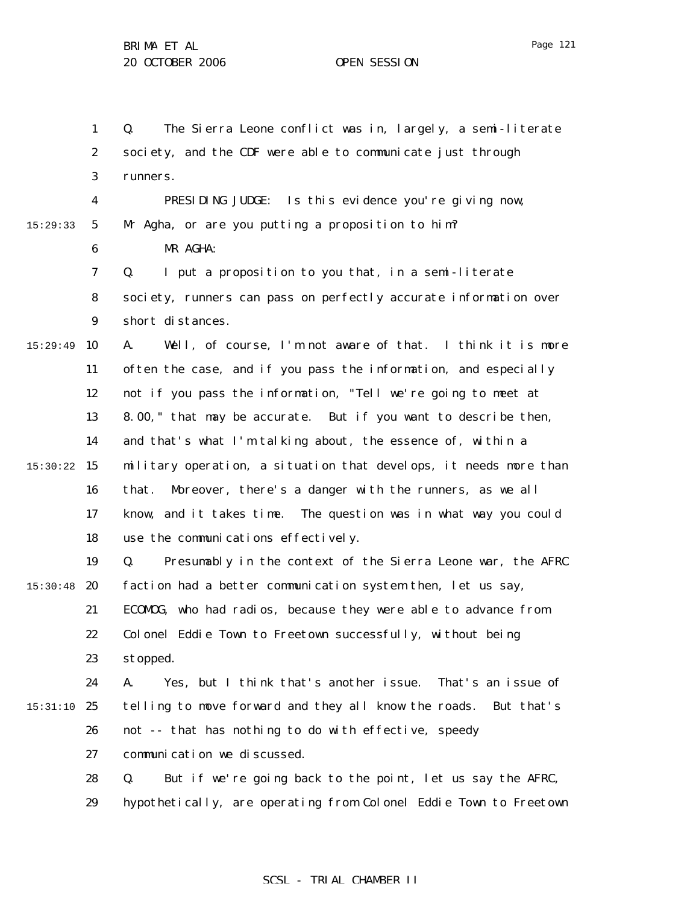1 2 3 4 5 6 7 8 9 15:29:49 10 11 12 13 14 15 15:30:22 16 17 18 19  $15:30:48$  20 21 22 23 24 15:31:10 25 26 27 28 29 15:29:33 Q. The Sierra Leone conflict was in, largely, a semi-literate society, and the CDF were able to communicate just through runners. PRESIDING JUDGE: Is this evidence you're giving now, Mr Agha, or are you putting a proposition to him? MR AGHA: Q. I put a proposition to you that, in a semi-literate society, runners can pass on perfectly accurate information over short distances. A. Well, of course, I'm not aware of that. I think it is more often the case, and if you pass the information, and especially not if you pass the information, "Tell we're going to meet at 8.00," that may be accurate. But if you want to describe then, and that's what I'm talking about, the essence of, within a military operation, a situation that develops, it needs more than that. Moreover, there's a danger with the runners, as we all know, and it takes time. The question was in what way you could use the communications effectively. Q. Presumably in the context of the Sierra Leone war, the AFRC faction had a better communication system then, let us say, ECOMOG, who had radios, because they were able to advance from Colonel Eddie Town to Freetown successfully, without being stopped. A. Yes, but I think that's another issue. That's an issue of telling to move forward and they all know the roads. But that's not -- that has nothing to do with effective, speedy communication we discussed. Q. But if we're going back to the point, let us say the AFRC, hypothetically, are operating from Colonel Eddie Town to Freetown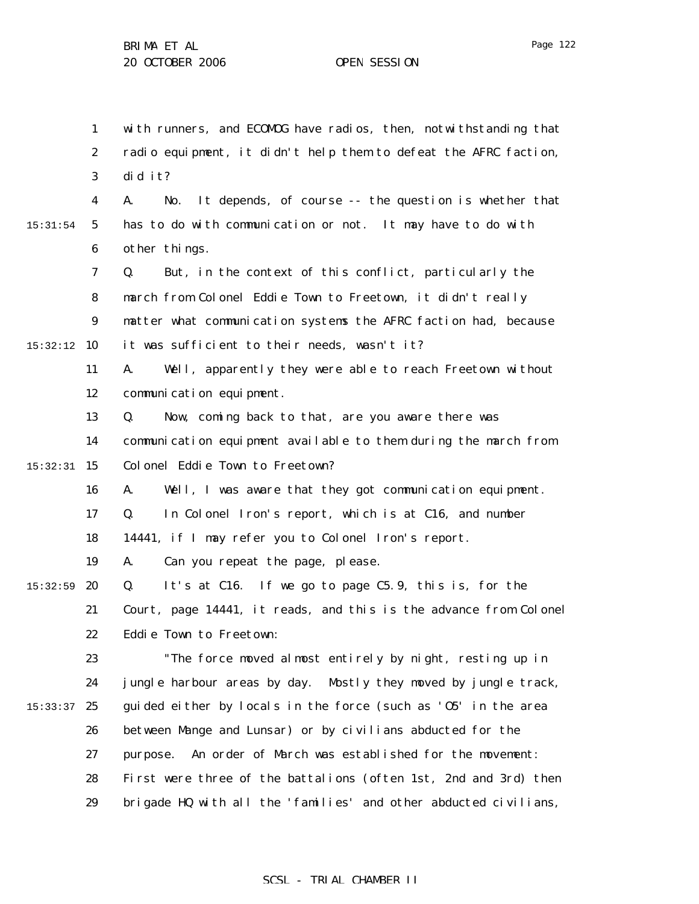1 2 3 4 5 6 7 8 9 15:32:12 10 11 12 13 14 15 15:32:31 16 17 18 19  $15:32:59$  20 21 22 23 24  $15:33:37$  25 26 27 28 29 15:31:54 with runners, and ECOMOG have radios, then, notwithstanding that radio equipment, it didn't help them to defeat the AFRC faction, did it? A. No. It depends, of course -- the question is whether that has to do with communication or not. It may have to do with other things. Q. But, in the context of this conflict, particularly the march from Colonel Eddie Town to Freetown, it didn't really matter what communication systems the AFRC faction had, because it was sufficient to their needs, wasn't it? A. Well, apparently they were able to reach Freetown without communication equipment. Q. Now, coming back to that, are you aware there was communication equipment available to them during the march from Colonel Eddie Town to Freetown? A. Well, I was aware that they got communication equipment. Q. In Colonel Iron's report, which is at C16, and number 14441, if I may refer you to Colonel Iron's report. A. Can you repeat the page, please. Q. It's at C16. If we go to page C5.9, this is, for the Court, page 14441, it reads, and this is the advance from Colonel Eddie Town to Freetown: "The force moved almost entirely by night, resting up in jungle harbour areas by day. Mostly they moved by jungle track, guided either by locals in the force (such as 'O5' in the area between Mange and Lunsar) or by civilians abducted for the purpose. An order of March was established for the movement: First were three of the battalions (often 1st, 2nd and 3rd) then brigade HQ with all the 'families' and other abducted civilians,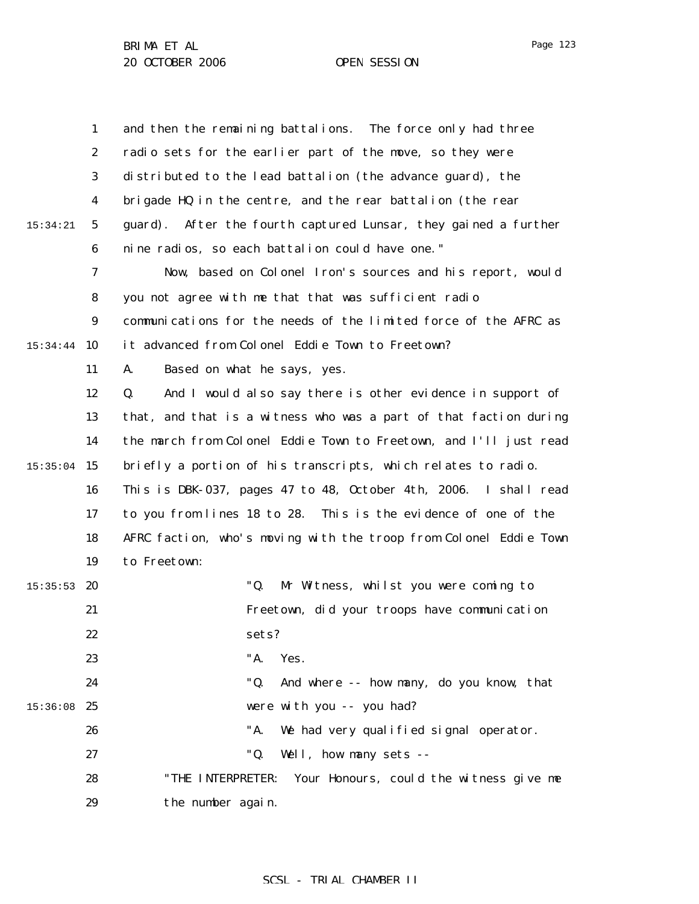1 2 3 4 5 6 7 8 9 15:34:44 10 11 12 13 14  $15:35:04$  15 16 17 18 19  $15:35:53$  20 21 22 23 24 15:36:08 25 26 27 28 29 15:34:21 and then the remaining battalions. The force only had three radio sets for the earlier part of the move, so they were distributed to the lead battalion (the advance guard), the brigade HQ in the centre, and the rear battalion (the rear guard). After the fourth captured Lunsar, they gained a further nine radios, so each battalion could have one." Now, based on Colonel Iron's sources and his report, would you not agree with me that that was sufficient radio communications for the needs of the limited force of the AFRC as it advanced from Colonel Eddie Town to Freetown? A. Based on what he says, yes. Q. And I would also say there is other evidence in support of that, and that is a witness who was a part of that faction during the march from Colonel Eddie Town to Freetown, and I'll just read briefly a portion of his transcripts, which relates to radio. This is DBK-037, pages 47 to 48, October 4th, 2006. I shall read to you from lines 18 to 28. This is the evidence of one of the AFRC faction, who's moving with the troop from Colonel Eddie Town to Freetown: "Q. Mr Witness, whilst you were coming to Freetown, did your troops have communication sets? "A. Yes. "Q. And where -- how many, do you know, that were with you -- you had? "A. We had very qualified signal operator. "Q. Well, how many sets -- "THE INTERPRETER: Your Honours, could the witness give me the number again.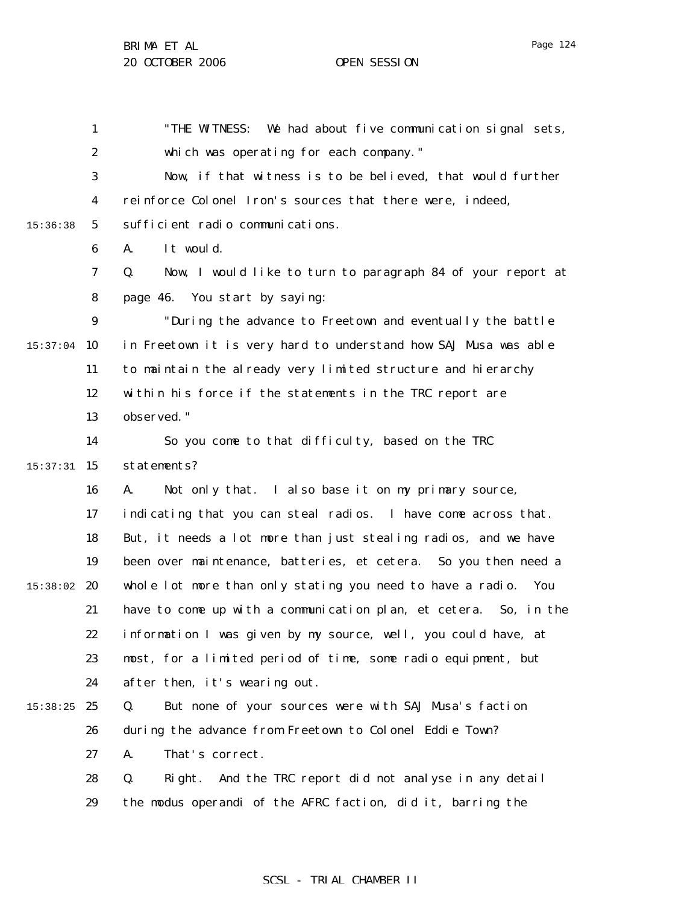1 2 3 4 5 6 7 8 9  $15:37:04$  10 11 12 13 14 15 15:37:31 16 17 18 19 15:38:02 20 21 22 23 24 15:38:25 25 26 27 28 29 15:36:38 "THE WITNESS: We had about five communication signal sets, which was operating for each company." Now, if that witness is to be believed, that would further reinforce Colonel Iron's sources that there were, indeed, sufficient radio communications. A. It would. Q. Now, I would like to turn to paragraph 84 of your report at page 46. You start by saying: "During the advance to Freetown and eventually the battle in Freetown it is very hard to understand how SAJ Musa was able to maintain the already very limited structure and hierarchy within his force if the statements in the TRC report are observed." So you come to that difficulty, based on the TRC statements? A. Not only that. I also base it on my primary source, indicating that you can steal radios. I have come across that. But, it needs a lot more than just stealing radios, and we have been over maintenance, batteries, et cetera. So you then need a whole lot more than only stating you need to have a radio. You have to come up with a communication plan, et cetera. So, in the information I was given by my source, well, you could have, at most, for a limited period of time, some radio equipment, but after then, it's wearing out. Q. But none of your sources were with SAJ Musa's faction during the advance from Freetown to Colonel Eddie Town? A. That's correct. Q. Right. And the TRC report did not analyse in any detail the modus operandi of the AFRC faction, did it, barring the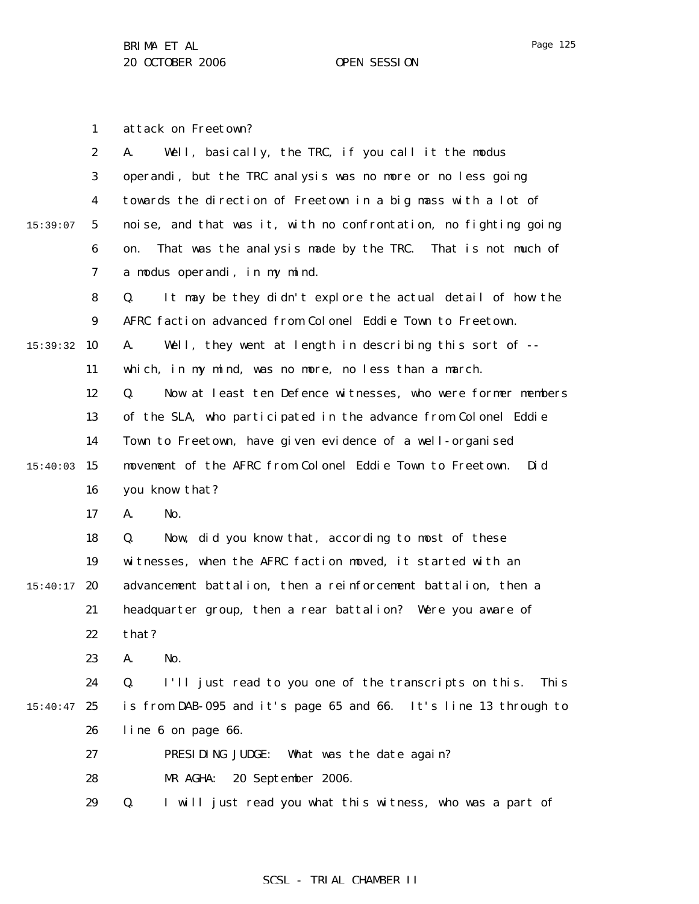1 attack on Freetown?

|          | $\boldsymbol{2}$ | Well, basically, the TRC, if you call it the modus<br>A.                        |
|----------|------------------|---------------------------------------------------------------------------------|
|          | 3                | operandi, but the TRC analysis was no more or no less going                     |
|          | $\boldsymbol{4}$ | towards the direction of Freetown in a big mass with a lot of                   |
| 15:39:07 | $\mathbf 5$      | noise, and that was it, with no confrontation, no fighting going                |
|          | 6                | That was the analysis made by the TRC. That is not much of<br>on.               |
|          | 7                | a modus operandi, in my mind.                                                   |
|          | 8                | It may be they didn't explore the actual detail of how the<br>Q.                |
|          | $\boldsymbol{9}$ | AFRC faction advanced from Colonel Eddie Town to Freetown.                      |
| 15:39:32 | 10               | Well, they went at length in describing this sort of --<br>A.                   |
|          | 11               | which, in my mind, was no more, no less than a march.                           |
|          | 12               | Now at least ten Defence witnesses, who were former members<br>Q.               |
|          | 13               | of the SLA, who participated in the advance from Colonel Eddie                  |
|          | 14               | Town to Freetown, have given evidence of a well-organised                       |
| 15:40:03 | 15               | movement of the AFRC from Colonel Eddie Town to Freetown.<br>Di d               |
|          | 16               | you know that?                                                                  |
|          | 17               | A.<br>No.                                                                       |
|          | 18               | Now, did you know that, according to most of these<br>Q.                        |
|          | 19               | witnesses, when the AFRC faction moved, it started with an                      |
| 15:40:17 | 20               | advancement battalion, then a reinforcement battalion, then a                   |
|          | 21               | headquarter group, then a rear battalion? Were you aware of                     |
|          | 22               | that?                                                                           |
|          | 23               | A.<br>No.                                                                       |
|          | 24               | I'll just read to you one of the transcripts on this.<br>Q.<br>Thi <sub>s</sub> |
| 15:40:47 | 25               | is from DAB-095 and it's page 65 and 66. It's line 13 through to                |
|          | 26               | line 6 on page 66.                                                              |
|          | 27               | PRESIDING JUDGE:<br>What was the date again?                                    |
|          | 28               | MR AGHA:<br>20 September 2006.                                                  |
|          | 29               | I will just read you what this witness, who was a part of<br>Q.                 |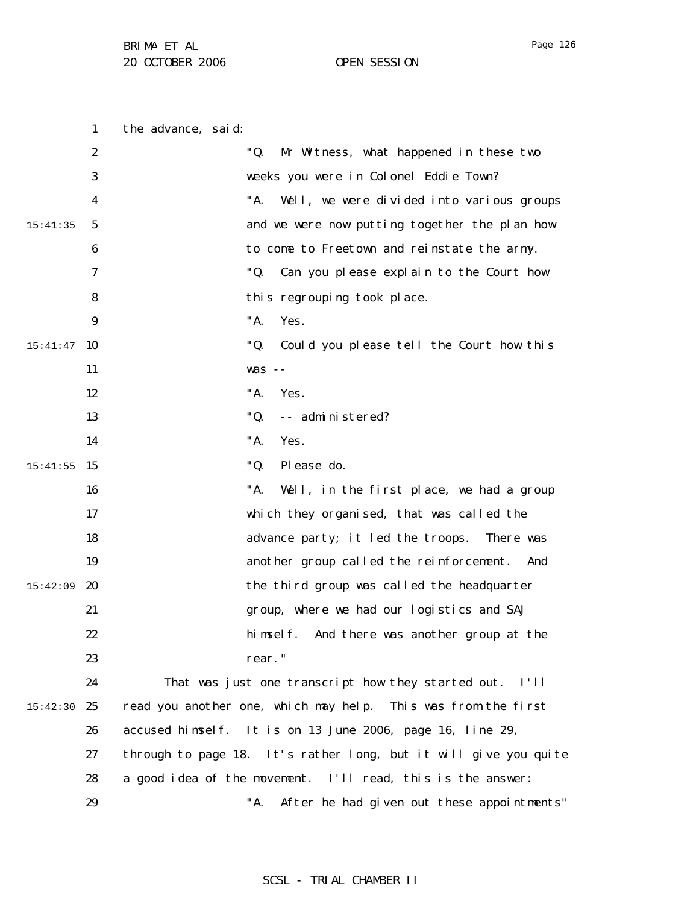Page 126

1 2 3 4 5 6 7 8 9  $15:41:47$  10 11 12 13 14 15 15:41:55 16 17 18 19 15:42:09 **20** 21 22 23 24 15:42:30 25 26 27 28 29 15:41:35 the advance, said: "Q. Mr Witness, what happened in these two weeks you were in Colonel Eddie Town? "A. Well, we were divided into various groups and we were now putting together the plan how to come to Freetown and reinstate the army. "Q. Can you please explain to the Court how this regrouping took place. "A. Yes. "Q. Could you please tell the Court how this was -- "A. Yes. "Q. -- administered? "A. Yes. "Q. Please do. "A. Well, in the first place, we had a group which they organised, that was called the advance party; it led the troops. There was another group called the reinforcement. And the third group was called the headquarter group, where we had our logistics and SAJ himself. And there was another group at the rear." That was just one transcript how they started out. I'll read you another one, which may help. This was from the first accused himself. It is on 13 June 2006, page 16, line 29, through to page 18. It's rather long, but it will give you quite a good idea of the movement. I'll read, this is the answer: "A. After he had given out these appointments"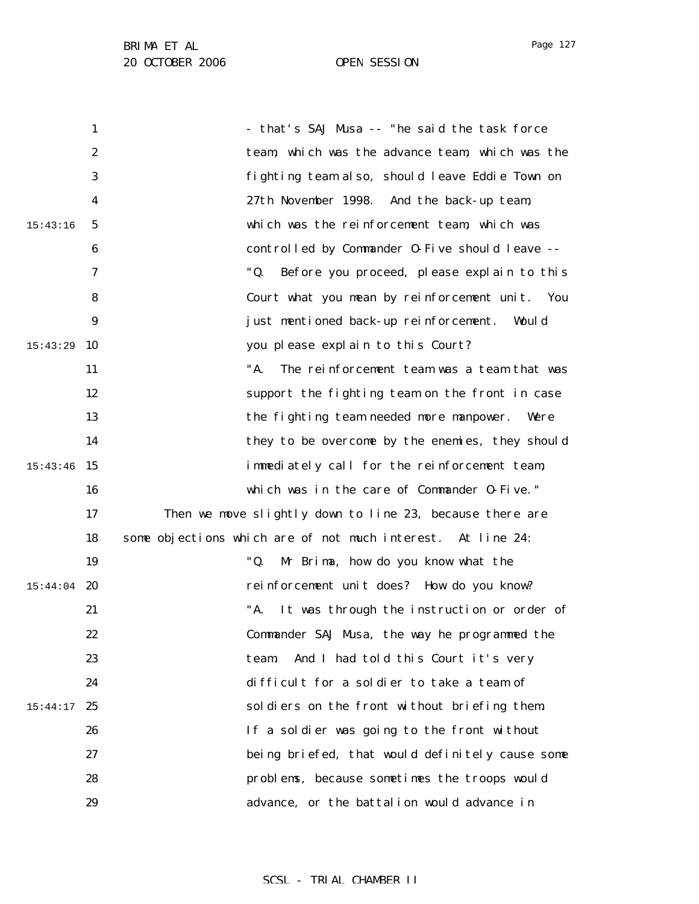1 2 3 4 5 6 7 8 9 15:43:29 10 11 12 13 14 15:43:46 15 16 17 18 19  $15:44:04$  20 21 22 23 24 15:44:17 25 26 27 28 29 15:43:16 - that's SAJ Musa -- "he said the task force team, which was the advance team, which was the fighting team also, should leave Eddie Town on 27th November 1998. And the back-up team, which was the reinforcement team, which was controlled by Commander O-Five should leave -- "Q. Before you proceed, please explain to this Court what you mean by reinforcement unit. You just mentioned back-up reinforcement. Would you please explain to this Court? "A. The reinforcement team was a team that was support the fighting team on the front in case the fighting team needed more manpower. Were they to be overcome by the enemies, they should immediately call for the reinforcement team, which was in the care of Commander O-Five." Then we move slightly down to line 23, because there are some objections which are of not much interest. At line 24: "Q. Mr Brima, how do you know what the reinforcement unit does? How do you know? "A. It was through the instruction or order of Commander SAJ Musa, the way he programmed the team. And I had told this Court it's very difficult for a soldier to take a team of soldiers on the front without briefing them. If a soldier was going to the front without being briefed, that would definitely cause some problems, because sometimes the troops would advance, or the battalion would advance in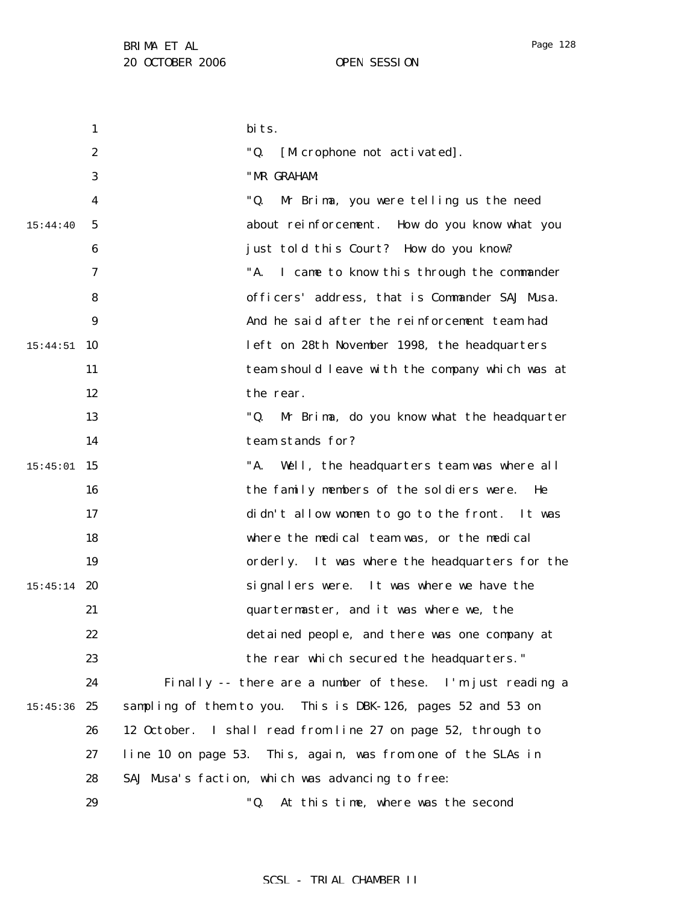1 2 3 4 5 6 7 8 9 15:44:51 10 11 12 13 14 15 15:45:01 16 17 18 19  $15:45:14$  20 21 22 23 24  $15:45:36$  25 26 27 28 29 15:44:40 bits. "Q. [Microphone not activated]. "MR GRAHAM: "Q. Mr Brima, you were telling us the need about reinforcement. How do you know what you just told this Court? How do you know? "A. I came to know this through the commander officers' address, that is Commander SAJ Musa. And he said after the reinforcement team had left on 28th November 1998, the headquarters team should leave with the company which was at the rear. "Q. Mr Brima, do you know what the headquarter team stands for? "A. Well, the headquarters team was where all the family members of the soldiers were. He didn't allow women to go to the front. It was where the medical team was, or the medical orderly. It was where the headquarters for the signallers were. It was where we have the quartermaster, and it was where we, the detained people, and there was one company at the rear which secured the headquarters." Finally -- there are a number of these. I'm just reading a sampling of them to you. This is DBK-126, pages 52 and 53 on 12 October. I shall read from line 27 on page 52, through to line 10 on page 53. This, again, was from one of the SLAs in SAJ Musa's faction, which was advancing to free: "Q. At this time, where was the second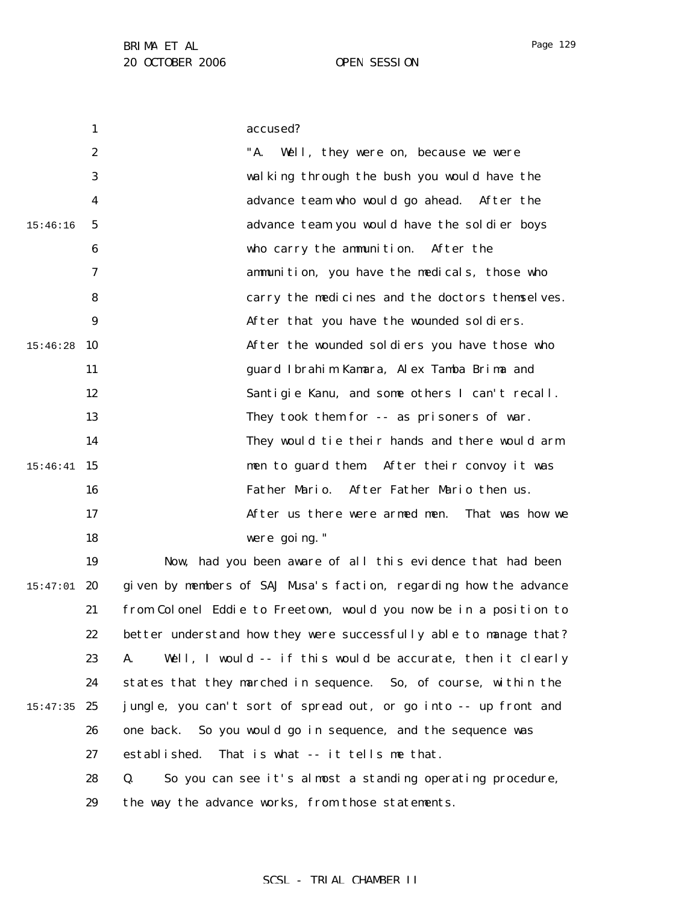Page 129

1 2 3 4 5 6 7 8 9  $15:46:28$  10 11 12 13 14 15 15:46:41 16 17 18 19 15:46:16 accused? "A. Well, they were on, because we were walking through the bush you would have the advance team who would go ahead. After the advance team you would have the soldier boys who carry the ammunition. After the ammunition, you have the medicals, those who carry the medicines and the doctors themselves. After that you have the wounded soldiers. After the wounded soldiers you have those who guard Ibrahim Kamara, Alex Tamba Brima and Santigie Kanu, and some others I can't recall. They took them for -- as prisoners of war. They would tie their hands and there would arm men to guard them. After their convoy it was Father Mario. After Father Mario then us. After us there were armed men. That was how we were going." Now, had you been aware of all this evidence that had been

 $15:47:01$  20 21 22 23 24  $15:47:35$  25 26 27 28 29 given by members of SAJ Musa's faction, regarding how the advance from Colonel Eddie to Freetown, would you now be in a position to better understand how they were successfully able to manage that? A. Well, I would -- if this would be accurate, then it clearly states that they marched in sequence. So, of course, within the jungle, you can't sort of spread out, or go into -- up front and one back. So you would go in sequence, and the sequence was established. That is what -- it tells me that. Q. So you can see it's almost a standing operating procedure, the way the advance works, from those statements.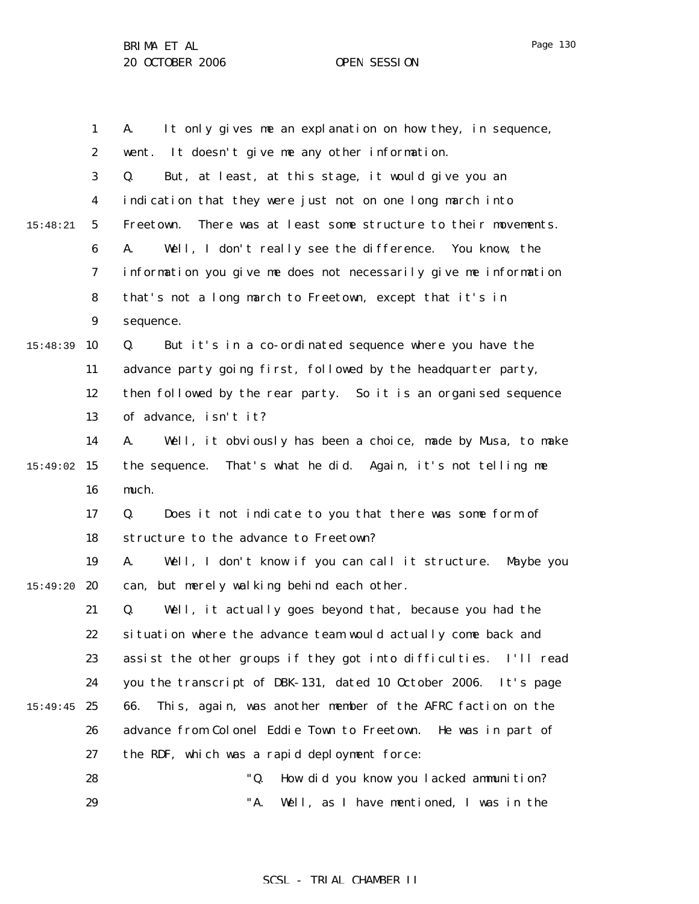1 2 3 4 5 6 7 8 9 15:48:39 10 11 12 13 14 15 15:49:02 16 17 18 19 15:49:20 **20** 21 22 23 24  $15:49:45$  25 26 27 28 29 15:48:21 A. It only gives me an explanation on how they, in sequence, went. It doesn't give me any other information. Q. But, at least, at this stage, it would give you an indication that they were just not on one long march into Freetown. There was at least some structure to their movements. A. Well, I don't really see the difference. You know, the information you give me does not necessarily give me information that's not a long march to Freetown, except that it's in sequence. Q. But it's in a co-ordinated sequence where you have the advance party going first, followed by the headquarter party, then followed by the rear party. So it is an organised sequence of advance, isn't it? A. Well, it obviously has been a choice, made by Musa, to make the sequence. That's what he did. Again, it's not telling me much. Q. Does it not indicate to you that there was some form of structure to the advance to Freetown? A. Well, I don't know if you can call it structure. Maybe you can, but merely walking behind each other. Q. Well, it actually goes beyond that, because you had the situation where the advance team would actually come back and assist the other groups if they got into difficulties. I'll read you the transcript of DBK-131, dated 10 October 2006. It's page 66. This, again, was another member of the AFRC faction on the advance from Colonel Eddie Town to Freetown. He was in part of the RDF, which was a rapid deployment force: "Q. How did you know you lacked ammunition? "A. Well, as I have mentioned, I was in the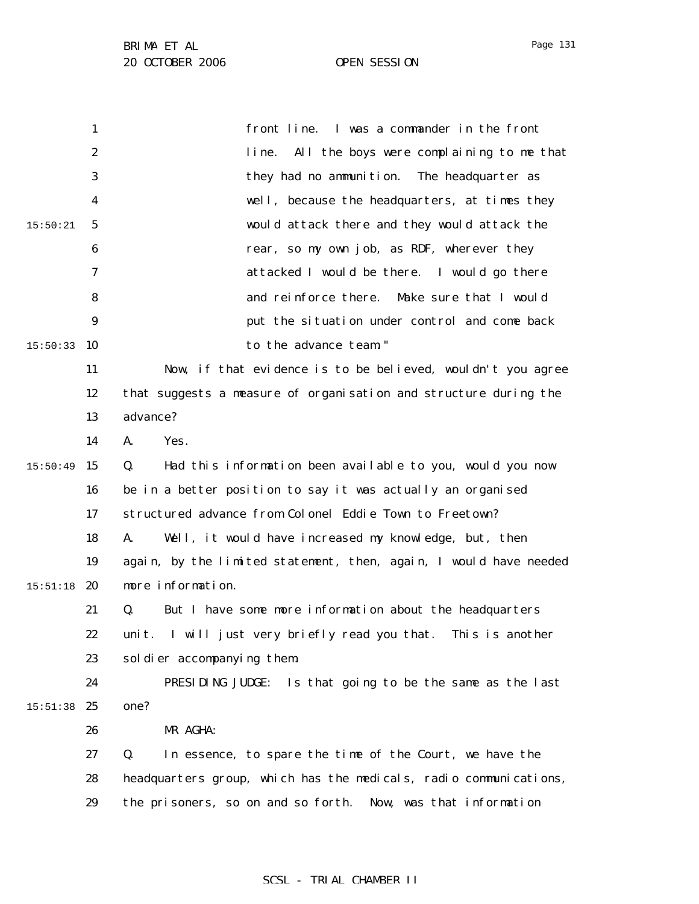|          | 1                | front line. I was a commander in the front                        |
|----------|------------------|-------------------------------------------------------------------|
|          | $\boldsymbol{2}$ | All the boys were complaining to me that<br>line.                 |
|          | 3                | they had no ammunition. The headquarter as                        |
|          | 4                | well, because the headquarters, at times they                     |
| 15:50:21 | 5                | would attack there and they would attack the                      |
|          | 6                | rear, so my own job, as RDF, wherever they                        |
|          | 7                | attacked I would be there. I would go there                       |
|          | 8                | and reinforce there.<br>Make sure that I would                    |
|          | 9                | put the situation under control and come back                     |
| 15:50:33 | 10               | to the advance team."                                             |
|          | 11               | Now, if that evidence is to be believed, wouldn't you agree       |
|          | 12               | that suggests a measure of organisation and structure during the  |
|          | 13               | advance?                                                          |
|          | 14               | A.<br>Yes.                                                        |
| 15:50:49 | 15               | Q.<br>Had this information been available to you, would you now   |
|          | 16               | be in a better position to say it was actually an organised       |
|          | 17               | structured advance from Colonel Eddie Town to Freetown?           |
|          | 18               | A.<br>Well, it would have increased my knowledge, but, then       |
|          | 19               | again, by the limited statement, then, again, I would have needed |
| 15:51:18 | 20               | more information.                                                 |
|          | 21               | But I have some more information about the headquarters<br>Q.     |
|          | 22               | unit. I will just very briefly read you that. This is another     |
|          | 23               | sol dier accompanying them.                                       |
|          | 24               | PRESIDING JUDGE: Is that going to be the same as the last         |
| 15:51:38 | 25               | one?                                                              |
|          | 26               | MR AGHA:                                                          |
|          | 27               | Q.<br>In essence, to spare the time of the Court, we have the     |
|          | 28               | headquarters group, which has the medicals, radio communications, |
|          | 29               | the prisoners, so on and so forth.<br>Now, was that information   |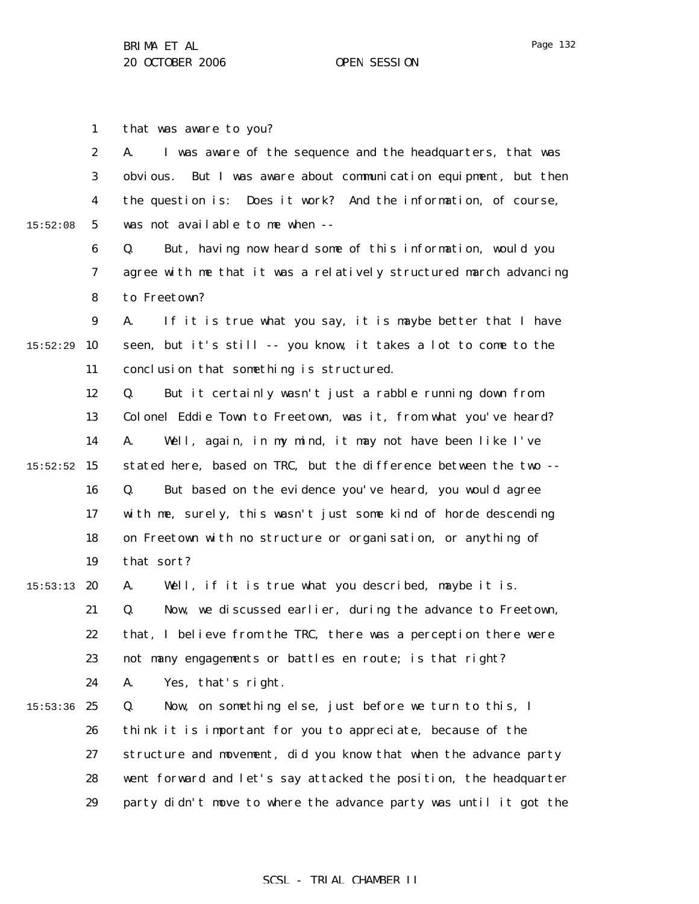1 that was aware to you?

|          | $\boldsymbol{2}$ | I was aware of the sequence and the headquarters, that was<br>A.     |
|----------|------------------|----------------------------------------------------------------------|
|          | 3                | But I was aware about communication equipment, but then<br>obvi ous. |
|          | 4                | the question is:<br>Does it work? And the information, of course,    |
| 15:52:08 | $5\phantom{.0}$  | was not available to me when --                                      |
|          | 6                | Q.<br>But, having now heard some of this information, would you      |
|          | 7                | agree with me that it was a relatively structured march advancing    |
|          | 8                | to Freetown?                                                         |
|          | $\boldsymbol{9}$ | If it is true what you say, it is maybe better that I have<br>A.     |
| 15:52:29 | 10               | seen, but it's still -- you know, it takes a lot to come to the      |
|          | 11               | conclusion that something is structured.                             |
|          | 12               | But it certainly wasn't just a rabble running down from<br>Q.        |
|          | 13               | Colonel Eddie Town to Freetown, was it, from what you've heard?      |
|          | 14               | A.<br>Well, again, in my mind, it may not have been like I've        |
| 15:52:52 | 15               | stated here, based on TRC, but the difference between the two --     |
|          | 16               | But based on the evidence you've heard, you would agree<br>Q.        |
|          | 17               | with me, surely, this wasn't just some kind of horde descending      |
|          | 18               | on Freetown with no structure or organisation, or anything of        |
|          | 19               | that sort?                                                           |
| 15:53:13 | 20               | Well, if it is true what you described, maybe it is.<br>A.           |
|          | 21               | Q.<br>Now, we discussed earlier, during the advance to Freetown,     |
|          | 22               | that, I believe from the TRC, there was a perception there were      |
|          | 23               | not many engagements or battles en route; is that right?             |
|          | 24               | A.<br>Yes, that's right.                                             |
| 15:53:36 | 25               | Q.<br>Now, on something else, just before we turn to this, I         |
|          | 26               | think it is important for you to appreciate, because of the          |
|          | 27               | structure and movement, did you know that when the advance party     |
|          | 28               | went forward and let's say attacked the position, the headquarter    |
|          | 29               | party didn't move to where the advance party was until it got the    |
|          |                  |                                                                      |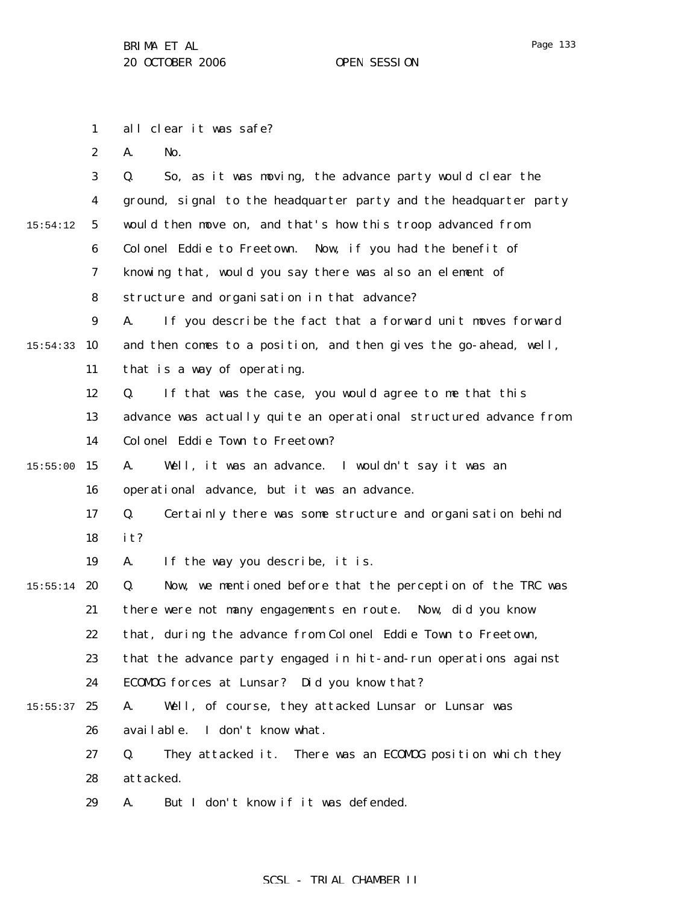1 all clear it was safe?

2 A. No.

|          | 3                | So, as it was moving, the advance party would clear the<br>Q.     |
|----------|------------------|-------------------------------------------------------------------|
|          | 4                | ground, signal to the headquarter party and the headquarter party |
| 15:54:12 | $\mathbf 5$      | would then move on, and that's how this troop advanced from       |
|          | 6                | Colonel Eddie to Freetown. Now, if you had the benefit of         |
|          | 7                | knowing that, would you say there was also an element of          |
|          | 8                | structure and organisation in that advance?                       |
|          | $\boldsymbol{9}$ | A.<br>If you describe the fact that a forward unit moves forward  |
| 15:54:33 | 10               | and then comes to a position, and then gives the go-ahead, well,  |
|          | 11               | that is a way of operating.                                       |
|          | 12               | If that was the case, you would agree to me that this<br>Q.       |
|          | 13               | advance was actually quite an operational structured advance from |
|          | 14               | Colonel Eddie Town to Freetown?                                   |
| 15:55:00 | 15               | Well, it was an advance. I wouldn't say it was an<br>A.           |
|          | 16               | operational advance, but it was an advance.                       |
|          | 17               | Certainly there was some structure and organisation behind<br>Q.  |
|          | 18               | it?                                                               |
|          | 19               | If the way you describe, it is.<br>A.                             |
| 15:55:14 | 20               | Now, we mentioned before that the perception of the TRC was<br>Q. |
|          | 21               | there were not many engagements en route. Now, did you know       |
|          | 22               | that, during the advance from Colonel Eddie Town to Freetown,     |
|          | 23               | that the advance party engaged in hit-and-run operations against  |
|          | 24               | ECOMDG forces at Lunsar? Did you know that?                       |
| 15:55:37 | 25               | Well, of course, they attacked Lunsar or Lunsar was<br>A.         |
|          | 26               | I don't know what.<br>avai l abl e.                               |
|          | 27               | They attacked it. There was an ECOMOG position which they<br>Q.   |
|          | 28               | attacked.                                                         |
|          | 29               | But I don't know if it was defended.<br>A.                        |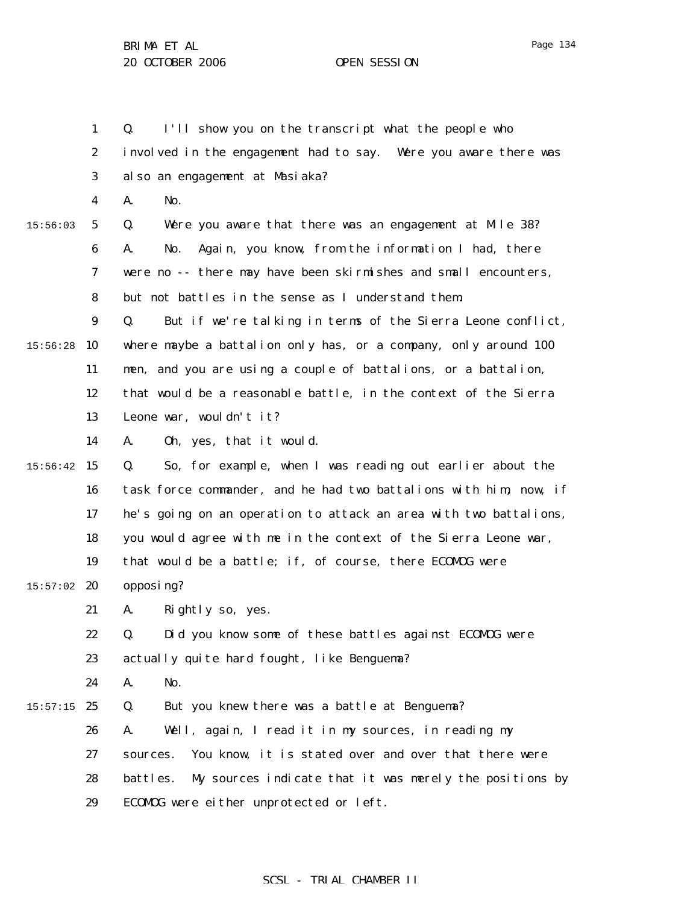1 2 3 4 5 6 7 8 9  $15:56:28$  10 11 12 13 14  $15:56:42$  15 16 17 18 19  $15:57:02$  20 21 22 23 24  $15:57:15$  25 26 27 28 29 15:56:03 Q. I'll show you on the transcript what the people who involved in the engagement had to say. Were you aware there was also an engagement at Masiaka? A. No. Q. Were you aware that there was an engagement at Mile 38? A. No. Again, you know, from the information I had, there were no -- there may have been skirmishes and small encounters, but not battles in the sense as I understand them. Q. But if we're talking in terms of the Sierra Leone conflict, where maybe a battalion only has, or a company, only around 100 men, and you are using a couple of battalions, or a battalion, that would be a reasonable battle, in the context of the Sierra Leone war, wouldn't it? A. Oh, yes, that it would. Q. So, for example, when I was reading out earlier about the task force commander, and he had two battalions with him, now, if he's going on an operation to attack an area with two battalions, you would agree with me in the context of the Sierra Leone war, that would be a battle; if, of course, there ECOMOG were opposing? A. Rightly so, yes. Q. Did you know some of these battles against ECOMOG were actually quite hard fought, like Benguema? A. No. Q. But you knew there was a battle at Benguema? A. Well, again, I read it in my sources, in reading my sources. You know, it is stated over and over that there were battles. My sources indicate that it was merely the positions by ECOMOG were either unprotected or left.

### SCSL - TRIAL CHAMBER II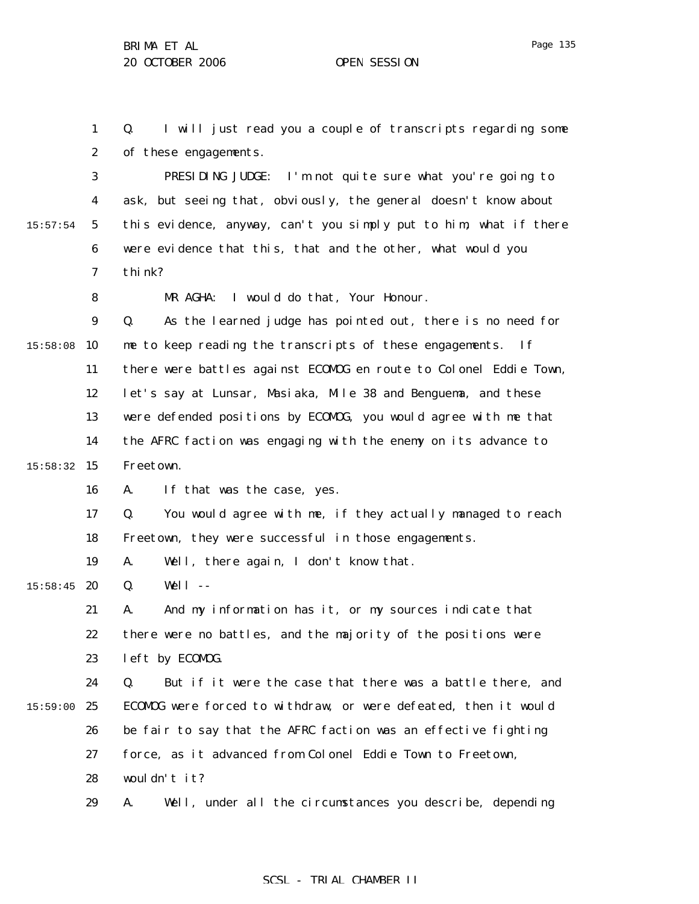1 2 Q. I will just read you a couple of transcripts regarding some of these engagements.

3 4 5 6 7 15:57:54 PRESIDING JUDGE: I'm not quite sure what you're going to ask, but seeing that, obviously, the general doesn't know about this evidence, anyway, can't you simply put to him, what if there were evidence that this, that and the other, what would you think?

MR AGHA: I would do that, Your Honour.

9  $15:58:08$  10 11 12 13 14 15:58:32 15 Q. As the learned judge has pointed out, there is no need for me to keep reading the transcripts of these engagements. If there were battles against ECOMOG en route to Colonel Eddie Town, let's say at Lunsar, Masiaka, Mile 38 and Benguema, and these were defended positions by ECOMOG, you would agree with me that the AFRC faction was engaging with the enemy on its advance to Freetown.

> 16 A. If that was the case, yes.

17 18 Q. You would agree with me, if they actually managed to reach Freetown, they were successful in those engagements.

19 A. Well, there again, I don't know that.

 $15:58:45$  20 Q. Well --

8

21 22 23 A. And my information has it, or my sources indicate that there were no battles, and the majority of the positions were left by ECOMOG.

24 15:59:00 25 26 27 28 Q. But if it were the case that there was a battle there, and ECOMOG were forced to withdraw, or were defeated, then it would be fair to say that the AFRC faction was an effective fighting force, as it advanced from Colonel Eddie Town to Freetown, wouldn't it?

> 29 A. Well, under all the circumstances you describe, depending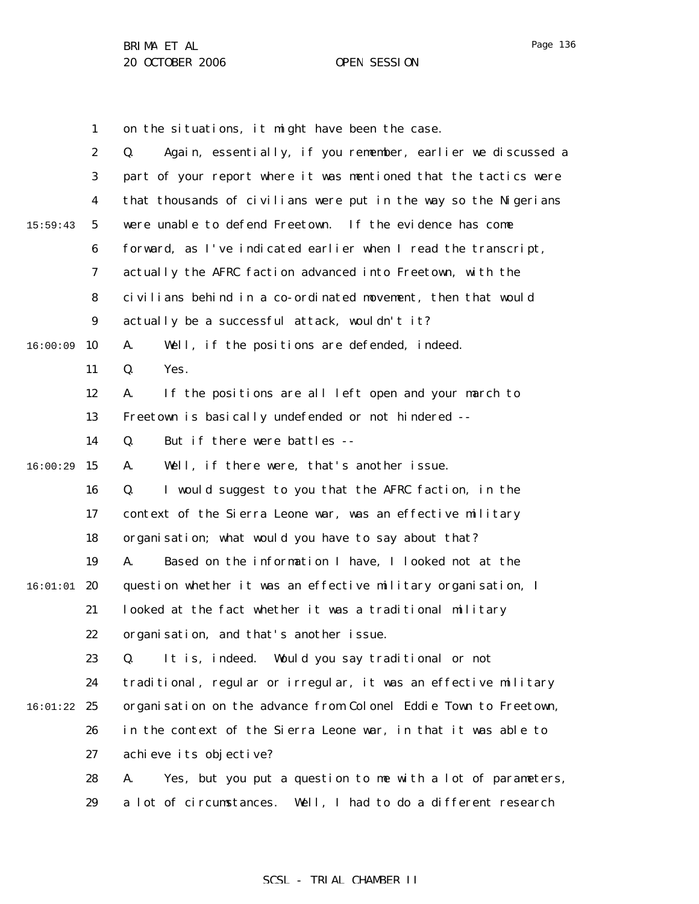Page 136

1 2 3 4 5 6 7 8 9  $16:00:09$  10 11 12 13 14 16:00:29 15 16 17 18 19  $16:01:01$  20 21 22 23 24 16:01:22 25 26 27 28 29 15:59:43 on the situations, it might have been the case. Q. Again, essentially, if you remember, earlier we discussed a part of your report where it was mentioned that the tactics were that thousands of civilians were put in the way so the Nigerians were unable to defend Freetown. If the evidence has come forward, as I've indicated earlier when I read the transcript, actually the AFRC faction advanced into Freetown, with the civilians behind in a co-ordinated movement, then that would actually be a successful attack, wouldn't it? A. Well, if the positions are defended, indeed. Q. Yes. A. If the positions are all left open and your march to Freetown is basically undefended or not hindered -- Q. But if there were battles -- A. Well, if there were, that's another issue. Q. I would suggest to you that the AFRC faction, in the context of the Sierra Leone war, was an effective military organisation; what would you have to say about that? A. Based on the information I have, I looked not at the question whether it was an effective military organisation, I looked at the fact whether it was a traditional military organisation, and that's another issue. Q. It is, indeed. Would you say traditional or not traditional, regular or irregular, it was an effective military organisation on the advance from Colonel Eddie Town to Freetown, in the context of the Sierra Leone war, in that it was able to achieve its objective? A. Yes, but you put a question to me with a lot of parameters, a lot of circumstances. Well, I had to do a different research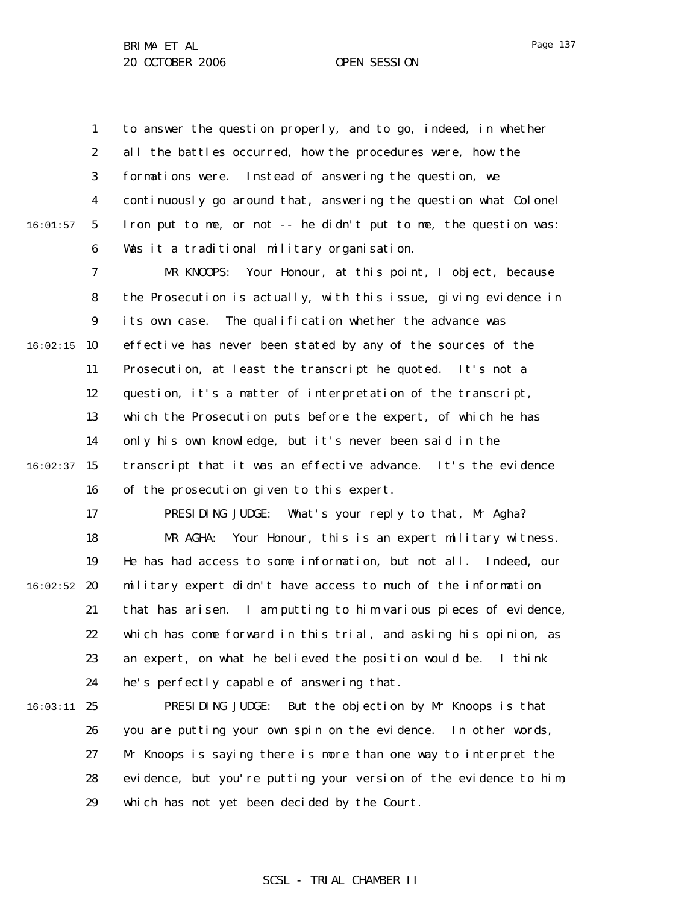1 2 3 4 5 6 16:01:57 to answer the question properly, and to go, indeed, in whether all the battles occurred, how the procedures were, how the formations were. Instead of answering the question, we continuously go around that, answering the question what Colonel Iron put to me, or not -- he didn't put to me, the question was: Was it a traditional military organisation.

7 8 9  $16:02:15$  10 11 12 13 14  $16:02:37$  15 16 MR KNOOPS: Your Honour, at this point, I object, because the Prosecution is actually, with this issue, giving evidence in its own case. The qualification whether the advance was effective has never been stated by any of the sources of the Prosecution, at least the transcript he quoted. It's not a question, it's a matter of interpretation of the transcript, which the Prosecution puts before the expert, of which he has only his own knowledge, but it's never been said in the transcript that it was an effective advance. It's the evidence of the prosecution given to this expert.

17 18 19  $16:02:52$  20 21 22 23 24 PRESIDING JUDGE: What's your reply to that, Mr Agha? MR AGHA: Your Honour, this is an expert military witness. He has had access to some information, but not all. Indeed, our military expert didn't have access to much of the information that has arisen. I am putting to him various pieces of evidence, which has come forward in this trial, and asking his opinion, as an expert, on what he believed the position would be. I think he's perfectly capable of answering that.

16:03:11 25 26 27 28 29 PRESIDING JUDGE: But the objection by Mr Knoops is that you are putting your own spin on the evidence. In other words, Mr Knoops is saying there is more than one way to interpret the evidence, but you're putting your version of the evidence to him, which has not yet been decided by the Court.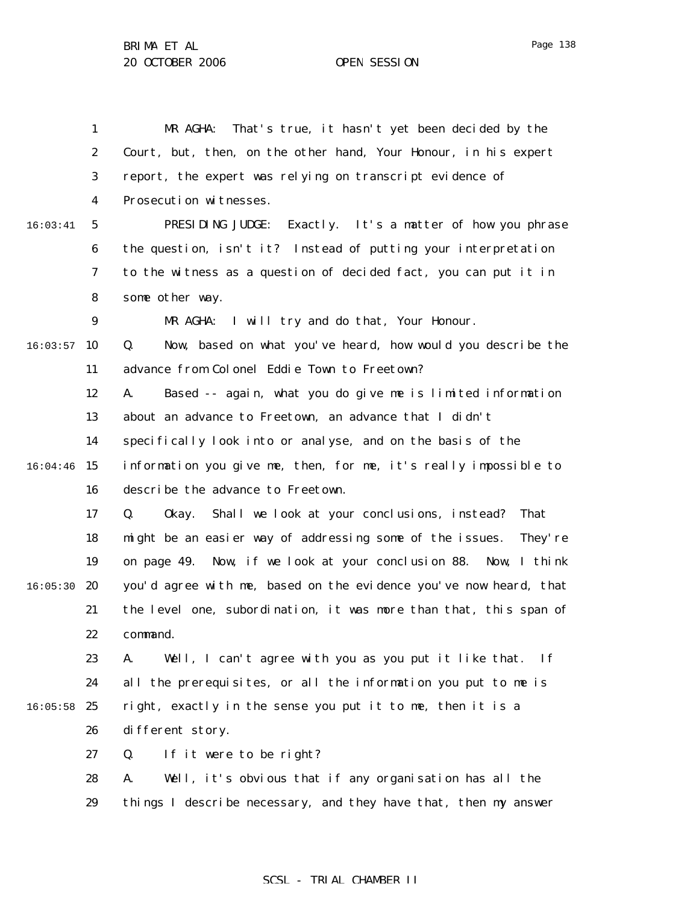|          | 1                | MR AGHA:<br>That's true, it hasn't yet been decided by the           |
|----------|------------------|----------------------------------------------------------------------|
|          | $\boldsymbol{2}$ | Court, but, then, on the other hand, Your Honour, in his expert      |
|          | 3                | report, the expert was relying on transcript evidence of             |
|          | 4                | Prosecution witnesses.                                               |
| 16:03:41 | $\mathbf{5}$     | PRESIDING JUDGE:<br>Exactly. It's a matter of how you phrase         |
|          | $\boldsymbol{6}$ | the question, isn't it? Instead of putting your interpretation       |
|          | 7                | to the witness as a question of decided fact, you can put it in      |
|          | 8                | some other way.                                                      |
|          | 9                | MR AGHA: I will try and do that, Your Honour.                        |
| 16:03:57 | 10               | Q.<br>Now, based on what you've heard, how would you describe the    |
|          | 11               | advance from Colonel Eddie Town to Freetown?                         |
|          | 12               | Based -- again, what you do give me is limited information<br>A.     |
|          | 13               | about an advance to Freetown, an advance that I didn't               |
|          | 14               | specifically look into or analyse, and on the basis of the           |
| 16:04:46 | 15               | information you give me, then, for me, it's really impossible to     |
|          | 16               | describe the advance to Freetown.                                    |
|          | 17               | Shall we look at your conclusions, instead?<br>Q.<br>0kay.<br>That   |
|          | 18               | might be an easier way of addressing some of the issues.<br>They' re |
|          | 19               | on page 49. Now, if we look at your conclusion 88. Now, I think      |
| 16:05:30 | 20               | you'd agree with me, based on the evidence you've now heard, that    |
|          | 21               | the level one, subordination, it was more than that, this span of    |
|          | 22               | command.                                                             |
|          | 23               | Well, I can't agree with you as you put it like that.<br>A.<br>If    |
|          | 24               | all the prerequisites, or all the information you put to me is       |
| 16:05:58 | 25               | right, exactly in the sense you put it to me, then it is a           |
|          | 26               | different story.                                                     |
|          | 27               | Q.<br>If it were to be right?                                        |
|          | 28               | Well, it's obvious that if any organisation has all the<br>A.        |
|          | 29               | things I describe necessary, and they have that, then my answer      |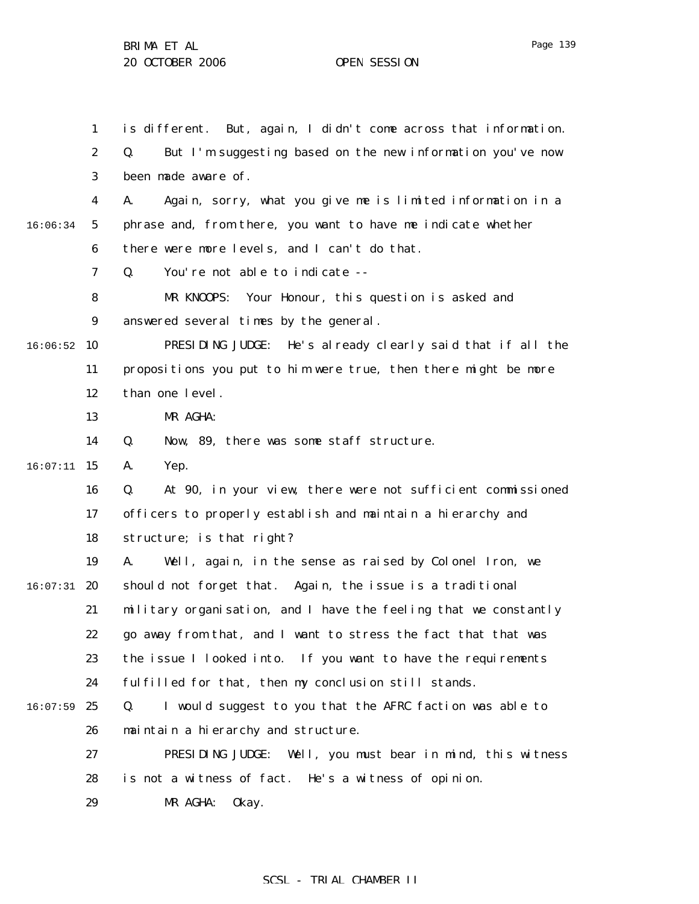1 2 3 4 5 6 7 8 9  $16:06:52$  10 11 12 13 14 15 16:07:11 16 17 18 19  $16:07:31$  20 21 22 23 24  $16:07:59$  25 26 27 28 29 16:06:34 is different. But, again, I didn't come across that information. Q. But I'm suggesting based on the new information you've now been made aware of. A. Again, sorry, what you give me is limited information in a phrase and, from there, you want to have me indicate whether there were more levels, and I can't do that. Q. You're not able to indicate -- MR KNOOPS: Your Honour, this question is asked and answered several times by the general. PRESIDING JUDGE: He's already clearly said that if all the propositions you put to him were true, then there might be more than one level. MR AGHA: Q. Now, 89, there was some staff structure. A. Yep. Q. At 90, in your view, there were not sufficient commissioned officers to properly establish and maintain a hierarchy and structure; is that right? A. Well, again, in the sense as raised by Colonel Iron, we should not forget that. Again, the issue is a traditional military organisation, and I have the feeling that we constantly go away from that, and I want to stress the fact that that was the issue I looked into. If you want to have the requirements fulfilled for that, then my conclusion still stands. Q. I would suggest to you that the AFRC faction was able to maintain a hierarchy and structure. PRESIDING JUDGE: Well, you must bear in mind, this witness is not a witness of fact. He's a witness of opinion. MR AGHA: Okay.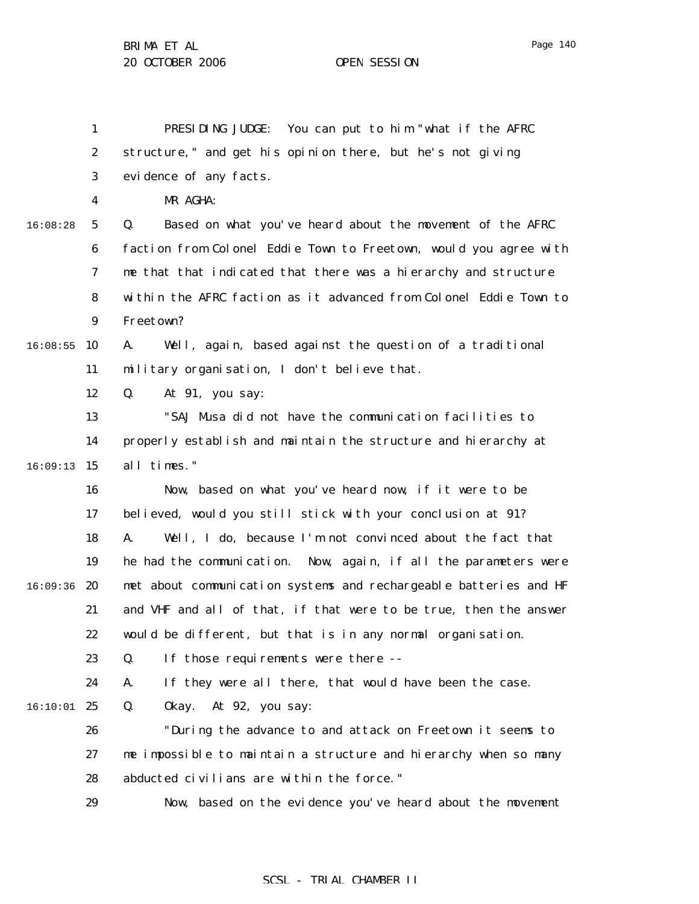1 2 3 4 5 6 7 8 9  $16:08:55$  10 11 12 13 14 16:09:13 15 16 17 18 19 16:09:36 20 21 22 23 24 16:10:01 25 26 27 28 29 16:08:28 PRESIDING JUDGE: You can put to him "what if the AFRC structure," and get his opinion there, but he's not giving evidence of any facts. MR AGHA: Q. Based on what you've heard about the movement of the AFRC faction from Colonel Eddie Town to Freetown, would you agree with me that that indicated that there was a hierarchy and structure within the AFRC faction as it advanced from Colonel Eddie Town to Freetown? A. Well, again, based against the question of a traditional military organisation, I don't believe that. Q. At 91, you say: "SAJ Musa did not have the communication facilities to properly establish and maintain the structure and hierarchy at all times." Now, based on what you've heard now, if it were to be believed, would you still stick with your conclusion at 91? A. Well, I do, because I'm not convinced about the fact that he had the communication. Now, again, if all the parameters were met about communication systems and rechargeable batteries and HF and VHF and all of that, if that were to be true, then the answer would be different, but that is in any normal organisation. Q. If those requirements were there -- A. If they were all there, that would have been the case. Q. Okay. At 92, you say: "During the advance to and attack on Freetown it seems to me impossible to maintain a structure and hierarchy when so many abducted civilians are within the force." Now, based on the evidence you've heard about the movement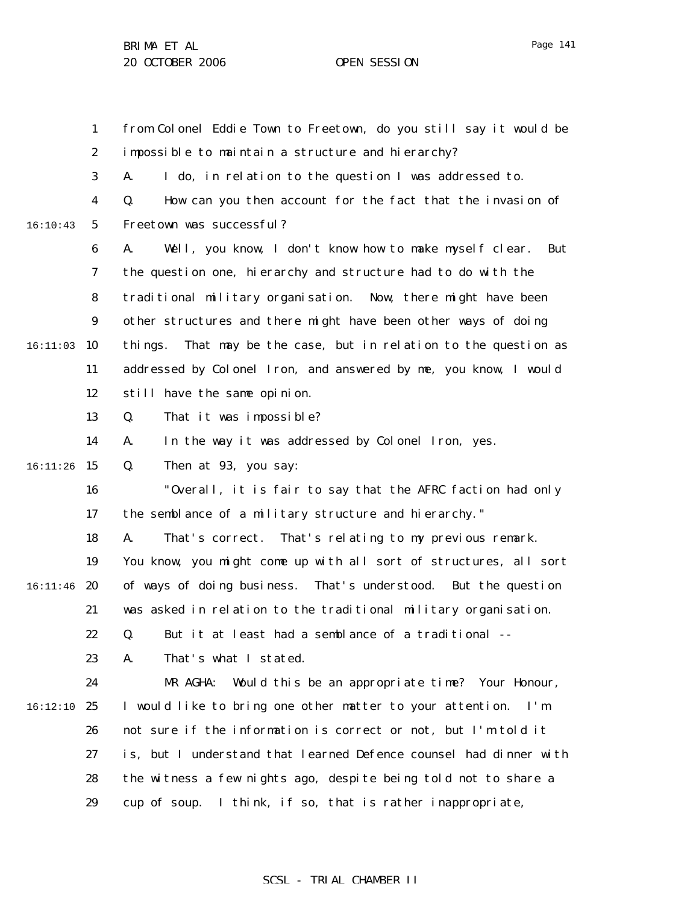1 2 3 4 5 6 7 8 9  $16:11:03$  10 11 12 13 14 15 16:11:26 16 17 18 19  $16:11:46$  20 21 22 23 24 16:12:10 25 26 27 28 29 16:10:43 from Colonel Eddie Town to Freetown, do you still say it would be impossible to maintain a structure and hierarchy? A. I do, in relation to the question I was addressed to. Q. How can you then account for the fact that the invasion of Freetown was successful? A. Well, you know, I don't know how to make myself clear. But the question one, hierarchy and structure had to do with the traditional military organisation. Now, there might have been other structures and there might have been other ways of doing things. That may be the case, but in relation to the question as addressed by Colonel Iron, and answered by me, you know, I would still have the same opinion. Q. That it was impossible? A. In the way it was addressed by Colonel Iron, yes. Q. Then at 93, you say: "Overall, it is fair to say that the AFRC faction had only the semblance of a military structure and hierarchy." A. That's correct. That's relating to my previous remark. You know, you might come up with all sort of structures, all sort of ways of doing business. That's understood. But the question was asked in relation to the traditional military organisation. Q. But it at least had a semblance of a traditional -- A. That's what I stated. MR AGHA: Would this be an appropriate time? Your Honour, I would like to bring one other matter to your attention. I'm not sure if the information is correct or not, but I'm told it is, but I understand that learned Defence counsel had dinner with the witness a few nights ago, despite being told not to share a cup of soup. I think, if so, that is rather inappropriate,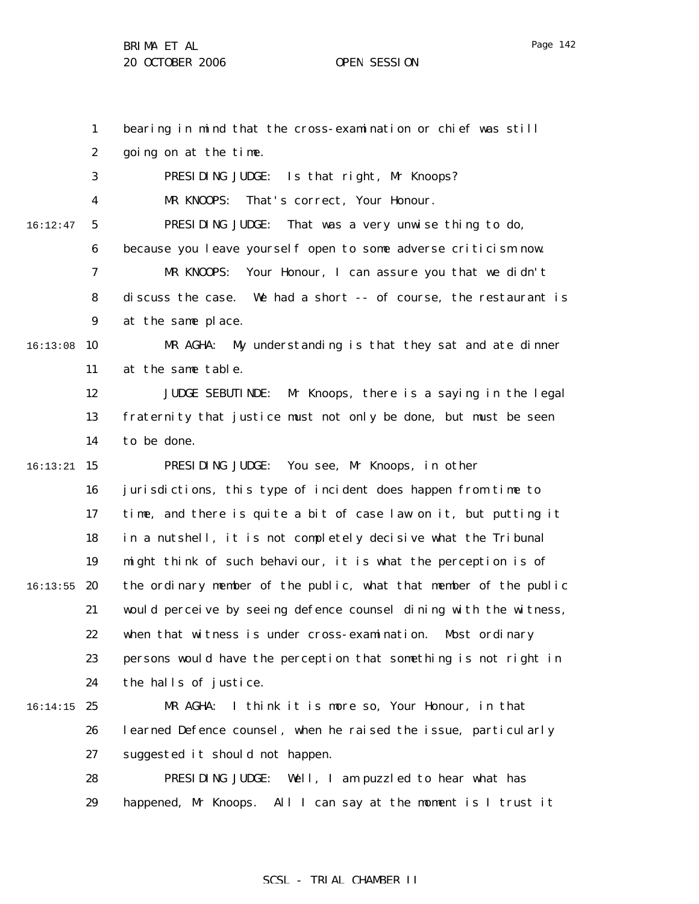1

2

3

4

5

6

7

8

9

11

12

13

14

16

17

18

19

21

22

23

24

26

27

28

 $16:13:08$  10

16:12:47

15 16:13:21

 $16:13:55$  20

 $16:14:15$  25

bearing in mind that the cross-examination or chief was still going on at the time. PRESIDING JUDGE: Is that right, Mr Knoops? MR KNOOPS: That's correct, Your Honour. PRESIDING JUDGE: That was a very unwise thing to do, because you leave yourself open to some adverse criticism now. MR KNOOPS: Your Honour, I can assure you that we didn't discuss the case. We had a short -- of course, the restaurant is at the same place. MR AGHA: My understanding is that they sat and ate dinner at the same table. JUDGE SEBUTINDE: Mr Knoops, there is a saying in the legal fraternity that justice must not only be done, but must be seen to be done. PRESIDING JUDGE: You see, Mr Knoops, in other jurisdictions, this type of incident does happen from time to time, and there is quite a bit of case law on it, but putting it in a nutshell, it is not completely decisive what the Tribunal might think of such behaviour, it is what the perception is of the ordinary member of the public, what that member of the public would perceive by seeing defence counsel dining with the witness, when that witness is under cross-examination. Most ordinary persons would have the perception that something is not right in the halls of justice. MR AGHA: I think it is more so, Your Honour, in that learned Defence counsel, when he raised the issue, particularly suggested it should not happen. PRESIDING JUDGE: Well, I am puzzled to hear what has

29 happened, Mr Knoops. All I can say at the moment is I trust it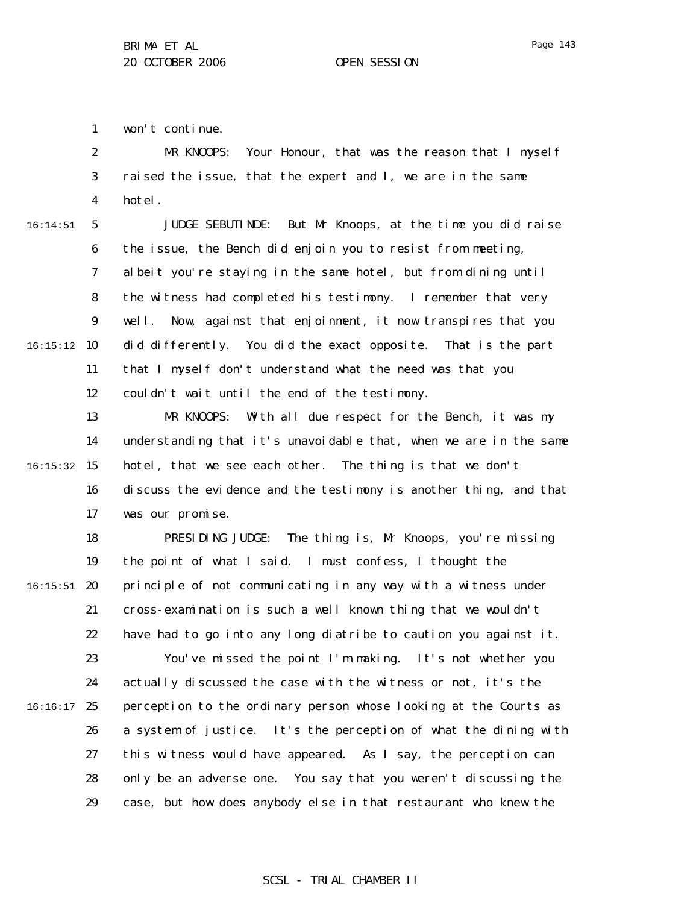1 won't continue.

2 3 4 MR KNOOPS: Your Honour, that was the reason that I myself raised the issue, that the expert and I, we are in the same hotel.

16:14:51

5 6 7 8 9 16:15:12 10 11 12 JUDGE SEBUTINDE: But Mr Knoops, at the time you did raise the issue, the Bench did enjoin you to resist from meeting, albeit you're staying in the same hotel, but from dining until the witness had completed his testimony. I remember that very well. Now, against that enjoinment, it now transpires that you did differently. You did the exact opposite. That is the part that I myself don't understand what the need was that you couldn't wait until the end of the testimony.

13 14 16:15:32 15 16 17 MR KNOOPS: With all due respect for the Bench, it was my understanding that it's unavoidable that, when we are in the same hotel, that we see each other. The thing is that we don't discuss the evidence and the testimony is another thing, and that was our promise.

18 19  $16:15:51$  20 21 22 23 24  $16:16:17$  25 26 27 28 29 PRESIDING JUDGE: The thing is, Mr Knoops, you're missing the point of what I said. I must confess, I thought the principle of not communicating in any way with a witness under cross-examination is such a well known thing that we wouldn't have had to go into any long diatribe to caution you against it. You've missed the point I'm making. It's not whether you actually discussed the case with the witness or not, it's the perception to the ordinary person whose looking at the Courts as a system of justice. It's the perception of what the dining with this witness would have appeared. As I say, the perception can only be an adverse one. You say that you weren't discussing the case, but how does anybody else in that restaurant who knew the

# Page 143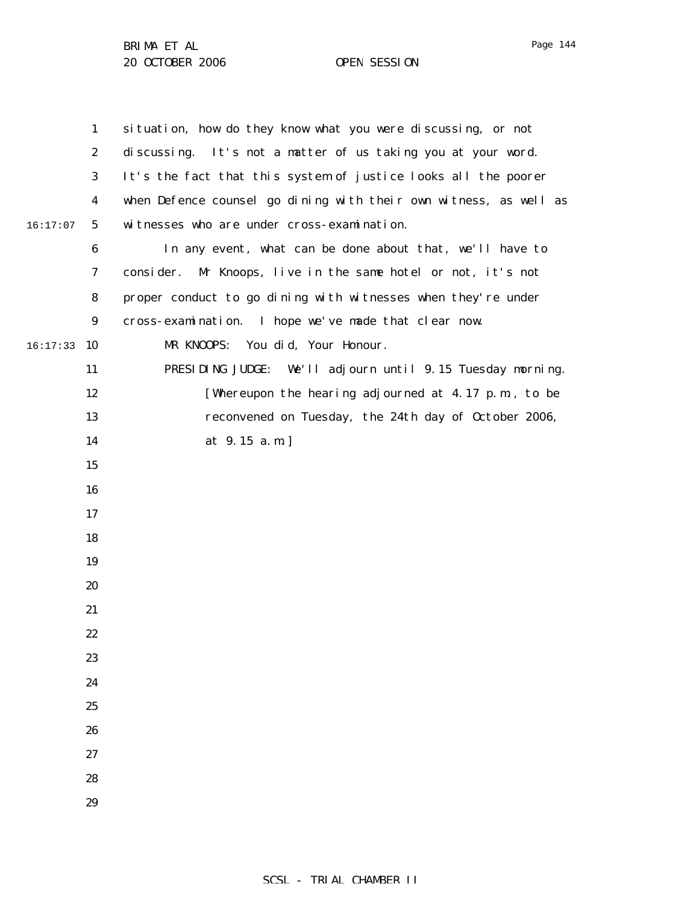1 2 3 4 5 6 7 8 9  $16:17:33$  10 11 12 13 14 15 16 17 18 19 20 21 22 23 24 25 26 27 28 29 16:17:07 situation, how do they know what you were discussing, or not discussing. It's not a matter of us taking you at your word. It's the fact that this system of justice looks all the poorer when Defence counsel go dining with their own witness, as well as witnesses who are under cross-examination. In any event, what can be done about that, we'll have to consider. Mr Knoops, live in the same hotel or not, it's not proper conduct to go dining with witnesses when they're under cross-examination. I hope we've made that clear now. MR KNOOPS: You did, Your Honour. PRESIDING JUDGE: We'll adjourn until 9.15 Tuesday morning. [Whereupon the hearing adjourned at 4.17 p.m., to be reconvened on Tuesday, the 24th day of October 2006, at 9.15 a.m.]